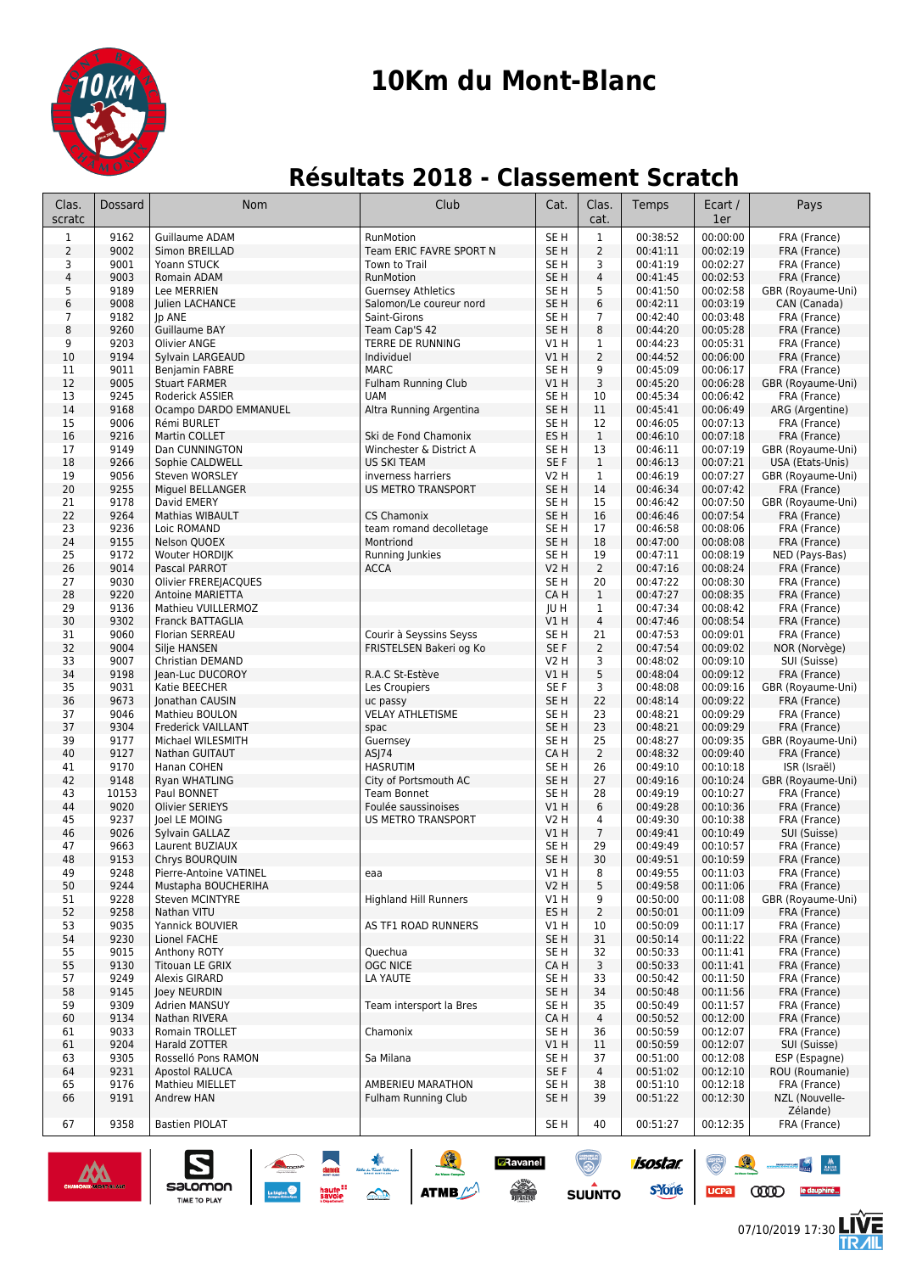

# **10Km du Mont-Blanc**

### **Résultats 2018 - Classement Scratch**

| Clas.<br>scratc | Dossard             | Nom                                                             | Club                                                 | Cat.                               | Clas.<br>cat.        | Temps                | Ecart /<br>1er       | Pays                              |
|-----------------|---------------------|-----------------------------------------------------------------|------------------------------------------------------|------------------------------------|----------------------|----------------------|----------------------|-----------------------------------|
| $\mathbf 1$     | 9162                | <b>Guillaume ADAM</b>                                           | RunMotion                                            | SE <sub>H</sub>                    | $1\,$                | 00:38:52             | 00:00:00             | FRA (France)                      |
| $\overline{2}$  | 9002                | Simon BREILLAD                                                  | Team ERIC FAVRE SPORT N                              | SE <sub>H</sub>                    | $\overline{2}$       | 00:41:11             | 00:02:19             | FRA (France)                      |
| 3               | 9001                | Yoann STUCK                                                     | Town to Trail                                        | SE H                               | 3                    | 00:41:19             | 00:02:27             | FRA (France)                      |
| 4               | 9003<br>9189        | Romain ADAM<br>Lee MERRIEN                                      | RunMotion                                            | SE <sub>H</sub>                    | 4<br>5               | 00:41:45             | 00:02:53<br>00:02:58 | FRA (France)                      |
| 5<br>6          | 9008                | Julien LACHANCE                                                 | <b>Guernsey Athletics</b><br>Salomon/Le coureur nord | SE H<br>SE H                       | 6                    | 00:41:50<br>00:42:11 | 00:03:19             | GBR (Royaume-Uni)<br>CAN (Canada) |
| 7               | 9182                | Jp ANE                                                          | Saint-Girons                                         | SE <sub>H</sub>                    | $\overline{7}$       | 00:42:40             | 00:03:48             | FRA (France)                      |
| 8               | 9260                | Guillaume BAY                                                   | Team Cap'S 42                                        | SE <sub>H</sub>                    | 8                    | 00:44:20             | 00:05:28             | FRA (France)                      |
| 9               | 9203                | <b>Olivier ANGE</b>                                             | TERRE DE RUNNING                                     | V1 H                               | $\mathbf{1}$         | 00:44:23             | 00:05:31             | FRA (France)                      |
| 10              | 9194                | Sylvain LARGEAUD                                                | Individuel                                           | V1H                                | $\overline{2}$       | 00:44:52             | 00:06:00             | FRA (France)                      |
| 11              | 9011                | Benjamin FABRE                                                  | <b>MARC</b>                                          | SE H                               | 9                    | 00:45:09             | 00:06:17             | FRA (France)                      |
| 12              | 9005<br>9245        | <b>Stuart FARMER</b>                                            | <b>Fulham Running Club</b><br><b>UAM</b>             | V1H<br>SE <sub>H</sub>             | 3                    | 00:45:20<br>00:45:34 | 00:06:28<br>00:06:42 | GBR (Royaume-Uni)<br>FRA (France) |
| 13<br>14        | 9168                | Roderick ASSIER<br>Ocampo DARDO EMMANUEL                        | Altra Running Argentina                              | SE <sub>H</sub>                    | 10<br>11             | 00:45:41             | 00:06:49             | ARG (Argentine)                   |
| 15              | 9006                | Rémi BURLET                                                     |                                                      | SE H                               | 12                   | 00:46:05             | 00:07:13             | FRA (France)                      |
| 16              | 9216                | Martin COLLET                                                   | Ski de Fond Chamonix                                 | ES <sub>H</sub>                    | $\mathbf{1}$         | 00:46:10             | 00:07:18             | FRA (France)                      |
| 17              | 9149                | Dan CUNNINGTON                                                  | Winchester & District A                              | SE H                               | 13                   | 00:46:11             | 00:07:19             | GBR (Royaume-Uni)                 |
| 18              | 9266                | Sophie CALDWELL                                                 | <b>US SKI TEAM</b>                                   | SE F                               | $\mathbf{1}$         | 00:46:13             | 00:07:21             | USA (Etats-Unis)                  |
| 19              | 9056                | Steven WORSLEY                                                  | inverness harriers                                   | V2 H                               | $\mathbf{1}$         | 00:46:19             | 00:07:27             | GBR (Royaume-Uni)                 |
| 20              | 9255                | Miguel BELLANGER                                                | <b>US METRO TRANSPORT</b>                            | SE <sub>H</sub>                    | 14                   | 00:46:34             | 00:07:42             | FRA (France)                      |
| 21<br>22        | 9178<br>9264        | David EMERY<br><b>Mathias WIBAULT</b>                           | <b>CS Chamonix</b>                                   | SE <sub>H</sub><br>SE <sub>H</sub> | 15<br>16             | 00:46:42<br>00:46:46 | 00:07:50<br>00:07:54 | GBR (Royaume-Uni)<br>FRA (France) |
| 23              | 9236                | Loic ROMAND                                                     | team romand decolletage                              | SE H                               | 17                   | 00:46:58             | 00:08:06             | FRA (France)                      |
| 24              | 9155                | Nelson QUOEX                                                    | Montriond                                            | SE <sub>H</sub>                    | 18                   | 00:47:00             | 00:08:08             | FRA (France)                      |
| 25              | 9172                | Wouter HORDIJK                                                  | Running Junkies                                      | SE <sub>H</sub>                    | 19                   | 00:47:11             | 00:08:19             | NED (Pays-Bas)                    |
| 26              | 9014                | Pascal PARROT                                                   | <b>ACCA</b>                                          | <b>V2 H</b>                        | $\overline{2}$       | 00:47:16             | 00:08:24             | FRA (France)                      |
| 27              | 9030                | Olivier FREREJACQUES                                            |                                                      | SE <sub>H</sub>                    | 20                   | 00:47:22             | 00:08:30             | FRA (France)                      |
| 28              | 9220                | <b>Antoine MARIETTA</b>                                         |                                                      | CA H                               | $\mathbf{1}$         | 00:47:27             | 00:08:35             | FRA (France)                      |
| 29              | 9136                | Mathieu VUILLERMOZ                                              |                                                      | JU H                               | $\mathbf{1}$         | 00:47:34             | 00:08:42             | FRA (France)                      |
| 30<br>31        | 9302<br>9060        | <b>Franck BATTAGLIA</b><br>Florian SERREAU                      | Courir à Seyssins Seyss                              | V1H<br>SE <sub>H</sub>             | 4<br>21              | 00:47:46<br>00:47:53 | 00:08:54<br>00:09:01 | FRA (France)<br>FRA (France)      |
| 32              | 9004                | Silje HANSEN                                                    | FRISTELSEN Bakeri og Ko                              | SE F                               | $\overline{2}$       | 00:47:54             | 00:09:02             | NOR (Norvège)                     |
| 33              | 9007                | Christian DEMAND                                                |                                                      | V2 H                               | 3                    | 00:48:02             | 00:09:10             | SUI (Suisse)                      |
| 34              | 9198                | Jean-Luc DUCOROY                                                | R.A.C St-Estève                                      | V1H                                | 5                    | 00:48:04             | 00:09:12             | FRA (France)                      |
| 35              | 9031                | Katie BEECHER                                                   | Les Croupiers                                        | SE F                               | 3                    | 00:48:08             | 00:09:16             | GBR (Royaume-Uni)                 |
| 36              | 9673                | Jonathan CAUSIN                                                 | uc passy                                             | SE <sub>H</sub>                    | 22                   | 00:48:14             | 00:09:22             | FRA (France)                      |
| 37              | 9046                | Mathieu BOULON                                                  | <b>VELAY ATHLETISME</b>                              | SE <sub>H</sub>                    | 23                   | 00:48:21             | 00:09:29             | FRA (France)                      |
| 37              | 9304                | Frederick VAILLANT                                              | spac                                                 | SE <sub>H</sub>                    | 23                   | 00:48:21             | 00:09:29             | FRA (France)                      |
| 39<br>40        | 9177<br>9127        | Michael WILESMITH<br>Nathan GUITAUT                             | Guernsey<br>ASJ74                                    | SE <sub>H</sub><br>CA H            | 25<br>$\overline{2}$ | 00:48:27<br>00:48:32 | 00:09:35<br>00:09:40 | GBR (Royaume-Uni)                 |
| 41              | 9170                | Hanan COHEN                                                     | <b>HASRUTIM</b>                                      | SE H                               | 26                   | 00:49:10             | 00:10:18             | FRA (France)<br>ISR (Israël)      |
| 42              | 9148                | Ryan WHATLING                                                   | City of Portsmouth AC                                | SE <sub>H</sub>                    | 27                   | 00:49:16             | 00:10:24             | GBR (Royaume-Uni)                 |
| 43              | 10153               | Paul BONNET                                                     | <b>Team Bonnet</b>                                   | SE H                               | 28                   | 00:49:19             | 00:10:27             | FRA (France)                      |
| 44              | 9020                | <b>Olivier SERIEYS</b>                                          | Foulée saussinoises                                  | VIH                                | 6                    | 00:49:28             | 00:10:36             | FRA (France)                      |
| 45              | 9237                | Joel LE MOING                                                   | US METRO TRANSPORT                                   | V2 H                               | 4                    | 00:49:30             | 00:10:38             | FRA (France)                      |
| 46              | 9026                | Sylvain GALLAZ                                                  |                                                      | VIH                                | $\overline{7}$       | 00:49:41             | 00:10:49             | SUI (Suisse)                      |
| 47              | 9663                | Laurent BUZIAUX                                                 |                                                      | SE H                               | 29                   | 00:49:49             | 00:10:57             | FRA (France)                      |
| 48<br>49        | 9153<br>9248        | Chrys BOURQUIN<br>Pierre-Antoine VATINEL                        |                                                      | SE <sub>H</sub><br>V1 H            | 30<br>8              | 00:49:51<br>00:49:55 | 00:10:59<br>00:11:03 | FRA (France)<br>FRA (France)      |
| 50              | 9244                | Mustapha BOUCHERIHA                                             | eaa                                                  | <b>V2 H</b>                        | 5                    | 00:49:58             | 00:11:06             | FRA (France)                      |
| 51              | 9228                | <b>Steven MCINTYRE</b>                                          | <b>Highland Hill Runners</b>                         | V1 H                               | 9                    | 00:50:00             | 00:11:08             | GBR (Royaume-Uni)                 |
| 52              | 9258                | Nathan VITU                                                     |                                                      | ES H                               | $\overline{2}$       | 00:50:01             | 00:11:09             | FRA (France)                      |
| 53              | 9035                | Yannick BOUVIER                                                 | AS TF1 ROAD RUNNERS                                  | V1 H                               | 10                   | 00:50:09             | 00:11:17             | FRA (France)                      |
| 54              | 9230                | Lionel FACHE                                                    |                                                      | SE H                               | 31                   | 00:50:14             | 00:11:22             | FRA (France)                      |
| 55              | 9015                | Anthony ROTY                                                    | Quechua                                              | SE H                               | 32                   | 00:50:33             | 00:11:41             | FRA (France)                      |
| 55              | 9130                | Titouan LE GRIX                                                 | <b>OGC NICE</b>                                      | CA H                               | 3                    | 00:50:33             | 00:11:41             | FRA (France)                      |
| 57<br>58        | 9249                | Alexis GIRARD                                                   | LA YAUTE                                             | SE H<br>SE <sub>H</sub>            | 33                   | 00:50:42             | 00:11:50             | FRA (France)<br>FRA (France)      |
| 59              | 9145<br>9309        | Joey NEURDIN<br>Adrien MANSUY                                   | Team intersport la Bres                              | SE H                               | 34<br>35             | 00:50:48<br>00:50:49 | 00:11:56<br>00:11:57 | FRA (France)                      |
| 60              | 9134                | Nathan RIVERA                                                   |                                                      | CA H                               | 4                    | 00:50:52             | 00:12:00             | FRA (France)                      |
| 61              | 9033                | Romain TROLLET                                                  | Chamonix                                             | SE H                               | 36                   | 00:50:59             | 00:12:07             | FRA (France)                      |
| 61              | 9204                | Harald ZOTTER                                                   |                                                      | V1H                                | 11                   | 00:50:59             | 00:12:07             | SUI (Suisse)                      |
| 63              | 9305                | Rosselló Pons RAMON                                             | Sa Milana                                            | SE H                               | 37                   | 00:51:00             | 00:12:08             | ESP (Espagne)                     |
| 64              | 9231                | <b>Apostol RALUCA</b>                                           |                                                      | SE F                               | 4                    | 00:51:02             | 00:12:10             | ROU (Roumanie)                    |
| 65              | 9176                | Mathieu MIELLET                                                 | AMBERIEU MARATHON                                    | SE H                               | 38                   | 00:51:10             | 00:12:18             | FRA (France)                      |
| 66              | 9191                | Andrew HAN                                                      | Fulham Running Club                                  | SE H                               | 39                   | 00:51:22             | 00:12:30             | NZL (Nouvelle-<br>Zélande)        |
| 67              | 9358                | <b>Bastien PIOLAT</b>                                           |                                                      | SE <sub>H</sub>                    | 40                   | 00:51:27             | 00:12:35             | FRA (France)                      |
|                 |                     |                                                                 | Ravanel                                              |                                    |                      | isostar.             |                      |                                   |
|                 | CHAMONIX-MONT-BLANC | salomon<br>haute <sup>::</sup><br>savoie<br><b>TIME TO PLAY</b> | <b>A COLLEGE</b><br><b>ATMB</b><br><b>CONTRACTOR</b> |                                    | <b>SUUNTO</b>        | <b>s</b> Yone        | <b>UCPa</b>          | ത്ത<br><u>le dauphiné…</u>        |

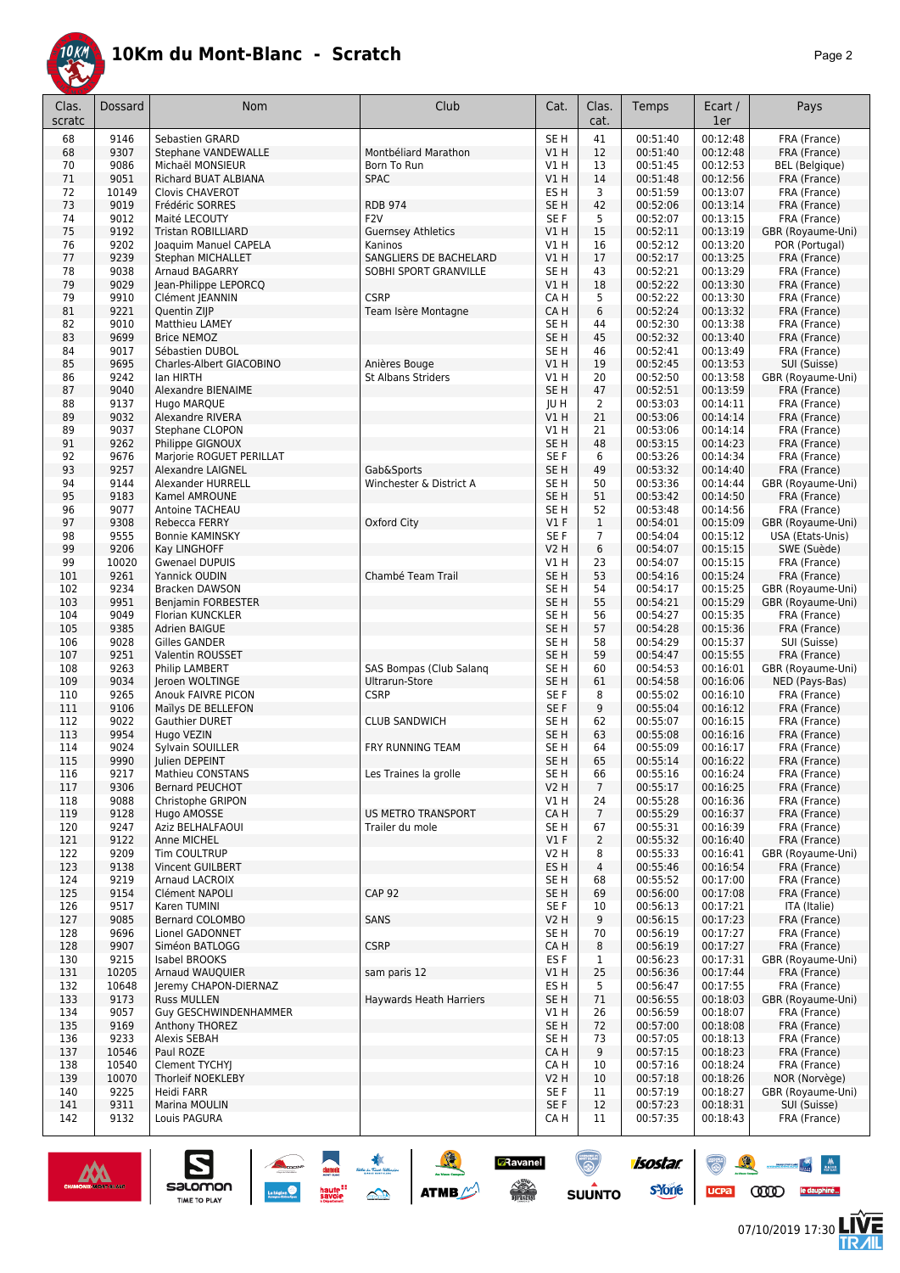

|--|

| 9146<br>Sebastien GRARD<br>SE <sub>H</sub><br>41<br>00:51:40<br>00:12:48<br>FRA (France)<br>68<br>68<br>9307<br>V1H<br>12<br>00:51:40<br>00:12:48<br>FRA (France)<br><b>Stephane VANDEWALLE</b><br>Montbéliard Marathon<br>9086<br>00:51:45<br>00:12:53<br><b>BEL</b> (Belgique)<br>70<br>Michaël MONSIEUR<br>Born To Run<br>V1 H<br>13<br>71<br>9051<br><b>SPAC</b><br>VIH<br>14<br>00:51:48<br>00:12:56<br>FRA (France)<br>Richard BUAT ALBIANA<br>72<br>10149<br>ES H<br>3<br>00:51:59<br>00:13:07<br>FRA (France)<br><b>Clovis CHAVEROT</b><br>73<br>9019<br><b>RDB 974</b><br>SE <sub>H</sub><br>42<br>00:52:06<br>00:13:14<br>FRA (France)<br>Frédéric SORRES<br>74<br>9012<br>F <sub>2</sub> V<br>SE <sub>F</sub><br>5<br>00:52:07<br>00:13:15<br>FRA (France)<br>Maité LECOUTY<br>75<br>9192<br><b>Guernsey Athletics</b><br>15<br>00:52:11<br>00:13:19<br>GBR (Royaume-Uni)<br><b>Tristan ROBILLIARD</b><br>VIH<br>9202<br>16<br>00:52:12<br>00:13:20<br>POR (Portugal)<br>76<br>Joaquim Manuel CAPELA<br>Kaninos<br>V1H<br>77<br>9239<br>17<br>FRA (France)<br>Stephan MICHALLET<br>SANGLIERS DE BACHELARD<br>V1 H<br>00:52:17<br>00:13:25<br>78<br>9038<br>43<br>00:52:21<br>00:13:29<br>Arnaud BAGARRY<br>SOBHI SPORT GRANVILLE<br>SE H<br>FRA (France)<br>79<br>9029<br>Jean-Philippe LEPORCQ<br>18<br>00:52:22<br>00:13:30<br>VIH<br>FRA (France)<br>79<br>9910<br><b>CSRP</b><br>CA H<br>5<br>00:52:22<br>00:13:30<br>FRA (France)<br>Clément JEANNIN<br>81<br>9221<br>CA H<br>6<br>00:52:24<br>00:13:32<br>FRA (France)<br>Quentin ZIJP<br>Team Isère Montagne<br>9010<br>Matthieu LAMEY<br>00:52:30<br>00:13:38<br>FRA (France)<br>82<br>SE H<br>44<br>9699<br>45<br>83<br><b>Brice NEMOZ</b><br>SE <sub>H</sub><br>00:52:32<br>00:13:40<br>FRA (France)<br>9017<br>SE <sub>H</sub><br>00:52:41<br>00:13:49<br>FRA (France)<br>84<br>Sébastien DUBOL<br>46<br>85<br>9695<br>Anières Bouge<br>V1H<br>19<br>00:52:45<br>00:13:53<br>SUI (Suisse)<br>Charles-Albert GIACOBINO<br>9242<br><b>St Albans Striders</b><br>V1H<br>20<br>00:52:50<br>00:13:58<br>GBR (Royaume-Uni)<br>86<br>lan HIRTH<br>9040<br>SE <sub>H</sub><br>47<br>00:52:51<br>00:13:59<br>FRA (France)<br>87<br>Alexandre BIENAIME<br>9137<br>2<br>88<br>Hugo MARQUE<br>JU H<br>00:53:03<br>00:14:11<br>FRA (France)<br>21<br>9032<br>89<br>Alexandre RIVERA<br>V1 H<br>00:53:06<br>00:14:14<br>FRA (France)<br>9037<br>21<br>89<br>Stephane CLOPON<br>V1 H<br>00:53:06<br>00:14:14<br>FRA (France)<br>91<br>9262<br>SE <sub>H</sub><br>48<br>00:53:15<br>00:14:23<br>FRA (France)<br>Philippe GIGNOUX<br>92<br>9676<br>SE <sub>F</sub><br>6<br>00:53:26<br>00:14:34<br>FRA (France)<br>Marjorie ROGUET PERILLAT<br>93<br>9257<br>SE <sub>H</sub><br>49<br>00:53:32<br>00:14:40<br>FRA (France)<br>Alexandre LAIGNEL<br>Gab&Sports<br>9144<br>Winchester & District A<br>SE <sub>H</sub><br>50<br>00:53:36<br>00:14:44<br>GBR (Royaume-Uni)<br>94<br>Alexander HURRELL<br>00:14:50<br>95<br>9183<br>SE <sub>H</sub><br>51<br>00:53:42<br>FRA (France)<br>Kamel AMROUNE<br>9077<br>52<br>00:53:48<br>00:14:56<br>FRA (France)<br>96<br>Antoine TACHEAU<br>SE H<br>$\mathbf{1}$<br>97<br>9308<br>$VI$ F<br>00:54:01<br>00:15:09<br>Rebecca FERRY<br>Oxford City<br>GBR (Royaume-Uni)<br>98<br>9555<br>SE <sub>F</sub><br>$\overline{7}$<br>00:54:04<br>00:15:12<br>USA (Etats-Unis)<br><b>Bonnie KAMINSKY</b><br>99<br>9206<br>6<br>00:15:15<br>SWE (Suède)<br>Kay LINGHOFF<br>V2 H<br>00:54:07<br>99<br>10020<br>V1H<br>23<br>00:54:07<br>00:15:15<br><b>Gwenael DUPUIS</b><br>FRA (France)<br>53<br>9261<br>101<br>Yannick OUDIN<br>Chambé Team Trail<br>SE <sub>H</sub><br>00:54:16<br>00:15:24<br>FRA (France)<br>9234<br>54<br>00:15:25<br>102<br>Bracken DAWSON<br>SE H<br>00:54:17<br>GBR (Royaume-Uni)<br>55<br>9951<br>SE <sub>H</sub><br>00:15:29<br>GBR (Royaume-Uni)<br>103<br><b>Benjamin FORBESTER</b><br>00:54:21<br>9049<br>56<br>00:54:27<br>00:15:35<br>104<br>Florian KUNCKLER<br>SE <sub>H</sub><br>FRA (France)<br>9385<br>SE <sub>H</sub><br>57<br>00:15:36<br>FRA (France)<br>105<br>Adrien BAIGUE<br>00:54:28<br>9028<br>SE <sub>H</sub><br>58<br>00:54:29<br>00:15:37<br>SUI (Suisse)<br>106<br><b>Gilles GANDER</b><br>9251<br>SE <sub>H</sub><br>59<br>00:54:47<br>00:15:55<br>FRA (France)<br>107<br>Valentin ROUSSET<br>9263<br>SAS Bompas (Club Salang<br>60<br>00:54:53<br>00:16:01<br>GBR (Royaume-Uni)<br>108<br>Philip LAMBERT<br>SE <sub>H</sub><br>9034<br>Ultrarun-Store<br>SE <sub>H</sub><br>61<br>00:54:58<br>00:16:06<br>NED (Pays-Bas)<br>109<br>Jeroen WOLTINGE<br>110<br>9265<br><b>CSRP</b><br>SE <sub>F</sub><br>8<br>00:55:02<br>00:16:10<br>FRA (France)<br><b>Anouk FAIVRE PICON</b><br>9106<br>SE F<br>9<br>111<br>Maïlys DE BELLEFON<br>00:55:04<br>00:16:12<br>FRA (France)<br>9022<br>62<br>112<br>Gauthier DURET<br><b>CLUB SANDWICH</b><br>SE H<br>00:55:07<br>00:16:15<br>FRA (France)<br>9954<br>63<br>113<br>Hugo VEZIN<br>SE <sub>H</sub><br>00:55:08<br>00:16:16<br>FRA (France)<br>9024<br>64<br>114<br>Sylvain SOUILLER<br>FRY RUNNING TEAM<br>SE H<br>00:55:09<br>FRA (France)<br>00:16:17<br>65<br>9990<br>115<br>Julien DEPEINT<br>SE H<br>00:55:14<br>00:16:22<br>FRA (France)<br>116<br>9217<br>Mathieu CONSTANS<br>Les Traines la grolle<br>SE H<br>66<br>00:55:16<br>00:16:24<br>FRA (France)<br>V2H<br>117<br>9306<br>Bernard PEUCHOT<br>$\overline{7}$<br>00:55:17<br>00:16:25<br>FRA (France)<br>9088<br>Christophe GRIPON<br>00:55:28<br>00:16:36<br>FRA (France)<br>118<br>V1H<br>24<br><b>US METRO TRANSPORT</b><br>CA H<br>00:55:29<br>00:16:37<br>FRA (France)<br>119<br>9128<br>Hugo AMOSSE<br>$\overline{7}$<br>00:55:31<br>00:16:39<br>120<br>9247<br>Aziz BELHALFAOUI<br>Trailer du mole<br>SE H<br>67<br>FRA (France)<br>$VI$ F<br>$\overline{2}$<br>00:55:32<br>00:16:40<br>FRA (France)<br>121<br>9122<br>Anne MICHEL<br>9209<br>00:55:33<br>00:16:41<br>GBR (Royaume-Uni)<br>122<br>Tim COULTRUP<br>V2 H<br>8<br>123<br>9138<br>Vincent GUILBERT<br>ES H<br>4<br>00:55:46<br>00:16:54<br>FRA (France)<br>9219<br>00:17:00<br>124<br>Arnaud LACROIX<br>SE H<br>68<br>00:55:52<br>FRA (France)<br><b>CAP 92</b><br>125<br>9154<br>Clément NAPOLI<br>SE H<br>69<br>00:56:00<br>00:17:08<br>FRA (France)<br>126<br>9517<br>Karen TUMINI<br>SE F<br>10<br>00:56:13<br>00:17:21<br>ITA (Italie)<br>9<br>127<br>9085<br>Bernard COLOMBO<br>SANS<br>V2 H<br>00:56:15<br>00:17:23<br>FRA (France)<br>70<br>128<br>9696<br>Lionel GADONNET<br>SE H<br>00:56:19<br>00:17:27<br>FRA (France)<br>9907<br><b>CSRP</b><br>CA H<br>8<br>00:17:27<br>128<br>Siméon BATLOGG<br>00:56:19<br>FRA (France)<br>ES F<br>00:56:23<br>00:17:31<br>130<br>9215<br><b>Isabel BROOKS</b><br>$\mathbf{1}$<br>GBR (Royaume-Uni)<br>10205<br>25<br>131<br>Arnaud WAUQUIER<br>sam paris 12<br>V1H<br>00:56:36<br>00:17:44<br>FRA (France)<br>10648<br>00:56:47<br>00:17:55<br>FRA (France)<br>132<br>Jeremy CHAPON-DIERNAZ<br>ES H<br>5<br>9173<br>00:56:55<br>00:18:03<br>GBR (Royaume-Uni)<br>133<br><b>Russ MULLEN</b><br>Haywards Heath Harriers<br>SE H<br>71<br>00:18:07<br>134<br>9057<br><b>Guy GESCHWINDENHAMMER</b><br>V1 H<br>26<br>00:56:59<br>FRA (France)<br>9169<br>SE <sub>H</sub><br>72<br>00:57:00<br>00:18:08<br>135<br>Anthony THOREZ<br>FRA (France)<br>136<br>9233<br>Alexis SEBAH<br>SE H<br>73<br>00:57:05<br>00:18:13<br>FRA (France)<br>137<br>10546<br>Paul ROZE<br>CA H<br>9<br>00:57:15<br>00:18:23<br>FRA (France)<br>138<br>10540<br>Clement TYCHY<br>CA H<br>10<br>00:57:16<br>00:18:24<br>FRA (France)<br>10070<br>Thorleif NOEKLEBY<br>10<br>00:57:18<br>00:18:26<br>NOR (Norvège)<br>139<br>V2 H<br>GBR (Royaume-Uni)<br>9225<br>SE F<br>11<br>140<br>Heidi FARR<br>00:57:19<br>00:18:27<br>9311<br>SE F<br>12<br>00:57:23<br>00:18:31<br>SUI (Suisse)<br>141<br>Marina MOULIN<br>142<br>9132<br>Louis PAGURA<br>CA H<br>11<br>00:57:35<br>00:18:43<br>FRA (France) | Clas.<br>scratc | <b>Dossard</b> | Nom | Club | Cat. | Clas.<br>cat. | Temps | Ecart /<br>1er | Pays |
|-------------------------------------------------------------------------------------------------------------------------------------------------------------------------------------------------------------------------------------------------------------------------------------------------------------------------------------------------------------------------------------------------------------------------------------------------------------------------------------------------------------------------------------------------------------------------------------------------------------------------------------------------------------------------------------------------------------------------------------------------------------------------------------------------------------------------------------------------------------------------------------------------------------------------------------------------------------------------------------------------------------------------------------------------------------------------------------------------------------------------------------------------------------------------------------------------------------------------------------------------------------------------------------------------------------------------------------------------------------------------------------------------------------------------------------------------------------------------------------------------------------------------------------------------------------------------------------------------------------------------------------------------------------------------------------------------------------------------------------------------------------------------------------------------------------------------------------------------------------------------------------------------------------------------------------------------------------------------------------------------------------------------------------------------------------------------------------------------------------------------------------------------------------------------------------------------------------------------------------------------------------------------------------------------------------------------------------------------------------------------------------------------------------------------------------------------------------------------------------------------------------------------------------------------------------------------------------------------------------------------------------------------------------------------------------------------------------------------------------------------------------------------------------------------------------------------------------------------------------------------------------------------------------------------------------------------------------------------------------------------------------------------------------------------------------------------------------------------------------------------------------------------------------------------------------------------------------------------------------------------------------------------------------------------------------------------------------------------------------------------------------------------------------------------------------------------------------------------------------------------------------------------------------------------------------------------------------------------------------------------------------------------------------------------------------------------------------------------------------------------------------------------------------------------------------------------------------------------------------------------------------------------------------------------------------------------------------------------------------------------------------------------------------------------------------------------------------------------------------------------------------------------------------------------------------------------------------------------------------------------------------------------------------------------------------------------------------------------------------------------------------------------------------------------------------------------------------------------------------------------------------------------------------------------------------------------------------------------------------------------------------------------------------------------------------------------------------------------------------------------------------------------------------------------------------------------------------------------------------------------------------------------------------------------------------------------------------------------------------------------------------------------------------------------------------------------------------------------------------------------------------------------------------------------------------------------------------------------------------------------------------------------------------------------------------------------------------------------------------------------------------------------------------------------------------------------------------------------------------------------------------------------------------------------------------------------------------------------------------------------------------------------------------------------------------------------------------------------------------------------------------------------------------------------------------------------------------------------------------------------------------------------------------------------------------------------------------------------------------------------------------------------------------------------------------------------------------------------------------------------------------------------------------------------------------------------------------------------------------------------------------------------------------------------------------------------------------------------------------------------------------------------------------------------------------------------------------------------------------------------------------------------------------------------------------------------------------------------------------------------------------------------------------------------------------------------------------------------------------------------------------------------------------------------------------------------------------------------------------------------------------------------------------------------------------------------------------------------------------------------------------------------------------------------------------------------------------------------------------------------------------------------------------------------------------------------------------------------------------------------------------------------------------------------------------------------------------------------------------------------------------------------------------------------------------------------------------------------------------------------------------------------------------------------------------------------------------------------------------------------------------------------------------------------------------------------------------------------------------------------------------------------------------------------------------------------------------------------------------------------------------------------------------------------------------------|-----------------|----------------|-----|------|------|---------------|-------|----------------|------|
|                                                                                                                                                                                                                                                                                                                                                                                                                                                                                                                                                                                                                                                                                                                                                                                                                                                                                                                                                                                                                                                                                                                                                                                                                                                                                                                                                                                                                                                                                                                                                                                                                                                                                                                                                                                                                                                                                                                                                                                                                                                                                                                                                                                                                                                                                                                                                                                                                                                                                                                                                                                                                                                                                                                                                                                                                                                                                                                                                                                                                                                                                                                                                                                                                                                                                                                                                                                                                                                                                                                                                                                                                                                                                                                                                                                                                                                                                                                                                                                                                                                                                                                                                                                                                                                                                                                                                                                                                                                                                                                                                                                                                                                                                                                                                                                                                                                                                                                                                                                                                                                                                                                                                                                                                                                                                                                                                                                                                                                                                                                                                                                                                                                                                                                                                                                                                                                                                                                                                                                                                                                                                                                                                                                                                                                                                                                                                                                                                                                                                                                                                                                                                                                                                                                                                                                                                                                                                                                                                                                                                                                                                                                                                                                                                                                                                                                                                                                                                                                                                                                                                                                                                                                                                                                                                                                                                                                                                                                                           |                 |                |     |      |      |               |       |                |      |
|                                                                                                                                                                                                                                                                                                                                                                                                                                                                                                                                                                                                                                                                                                                                                                                                                                                                                                                                                                                                                                                                                                                                                                                                                                                                                                                                                                                                                                                                                                                                                                                                                                                                                                                                                                                                                                                                                                                                                                                                                                                                                                                                                                                                                                                                                                                                                                                                                                                                                                                                                                                                                                                                                                                                                                                                                                                                                                                                                                                                                                                                                                                                                                                                                                                                                                                                                                                                                                                                                                                                                                                                                                                                                                                                                                                                                                                                                                                                                                                                                                                                                                                                                                                                                                                                                                                                                                                                                                                                                                                                                                                                                                                                                                                                                                                                                                                                                                                                                                                                                                                                                                                                                                                                                                                                                                                                                                                                                                                                                                                                                                                                                                                                                                                                                                                                                                                                                                                                                                                                                                                                                                                                                                                                                                                                                                                                                                                                                                                                                                                                                                                                                                                                                                                                                                                                                                                                                                                                                                                                                                                                                                                                                                                                                                                                                                                                                                                                                                                                                                                                                                                                                                                                                                                                                                                                                                                                                                                                           |                 |                |     |      |      |               |       |                |      |
|                                                                                                                                                                                                                                                                                                                                                                                                                                                                                                                                                                                                                                                                                                                                                                                                                                                                                                                                                                                                                                                                                                                                                                                                                                                                                                                                                                                                                                                                                                                                                                                                                                                                                                                                                                                                                                                                                                                                                                                                                                                                                                                                                                                                                                                                                                                                                                                                                                                                                                                                                                                                                                                                                                                                                                                                                                                                                                                                                                                                                                                                                                                                                                                                                                                                                                                                                                                                                                                                                                                                                                                                                                                                                                                                                                                                                                                                                                                                                                                                                                                                                                                                                                                                                                                                                                                                                                                                                                                                                                                                                                                                                                                                                                                                                                                                                                                                                                                                                                                                                                                                                                                                                                                                                                                                                                                                                                                                                                                                                                                                                                                                                                                                                                                                                                                                                                                                                                                                                                                                                                                                                                                                                                                                                                                                                                                                                                                                                                                                                                                                                                                                                                                                                                                                                                                                                                                                                                                                                                                                                                                                                                                                                                                                                                                                                                                                                                                                                                                                                                                                                                                                                                                                                                                                                                                                                                                                                                                                           |                 |                |     |      |      |               |       |                |      |
|                                                                                                                                                                                                                                                                                                                                                                                                                                                                                                                                                                                                                                                                                                                                                                                                                                                                                                                                                                                                                                                                                                                                                                                                                                                                                                                                                                                                                                                                                                                                                                                                                                                                                                                                                                                                                                                                                                                                                                                                                                                                                                                                                                                                                                                                                                                                                                                                                                                                                                                                                                                                                                                                                                                                                                                                                                                                                                                                                                                                                                                                                                                                                                                                                                                                                                                                                                                                                                                                                                                                                                                                                                                                                                                                                                                                                                                                                                                                                                                                                                                                                                                                                                                                                                                                                                                                                                                                                                                                                                                                                                                                                                                                                                                                                                                                                                                                                                                                                                                                                                                                                                                                                                                                                                                                                                                                                                                                                                                                                                                                                                                                                                                                                                                                                                                                                                                                                                                                                                                                                                                                                                                                                                                                                                                                                                                                                                                                                                                                                                                                                                                                                                                                                                                                                                                                                                                                                                                                                                                                                                                                                                                                                                                                                                                                                                                                                                                                                                                                                                                                                                                                                                                                                                                                                                                                                                                                                                                                           |                 |                |     |      |      |               |       |                |      |
|                                                                                                                                                                                                                                                                                                                                                                                                                                                                                                                                                                                                                                                                                                                                                                                                                                                                                                                                                                                                                                                                                                                                                                                                                                                                                                                                                                                                                                                                                                                                                                                                                                                                                                                                                                                                                                                                                                                                                                                                                                                                                                                                                                                                                                                                                                                                                                                                                                                                                                                                                                                                                                                                                                                                                                                                                                                                                                                                                                                                                                                                                                                                                                                                                                                                                                                                                                                                                                                                                                                                                                                                                                                                                                                                                                                                                                                                                                                                                                                                                                                                                                                                                                                                                                                                                                                                                                                                                                                                                                                                                                                                                                                                                                                                                                                                                                                                                                                                                                                                                                                                                                                                                                                                                                                                                                                                                                                                                                                                                                                                                                                                                                                                                                                                                                                                                                                                                                                                                                                                                                                                                                                                                                                                                                                                                                                                                                                                                                                                                                                                                                                                                                                                                                                                                                                                                                                                                                                                                                                                                                                                                                                                                                                                                                                                                                                                                                                                                                                                                                                                                                                                                                                                                                                                                                                                                                                                                                                                           |                 |                |     |      |      |               |       |                |      |
|                                                                                                                                                                                                                                                                                                                                                                                                                                                                                                                                                                                                                                                                                                                                                                                                                                                                                                                                                                                                                                                                                                                                                                                                                                                                                                                                                                                                                                                                                                                                                                                                                                                                                                                                                                                                                                                                                                                                                                                                                                                                                                                                                                                                                                                                                                                                                                                                                                                                                                                                                                                                                                                                                                                                                                                                                                                                                                                                                                                                                                                                                                                                                                                                                                                                                                                                                                                                                                                                                                                                                                                                                                                                                                                                                                                                                                                                                                                                                                                                                                                                                                                                                                                                                                                                                                                                                                                                                                                                                                                                                                                                                                                                                                                                                                                                                                                                                                                                                                                                                                                                                                                                                                                                                                                                                                                                                                                                                                                                                                                                                                                                                                                                                                                                                                                                                                                                                                                                                                                                                                                                                                                                                                                                                                                                                                                                                                                                                                                                                                                                                                                                                                                                                                                                                                                                                                                                                                                                                                                                                                                                                                                                                                                                                                                                                                                                                                                                                                                                                                                                                                                                                                                                                                                                                                                                                                                                                                                                           |                 |                |     |      |      |               |       |                |      |
|                                                                                                                                                                                                                                                                                                                                                                                                                                                                                                                                                                                                                                                                                                                                                                                                                                                                                                                                                                                                                                                                                                                                                                                                                                                                                                                                                                                                                                                                                                                                                                                                                                                                                                                                                                                                                                                                                                                                                                                                                                                                                                                                                                                                                                                                                                                                                                                                                                                                                                                                                                                                                                                                                                                                                                                                                                                                                                                                                                                                                                                                                                                                                                                                                                                                                                                                                                                                                                                                                                                                                                                                                                                                                                                                                                                                                                                                                                                                                                                                                                                                                                                                                                                                                                                                                                                                                                                                                                                                                                                                                                                                                                                                                                                                                                                                                                                                                                                                                                                                                                                                                                                                                                                                                                                                                                                                                                                                                                                                                                                                                                                                                                                                                                                                                                                                                                                                                                                                                                                                                                                                                                                                                                                                                                                                                                                                                                                                                                                                                                                                                                                                                                                                                                                                                                                                                                                                                                                                                                                                                                                                                                                                                                                                                                                                                                                                                                                                                                                                                                                                                                                                                                                                                                                                                                                                                                                                                                                                           |                 |                |     |      |      |               |       |                |      |
|                                                                                                                                                                                                                                                                                                                                                                                                                                                                                                                                                                                                                                                                                                                                                                                                                                                                                                                                                                                                                                                                                                                                                                                                                                                                                                                                                                                                                                                                                                                                                                                                                                                                                                                                                                                                                                                                                                                                                                                                                                                                                                                                                                                                                                                                                                                                                                                                                                                                                                                                                                                                                                                                                                                                                                                                                                                                                                                                                                                                                                                                                                                                                                                                                                                                                                                                                                                                                                                                                                                                                                                                                                                                                                                                                                                                                                                                                                                                                                                                                                                                                                                                                                                                                                                                                                                                                                                                                                                                                                                                                                                                                                                                                                                                                                                                                                                                                                                                                                                                                                                                                                                                                                                                                                                                                                                                                                                                                                                                                                                                                                                                                                                                                                                                                                                                                                                                                                                                                                                                                                                                                                                                                                                                                                                                                                                                                                                                                                                                                                                                                                                                                                                                                                                                                                                                                                                                                                                                                                                                                                                                                                                                                                                                                                                                                                                                                                                                                                                                                                                                                                                                                                                                                                                                                                                                                                                                                                                                           |                 |                |     |      |      |               |       |                |      |
|                                                                                                                                                                                                                                                                                                                                                                                                                                                                                                                                                                                                                                                                                                                                                                                                                                                                                                                                                                                                                                                                                                                                                                                                                                                                                                                                                                                                                                                                                                                                                                                                                                                                                                                                                                                                                                                                                                                                                                                                                                                                                                                                                                                                                                                                                                                                                                                                                                                                                                                                                                                                                                                                                                                                                                                                                                                                                                                                                                                                                                                                                                                                                                                                                                                                                                                                                                                                                                                                                                                                                                                                                                                                                                                                                                                                                                                                                                                                                                                                                                                                                                                                                                                                                                                                                                                                                                                                                                                                                                                                                                                                                                                                                                                                                                                                                                                                                                                                                                                                                                                                                                                                                                                                                                                                                                                                                                                                                                                                                                                                                                                                                                                                                                                                                                                                                                                                                                                                                                                                                                                                                                                                                                                                                                                                                                                                                                                                                                                                                                                                                                                                                                                                                                                                                                                                                                                                                                                                                                                                                                                                                                                                                                                                                                                                                                                                                                                                                                                                                                                                                                                                                                                                                                                                                                                                                                                                                                                                           |                 |                |     |      |      |               |       |                |      |
|                                                                                                                                                                                                                                                                                                                                                                                                                                                                                                                                                                                                                                                                                                                                                                                                                                                                                                                                                                                                                                                                                                                                                                                                                                                                                                                                                                                                                                                                                                                                                                                                                                                                                                                                                                                                                                                                                                                                                                                                                                                                                                                                                                                                                                                                                                                                                                                                                                                                                                                                                                                                                                                                                                                                                                                                                                                                                                                                                                                                                                                                                                                                                                                                                                                                                                                                                                                                                                                                                                                                                                                                                                                                                                                                                                                                                                                                                                                                                                                                                                                                                                                                                                                                                                                                                                                                                                                                                                                                                                                                                                                                                                                                                                                                                                                                                                                                                                                                                                                                                                                                                                                                                                                                                                                                                                                                                                                                                                                                                                                                                                                                                                                                                                                                                                                                                                                                                                                                                                                                                                                                                                                                                                                                                                                                                                                                                                                                                                                                                                                                                                                                                                                                                                                                                                                                                                                                                                                                                                                                                                                                                                                                                                                                                                                                                                                                                                                                                                                                                                                                                                                                                                                                                                                                                                                                                                                                                                                                           |                 |                |     |      |      |               |       |                |      |
|                                                                                                                                                                                                                                                                                                                                                                                                                                                                                                                                                                                                                                                                                                                                                                                                                                                                                                                                                                                                                                                                                                                                                                                                                                                                                                                                                                                                                                                                                                                                                                                                                                                                                                                                                                                                                                                                                                                                                                                                                                                                                                                                                                                                                                                                                                                                                                                                                                                                                                                                                                                                                                                                                                                                                                                                                                                                                                                                                                                                                                                                                                                                                                                                                                                                                                                                                                                                                                                                                                                                                                                                                                                                                                                                                                                                                                                                                                                                                                                                                                                                                                                                                                                                                                                                                                                                                                                                                                                                                                                                                                                                                                                                                                                                                                                                                                                                                                                                                                                                                                                                                                                                                                                                                                                                                                                                                                                                                                                                                                                                                                                                                                                                                                                                                                                                                                                                                                                                                                                                                                                                                                                                                                                                                                                                                                                                                                                                                                                                                                                                                                                                                                                                                                                                                                                                                                                                                                                                                                                                                                                                                                                                                                                                                                                                                                                                                                                                                                                                                                                                                                                                                                                                                                                                                                                                                                                                                                                                           |                 |                |     |      |      |               |       |                |      |
|                                                                                                                                                                                                                                                                                                                                                                                                                                                                                                                                                                                                                                                                                                                                                                                                                                                                                                                                                                                                                                                                                                                                                                                                                                                                                                                                                                                                                                                                                                                                                                                                                                                                                                                                                                                                                                                                                                                                                                                                                                                                                                                                                                                                                                                                                                                                                                                                                                                                                                                                                                                                                                                                                                                                                                                                                                                                                                                                                                                                                                                                                                                                                                                                                                                                                                                                                                                                                                                                                                                                                                                                                                                                                                                                                                                                                                                                                                                                                                                                                                                                                                                                                                                                                                                                                                                                                                                                                                                                                                                                                                                                                                                                                                                                                                                                                                                                                                                                                                                                                                                                                                                                                                                                                                                                                                                                                                                                                                                                                                                                                                                                                                                                                                                                                                                                                                                                                                                                                                                                                                                                                                                                                                                                                                                                                                                                                                                                                                                                                                                                                                                                                                                                                                                                                                                                                                                                                                                                                                                                                                                                                                                                                                                                                                                                                                                                                                                                                                                                                                                                                                                                                                                                                                                                                                                                                                                                                                                                           |                 |                |     |      |      |               |       |                |      |
|                                                                                                                                                                                                                                                                                                                                                                                                                                                                                                                                                                                                                                                                                                                                                                                                                                                                                                                                                                                                                                                                                                                                                                                                                                                                                                                                                                                                                                                                                                                                                                                                                                                                                                                                                                                                                                                                                                                                                                                                                                                                                                                                                                                                                                                                                                                                                                                                                                                                                                                                                                                                                                                                                                                                                                                                                                                                                                                                                                                                                                                                                                                                                                                                                                                                                                                                                                                                                                                                                                                                                                                                                                                                                                                                                                                                                                                                                                                                                                                                                                                                                                                                                                                                                                                                                                                                                                                                                                                                                                                                                                                                                                                                                                                                                                                                                                                                                                                                                                                                                                                                                                                                                                                                                                                                                                                                                                                                                                                                                                                                                                                                                                                                                                                                                                                                                                                                                                                                                                                                                                                                                                                                                                                                                                                                                                                                                                                                                                                                                                                                                                                                                                                                                                                                                                                                                                                                                                                                                                                                                                                                                                                                                                                                                                                                                                                                                                                                                                                                                                                                                                                                                                                                                                                                                                                                                                                                                                                                           |                 |                |     |      |      |               |       |                |      |
|                                                                                                                                                                                                                                                                                                                                                                                                                                                                                                                                                                                                                                                                                                                                                                                                                                                                                                                                                                                                                                                                                                                                                                                                                                                                                                                                                                                                                                                                                                                                                                                                                                                                                                                                                                                                                                                                                                                                                                                                                                                                                                                                                                                                                                                                                                                                                                                                                                                                                                                                                                                                                                                                                                                                                                                                                                                                                                                                                                                                                                                                                                                                                                                                                                                                                                                                                                                                                                                                                                                                                                                                                                                                                                                                                                                                                                                                                                                                                                                                                                                                                                                                                                                                                                                                                                                                                                                                                                                                                                                                                                                                                                                                                                                                                                                                                                                                                                                                                                                                                                                                                                                                                                                                                                                                                                                                                                                                                                                                                                                                                                                                                                                                                                                                                                                                                                                                                                                                                                                                                                                                                                                                                                                                                                                                                                                                                                                                                                                                                                                                                                                                                                                                                                                                                                                                                                                                                                                                                                                                                                                                                                                                                                                                                                                                                                                                                                                                                                                                                                                                                                                                                                                                                                                                                                                                                                                                                                                                           |                 |                |     |      |      |               |       |                |      |
|                                                                                                                                                                                                                                                                                                                                                                                                                                                                                                                                                                                                                                                                                                                                                                                                                                                                                                                                                                                                                                                                                                                                                                                                                                                                                                                                                                                                                                                                                                                                                                                                                                                                                                                                                                                                                                                                                                                                                                                                                                                                                                                                                                                                                                                                                                                                                                                                                                                                                                                                                                                                                                                                                                                                                                                                                                                                                                                                                                                                                                                                                                                                                                                                                                                                                                                                                                                                                                                                                                                                                                                                                                                                                                                                                                                                                                                                                                                                                                                                                                                                                                                                                                                                                                                                                                                                                                                                                                                                                                                                                                                                                                                                                                                                                                                                                                                                                                                                                                                                                                                                                                                                                                                                                                                                                                                                                                                                                                                                                                                                                                                                                                                                                                                                                                                                                                                                                                                                                                                                                                                                                                                                                                                                                                                                                                                                                                                                                                                                                                                                                                                                                                                                                                                                                                                                                                                                                                                                                                                                                                                                                                                                                                                                                                                                                                                                                                                                                                                                                                                                                                                                                                                                                                                                                                                                                                                                                                                                           |                 |                |     |      |      |               |       |                |      |
|                                                                                                                                                                                                                                                                                                                                                                                                                                                                                                                                                                                                                                                                                                                                                                                                                                                                                                                                                                                                                                                                                                                                                                                                                                                                                                                                                                                                                                                                                                                                                                                                                                                                                                                                                                                                                                                                                                                                                                                                                                                                                                                                                                                                                                                                                                                                                                                                                                                                                                                                                                                                                                                                                                                                                                                                                                                                                                                                                                                                                                                                                                                                                                                                                                                                                                                                                                                                                                                                                                                                                                                                                                                                                                                                                                                                                                                                                                                                                                                                                                                                                                                                                                                                                                                                                                                                                                                                                                                                                                                                                                                                                                                                                                                                                                                                                                                                                                                                                                                                                                                                                                                                                                                                                                                                                                                                                                                                                                                                                                                                                                                                                                                                                                                                                                                                                                                                                                                                                                                                                                                                                                                                                                                                                                                                                                                                                                                                                                                                                                                                                                                                                                                                                                                                                                                                                                                                                                                                                                                                                                                                                                                                                                                                                                                                                                                                                                                                                                                                                                                                                                                                                                                                                                                                                                                                                                                                                                                                           |                 |                |     |      |      |               |       |                |      |
|                                                                                                                                                                                                                                                                                                                                                                                                                                                                                                                                                                                                                                                                                                                                                                                                                                                                                                                                                                                                                                                                                                                                                                                                                                                                                                                                                                                                                                                                                                                                                                                                                                                                                                                                                                                                                                                                                                                                                                                                                                                                                                                                                                                                                                                                                                                                                                                                                                                                                                                                                                                                                                                                                                                                                                                                                                                                                                                                                                                                                                                                                                                                                                                                                                                                                                                                                                                                                                                                                                                                                                                                                                                                                                                                                                                                                                                                                                                                                                                                                                                                                                                                                                                                                                                                                                                                                                                                                                                                                                                                                                                                                                                                                                                                                                                                                                                                                                                                                                                                                                                                                                                                                                                                                                                                                                                                                                                                                                                                                                                                                                                                                                                                                                                                                                                                                                                                                                                                                                                                                                                                                                                                                                                                                                                                                                                                                                                                                                                                                                                                                                                                                                                                                                                                                                                                                                                                                                                                                                                                                                                                                                                                                                                                                                                                                                                                                                                                                                                                                                                                                                                                                                                                                                                                                                                                                                                                                                                                           |                 |                |     |      |      |               |       |                |      |
|                                                                                                                                                                                                                                                                                                                                                                                                                                                                                                                                                                                                                                                                                                                                                                                                                                                                                                                                                                                                                                                                                                                                                                                                                                                                                                                                                                                                                                                                                                                                                                                                                                                                                                                                                                                                                                                                                                                                                                                                                                                                                                                                                                                                                                                                                                                                                                                                                                                                                                                                                                                                                                                                                                                                                                                                                                                                                                                                                                                                                                                                                                                                                                                                                                                                                                                                                                                                                                                                                                                                                                                                                                                                                                                                                                                                                                                                                                                                                                                                                                                                                                                                                                                                                                                                                                                                                                                                                                                                                                                                                                                                                                                                                                                                                                                                                                                                                                                                                                                                                                                                                                                                                                                                                                                                                                                                                                                                                                                                                                                                                                                                                                                                                                                                                                                                                                                                                                                                                                                                                                                                                                                                                                                                                                                                                                                                                                                                                                                                                                                                                                                                                                                                                                                                                                                                                                                                                                                                                                                                                                                                                                                                                                                                                                                                                                                                                                                                                                                                                                                                                                                                                                                                                                                                                                                                                                                                                                                                           |                 |                |     |      |      |               |       |                |      |
|                                                                                                                                                                                                                                                                                                                                                                                                                                                                                                                                                                                                                                                                                                                                                                                                                                                                                                                                                                                                                                                                                                                                                                                                                                                                                                                                                                                                                                                                                                                                                                                                                                                                                                                                                                                                                                                                                                                                                                                                                                                                                                                                                                                                                                                                                                                                                                                                                                                                                                                                                                                                                                                                                                                                                                                                                                                                                                                                                                                                                                                                                                                                                                                                                                                                                                                                                                                                                                                                                                                                                                                                                                                                                                                                                                                                                                                                                                                                                                                                                                                                                                                                                                                                                                                                                                                                                                                                                                                                                                                                                                                                                                                                                                                                                                                                                                                                                                                                                                                                                                                                                                                                                                                                                                                                                                                                                                                                                                                                                                                                                                                                                                                                                                                                                                                                                                                                                                                                                                                                                                                                                                                                                                                                                                                                                                                                                                                                                                                                                                                                                                                                                                                                                                                                                                                                                                                                                                                                                                                                                                                                                                                                                                                                                                                                                                                                                                                                                                                                                                                                                                                                                                                                                                                                                                                                                                                                                                                                           |                 |                |     |      |      |               |       |                |      |
|                                                                                                                                                                                                                                                                                                                                                                                                                                                                                                                                                                                                                                                                                                                                                                                                                                                                                                                                                                                                                                                                                                                                                                                                                                                                                                                                                                                                                                                                                                                                                                                                                                                                                                                                                                                                                                                                                                                                                                                                                                                                                                                                                                                                                                                                                                                                                                                                                                                                                                                                                                                                                                                                                                                                                                                                                                                                                                                                                                                                                                                                                                                                                                                                                                                                                                                                                                                                                                                                                                                                                                                                                                                                                                                                                                                                                                                                                                                                                                                                                                                                                                                                                                                                                                                                                                                                                                                                                                                                                                                                                                                                                                                                                                                                                                                                                                                                                                                                                                                                                                                                                                                                                                                                                                                                                                                                                                                                                                                                                                                                                                                                                                                                                                                                                                                                                                                                                                                                                                                                                                                                                                                                                                                                                                                                                                                                                                                                                                                                                                                                                                                                                                                                                                                                                                                                                                                                                                                                                                                                                                                                                                                                                                                                                                                                                                                                                                                                                                                                                                                                                                                                                                                                                                                                                                                                                                                                                                                                           |                 |                |     |      |      |               |       |                |      |
|                                                                                                                                                                                                                                                                                                                                                                                                                                                                                                                                                                                                                                                                                                                                                                                                                                                                                                                                                                                                                                                                                                                                                                                                                                                                                                                                                                                                                                                                                                                                                                                                                                                                                                                                                                                                                                                                                                                                                                                                                                                                                                                                                                                                                                                                                                                                                                                                                                                                                                                                                                                                                                                                                                                                                                                                                                                                                                                                                                                                                                                                                                                                                                                                                                                                                                                                                                                                                                                                                                                                                                                                                                                                                                                                                                                                                                                                                                                                                                                                                                                                                                                                                                                                                                                                                                                                                                                                                                                                                                                                                                                                                                                                                                                                                                                                                                                                                                                                                                                                                                                                                                                                                                                                                                                                                                                                                                                                                                                                                                                                                                                                                                                                                                                                                                                                                                                                                                                                                                                                                                                                                                                                                                                                                                                                                                                                                                                                                                                                                                                                                                                                                                                                                                                                                                                                                                                                                                                                                                                                                                                                                                                                                                                                                                                                                                                                                                                                                                                                                                                                                                                                                                                                                                                                                                                                                                                                                                                                           |                 |                |     |      |      |               |       |                |      |
|                                                                                                                                                                                                                                                                                                                                                                                                                                                                                                                                                                                                                                                                                                                                                                                                                                                                                                                                                                                                                                                                                                                                                                                                                                                                                                                                                                                                                                                                                                                                                                                                                                                                                                                                                                                                                                                                                                                                                                                                                                                                                                                                                                                                                                                                                                                                                                                                                                                                                                                                                                                                                                                                                                                                                                                                                                                                                                                                                                                                                                                                                                                                                                                                                                                                                                                                                                                                                                                                                                                                                                                                                                                                                                                                                                                                                                                                                                                                                                                                                                                                                                                                                                                                                                                                                                                                                                                                                                                                                                                                                                                                                                                                                                                                                                                                                                                                                                                                                                                                                                                                                                                                                                                                                                                                                                                                                                                                                                                                                                                                                                                                                                                                                                                                                                                                                                                                                                                                                                                                                                                                                                                                                                                                                                                                                                                                                                                                                                                                                                                                                                                                                                                                                                                                                                                                                                                                                                                                                                                                                                                                                                                                                                                                                                                                                                                                                                                                                                                                                                                                                                                                                                                                                                                                                                                                                                                                                                                                           |                 |                |     |      |      |               |       |                |      |
|                                                                                                                                                                                                                                                                                                                                                                                                                                                                                                                                                                                                                                                                                                                                                                                                                                                                                                                                                                                                                                                                                                                                                                                                                                                                                                                                                                                                                                                                                                                                                                                                                                                                                                                                                                                                                                                                                                                                                                                                                                                                                                                                                                                                                                                                                                                                                                                                                                                                                                                                                                                                                                                                                                                                                                                                                                                                                                                                                                                                                                                                                                                                                                                                                                                                                                                                                                                                                                                                                                                                                                                                                                                                                                                                                                                                                                                                                                                                                                                                                                                                                                                                                                                                                                                                                                                                                                                                                                                                                                                                                                                                                                                                                                                                                                                                                                                                                                                                                                                                                                                                                                                                                                                                                                                                                                                                                                                                                                                                                                                                                                                                                                                                                                                                                                                                                                                                                                                                                                                                                                                                                                                                                                                                                                                                                                                                                                                                                                                                                                                                                                                                                                                                                                                                                                                                                                                                                                                                                                                                                                                                                                                                                                                                                                                                                                                                                                                                                                                                                                                                                                                                                                                                                                                                                                                                                                                                                                                                           |                 |                |     |      |      |               |       |                |      |
|                                                                                                                                                                                                                                                                                                                                                                                                                                                                                                                                                                                                                                                                                                                                                                                                                                                                                                                                                                                                                                                                                                                                                                                                                                                                                                                                                                                                                                                                                                                                                                                                                                                                                                                                                                                                                                                                                                                                                                                                                                                                                                                                                                                                                                                                                                                                                                                                                                                                                                                                                                                                                                                                                                                                                                                                                                                                                                                                                                                                                                                                                                                                                                                                                                                                                                                                                                                                                                                                                                                                                                                                                                                                                                                                                                                                                                                                                                                                                                                                                                                                                                                                                                                                                                                                                                                                                                                                                                                                                                                                                                                                                                                                                                                                                                                                                                                                                                                                                                                                                                                                                                                                                                                                                                                                                                                                                                                                                                                                                                                                                                                                                                                                                                                                                                                                                                                                                                                                                                                                                                                                                                                                                                                                                                                                                                                                                                                                                                                                                                                                                                                                                                                                                                                                                                                                                                                                                                                                                                                                                                                                                                                                                                                                                                                                                                                                                                                                                                                                                                                                                                                                                                                                                                                                                                                                                                                                                                                                           |                 |                |     |      |      |               |       |                |      |
|                                                                                                                                                                                                                                                                                                                                                                                                                                                                                                                                                                                                                                                                                                                                                                                                                                                                                                                                                                                                                                                                                                                                                                                                                                                                                                                                                                                                                                                                                                                                                                                                                                                                                                                                                                                                                                                                                                                                                                                                                                                                                                                                                                                                                                                                                                                                                                                                                                                                                                                                                                                                                                                                                                                                                                                                                                                                                                                                                                                                                                                                                                                                                                                                                                                                                                                                                                                                                                                                                                                                                                                                                                                                                                                                                                                                                                                                                                                                                                                                                                                                                                                                                                                                                                                                                                                                                                                                                                                                                                                                                                                                                                                                                                                                                                                                                                                                                                                                                                                                                                                                                                                                                                                                                                                                                                                                                                                                                                                                                                                                                                                                                                                                                                                                                                                                                                                                                                                                                                                                                                                                                                                                                                                                                                                                                                                                                                                                                                                                                                                                                                                                                                                                                                                                                                                                                                                                                                                                                                                                                                                                                                                                                                                                                                                                                                                                                                                                                                                                                                                                                                                                                                                                                                                                                                                                                                                                                                                                           |                 |                |     |      |      |               |       |                |      |
|                                                                                                                                                                                                                                                                                                                                                                                                                                                                                                                                                                                                                                                                                                                                                                                                                                                                                                                                                                                                                                                                                                                                                                                                                                                                                                                                                                                                                                                                                                                                                                                                                                                                                                                                                                                                                                                                                                                                                                                                                                                                                                                                                                                                                                                                                                                                                                                                                                                                                                                                                                                                                                                                                                                                                                                                                                                                                                                                                                                                                                                                                                                                                                                                                                                                                                                                                                                                                                                                                                                                                                                                                                                                                                                                                                                                                                                                                                                                                                                                                                                                                                                                                                                                                                                                                                                                                                                                                                                                                                                                                                                                                                                                                                                                                                                                                                                                                                                                                                                                                                                                                                                                                                                                                                                                                                                                                                                                                                                                                                                                                                                                                                                                                                                                                                                                                                                                                                                                                                                                                                                                                                                                                                                                                                                                                                                                                                                                                                                                                                                                                                                                                                                                                                                                                                                                                                                                                                                                                                                                                                                                                                                                                                                                                                                                                                                                                                                                                                                                                                                                                                                                                                                                                                                                                                                                                                                                                                                                           |                 |                |     |      |      |               |       |                |      |
|                                                                                                                                                                                                                                                                                                                                                                                                                                                                                                                                                                                                                                                                                                                                                                                                                                                                                                                                                                                                                                                                                                                                                                                                                                                                                                                                                                                                                                                                                                                                                                                                                                                                                                                                                                                                                                                                                                                                                                                                                                                                                                                                                                                                                                                                                                                                                                                                                                                                                                                                                                                                                                                                                                                                                                                                                                                                                                                                                                                                                                                                                                                                                                                                                                                                                                                                                                                                                                                                                                                                                                                                                                                                                                                                                                                                                                                                                                                                                                                                                                                                                                                                                                                                                                                                                                                                                                                                                                                                                                                                                                                                                                                                                                                                                                                                                                                                                                                                                                                                                                                                                                                                                                                                                                                                                                                                                                                                                                                                                                                                                                                                                                                                                                                                                                                                                                                                                                                                                                                                                                                                                                                                                                                                                                                                                                                                                                                                                                                                                                                                                                                                                                                                                                                                                                                                                                                                                                                                                                                                                                                                                                                                                                                                                                                                                                                                                                                                                                                                                                                                                                                                                                                                                                                                                                                                                                                                                                                                           |                 |                |     |      |      |               |       |                |      |
|                                                                                                                                                                                                                                                                                                                                                                                                                                                                                                                                                                                                                                                                                                                                                                                                                                                                                                                                                                                                                                                                                                                                                                                                                                                                                                                                                                                                                                                                                                                                                                                                                                                                                                                                                                                                                                                                                                                                                                                                                                                                                                                                                                                                                                                                                                                                                                                                                                                                                                                                                                                                                                                                                                                                                                                                                                                                                                                                                                                                                                                                                                                                                                                                                                                                                                                                                                                                                                                                                                                                                                                                                                                                                                                                                                                                                                                                                                                                                                                                                                                                                                                                                                                                                                                                                                                                                                                                                                                                                                                                                                                                                                                                                                                                                                                                                                                                                                                                                                                                                                                                                                                                                                                                                                                                                                                                                                                                                                                                                                                                                                                                                                                                                                                                                                                                                                                                                                                                                                                                                                                                                                                                                                                                                                                                                                                                                                                                                                                                                                                                                                                                                                                                                                                                                                                                                                                                                                                                                                                                                                                                                                                                                                                                                                                                                                                                                                                                                                                                                                                                                                                                                                                                                                                                                                                                                                                                                                                                           |                 |                |     |      |      |               |       |                |      |
|                                                                                                                                                                                                                                                                                                                                                                                                                                                                                                                                                                                                                                                                                                                                                                                                                                                                                                                                                                                                                                                                                                                                                                                                                                                                                                                                                                                                                                                                                                                                                                                                                                                                                                                                                                                                                                                                                                                                                                                                                                                                                                                                                                                                                                                                                                                                                                                                                                                                                                                                                                                                                                                                                                                                                                                                                                                                                                                                                                                                                                                                                                                                                                                                                                                                                                                                                                                                                                                                                                                                                                                                                                                                                                                                                                                                                                                                                                                                                                                                                                                                                                                                                                                                                                                                                                                                                                                                                                                                                                                                                                                                                                                                                                                                                                                                                                                                                                                                                                                                                                                                                                                                                                                                                                                                                                                                                                                                                                                                                                                                                                                                                                                                                                                                                                                                                                                                                                                                                                                                                                                                                                                                                                                                                                                                                                                                                                                                                                                                                                                                                                                                                                                                                                                                                                                                                                                                                                                                                                                                                                                                                                                                                                                                                                                                                                                                                                                                                                                                                                                                                                                                                                                                                                                                                                                                                                                                                                                                           |                 |                |     |      |      |               |       |                |      |
|                                                                                                                                                                                                                                                                                                                                                                                                                                                                                                                                                                                                                                                                                                                                                                                                                                                                                                                                                                                                                                                                                                                                                                                                                                                                                                                                                                                                                                                                                                                                                                                                                                                                                                                                                                                                                                                                                                                                                                                                                                                                                                                                                                                                                                                                                                                                                                                                                                                                                                                                                                                                                                                                                                                                                                                                                                                                                                                                                                                                                                                                                                                                                                                                                                                                                                                                                                                                                                                                                                                                                                                                                                                                                                                                                                                                                                                                                                                                                                                                                                                                                                                                                                                                                                                                                                                                                                                                                                                                                                                                                                                                                                                                                                                                                                                                                                                                                                                                                                                                                                                                                                                                                                                                                                                                                                                                                                                                                                                                                                                                                                                                                                                                                                                                                                                                                                                                                                                                                                                                                                                                                                                                                                                                                                                                                                                                                                                                                                                                                                                                                                                                                                                                                                                                                                                                                                                                                                                                                                                                                                                                                                                                                                                                                                                                                                                                                                                                                                                                                                                                                                                                                                                                                                                                                                                                                                                                                                                                           |                 |                |     |      |      |               |       |                |      |
|                                                                                                                                                                                                                                                                                                                                                                                                                                                                                                                                                                                                                                                                                                                                                                                                                                                                                                                                                                                                                                                                                                                                                                                                                                                                                                                                                                                                                                                                                                                                                                                                                                                                                                                                                                                                                                                                                                                                                                                                                                                                                                                                                                                                                                                                                                                                                                                                                                                                                                                                                                                                                                                                                                                                                                                                                                                                                                                                                                                                                                                                                                                                                                                                                                                                                                                                                                                                                                                                                                                                                                                                                                                                                                                                                                                                                                                                                                                                                                                                                                                                                                                                                                                                                                                                                                                                                                                                                                                                                                                                                                                                                                                                                                                                                                                                                                                                                                                                                                                                                                                                                                                                                                                                                                                                                                                                                                                                                                                                                                                                                                                                                                                                                                                                                                                                                                                                                                                                                                                                                                                                                                                                                                                                                                                                                                                                                                                                                                                                                                                                                                                                                                                                                                                                                                                                                                                                                                                                                                                                                                                                                                                                                                                                                                                                                                                                                                                                                                                                                                                                                                                                                                                                                                                                                                                                                                                                                                                                           |                 |                |     |      |      |               |       |                |      |
|                                                                                                                                                                                                                                                                                                                                                                                                                                                                                                                                                                                                                                                                                                                                                                                                                                                                                                                                                                                                                                                                                                                                                                                                                                                                                                                                                                                                                                                                                                                                                                                                                                                                                                                                                                                                                                                                                                                                                                                                                                                                                                                                                                                                                                                                                                                                                                                                                                                                                                                                                                                                                                                                                                                                                                                                                                                                                                                                                                                                                                                                                                                                                                                                                                                                                                                                                                                                                                                                                                                                                                                                                                                                                                                                                                                                                                                                                                                                                                                                                                                                                                                                                                                                                                                                                                                                                                                                                                                                                                                                                                                                                                                                                                                                                                                                                                                                                                                                                                                                                                                                                                                                                                                                                                                                                                                                                                                                                                                                                                                                                                                                                                                                                                                                                                                                                                                                                                                                                                                                                                                                                                                                                                                                                                                                                                                                                                                                                                                                                                                                                                                                                                                                                                                                                                                                                                                                                                                                                                                                                                                                                                                                                                                                                                                                                                                                                                                                                                                                                                                                                                                                                                                                                                                                                                                                                                                                                                                                           |                 |                |     |      |      |               |       |                |      |
|                                                                                                                                                                                                                                                                                                                                                                                                                                                                                                                                                                                                                                                                                                                                                                                                                                                                                                                                                                                                                                                                                                                                                                                                                                                                                                                                                                                                                                                                                                                                                                                                                                                                                                                                                                                                                                                                                                                                                                                                                                                                                                                                                                                                                                                                                                                                                                                                                                                                                                                                                                                                                                                                                                                                                                                                                                                                                                                                                                                                                                                                                                                                                                                                                                                                                                                                                                                                                                                                                                                                                                                                                                                                                                                                                                                                                                                                                                                                                                                                                                                                                                                                                                                                                                                                                                                                                                                                                                                                                                                                                                                                                                                                                                                                                                                                                                                                                                                                                                                                                                                                                                                                                                                                                                                                                                                                                                                                                                                                                                                                                                                                                                                                                                                                                                                                                                                                                                                                                                                                                                                                                                                                                                                                                                                                                                                                                                                                                                                                                                                                                                                                                                                                                                                                                                                                                                                                                                                                                                                                                                                                                                                                                                                                                                                                                                                                                                                                                                                                                                                                                                                                                                                                                                                                                                                                                                                                                                                                           |                 |                |     |      |      |               |       |                |      |
|                                                                                                                                                                                                                                                                                                                                                                                                                                                                                                                                                                                                                                                                                                                                                                                                                                                                                                                                                                                                                                                                                                                                                                                                                                                                                                                                                                                                                                                                                                                                                                                                                                                                                                                                                                                                                                                                                                                                                                                                                                                                                                                                                                                                                                                                                                                                                                                                                                                                                                                                                                                                                                                                                                                                                                                                                                                                                                                                                                                                                                                                                                                                                                                                                                                                                                                                                                                                                                                                                                                                                                                                                                                                                                                                                                                                                                                                                                                                                                                                                                                                                                                                                                                                                                                                                                                                                                                                                                                                                                                                                                                                                                                                                                                                                                                                                                                                                                                                                                                                                                                                                                                                                                                                                                                                                                                                                                                                                                                                                                                                                                                                                                                                                                                                                                                                                                                                                                                                                                                                                                                                                                                                                                                                                                                                                                                                                                                                                                                                                                                                                                                                                                                                                                                                                                                                                                                                                                                                                                                                                                                                                                                                                                                                                                                                                                                                                                                                                                                                                                                                                                                                                                                                                                                                                                                                                                                                                                                                           |                 |                |     |      |      |               |       |                |      |
|                                                                                                                                                                                                                                                                                                                                                                                                                                                                                                                                                                                                                                                                                                                                                                                                                                                                                                                                                                                                                                                                                                                                                                                                                                                                                                                                                                                                                                                                                                                                                                                                                                                                                                                                                                                                                                                                                                                                                                                                                                                                                                                                                                                                                                                                                                                                                                                                                                                                                                                                                                                                                                                                                                                                                                                                                                                                                                                                                                                                                                                                                                                                                                                                                                                                                                                                                                                                                                                                                                                                                                                                                                                                                                                                                                                                                                                                                                                                                                                                                                                                                                                                                                                                                                                                                                                                                                                                                                                                                                                                                                                                                                                                                                                                                                                                                                                                                                                                                                                                                                                                                                                                                                                                                                                                                                                                                                                                                                                                                                                                                                                                                                                                                                                                                                                                                                                                                                                                                                                                                                                                                                                                                                                                                                                                                                                                                                                                                                                                                                                                                                                                                                                                                                                                                                                                                                                                                                                                                                                                                                                                                                                                                                                                                                                                                                                                                                                                                                                                                                                                                                                                                                                                                                                                                                                                                                                                                                                                           |                 |                |     |      |      |               |       |                |      |
|                                                                                                                                                                                                                                                                                                                                                                                                                                                                                                                                                                                                                                                                                                                                                                                                                                                                                                                                                                                                                                                                                                                                                                                                                                                                                                                                                                                                                                                                                                                                                                                                                                                                                                                                                                                                                                                                                                                                                                                                                                                                                                                                                                                                                                                                                                                                                                                                                                                                                                                                                                                                                                                                                                                                                                                                                                                                                                                                                                                                                                                                                                                                                                                                                                                                                                                                                                                                                                                                                                                                                                                                                                                                                                                                                                                                                                                                                                                                                                                                                                                                                                                                                                                                                                                                                                                                                                                                                                                                                                                                                                                                                                                                                                                                                                                                                                                                                                                                                                                                                                                                                                                                                                                                                                                                                                                                                                                                                                                                                                                                                                                                                                                                                                                                                                                                                                                                                                                                                                                                                                                                                                                                                                                                                                                                                                                                                                                                                                                                                                                                                                                                                                                                                                                                                                                                                                                                                                                                                                                                                                                                                                                                                                                                                                                                                                                                                                                                                                                                                                                                                                                                                                                                                                                                                                                                                                                                                                                                           |                 |                |     |      |      |               |       |                |      |
|                                                                                                                                                                                                                                                                                                                                                                                                                                                                                                                                                                                                                                                                                                                                                                                                                                                                                                                                                                                                                                                                                                                                                                                                                                                                                                                                                                                                                                                                                                                                                                                                                                                                                                                                                                                                                                                                                                                                                                                                                                                                                                                                                                                                                                                                                                                                                                                                                                                                                                                                                                                                                                                                                                                                                                                                                                                                                                                                                                                                                                                                                                                                                                                                                                                                                                                                                                                                                                                                                                                                                                                                                                                                                                                                                                                                                                                                                                                                                                                                                                                                                                                                                                                                                                                                                                                                                                                                                                                                                                                                                                                                                                                                                                                                                                                                                                                                                                                                                                                                                                                                                                                                                                                                                                                                                                                                                                                                                                                                                                                                                                                                                                                                                                                                                                                                                                                                                                                                                                                                                                                                                                                                                                                                                                                                                                                                                                                                                                                                                                                                                                                                                                                                                                                                                                                                                                                                                                                                                                                                                                                                                                                                                                                                                                                                                                                                                                                                                                                                                                                                                                                                                                                                                                                                                                                                                                                                                                                                           |                 |                |     |      |      |               |       |                |      |
|                                                                                                                                                                                                                                                                                                                                                                                                                                                                                                                                                                                                                                                                                                                                                                                                                                                                                                                                                                                                                                                                                                                                                                                                                                                                                                                                                                                                                                                                                                                                                                                                                                                                                                                                                                                                                                                                                                                                                                                                                                                                                                                                                                                                                                                                                                                                                                                                                                                                                                                                                                                                                                                                                                                                                                                                                                                                                                                                                                                                                                                                                                                                                                                                                                                                                                                                                                                                                                                                                                                                                                                                                                                                                                                                                                                                                                                                                                                                                                                                                                                                                                                                                                                                                                                                                                                                                                                                                                                                                                                                                                                                                                                                                                                                                                                                                                                                                                                                                                                                                                                                                                                                                                                                                                                                                                                                                                                                                                                                                                                                                                                                                                                                                                                                                                                                                                                                                                                                                                                                                                                                                                                                                                                                                                                                                                                                                                                                                                                                                                                                                                                                                                                                                                                                                                                                                                                                                                                                                                                                                                                                                                                                                                                                                                                                                                                                                                                                                                                                                                                                                                                                                                                                                                                                                                                                                                                                                                                                           |                 |                |     |      |      |               |       |                |      |
|                                                                                                                                                                                                                                                                                                                                                                                                                                                                                                                                                                                                                                                                                                                                                                                                                                                                                                                                                                                                                                                                                                                                                                                                                                                                                                                                                                                                                                                                                                                                                                                                                                                                                                                                                                                                                                                                                                                                                                                                                                                                                                                                                                                                                                                                                                                                                                                                                                                                                                                                                                                                                                                                                                                                                                                                                                                                                                                                                                                                                                                                                                                                                                                                                                                                                                                                                                                                                                                                                                                                                                                                                                                                                                                                                                                                                                                                                                                                                                                                                                                                                                                                                                                                                                                                                                                                                                                                                                                                                                                                                                                                                                                                                                                                                                                                                                                                                                                                                                                                                                                                                                                                                                                                                                                                                                                                                                                                                                                                                                                                                                                                                                                                                                                                                                                                                                                                                                                                                                                                                                                                                                                                                                                                                                                                                                                                                                                                                                                                                                                                                                                                                                                                                                                                                                                                                                                                                                                                                                                                                                                                                                                                                                                                                                                                                                                                                                                                                                                                                                                                                                                                                                                                                                                                                                                                                                                                                                                                           |                 |                |     |      |      |               |       |                |      |
|                                                                                                                                                                                                                                                                                                                                                                                                                                                                                                                                                                                                                                                                                                                                                                                                                                                                                                                                                                                                                                                                                                                                                                                                                                                                                                                                                                                                                                                                                                                                                                                                                                                                                                                                                                                                                                                                                                                                                                                                                                                                                                                                                                                                                                                                                                                                                                                                                                                                                                                                                                                                                                                                                                                                                                                                                                                                                                                                                                                                                                                                                                                                                                                                                                                                                                                                                                                                                                                                                                                                                                                                                                                                                                                                                                                                                                                                                                                                                                                                                                                                                                                                                                                                                                                                                                                                                                                                                                                                                                                                                                                                                                                                                                                                                                                                                                                                                                                                                                                                                                                                                                                                                                                                                                                                                                                                                                                                                                                                                                                                                                                                                                                                                                                                                                                                                                                                                                                                                                                                                                                                                                                                                                                                                                                                                                                                                                                                                                                                                                                                                                                                                                                                                                                                                                                                                                                                                                                                                                                                                                                                                                                                                                                                                                                                                                                                                                                                                                                                                                                                                                                                                                                                                                                                                                                                                                                                                                                                           |                 |                |     |      |      |               |       |                |      |
|                                                                                                                                                                                                                                                                                                                                                                                                                                                                                                                                                                                                                                                                                                                                                                                                                                                                                                                                                                                                                                                                                                                                                                                                                                                                                                                                                                                                                                                                                                                                                                                                                                                                                                                                                                                                                                                                                                                                                                                                                                                                                                                                                                                                                                                                                                                                                                                                                                                                                                                                                                                                                                                                                                                                                                                                                                                                                                                                                                                                                                                                                                                                                                                                                                                                                                                                                                                                                                                                                                                                                                                                                                                                                                                                                                                                                                                                                                                                                                                                                                                                                                                                                                                                                                                                                                                                                                                                                                                                                                                                                                                                                                                                                                                                                                                                                                                                                                                                                                                                                                                                                                                                                                                                                                                                                                                                                                                                                                                                                                                                                                                                                                                                                                                                                                                                                                                                                                                                                                                                                                                                                                                                                                                                                                                                                                                                                                                                                                                                                                                                                                                                                                                                                                                                                                                                                                                                                                                                                                                                                                                                                                                                                                                                                                                                                                                                                                                                                                                                                                                                                                                                                                                                                                                                                                                                                                                                                                                                           |                 |                |     |      |      |               |       |                |      |
|                                                                                                                                                                                                                                                                                                                                                                                                                                                                                                                                                                                                                                                                                                                                                                                                                                                                                                                                                                                                                                                                                                                                                                                                                                                                                                                                                                                                                                                                                                                                                                                                                                                                                                                                                                                                                                                                                                                                                                                                                                                                                                                                                                                                                                                                                                                                                                                                                                                                                                                                                                                                                                                                                                                                                                                                                                                                                                                                                                                                                                                                                                                                                                                                                                                                                                                                                                                                                                                                                                                                                                                                                                                                                                                                                                                                                                                                                                                                                                                                                                                                                                                                                                                                                                                                                                                                                                                                                                                                                                                                                                                                                                                                                                                                                                                                                                                                                                                                                                                                                                                                                                                                                                                                                                                                                                                                                                                                                                                                                                                                                                                                                                                                                                                                                                                                                                                                                                                                                                                                                                                                                                                                                                                                                                                                                                                                                                                                                                                                                                                                                                                                                                                                                                                                                                                                                                                                                                                                                                                                                                                                                                                                                                                                                                                                                                                                                                                                                                                                                                                                                                                                                                                                                                                                                                                                                                                                                                                                           |                 |                |     |      |      |               |       |                |      |
|                                                                                                                                                                                                                                                                                                                                                                                                                                                                                                                                                                                                                                                                                                                                                                                                                                                                                                                                                                                                                                                                                                                                                                                                                                                                                                                                                                                                                                                                                                                                                                                                                                                                                                                                                                                                                                                                                                                                                                                                                                                                                                                                                                                                                                                                                                                                                                                                                                                                                                                                                                                                                                                                                                                                                                                                                                                                                                                                                                                                                                                                                                                                                                                                                                                                                                                                                                                                                                                                                                                                                                                                                                                                                                                                                                                                                                                                                                                                                                                                                                                                                                                                                                                                                                                                                                                                                                                                                                                                                                                                                                                                                                                                                                                                                                                                                                                                                                                                                                                                                                                                                                                                                                                                                                                                                                                                                                                                                                                                                                                                                                                                                                                                                                                                                                                                                                                                                                                                                                                                                                                                                                                                                                                                                                                                                                                                                                                                                                                                                                                                                                                                                                                                                                                                                                                                                                                                                                                                                                                                                                                                                                                                                                                                                                                                                                                                                                                                                                                                                                                                                                                                                                                                                                                                                                                                                                                                                                                                           |                 |                |     |      |      |               |       |                |      |
|                                                                                                                                                                                                                                                                                                                                                                                                                                                                                                                                                                                                                                                                                                                                                                                                                                                                                                                                                                                                                                                                                                                                                                                                                                                                                                                                                                                                                                                                                                                                                                                                                                                                                                                                                                                                                                                                                                                                                                                                                                                                                                                                                                                                                                                                                                                                                                                                                                                                                                                                                                                                                                                                                                                                                                                                                                                                                                                                                                                                                                                                                                                                                                                                                                                                                                                                                                                                                                                                                                                                                                                                                                                                                                                                                                                                                                                                                                                                                                                                                                                                                                                                                                                                                                                                                                                                                                                                                                                                                                                                                                                                                                                                                                                                                                                                                                                                                                                                                                                                                                                                                                                                                                                                                                                                                                                                                                                                                                                                                                                                                                                                                                                                                                                                                                                                                                                                                                                                                                                                                                                                                                                                                                                                                                                                                                                                                                                                                                                                                                                                                                                                                                                                                                                                                                                                                                                                                                                                                                                                                                                                                                                                                                                                                                                                                                                                                                                                                                                                                                                                                                                                                                                                                                                                                                                                                                                                                                                                           |                 |                |     |      |      |               |       |                |      |
|                                                                                                                                                                                                                                                                                                                                                                                                                                                                                                                                                                                                                                                                                                                                                                                                                                                                                                                                                                                                                                                                                                                                                                                                                                                                                                                                                                                                                                                                                                                                                                                                                                                                                                                                                                                                                                                                                                                                                                                                                                                                                                                                                                                                                                                                                                                                                                                                                                                                                                                                                                                                                                                                                                                                                                                                                                                                                                                                                                                                                                                                                                                                                                                                                                                                                                                                                                                                                                                                                                                                                                                                                                                                                                                                                                                                                                                                                                                                                                                                                                                                                                                                                                                                                                                                                                                                                                                                                                                                                                                                                                                                                                                                                                                                                                                                                                                                                                                                                                                                                                                                                                                                                                                                                                                                                                                                                                                                                                                                                                                                                                                                                                                                                                                                                                                                                                                                                                                                                                                                                                                                                                                                                                                                                                                                                                                                                                                                                                                                                                                                                                                                                                                                                                                                                                                                                                                                                                                                                                                                                                                                                                                                                                                                                                                                                                                                                                                                                                                                                                                                                                                                                                                                                                                                                                                                                                                                                                                                           |                 |                |     |      |      |               |       |                |      |
|                                                                                                                                                                                                                                                                                                                                                                                                                                                                                                                                                                                                                                                                                                                                                                                                                                                                                                                                                                                                                                                                                                                                                                                                                                                                                                                                                                                                                                                                                                                                                                                                                                                                                                                                                                                                                                                                                                                                                                                                                                                                                                                                                                                                                                                                                                                                                                                                                                                                                                                                                                                                                                                                                                                                                                                                                                                                                                                                                                                                                                                                                                                                                                                                                                                                                                                                                                                                                                                                                                                                                                                                                                                                                                                                                                                                                                                                                                                                                                                                                                                                                                                                                                                                                                                                                                                                                                                                                                                                                                                                                                                                                                                                                                                                                                                                                                                                                                                                                                                                                                                                                                                                                                                                                                                                                                                                                                                                                                                                                                                                                                                                                                                                                                                                                                                                                                                                                                                                                                                                                                                                                                                                                                                                                                                                                                                                                                                                                                                                                                                                                                                                                                                                                                                                                                                                                                                                                                                                                                                                                                                                                                                                                                                                                                                                                                                                                                                                                                                                                                                                                                                                                                                                                                                                                                                                                                                                                                                                           |                 |                |     |      |      |               |       |                |      |
|                                                                                                                                                                                                                                                                                                                                                                                                                                                                                                                                                                                                                                                                                                                                                                                                                                                                                                                                                                                                                                                                                                                                                                                                                                                                                                                                                                                                                                                                                                                                                                                                                                                                                                                                                                                                                                                                                                                                                                                                                                                                                                                                                                                                                                                                                                                                                                                                                                                                                                                                                                                                                                                                                                                                                                                                                                                                                                                                                                                                                                                                                                                                                                                                                                                                                                                                                                                                                                                                                                                                                                                                                                                                                                                                                                                                                                                                                                                                                                                                                                                                                                                                                                                                                                                                                                                                                                                                                                                                                                                                                                                                                                                                                                                                                                                                                                                                                                                                                                                                                                                                                                                                                                                                                                                                                                                                                                                                                                                                                                                                                                                                                                                                                                                                                                                                                                                                                                                                                                                                                                                                                                                                                                                                                                                                                                                                                                                                                                                                                                                                                                                                                                                                                                                                                                                                                                                                                                                                                                                                                                                                                                                                                                                                                                                                                                                                                                                                                                                                                                                                                                                                                                                                                                                                                                                                                                                                                                                                           |                 |                |     |      |      |               |       |                |      |
|                                                                                                                                                                                                                                                                                                                                                                                                                                                                                                                                                                                                                                                                                                                                                                                                                                                                                                                                                                                                                                                                                                                                                                                                                                                                                                                                                                                                                                                                                                                                                                                                                                                                                                                                                                                                                                                                                                                                                                                                                                                                                                                                                                                                                                                                                                                                                                                                                                                                                                                                                                                                                                                                                                                                                                                                                                                                                                                                                                                                                                                                                                                                                                                                                                                                                                                                                                                                                                                                                                                                                                                                                                                                                                                                                                                                                                                                                                                                                                                                                                                                                                                                                                                                                                                                                                                                                                                                                                                                                                                                                                                                                                                                                                                                                                                                                                                                                                                                                                                                                                                                                                                                                                                                                                                                                                                                                                                                                                                                                                                                                                                                                                                                                                                                                                                                                                                                                                                                                                                                                                                                                                                                                                                                                                                                                                                                                                                                                                                                                                                                                                                                                                                                                                                                                                                                                                                                                                                                                                                                                                                                                                                                                                                                                                                                                                                                                                                                                                                                                                                                                                                                                                                                                                                                                                                                                                                                                                                                           |                 |                |     |      |      |               |       |                |      |
|                                                                                                                                                                                                                                                                                                                                                                                                                                                                                                                                                                                                                                                                                                                                                                                                                                                                                                                                                                                                                                                                                                                                                                                                                                                                                                                                                                                                                                                                                                                                                                                                                                                                                                                                                                                                                                                                                                                                                                                                                                                                                                                                                                                                                                                                                                                                                                                                                                                                                                                                                                                                                                                                                                                                                                                                                                                                                                                                                                                                                                                                                                                                                                                                                                                                                                                                                                                                                                                                                                                                                                                                                                                                                                                                                                                                                                                                                                                                                                                                                                                                                                                                                                                                                                                                                                                                                                                                                                                                                                                                                                                                                                                                                                                                                                                                                                                                                                                                                                                                                                                                                                                                                                                                                                                                                                                                                                                                                                                                                                                                                                                                                                                                                                                                                                                                                                                                                                                                                                                                                                                                                                                                                                                                                                                                                                                                                                                                                                                                                                                                                                                                                                                                                                                                                                                                                                                                                                                                                                                                                                                                                                                                                                                                                                                                                                                                                                                                                                                                                                                                                                                                                                                                                                                                                                                                                                                                                                                                           |                 |                |     |      |      |               |       |                |      |
|                                                                                                                                                                                                                                                                                                                                                                                                                                                                                                                                                                                                                                                                                                                                                                                                                                                                                                                                                                                                                                                                                                                                                                                                                                                                                                                                                                                                                                                                                                                                                                                                                                                                                                                                                                                                                                                                                                                                                                                                                                                                                                                                                                                                                                                                                                                                                                                                                                                                                                                                                                                                                                                                                                                                                                                                                                                                                                                                                                                                                                                                                                                                                                                                                                                                                                                                                                                                                                                                                                                                                                                                                                                                                                                                                                                                                                                                                                                                                                                                                                                                                                                                                                                                                                                                                                                                                                                                                                                                                                                                                                                                                                                                                                                                                                                                                                                                                                                                                                                                                                                                                                                                                                                                                                                                                                                                                                                                                                                                                                                                                                                                                                                                                                                                                                                                                                                                                                                                                                                                                                                                                                                                                                                                                                                                                                                                                                                                                                                                                                                                                                                                                                                                                                                                                                                                                                                                                                                                                                                                                                                                                                                                                                                                                                                                                                                                                                                                                                                                                                                                                                                                                                                                                                                                                                                                                                                                                                                                           |                 |                |     |      |      |               |       |                |      |
|                                                                                                                                                                                                                                                                                                                                                                                                                                                                                                                                                                                                                                                                                                                                                                                                                                                                                                                                                                                                                                                                                                                                                                                                                                                                                                                                                                                                                                                                                                                                                                                                                                                                                                                                                                                                                                                                                                                                                                                                                                                                                                                                                                                                                                                                                                                                                                                                                                                                                                                                                                                                                                                                                                                                                                                                                                                                                                                                                                                                                                                                                                                                                                                                                                                                                                                                                                                                                                                                                                                                                                                                                                                                                                                                                                                                                                                                                                                                                                                                                                                                                                                                                                                                                                                                                                                                                                                                                                                                                                                                                                                                                                                                                                                                                                                                                                                                                                                                                                                                                                                                                                                                                                                                                                                                                                                                                                                                                                                                                                                                                                                                                                                                                                                                                                                                                                                                                                                                                                                                                                                                                                                                                                                                                                                                                                                                                                                                                                                                                                                                                                                                                                                                                                                                                                                                                                                                                                                                                                                                                                                                                                                                                                                                                                                                                                                                                                                                                                                                                                                                                                                                                                                                                                                                                                                                                                                                                                                                           |                 |                |     |      |      |               |       |                |      |
|                                                                                                                                                                                                                                                                                                                                                                                                                                                                                                                                                                                                                                                                                                                                                                                                                                                                                                                                                                                                                                                                                                                                                                                                                                                                                                                                                                                                                                                                                                                                                                                                                                                                                                                                                                                                                                                                                                                                                                                                                                                                                                                                                                                                                                                                                                                                                                                                                                                                                                                                                                                                                                                                                                                                                                                                                                                                                                                                                                                                                                                                                                                                                                                                                                                                                                                                                                                                                                                                                                                                                                                                                                                                                                                                                                                                                                                                                                                                                                                                                                                                                                                                                                                                                                                                                                                                                                                                                                                                                                                                                                                                                                                                                                                                                                                                                                                                                                                                                                                                                                                                                                                                                                                                                                                                                                                                                                                                                                                                                                                                                                                                                                                                                                                                                                                                                                                                                                                                                                                                                                                                                                                                                                                                                                                                                                                                                                                                                                                                                                                                                                                                                                                                                                                                                                                                                                                                                                                                                                                                                                                                                                                                                                                                                                                                                                                                                                                                                                                                                                                                                                                                                                                                                                                                                                                                                                                                                                                                           |                 |                |     |      |      |               |       |                |      |
|                                                                                                                                                                                                                                                                                                                                                                                                                                                                                                                                                                                                                                                                                                                                                                                                                                                                                                                                                                                                                                                                                                                                                                                                                                                                                                                                                                                                                                                                                                                                                                                                                                                                                                                                                                                                                                                                                                                                                                                                                                                                                                                                                                                                                                                                                                                                                                                                                                                                                                                                                                                                                                                                                                                                                                                                                                                                                                                                                                                                                                                                                                                                                                                                                                                                                                                                                                                                                                                                                                                                                                                                                                                                                                                                                                                                                                                                                                                                                                                                                                                                                                                                                                                                                                                                                                                                                                                                                                                                                                                                                                                                                                                                                                                                                                                                                                                                                                                                                                                                                                                                                                                                                                                                                                                                                                                                                                                                                                                                                                                                                                                                                                                                                                                                                                                                                                                                                                                                                                                                                                                                                                                                                                                                                                                                                                                                                                                                                                                                                                                                                                                                                                                                                                                                                                                                                                                                                                                                                                                                                                                                                                                                                                                                                                                                                                                                                                                                                                                                                                                                                                                                                                                                                                                                                                                                                                                                                                                                           |                 |                |     |      |      |               |       |                |      |
|                                                                                                                                                                                                                                                                                                                                                                                                                                                                                                                                                                                                                                                                                                                                                                                                                                                                                                                                                                                                                                                                                                                                                                                                                                                                                                                                                                                                                                                                                                                                                                                                                                                                                                                                                                                                                                                                                                                                                                                                                                                                                                                                                                                                                                                                                                                                                                                                                                                                                                                                                                                                                                                                                                                                                                                                                                                                                                                                                                                                                                                                                                                                                                                                                                                                                                                                                                                                                                                                                                                                                                                                                                                                                                                                                                                                                                                                                                                                                                                                                                                                                                                                                                                                                                                                                                                                                                                                                                                                                                                                                                                                                                                                                                                                                                                                                                                                                                                                                                                                                                                                                                                                                                                                                                                                                                                                                                                                                                                                                                                                                                                                                                                                                                                                                                                                                                                                                                                                                                                                                                                                                                                                                                                                                                                                                                                                                                                                                                                                                                                                                                                                                                                                                                                                                                                                                                                                                                                                                                                                                                                                                                                                                                                                                                                                                                                                                                                                                                                                                                                                                                                                                                                                                                                                                                                                                                                                                                                                           |                 |                |     |      |      |               |       |                |      |
|                                                                                                                                                                                                                                                                                                                                                                                                                                                                                                                                                                                                                                                                                                                                                                                                                                                                                                                                                                                                                                                                                                                                                                                                                                                                                                                                                                                                                                                                                                                                                                                                                                                                                                                                                                                                                                                                                                                                                                                                                                                                                                                                                                                                                                                                                                                                                                                                                                                                                                                                                                                                                                                                                                                                                                                                                                                                                                                                                                                                                                                                                                                                                                                                                                                                                                                                                                                                                                                                                                                                                                                                                                                                                                                                                                                                                                                                                                                                                                                                                                                                                                                                                                                                                                                                                                                                                                                                                                                                                                                                                                                                                                                                                                                                                                                                                                                                                                                                                                                                                                                                                                                                                                                                                                                                                                                                                                                                                                                                                                                                                                                                                                                                                                                                                                                                                                                                                                                                                                                                                                                                                                                                                                                                                                                                                                                                                                                                                                                                                                                                                                                                                                                                                                                                                                                                                                                                                                                                                                                                                                                                                                                                                                                                                                                                                                                                                                                                                                                                                                                                                                                                                                                                                                                                                                                                                                                                                                                                           |                 |                |     |      |      |               |       |                |      |
|                                                                                                                                                                                                                                                                                                                                                                                                                                                                                                                                                                                                                                                                                                                                                                                                                                                                                                                                                                                                                                                                                                                                                                                                                                                                                                                                                                                                                                                                                                                                                                                                                                                                                                                                                                                                                                                                                                                                                                                                                                                                                                                                                                                                                                                                                                                                                                                                                                                                                                                                                                                                                                                                                                                                                                                                                                                                                                                                                                                                                                                                                                                                                                                                                                                                                                                                                                                                                                                                                                                                                                                                                                                                                                                                                                                                                                                                                                                                                                                                                                                                                                                                                                                                                                                                                                                                                                                                                                                                                                                                                                                                                                                                                                                                                                                                                                                                                                                                                                                                                                                                                                                                                                                                                                                                                                                                                                                                                                                                                                                                                                                                                                                                                                                                                                                                                                                                                                                                                                                                                                                                                                                                                                                                                                                                                                                                                                                                                                                                                                                                                                                                                                                                                                                                                                                                                                                                                                                                                                                                                                                                                                                                                                                                                                                                                                                                                                                                                                                                                                                                                                                                                                                                                                                                                                                                                                                                                                                                           |                 |                |     |      |      |               |       |                |      |
|                                                                                                                                                                                                                                                                                                                                                                                                                                                                                                                                                                                                                                                                                                                                                                                                                                                                                                                                                                                                                                                                                                                                                                                                                                                                                                                                                                                                                                                                                                                                                                                                                                                                                                                                                                                                                                                                                                                                                                                                                                                                                                                                                                                                                                                                                                                                                                                                                                                                                                                                                                                                                                                                                                                                                                                                                                                                                                                                                                                                                                                                                                                                                                                                                                                                                                                                                                                                                                                                                                                                                                                                                                                                                                                                                                                                                                                                                                                                                                                                                                                                                                                                                                                                                                                                                                                                                                                                                                                                                                                                                                                                                                                                                                                                                                                                                                                                                                                                                                                                                                                                                                                                                                                                                                                                                                                                                                                                                                                                                                                                                                                                                                                                                                                                                                                                                                                                                                                                                                                                                                                                                                                                                                                                                                                                                                                                                                                                                                                                                                                                                                                                                                                                                                                                                                                                                                                                                                                                                                                                                                                                                                                                                                                                                                                                                                                                                                                                                                                                                                                                                                                                                                                                                                                                                                                                                                                                                                                                           |                 |                |     |      |      |               |       |                |      |
|                                                                                                                                                                                                                                                                                                                                                                                                                                                                                                                                                                                                                                                                                                                                                                                                                                                                                                                                                                                                                                                                                                                                                                                                                                                                                                                                                                                                                                                                                                                                                                                                                                                                                                                                                                                                                                                                                                                                                                                                                                                                                                                                                                                                                                                                                                                                                                                                                                                                                                                                                                                                                                                                                                                                                                                                                                                                                                                                                                                                                                                                                                                                                                                                                                                                                                                                                                                                                                                                                                                                                                                                                                                                                                                                                                                                                                                                                                                                                                                                                                                                                                                                                                                                                                                                                                                                                                                                                                                                                                                                                                                                                                                                                                                                                                                                                                                                                                                                                                                                                                                                                                                                                                                                                                                                                                                                                                                                                                                                                                                                                                                                                                                                                                                                                                                                                                                                                                                                                                                                                                                                                                                                                                                                                                                                                                                                                                                                                                                                                                                                                                                                                                                                                                                                                                                                                                                                                                                                                                                                                                                                                                                                                                                                                                                                                                                                                                                                                                                                                                                                                                                                                                                                                                                                                                                                                                                                                                                                           |                 |                |     |      |      |               |       |                |      |
|                                                                                                                                                                                                                                                                                                                                                                                                                                                                                                                                                                                                                                                                                                                                                                                                                                                                                                                                                                                                                                                                                                                                                                                                                                                                                                                                                                                                                                                                                                                                                                                                                                                                                                                                                                                                                                                                                                                                                                                                                                                                                                                                                                                                                                                                                                                                                                                                                                                                                                                                                                                                                                                                                                                                                                                                                                                                                                                                                                                                                                                                                                                                                                                                                                                                                                                                                                                                                                                                                                                                                                                                                                                                                                                                                                                                                                                                                                                                                                                                                                                                                                                                                                                                                                                                                                                                                                                                                                                                                                                                                                                                                                                                                                                                                                                                                                                                                                                                                                                                                                                                                                                                                                                                                                                                                                                                                                                                                                                                                                                                                                                                                                                                                                                                                                                                                                                                                                                                                                                                                                                                                                                                                                                                                                                                                                                                                                                                                                                                                                                                                                                                                                                                                                                                                                                                                                                                                                                                                                                                                                                                                                                                                                                                                                                                                                                                                                                                                                                                                                                                                                                                                                                                                                                                                                                                                                                                                                                                           |                 |                |     |      |      |               |       |                |      |
|                                                                                                                                                                                                                                                                                                                                                                                                                                                                                                                                                                                                                                                                                                                                                                                                                                                                                                                                                                                                                                                                                                                                                                                                                                                                                                                                                                                                                                                                                                                                                                                                                                                                                                                                                                                                                                                                                                                                                                                                                                                                                                                                                                                                                                                                                                                                                                                                                                                                                                                                                                                                                                                                                                                                                                                                                                                                                                                                                                                                                                                                                                                                                                                                                                                                                                                                                                                                                                                                                                                                                                                                                                                                                                                                                                                                                                                                                                                                                                                                                                                                                                                                                                                                                                                                                                                                                                                                                                                                                                                                                                                                                                                                                                                                                                                                                                                                                                                                                                                                                                                                                                                                                                                                                                                                                                                                                                                                                                                                                                                                                                                                                                                                                                                                                                                                                                                                                                                                                                                                                                                                                                                                                                                                                                                                                                                                                                                                                                                                                                                                                                                                                                                                                                                                                                                                                                                                                                                                                                                                                                                                                                                                                                                                                                                                                                                                                                                                                                                                                                                                                                                                                                                                                                                                                                                                                                                                                                                                           |                 |                |     |      |      |               |       |                |      |
|                                                                                                                                                                                                                                                                                                                                                                                                                                                                                                                                                                                                                                                                                                                                                                                                                                                                                                                                                                                                                                                                                                                                                                                                                                                                                                                                                                                                                                                                                                                                                                                                                                                                                                                                                                                                                                                                                                                                                                                                                                                                                                                                                                                                                                                                                                                                                                                                                                                                                                                                                                                                                                                                                                                                                                                                                                                                                                                                                                                                                                                                                                                                                                                                                                                                                                                                                                                                                                                                                                                                                                                                                                                                                                                                                                                                                                                                                                                                                                                                                                                                                                                                                                                                                                                                                                                                                                                                                                                                                                                                                                                                                                                                                                                                                                                                                                                                                                                                                                                                                                                                                                                                                                                                                                                                                                                                                                                                                                                                                                                                                                                                                                                                                                                                                                                                                                                                                                                                                                                                                                                                                                                                                                                                                                                                                                                                                                                                                                                                                                                                                                                                                                                                                                                                                                                                                                                                                                                                                                                                                                                                                                                                                                                                                                                                                                                                                                                                                                                                                                                                                                                                                                                                                                                                                                                                                                                                                                                                           |                 |                |     |      |      |               |       |                |      |
|                                                                                                                                                                                                                                                                                                                                                                                                                                                                                                                                                                                                                                                                                                                                                                                                                                                                                                                                                                                                                                                                                                                                                                                                                                                                                                                                                                                                                                                                                                                                                                                                                                                                                                                                                                                                                                                                                                                                                                                                                                                                                                                                                                                                                                                                                                                                                                                                                                                                                                                                                                                                                                                                                                                                                                                                                                                                                                                                                                                                                                                                                                                                                                                                                                                                                                                                                                                                                                                                                                                                                                                                                                                                                                                                                                                                                                                                                                                                                                                                                                                                                                                                                                                                                                                                                                                                                                                                                                                                                                                                                                                                                                                                                                                                                                                                                                                                                                                                                                                                                                                                                                                                                                                                                                                                                                                                                                                                                                                                                                                                                                                                                                                                                                                                                                                                                                                                                                                                                                                                                                                                                                                                                                                                                                                                                                                                                                                                                                                                                                                                                                                                                                                                                                                                                                                                                                                                                                                                                                                                                                                                                                                                                                                                                                                                                                                                                                                                                                                                                                                                                                                                                                                                                                                                                                                                                                                                                                                                           |                 |                |     |      |      |               |       |                |      |
|                                                                                                                                                                                                                                                                                                                                                                                                                                                                                                                                                                                                                                                                                                                                                                                                                                                                                                                                                                                                                                                                                                                                                                                                                                                                                                                                                                                                                                                                                                                                                                                                                                                                                                                                                                                                                                                                                                                                                                                                                                                                                                                                                                                                                                                                                                                                                                                                                                                                                                                                                                                                                                                                                                                                                                                                                                                                                                                                                                                                                                                                                                                                                                                                                                                                                                                                                                                                                                                                                                                                                                                                                                                                                                                                                                                                                                                                                                                                                                                                                                                                                                                                                                                                                                                                                                                                                                                                                                                                                                                                                                                                                                                                                                                                                                                                                                                                                                                                                                                                                                                                                                                                                                                                                                                                                                                                                                                                                                                                                                                                                                                                                                                                                                                                                                                                                                                                                                                                                                                                                                                                                                                                                                                                                                                                                                                                                                                                                                                                                                                                                                                                                                                                                                                                                                                                                                                                                                                                                                                                                                                                                                                                                                                                                                                                                                                                                                                                                                                                                                                                                                                                                                                                                                                                                                                                                                                                                                                                           |                 |                |     |      |      |               |       |                |      |
|                                                                                                                                                                                                                                                                                                                                                                                                                                                                                                                                                                                                                                                                                                                                                                                                                                                                                                                                                                                                                                                                                                                                                                                                                                                                                                                                                                                                                                                                                                                                                                                                                                                                                                                                                                                                                                                                                                                                                                                                                                                                                                                                                                                                                                                                                                                                                                                                                                                                                                                                                                                                                                                                                                                                                                                                                                                                                                                                                                                                                                                                                                                                                                                                                                                                                                                                                                                                                                                                                                                                                                                                                                                                                                                                                                                                                                                                                                                                                                                                                                                                                                                                                                                                                                                                                                                                                                                                                                                                                                                                                                                                                                                                                                                                                                                                                                                                                                                                                                                                                                                                                                                                                                                                                                                                                                                                                                                                                                                                                                                                                                                                                                                                                                                                                                                                                                                                                                                                                                                                                                                                                                                                                                                                                                                                                                                                                                                                                                                                                                                                                                                                                                                                                                                                                                                                                                                                                                                                                                                                                                                                                                                                                                                                                                                                                                                                                                                                                                                                                                                                                                                                                                                                                                                                                                                                                                                                                                                                           |                 |                |     |      |      |               |       |                |      |
|                                                                                                                                                                                                                                                                                                                                                                                                                                                                                                                                                                                                                                                                                                                                                                                                                                                                                                                                                                                                                                                                                                                                                                                                                                                                                                                                                                                                                                                                                                                                                                                                                                                                                                                                                                                                                                                                                                                                                                                                                                                                                                                                                                                                                                                                                                                                                                                                                                                                                                                                                                                                                                                                                                                                                                                                                                                                                                                                                                                                                                                                                                                                                                                                                                                                                                                                                                                                                                                                                                                                                                                                                                                                                                                                                                                                                                                                                                                                                                                                                                                                                                                                                                                                                                                                                                                                                                                                                                                                                                                                                                                                                                                                                                                                                                                                                                                                                                                                                                                                                                                                                                                                                                                                                                                                                                                                                                                                                                                                                                                                                                                                                                                                                                                                                                                                                                                                                                                                                                                                                                                                                                                                                                                                                                                                                                                                                                                                                                                                                                                                                                                                                                                                                                                                                                                                                                                                                                                                                                                                                                                                                                                                                                                                                                                                                                                                                                                                                                                                                                                                                                                                                                                                                                                                                                                                                                                                                                                                           |                 |                |     |      |      |               |       |                |      |
|                                                                                                                                                                                                                                                                                                                                                                                                                                                                                                                                                                                                                                                                                                                                                                                                                                                                                                                                                                                                                                                                                                                                                                                                                                                                                                                                                                                                                                                                                                                                                                                                                                                                                                                                                                                                                                                                                                                                                                                                                                                                                                                                                                                                                                                                                                                                                                                                                                                                                                                                                                                                                                                                                                                                                                                                                                                                                                                                                                                                                                                                                                                                                                                                                                                                                                                                                                                                                                                                                                                                                                                                                                                                                                                                                                                                                                                                                                                                                                                                                                                                                                                                                                                                                                                                                                                                                                                                                                                                                                                                                                                                                                                                                                                                                                                                                                                                                                                                                                                                                                                                                                                                                                                                                                                                                                                                                                                                                                                                                                                                                                                                                                                                                                                                                                                                                                                                                                                                                                                                                                                                                                                                                                                                                                                                                                                                                                                                                                                                                                                                                                                                                                                                                                                                                                                                                                                                                                                                                                                                                                                                                                                                                                                                                                                                                                                                                                                                                                                                                                                                                                                                                                                                                                                                                                                                                                                                                                                                           |                 |                |     |      |      |               |       |                |      |

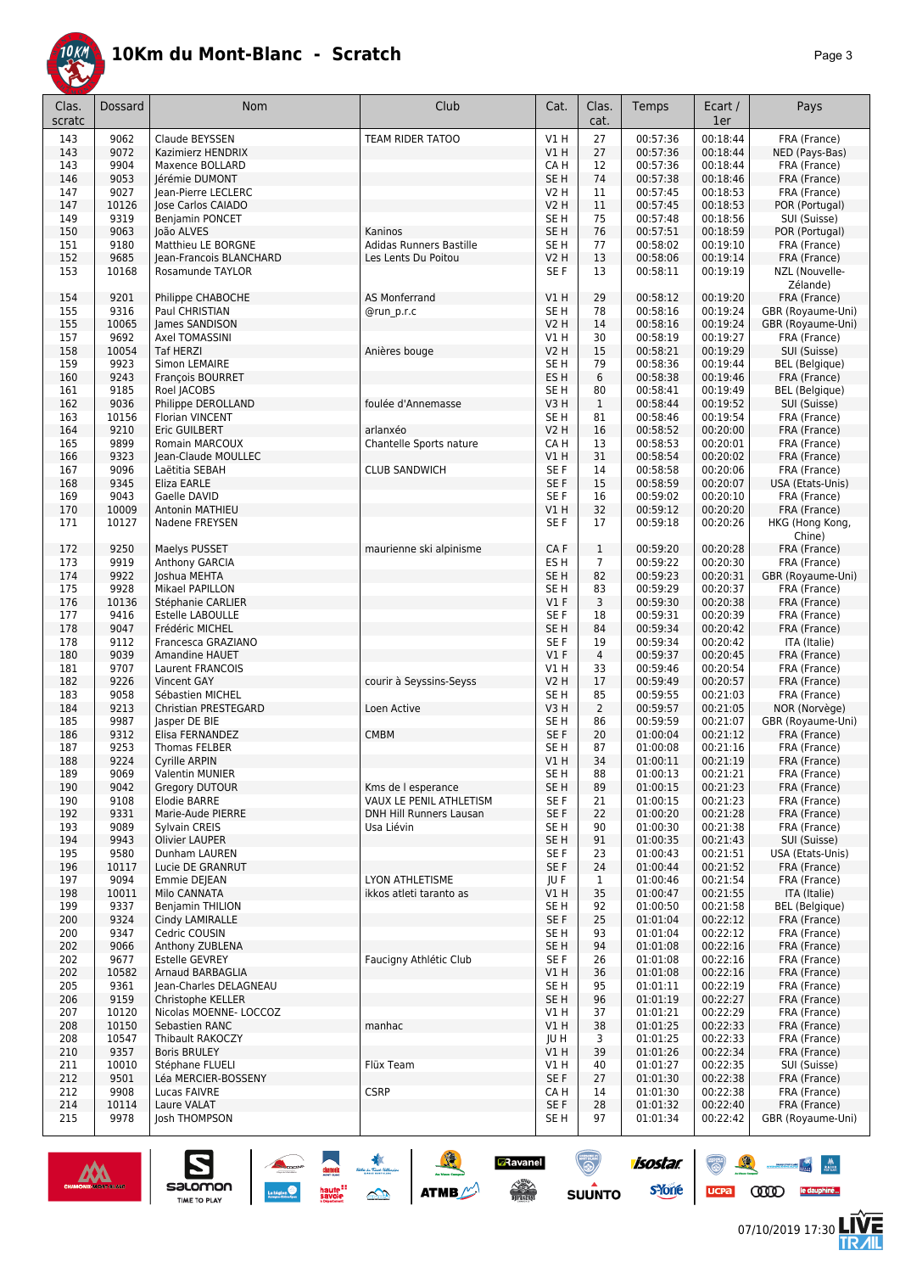

| Clas.<br>scratc | Dossard        | <b>Nom</b>                             | Club                    | Cat.                           | Clas.<br>cat.  | Temps                | Ecart /<br>1er       | Pays                                  |
|-----------------|----------------|----------------------------------------|-------------------------|--------------------------------|----------------|----------------------|----------------------|---------------------------------------|
| 143             | 9062           | Claude BEYSSEN                         | TEAM RIDER TATOO        | V1 H                           | 27             | 00:57:36             | 00:18:44             | FRA (France)                          |
| 143             | 9072           | Kazimierz HENDRIX                      |                         | V1H                            | 27             | 00:57:36             | 00:18:44             | NED (Pays-Bas)                        |
| 143             | 9904           | Maxence BOLLARD                        |                         | CA H                           | 12             | 00:57:36             | 00:18:44             | FRA (France)                          |
| 146             | 9053           | Jérémie DUMONT                         |                         | SE <sub>H</sub>                | 74             | 00:57:38             | 00:18:46             | FRA (France)                          |
| 147             | 9027           | Jean-Pierre LECLERC                    |                         | V2 H                           | 11             | 00:57:45             | 00:18:53             | FRA (France)                          |
| 147<br>149      | 10126<br>9319  | Jose Carlos CAIADO<br>Benjamin PONCET  |                         | <b>V2 H</b><br>SE <sub>H</sub> | 11<br>75       | 00:57:45<br>00:57:48 | 00:18:53<br>00:18:56 | POR (Portugal)                        |
| 150             | 9063           | loão ALVES                             | Kaninos                 | SE <sub>H</sub>                | 76             | 00:57:51             | 00:18:59             | SUI (Suisse)<br>POR (Portugal)        |
| 151             | 9180           | Matthieu LE BORGNE                     | Adidas Runners Bastille | SE <sub>H</sub>                | 77             | 00:58:02             | 00:19:10             | FRA (France)                          |
| 152             | 9685           | Jean-Francois BLANCHARD                | Les Lents Du Poitou     | <b>V2 H</b>                    | 13             | 00:58:06             | 00:19:14             | FRA (France)                          |
| 153             | 10168          | Rosamunde TAYLOR                       |                         | SE F                           | 13             | 00:58:11             | 00:19:19             | NZL (Nouvelle-<br>Zélande)            |
| 154             | 9201           | Philippe CHABOCHE                      | <b>AS Monferrand</b>    | V1 H                           | 29             | 00:58:12             | 00:19:20             | FRA (France)                          |
| 155             | 9316           | Paul CHRISTIAN                         | @run p.r.c              | SE <sub>H</sub>                | 78             | 00:58:16             | 00:19:24             | GBR (Royaume-Uni)                     |
| 155             | 10065          | James SANDISON                         |                         | <b>V2 H</b>                    | 14             | 00:58:16             | 00:19:24             | GBR (Royaume-Uni)                     |
| 157             | 9692<br>10054  | Axel TOMASSINI<br><b>Taf HERZI</b>     |                         | V1 H                           | 30<br>15       | 00:58:19<br>00:58:21 | 00:19:27<br>00:19:29 | FRA (France)                          |
| 158<br>159      | 9923           | Simon LEMAIRE                          | Anières bouge           | V2 H<br>SE H                   | 79             | 00:58:36             | 00:19:44             | SUI (Suisse)<br><b>BEL</b> (Belgique) |
| 160             | 9243           | François BOURRET                       |                         | ES <sub>H</sub>                | 6              | 00:58:38             | 00:19:46             | FRA (France)                          |
| 161             | 9185           | Roel JACOBS                            |                         | SE <sub>H</sub>                | 80             | 00:58:41             | 00:19:49             | <b>BEL</b> (Belgique)                 |
| 162             | 9036           | Philippe DEROLLAND                     | foulée d'Annemasse      | V3H                            | $\mathbf{1}$   | 00:58:44             | 00:19:52             | SUI (Suisse)                          |
| 163             | 10156          | <b>Florian VINCENT</b>                 |                         | SE <sub>H</sub>                | 81             | 00:58:46             | 00:19:54             | FRA (France)                          |
| 164             | 9210           | Eric GUILBERT                          | arlanxéo                | V2 H                           | 16             | 00:58:52             | 00:20:00             | FRA (France)                          |
| 165             | 9899           | Romain MARCOUX                         | Chantelle Sports nature | CA H                           | 13             | 00:58:53             | 00:20:01             | FRA (France)                          |
| 166             | 9323           | Jean-Claude MOULLEC                    |                         | V1 H                           | 31             | 00:58:54             | 00:20:02             | FRA (France)                          |
| 167             | 9096           | Laëtitia SEBAH                         | <b>CLUB SANDWICH</b>    | SE <sub>F</sub>                | 14             | 00:58:58             | 00:20:06             | FRA (France)                          |
| 168             | 9345           | Eliza EARLE                            |                         | SE F                           | 15             | 00:58:59             | 00:20:07             | USA (Etats-Unis)                      |
| 169             | 9043           | Gaelle DAVID                           |                         | SE F                           | 16             | 00:59:02             | 00:20:10             | FRA (France)                          |
| 170             | 10009          | Antonin MATHIEU<br>Nadene FREYSEN      |                         | V1H                            | 32<br>17       | 00:59:12             | 00:20:20<br>00:20:26 | FRA (France)                          |
| 171             | 10127          |                                        |                         | SE F                           |                | 00:59:18             |                      | HKG (Hong Kong,<br>Chine)             |
| 172             | 9250           | Maelys PUSSET                          | maurienne ski alpinisme | CA F                           | $\mathbf{1}$   | 00:59:20             | 00:20:28             | FRA (France)                          |
| 173             | 9919           | Anthony GARCIA                         |                         | ES H                           | 7              | 00:59:22             | 00:20:30             | FRA (France)                          |
| 174             | 9922           | Joshua MEHTA                           |                         | SE <sub>H</sub>                | 82             | 00:59:23             | 00:20:31             | GBR (Royaume-Uni)                     |
| 175             | 9928           | Mikael PAPILLON                        |                         | SE H                           | 83             | 00:59:29             | 00:20:37             | FRA (France)                          |
| 176             | 10136          | Stéphanie CARLIER                      |                         | $VI$ F                         | 3              | 00:59:30             | 00:20:38             | FRA (France)                          |
| 177             | 9416           | <b>Estelle LABOULLE</b>                |                         | SE <sub>F</sub>                | 18             | 00:59:31             | 00:20:39             | FRA (France)                          |
| 178             | 9047           | Frédéric MICHEL                        |                         | SE <sub>H</sub>                | 84             | 00:59:34             | 00:20:42             | FRA (France)                          |
| 178             | 9112           | Francesca GRAZIANO                     |                         | SE <sub>F</sub>                | 19             | 00:59:34             | 00:20:42             | ITA (Italie)                          |
| 180             | 9039           | Amandine HAUET                         |                         | $VI$ F                         | $\overline{4}$ | 00:59:37             | 00:20:45             | FRA (France)                          |
| 181             | 9707<br>9226   | Laurent FRANCOIS                       | courir à Seyssins-Seyss | V1 H                           | 33             | 00:59:46             | 00:20:54             | FRA (France)                          |
| 182<br>183      | 9058           | Vincent GAY<br>Sébastien MICHEL        |                         | <b>V2 H</b><br>SE <sub>H</sub> | 17<br>85       | 00:59:49<br>00:59:55 | 00:20:57<br>00:21:03 | FRA (France)<br>FRA (France)          |
| 184             | 9213           | Christian PRESTEGARD                   | Loen Active             | V3H                            | $\overline{2}$ | 00:59:57             | 00:21:05             | NOR (Norvège)                         |
| 185             | 9987           | Jasper DE BIE                          |                         | SE <sub>H</sub>                | 86             | 00:59:59             | 00:21:07             | GBR (Royaume-Uni)                     |
| 186             | 9312           | Elisa FERNANDEZ                        | <b>CMBM</b>             | SE F                           | 20             | 01:00:04             | 00:21:12             | FRA (France)                          |
| 187             | 9253           | <b>Thomas FELBER</b>                   |                         | SE H                           | 87             | 01:00:08             | 00:21:16             | FRA (France)                          |
| 188             | 9224           | <b>Cyrille ARPIN</b>                   |                         | V1 H                           | 34             | 01:00:11             | 00:21:19             | FRA (France)                          |
| 189             | 9069           | <b>Valentin MUNIER</b>                 |                         | SE H                           | 88             | 01:00:13             | 00:21:21             | FRA (France)                          |
| 190             | 9042           | Gregory DUTOUR                         | Kms de l esperance      | SE <sub>H</sub>                | 89             | 01:00:15             | 00:21:23             | FRA (France)                          |
| 190             | 9108           | Elodie BARRE                           | VAUX LE PENIL ATHLETISM | SE F                           | 21             | 01:00:15             | 00:21:23             | FRA (France)                          |
| 192             | 9331           | Marie-Aude PIERRE                      | DNH Hill Runners Lausan | SE F                           | 22             | 01:00:20             | 00:21:28             | FRA (France)                          |
| 193             | 9089           | Sylvain CREIS                          | Usa Liévin              | SE H                           | 90             | 01:00:30<br>01:00:35 | 00:21:38             | FRA (France)                          |
| 194<br>195      | 9943<br>9580   | <b>Olivier LAUPER</b><br>Dunham LAUREN |                         | SE <sub>H</sub><br>SE F        | 91<br>23       | 01:00:43             | 00:21:43<br>00:21:51 | SUI (Suisse)<br>USA (Etats-Unis)      |
| 196             | 10117          | Lucie DE GRANRUT                       |                         | SE F                           | 24             | 01:00:44             | 00:21:52             | FRA (France)                          |
| 197             | 9094           | Emmie DEJEAN                           | LYON ATHLETISME         | JUF                            | $\mathbf{1}$   | 01:00:46             | 00:21:54             | FRA (France)                          |
| 198             | 10011          | Milo CANNATA                           | ikkos atleti taranto as | V1 H                           | 35             | 01:00:47             | 00:21:55             | ITA (Italie)                          |
| 199             | 9337           | Benjamin THILION                       |                         | SE H                           | 92             | 01:00:50             | 00:21:58             | <b>BEL</b> (Belgique)                 |
| 200             | 9324           | Cindy LAMIRALLE                        |                         | SE F                           | 25             | 01:01:04             | 00:22:12             | FRA (France)                          |
| 200             | 9347           | Cedric COUSIN                          |                         | SE H                           | 93             | 01:01:04             | 00:22:12             | FRA (France)                          |
| 202             | 9066           | Anthony ZUBLENA                        |                         | SE H                           | 94             | 01:01:08             | 00:22:16             | FRA (France)                          |
| 202             | 9677           | <b>Estelle GEVREY</b>                  | Faucigny Athlétic Club  | SE F                           | 26             | 01:01:08             | 00:22:16             | FRA (France)                          |
| 202             | 10582          | Arnaud BARBAGLIA                       |                         | V1H                            | 36             | 01:01:08             | 00:22:16             | FRA (France)                          |
| 205             | 9361           | Jean-Charles DELAGNEAU                 |                         | SE H                           | 95             | 01:01:11             | 00:22:19             | FRA (France)                          |
| 206             | 9159           | Christophe KELLER                      |                         | SE <sub>H</sub>                | 96             | 01:01:19             | 00:22:27             | FRA (France)                          |
| 207             | 10120          | Nicolas MOENNE- LOCCOZ                 |                         | V1H                            | 37             | 01:01:21             | 00:22:29             | FRA (France)                          |
| 208<br>208      | 10150<br>10547 | Sebastien RANC<br>Thibault RAKOCZY     | manhac                  | V1 H<br>JU H                   | 38<br>3        | 01:01:25<br>01:01:25 | 00:22:33<br>00:22:33 | FRA (France)<br>FRA (France)          |
| 210             | 9357           | <b>Boris BRULEY</b>                    |                         | V1 H                           | 39             | 01:01:26             | 00:22:34             | FRA (France)                          |
| 211             | 10010          | Stéphane FLUELI                        | Flüx Team               | V1H                            | 40             | 01:01:27             | 00:22:35             | SUI (Suisse)                          |
| 212             | 9501           | Léa MERCIER-BOSSENY                    |                         | SE F                           | 27             | 01:01:30             | 00:22:38             | FRA (France)                          |
| 212             | 9908           | Lucas FAIVRE                           | <b>CSRP</b>             | CA H                           | 14             | 01:01:30             | 00:22:38             | FRA (France)                          |
| 214             | 10114          | Laure VALAT                            |                         | SE F                           | 28             | 01:01:32             | 00:22:40             | FRA (France)                          |
| 215             | 9978           | Josh THOMPSON                          |                         | SE H                           | 97             | 01:01:34             | 00:22:42             | GBR (Royaume-Uni)                     |



UCPa (VVII) le dauphiné.

 $\begin{array}{c|c} \mathbf{w} & \mathbf{w} \\ \hline \mathbf{w} & \mathbf{w} \end{array}$ 

怎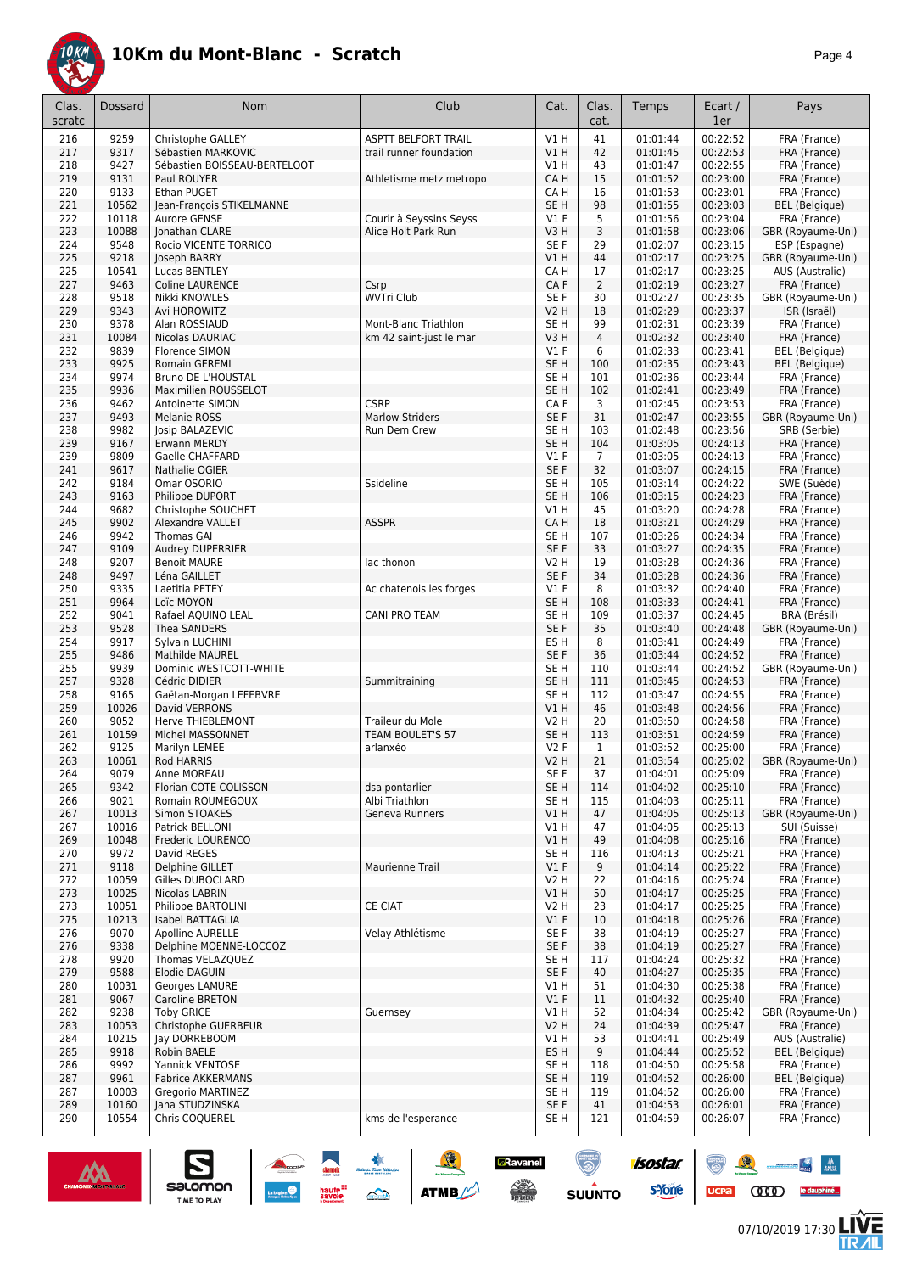

|--|--|

| Clas.      | <b>Dossard</b> | Nom                                                | Club                             | Cat.                               | Clas.          | Temps                | Ecart /              | Pays                               |
|------------|----------------|----------------------------------------------------|----------------------------------|------------------------------------|----------------|----------------------|----------------------|------------------------------------|
| scratc     |                |                                                    |                                  |                                    | cat.           |                      | 1er                  |                                    |
| 216        | 9259           | Christophe GALLEY                                  | <b>ASPTT BELFORT TRAIL</b>       | V1H                                | 41             | 01:01:44             | 00:22:52             | FRA (France)                       |
| 217<br>218 | 9317<br>9427   | Sébastien MARKOVIC<br>Sébastien BOISSEAU-BERTELOOT | trail runner foundation          | VIH<br>V1 H                        | 42<br>43       | 01:01:45<br>01:01:47 | 00:22:53<br>00:22:55 | FRA (France)<br>FRA (France)       |
| 219        | 9131           | Paul ROUYER                                        | Athletisme metz metropo          | CA H                               | 15             | 01:01:52             | 00:23:00             | FRA (France)                       |
| 220        | 9133           | Ethan PUGET                                        |                                  | CA H                               | 16             | 01:01:53             | 00:23:01             | FRA (France)                       |
| 221        | 10562          | Jean-François STIKELMANNE                          |                                  | SE <sub>H</sub>                    | 98             | 01:01:55             | 00:23:03             | <b>BEL</b> (Belgique)              |
| 222        | 10118          | Aurore GENSE                                       | Courir à Seyssins Seyss          | <b>V1 F</b>                        | 5              | 01:01:56             | 00:23:04             | FRA (France)                       |
| 223<br>224 | 10088<br>9548  | Jonathan CLARE<br>Rocio VICENTE TORRICO            | Alice Holt Park Run              | V3H<br>SE <sub>F</sub>             | 3<br>29        | 01:01:58<br>01:02:07 | 00:23:06<br>00:23:15 | GBR (Royaume-Uni)<br>ESP (Espagne) |
| 225        | 9218           | Joseph BARRY                                       |                                  | VIH                                | 44             | 01:02:17             | 00:23:25             | GBR (Royaume-Uni)                  |
| 225        | 10541          | Lucas BENTLEY                                      |                                  | CA H                               | 17             | 01:02:17             | 00:23:25             | AUS (Australie)                    |
| 227        | 9463           | <b>Coline LAURENCE</b>                             | Csrp                             | CA F                               | $\overline{2}$ | 01:02:19             | 00:23:27             | FRA (France)                       |
| 228        | 9518           | Nikki KNOWLES                                      | <b>WVTri Club</b>                | SE <sub>F</sub>                    | 30             | 01:02:27             | 00:23:35             | GBR (Royaume-Uni)                  |
| 229<br>230 | 9343<br>9378   | Avi HOROWITZ<br>Alan ROSSIAUD                      | Mont-Blanc Triathlon             | <b>V2 H</b><br>SE H                | 18<br>99       | 01:02:29<br>01:02:31 | 00:23:37<br>00:23:39 | ISR (Israël)<br>FRA (France)       |
| 231        | 10084          | Nicolas DAURIAC                                    | km 42 saint-just le mar          | V3H                                | $\overline{4}$ | 01:02:32             | 00:23:40             | FRA (France)                       |
| 232        | 9839           | Florence SIMON                                     |                                  | $VI$ F                             | 6              | 01:02:33             | 00:23:41             | <b>BEL</b> (Belgique)              |
| 233        | 9925           | Romain GEREMI                                      |                                  | SE <sub>H</sub>                    | 100            | 01:02:35             | 00:23:43             | <b>BEL</b> (Belgique)              |
| 234        | 9974           | Bruno DE L'HOUSTAL                                 |                                  | SE H                               | 101            | 01:02:36             | 00:23:44             | FRA (France)                       |
| 235<br>236 | 9936<br>9462   | Maximilien ROUSSELOT<br>Antoinette SIMON           | <b>CSRP</b>                      | SE <sub>H</sub><br>CA <sub>F</sub> | 102<br>3       | 01:02:41<br>01:02:45 | 00:23:49<br>00:23:53 | FRA (France)<br>FRA (France)       |
| 237        | 9493           | Melanie ROSS                                       | <b>Marlow Striders</b>           | SE <sub>F</sub>                    | 31             | 01:02:47             | 00:23:55             | GBR (Royaume-Uni)                  |
| 238        | 9982           | <b>Josip BALAZEVIC</b>                             | Run Dem Crew                     | SE <sub>H</sub>                    | 103            | 01:02:48             | 00:23:56             | SRB (Serbie)                       |
| 239        | 9167           | Erwann MERDY                                       |                                  | SE <sub>H</sub>                    | 104            | 01:03:05             | 00:24:13             | FRA (France)                       |
| 239        | 9809           | Gaelle CHAFFARD                                    |                                  | $VI$ F                             | $\overline{7}$ | 01:03:05             | 00:24:13             | FRA (France)                       |
| 241<br>242 | 9617<br>9184   | Nathalie OGIER<br>Omar OSORIO                      | Ssideline                        | SE F<br>SE H                       | 32<br>105      | 01:03:07<br>01:03:14 | 00:24:15<br>00:24:22 | FRA (France)<br>SWE (Suède)        |
| 243        | 9163           | Philippe DUPORT                                    |                                  | SE <sub>H</sub>                    | 106            | 01:03:15             | 00:24:23             | FRA (France)                       |
| 244        | 9682           | Christophe SOUCHET                                 |                                  | V1H                                | 45             | 01:03:20             | 00:24:28             | FRA (France)                       |
| 245        | 9902           | <b>Alexandre VALLET</b>                            | <b>ASSPR</b>                     | CA H                               | 18             | 01:03:21             | 00:24:29             | FRA (France)                       |
| 246        | 9942           | Thomas GAI                                         |                                  | SE H                               | 107            | 01:03:26             | 00:24:34             | FRA (France)                       |
| 247<br>248 | 9109<br>9207   | Audrey DUPERRIER<br><b>Benoit MAURE</b>            | lac thonon                       | SE F<br>V2 H                       | 33<br>19       | 01:03:27<br>01:03:28 | 00:24:35<br>00:24:36 | FRA (France)<br>FRA (France)       |
| 248        | 9497           | Léna GAILLET                                       |                                  | SE <sub>F</sub>                    | 34             | 01:03:28             | 00:24:36             | FRA (France)                       |
| 250        | 9335           | Laetitia PETEY                                     | Ac chatenois les forges          | V1F                                | 8              | 01:03:32             | 00:24:40             | FRA (France)                       |
| 251        | 9964           | Loïc MOYON                                         |                                  | SE <sub>H</sub>                    | 108            | 01:03:33             | 00:24:41             | FRA (France)                       |
| 252        | 9041           | Rafael AQUINO LEAL                                 | CANI PRO TEAM                    | SE <sub>H</sub>                    | 109            | 01:03:37             | 00:24:45             | BRA (Brésil)                       |
| 253<br>254 | 9528<br>9917   | Thea SANDERS<br>Sylvain LUCHINI                    |                                  | SE <sub>F</sub><br>ES <sub>H</sub> | 35<br>8        | 01:03:40<br>01:03:41 | 00:24:48<br>00:24:49 | GBR (Royaume-Uni)<br>FRA (France)  |
| 255        | 9486           | Mathilde MAUREL                                    |                                  | SE F                               | 36             | 01:03:44             | 00:24:52             | FRA (France)                       |
| 255        | 9939           | Dominic WESTCOTT-WHITE                             |                                  | SE H                               | 110            | 01:03:44             | 00:24:52             | GBR (Royaume-Uni)                  |
| 257        | 9328           | Cédric DIDIER                                      | Summitraining                    | SE <sub>H</sub>                    | 111            | 01:03:45             | 00:24:53             | FRA (France)                       |
| 258        | 9165           | Gaëtan-Morgan LEFEBVRE                             |                                  | SE H                               | 112            | 01:03:47             | 00:24:55             | FRA (France)                       |
| 259<br>260 | 10026<br>9052  | David VERRONS<br>Herve THIEBLEMONT                 | Traileur du Mole                 | V1H<br><b>V2 H</b>                 | 46<br>20       | 01:03:48<br>01:03:50 | 00:24:56<br>00:24:58 | FRA (France)<br>FRA (France)       |
| 261        | 10159          | Michel MASSONNET                                   | TEAM BOULET'S 57                 | SE <sub>H</sub>                    | 113            | 01:03:51             | 00:24:59             | FRA (France)                       |
| 262        | 9125           | Marilyn LEMEE                                      | arlanxéo                         | <b>V2F</b>                         | $\mathbf{1}$   | 01:03:52             | 00:25:00             | FRA (France)                       |
| 263        | 10061          | Rod HARRIS                                         |                                  | V2H                                | 21             | 01:03:54             | 00:25:02             | GBR (Royaume-Uni)                  |
| 264<br>265 | 9079<br>9342   | Anne MOREAU                                        |                                  | SE F<br>SE <sub>H</sub>            | 37<br>114      | 01:04:01<br>01:04:02 | 00:25:09<br>00:25:10 | FRA (France)<br>FRA (France)       |
| 266        | 9021           | Florian COTE COLISSON<br>Romain ROUMEGOUX          | dsa pontarlier<br>Albi Triathlon | SE <sub>H</sub>                    | 115            | 01:04:03             | 00:25:11             | FRA (France)                       |
| 267        | 10013          | Simon STOAKES                                      | Geneva Runners                   | VIH                                | 47             | 01:04:05             | 00:25:13             | GBR (Royaume-Uni)                  |
| 267        | 10016          | Patrick BELLONI                                    |                                  | V1H                                | 47             | 01:04:05             | 00:25:13             | SUI (Suisse)                       |
| 269        | 10048          | Frederic LOURENCO                                  |                                  | V1 H                               | 49             | 01:04:08             | 00:25:16             | FRA (France)                       |
| 270<br>271 | 9972<br>9118   | David REGES<br>Delphine GILLET                     | Maurienne Trail                  | SE H<br>$VI$ F                     | 116<br>9       | 01:04:13<br>01:04:14 | 00:25:21<br>00:25:22 | FRA (France)<br>FRA (France)       |
| 272        | 10059          | Gilles DUBOCLARD                                   |                                  | V2 H                               | 22             | 01:04:16             | 00:25:24             | FRA (France)                       |
| 273        | 10025          | Nicolas LABRIN                                     |                                  | V1 H                               | 50             | 01:04:17             | 00:25:25             | FRA (France)                       |
| 273        | 10051          | Philippe BARTOLINI                                 | CE CIAT                          | V2 H                               | 23             | 01:04:17             | 00:25:25             | FRA (France)                       |
| 275        | 10213          | Isabel BATTAGLIA                                   |                                  | $VI$ F                             | 10             | 01:04:18             | 00:25:26             | FRA (France)                       |
| 276        | 9070           | Apolline AURELLE                                   | Velay Athlétisme                 | SE F                               | 38             | 01:04:19             | 00:25:27             | FRA (France)                       |
| 276<br>278 | 9338<br>9920   | Delphine MOENNE-LOCCOZ<br>Thomas VELAZQUEZ         |                                  | SE F<br>SE <sub>H</sub>            | 38<br>117      | 01:04:19<br>01:04:24 | 00:25:27<br>00:25:32 | FRA (France)<br>FRA (France)       |
| 279        | 9588           | Elodie DAGUIN                                      |                                  | SE F                               | 40             | 01:04:27             | 00:25:35             | FRA (France)                       |
| 280        | 10031          | Georges LAMURE                                     |                                  | V1 H                               | 51             | 01:04:30             | 00:25:38             | FRA (France)                       |
| 281        | 9067           | Caroline BRETON                                    |                                  | $VI$ F                             | 11             | 01:04:32             | 00:25:40             | FRA (France)                       |
| 282<br>283 | 9238<br>10053  | <b>Toby GRICE</b><br>Christophe GUERBEUR           | Guernsey                         | V1H<br>V2H                         | 52<br>24       | 01:04:34<br>01:04:39 | 00:25:42<br>00:25:47 | GBR (Royaume-Uni)<br>FRA (France)  |
| 284        | 10215          | Jay DORREBOOM                                      |                                  | V1 H                               | 53             | 01:04:41             | 00:25:49             | AUS (Australie)                    |
| 285        | 9918           | Robin BAELE                                        |                                  | ES H                               | 9              | 01:04:44             | 00:25:52             | <b>BEL</b> (Belgique)              |
| 286        | 9992           | Yannick VENTOSE                                    |                                  | SE H                               | 118            | 01:04:50             | 00:25:58             | FRA (France)                       |
| 287        | 9961           | <b>Fabrice AKKERMANS</b>                           |                                  | SE <sub>H</sub>                    | 119            | 01:04:52             | 00:26:00             | <b>BEL</b> (Belgique)              |
| 287<br>289 | 10003<br>10160 | Gregorio MARTINEZ<br>Jana STUDZINSKA               |                                  | SE H<br>SE F                       | 119<br>41      | 01:04:52<br>01:04:53 | 00:26:00<br>00:26:01 | FRA (France)<br>FRA (France)       |
| 290        | 10554          | Chris COQUEREL                                     | kms de l'esperance               | SE H                               | 121            | 01:04:59             | 00:26:07             | FRA (France)                       |
|            |                |                                                    |                                  |                                    |                |                      |                      |                                    |

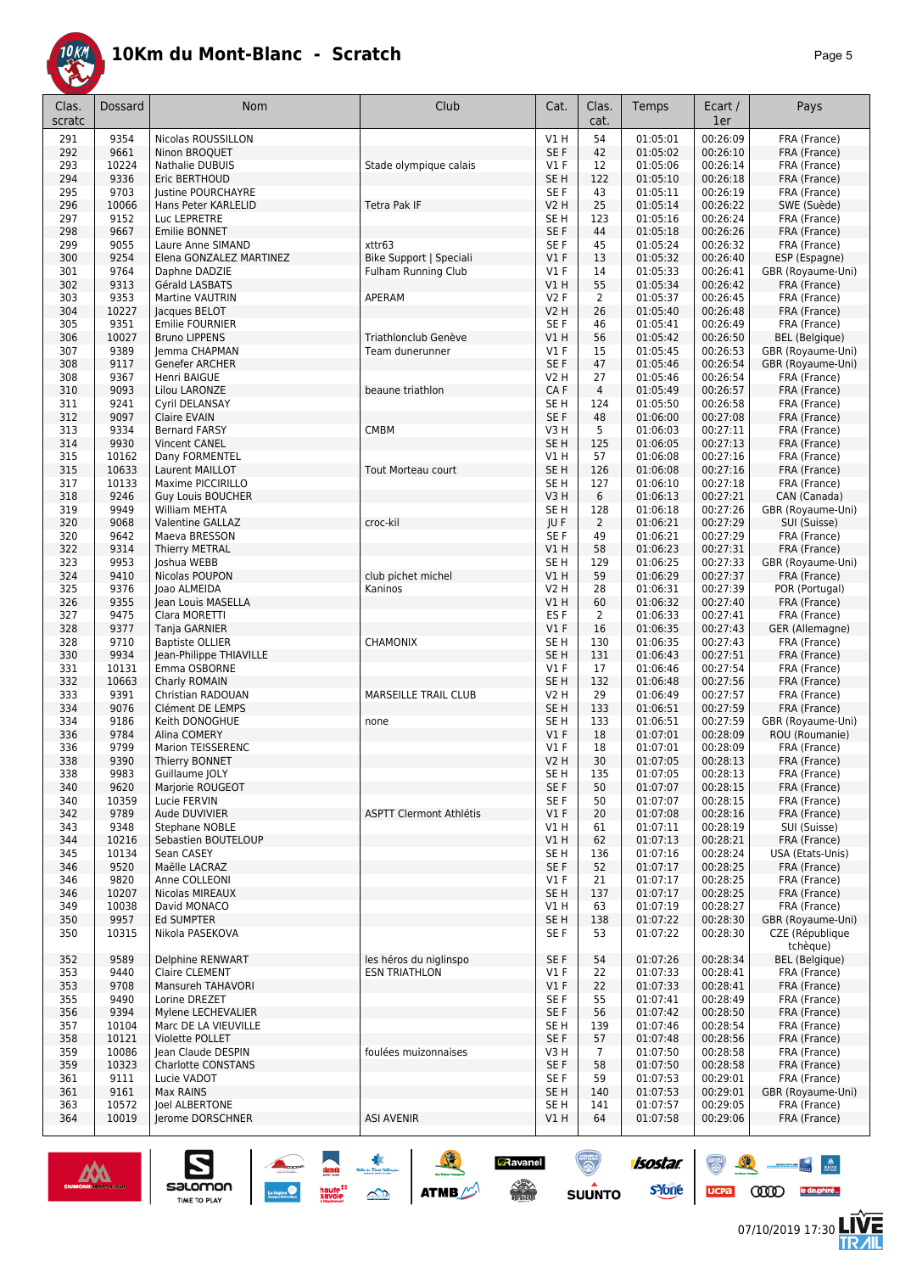

|--|--|

| 9354<br>V1H<br>54<br>01:05:01<br>00:26:09<br>FRA (France)<br>291<br>Nicolas ROUSSILLON<br>292<br>9661<br>SE F<br>42<br>01:05:02<br>00:26:10<br>FRA (France)<br>Ninon BROQUET<br>10224<br>$VI$ F<br>01:05:06<br>00:26:14<br>FRA (France)<br>293<br>Nathalie DUBUIS<br>Stade olympique calais<br>12<br>294<br>9336<br>Eric BERTHOUD<br>SE <sub>H</sub><br>122<br>01:05:10<br>00:26:18<br>FRA (France)<br>9703<br>SE F<br>01:05:11<br>00:26:19<br>FRA (France)<br>295<br>Justine POURCHAYRE<br>43<br>296<br>10066<br>V <sub>2</sub> H<br>25<br>01:05:14<br>00:26:22<br>SWE (Suède)<br>Hans Peter KARLELID<br>Tetra Pak IF<br>297<br>9152<br>SE <sub>H</sub><br>123<br>01:05:16<br>00:26:24<br>Luc LEPRETRE<br>FRA (France)<br>298<br>9667<br>SE F<br>01:05:18<br>00:26:26<br><b>Emilie BONNET</b><br>44<br>FRA (France)<br>9055<br>xttr63<br>299<br>Laure Anne SIMAND<br>SE F<br>45<br>01:05:24<br>00:26:32<br>FRA (France)<br>9254<br><b>Bike Support   Speciali</b><br>13<br>300<br>Elena GONZALEZ MARTINEZ<br>$VI$ F<br>01:05:32<br>00:26:40<br>ESP (Espagne)<br>9764<br>14<br>01:05:33<br>301<br>Daphne DADZIE<br><b>Fulham Running Club</b><br><b>V1 F</b><br>00:26:41<br>GBR (Royaume-Uni)<br>55<br>9313<br>V1H<br>01:05:34<br>00:26:42<br>302<br>Gérald LASBATS<br>FRA (France)<br>9353<br>APERAM<br><b>V2F</b><br>2<br>01:05:37<br>00:26:45<br>FRA (France)<br>303<br><b>Martine VAUTRIN</b><br>304<br>10227<br><b>V2 H</b><br>26<br>01:05:40<br>00:26:48<br>FRA (France)<br>Jacques BELOT<br>9351<br>01:05:41<br>00:26:49<br>FRA (France)<br>305<br><b>Emilie FOURNIER</b><br>SE F<br>46<br>10027<br><b>Bruno LIPPENS</b><br>V1H<br>56<br>01:05:42<br>00:26:50<br><b>BEL</b> (Belgique)<br>306<br>Triathlonclub Genève<br>9389<br>01:05:45<br>00:26:53<br>GBR (Royaume-Uni)<br>307<br>Jemma CHAPMAN<br>Team dunerunner<br><b>V1 F</b><br>15<br>308<br>9117<br>SE F<br>47<br>01:05:46<br>00:26:54<br>GBR (Royaume-Uni)<br>Genefer ARCHER<br>308<br>9367<br>V <sub>2</sub> H<br>27<br>01:05:46<br>00:26:54<br>FRA (France)<br>Henri BAIGUE<br>9093<br>beaune triathlon<br>CA F<br>$\overline{4}$<br>01:05:49<br>00:26:57<br>310<br>Lilou LARONZE<br>FRA (France)<br>9241<br>311<br>Cyril DELANSAY<br>SE H<br>124<br>01:05:50<br>00:26:58<br>FRA (France)<br>9097<br>SE F<br>312<br>Claire EVAIN<br>48<br>01:06:00<br>00:27:08<br>FRA (France)<br>9334<br>CMBM<br>313<br><b>Bernard FARSY</b><br>V3H<br>5<br>01:06:03<br>00:27:11<br>FRA (France)<br>9930<br>SE <sub>H</sub><br>125<br>00:27:13<br>FRA (France)<br>314<br>Vincent CANEL<br>01:06:05<br>10162<br>Dany FORMENTEL<br>57<br>00:27:16<br>FRA (France)<br>315<br>VIH<br>01:06:08<br>10633<br>SE <sub>H</sub><br>126<br>01:06:08<br>00:27:16<br>FRA (France)<br>315<br>Laurent MAILLOT<br><b>Tout Morteau court</b><br>10133<br>SE <sub>H</sub><br>127<br>00:27:18<br>FRA (France)<br>317<br>Maxime PICCIRILLO<br>01:06:10<br>00:27:21<br>9246<br>V3H<br>6<br>01:06:13<br>CAN (Canada)<br>318<br><b>Guy Louis BOUCHER</b><br>9949<br>William MEHTA<br>SE <sub>H</sub><br>01:06:18<br>00:27:26<br>GBR (Royaume-Uni)<br>319<br>128<br>00:27:29<br>320<br>9068<br>JUF<br>$\overline{2}$<br>01:06:21<br>SUI (Suisse)<br><b>Valentine GALLAZ</b><br>croc-kil<br>320<br>9642<br>SE F<br>01:06:21<br>00:27:29<br>FRA (France)<br>Maeva BRESSON<br>49<br>322<br>9314<br>58<br>00:27:31<br>FRA (France)<br><b>Thierry METRAL</b><br>VIH<br>01:06:23<br>9953<br>SE <sub>H</sub><br>129<br>01:06:25<br>00:27:33<br>323<br>Joshua WEBB<br>GBR (Royaume-Uni)<br>9410<br>59<br>00:27:37<br>324<br>Nicolas POUPON<br>club pichet michel<br>VIH<br>01:06:29<br>FRA (France)<br>9376<br><b>V2 H</b><br>325<br>Joao ALMEIDA<br>28<br>01:06:31<br>00:27:39<br>POR (Portugal)<br>Kaninos<br>V1H<br>60<br>326<br>9355<br>Jean Louis MASELLA<br>01:06:32<br>00:27:40<br>FRA (France)<br>9475<br>ES <sub>F</sub><br>2<br>01:06:33<br>00:27:41<br>327<br>Clara MORETTI<br>FRA (France)<br>328<br>9377<br>$VI$ F<br>16<br>01:06:35<br>00:27:43<br>Tanja GARNIER<br>GER (Allemagne)<br>9710<br><b>Baptiste OLLIER</b><br><b>CHAMONIX</b><br>SE <sub>H</sub><br>130<br>01:06:35<br>00:27:43<br>FRA (France)<br>328<br>9934<br>SE <sub>H</sub><br>131<br>01:06:43<br>00:27:51<br>330<br>Jean-Philippe THIAVILLE<br>FRA (France)<br>10131<br>Emma OSBORNE<br>$VI$ F<br>01:06:46<br>00:27:54<br>FRA (France)<br>331<br>17<br>10663<br>332<br>Charly ROMAIN<br>SE <sub>H</sub><br>132<br>00:27:56<br>01:06:48<br>FRA (France)<br>9391<br><b>MARSEILLE TRAIL CLUB</b><br>00:27:57<br>FRA (France)<br>333<br>Christian RADOUAN<br>V2 H<br>29<br>01:06:49<br>9076<br>SE <sub>H</sub><br>00:27:59<br>334<br>Clément DE LEMPS<br>133<br>01:06:51<br>FRA (France)<br>9186<br>Keith DONOGHUE<br>SE <sub>H</sub><br>00:27:59<br>GBR (Royaume-Uni)<br>334<br>133<br>01:06:51<br>none<br>9784<br>00:28:09<br>336<br>Alina COMERY<br>$VI$ F<br>18<br>01:07:01<br>ROU (Roumanie)<br>9799<br>336<br>$VI$ F<br>18<br>01:07:01<br>00:28:09<br>FRA (France)<br><b>Marion TEISSERENC</b><br>V <sub>2</sub> H<br>30<br>338<br>9390<br>Thierry BONNET<br>01:07:05<br>00:28:13<br>FRA (France)<br>338<br>9983<br>Guillaume JOLY<br>SE H<br>135<br>01:07:05<br>00:28:13<br>FRA (France)<br>SE F<br>340<br>9620<br>Marjorie ROUGEOT<br>50<br>01:07:07<br>00:28:15<br>FRA (France)<br>10359<br>Lucie FERVIN<br>SE F<br>01:07:07<br>00:28:15<br>FRA (France)<br>340<br>50<br>9789<br>$VI$ F<br>00:28:16<br>FRA (France)<br>342<br>Aude DUVIVIER<br><b>ASPTT Clermont Athlétis</b><br>20<br>01:07:08<br>00:28:19<br>SUI (Suisse)<br>343<br>9348<br>Stephane NOBLE<br>V1 H<br>61<br>01:07:11<br>344<br>V1H<br>00:28:21<br>FRA (France)<br>10216<br>Sebastien BOUTELOUP<br>62<br>01:07:13<br>10134<br>SE <sub>H</sub><br>01:07:16<br>00:28:24<br>USA (Etats-Unis)<br>345<br>Sean CASEY<br>136<br>SE F<br>00:28:25<br>346<br>9520<br>Maëlle LACRAZ<br>52<br>01:07:17<br>FRA (France)<br>9820<br>$VI$ F<br>01:07:17<br>00:28:25<br>346<br>Anne COLLEONI<br>21<br>FRA (France)<br>346<br>10207<br>Nicolas MIREAUX<br>SE H<br>137<br>01:07:17<br>00:28:25<br>FRA (France)<br>349<br>10038<br>David MONACO<br>V1 H<br>01:07:19<br>00:28:27<br>FRA (France)<br>63<br>SE <sub>H</sub><br>350<br>9957<br><b>Ed SUMPTER</b><br>138<br>01:07:22<br>00:28:30<br>GBR (Royaume-Uni)<br>350<br>10315<br>Nikola PASEKOVA<br>SE F<br>53<br>01:07:22<br>00:28:30<br>CZE (République<br>tchèque)<br>9589<br>SE <sub>F</sub><br>54<br><b>BEL</b> (Belgique)<br>352<br>Delphine RENWART<br>les héros du niglinspo<br>01:07:26<br>00:28:34<br>$VI$ F<br>FRA (France)<br>353<br>9440<br>Claire CLEMENT<br><b>ESN TRIATHLON</b><br>22<br>01:07:33<br>00:28:41<br>353<br>9708<br>$VI$ F<br>01:07:33<br>00:28:41<br>FRA (France)<br>Mansureh TAHAVORI<br>22<br>9490<br>SE F<br>355<br>Lorine DREZET<br>55<br>01:07:41<br>00:28:49<br>FRA (France)<br>9394<br>SE F<br>56<br>00:28:50<br>356<br>Mylene LECHEVALIER<br>01:07:42<br>FRA (France)<br>357<br>10104<br>SE <sub>H</sub><br>01:07:46<br>00:28:54<br>Marc DE LA VIEUVILLE<br>139<br>FRA (France)<br>SE F<br>00:28:56<br>358<br>10121<br>Violette POLLET<br>57<br>01:07:48<br>FRA (France)<br>359<br>10086<br>Jean Claude DESPIN<br>foulées muizonnaises<br>V3 H<br>$7\overline{ }$<br>01:07:50<br>00:28:58<br>FRA (France)<br>SE F<br>58<br>359<br>10323<br><b>Charlotte CONSTANS</b><br>01:07:50<br>00:28:58<br>FRA (France)<br>9111<br>Lucie VADOT<br>SE F<br>59<br>01:07:53<br>00:29:01<br>FRA (France)<br>361<br>SE <sub>H</sub><br>361<br>9161<br>140<br>01:07:53<br>GBR (Royaume-Uni)<br>Max RAINS<br>00:29:01<br><b>Joel ALBERTONE</b><br>SE <sub>H</sub><br>01:07:57<br>00:29:05<br>FRA (France)<br>363<br>10572<br>141<br>10019<br><b>ASI AVENIR</b><br>FRA (France)<br>364<br>Jerome DORSCHNER<br>V1 H<br>64<br>01:07:58<br>00:29:06 | Clas.<br>scratc | <b>Dossard</b> | Nom | Club | Cat. | Clas.<br>cat. | Temps | Ecart /<br>1er | Pays |
|-------------------------------------------------------------------------------------------------------------------------------------------------------------------------------------------------------------------------------------------------------------------------------------------------------------------------------------------------------------------------------------------------------------------------------------------------------------------------------------------------------------------------------------------------------------------------------------------------------------------------------------------------------------------------------------------------------------------------------------------------------------------------------------------------------------------------------------------------------------------------------------------------------------------------------------------------------------------------------------------------------------------------------------------------------------------------------------------------------------------------------------------------------------------------------------------------------------------------------------------------------------------------------------------------------------------------------------------------------------------------------------------------------------------------------------------------------------------------------------------------------------------------------------------------------------------------------------------------------------------------------------------------------------------------------------------------------------------------------------------------------------------------------------------------------------------------------------------------------------------------------------------------------------------------------------------------------------------------------------------------------------------------------------------------------------------------------------------------------------------------------------------------------------------------------------------------------------------------------------------------------------------------------------------------------------------------------------------------------------------------------------------------------------------------------------------------------------------------------------------------------------------------------------------------------------------------------------------------------------------------------------------------------------------------------------------------------------------------------------------------------------------------------------------------------------------------------------------------------------------------------------------------------------------------------------------------------------------------------------------------------------------------------------------------------------------------------------------------------------------------------------------------------------------------------------------------------------------------------------------------------------------------------------------------------------------------------------------------------------------------------------------------------------------------------------------------------------------------------------------------------------------------------------------------------------------------------------------------------------------------------------------------------------------------------------------------------------------------------------------------------------------------------------------------------------------------------------------------------------------------------------------------------------------------------------------------------------------------------------------------------------------------------------------------------------------------------------------------------------------------------------------------------------------------------------------------------------------------------------------------------------------------------------------------------------------------------------------------------------------------------------------------------------------------------------------------------------------------------------------------------------------------------------------------------------------------------------------------------------------------------------------------------------------------------------------------------------------------------------------------------------------------------------------------------------------------------------------------------------------------------------------------------------------------------------------------------------------------------------------------------------------------------------------------------------------------------------------------------------------------------------------------------------------------------------------------------------------------------------------------------------------------------------------------------------------------------------------------------------------------------------------------------------------------------------------------------------------------------------------------------------------------------------------------------------------------------------------------------------------------------------------------------------------------------------------------------------------------------------------------------------------------------------------------------------------------------------------------------------------------------------------------------------------------------------------------------------------------------------------------------------------------------------------------------------------------------------------------------------------------------------------------------------------------------------------------------------------------------------------------------------------------------------------------------------------------------------------------------------------------------------------------------------------------------------------------------------------------------------------------------------------------------------------------------------------------------------------------------------------------------------------------------------------------------------------------------------------------------------------------------------------------------------------------------------------------------------------------------------------------------------------------------------------------------------------------------------------------------------------------------------------------------------------------------------------------------------------------------------------------------------------------------------------------------------------------------------------------------------------------------------------------------------------------------------------------------------------------------------------------------------------------------------------------------------------------------------------------------------------------------------------------------------------------------------------------------------------------------------------------------------------------------------------------------------------------------------------------------------------------------------------------------|-----------------|----------------|-----|------|------|---------------|-------|----------------|------|
|                                                                                                                                                                                                                                                                                                                                                                                                                                                                                                                                                                                                                                                                                                                                                                                                                                                                                                                                                                                                                                                                                                                                                                                                                                                                                                                                                                                                                                                                                                                                                                                                                                                                                                                                                                                                                                                                                                                                                                                                                                                                                                                                                                                                                                                                                                                                                                                                                                                                                                                                                                                                                                                                                                                                                                                                                                                                                                                                                                                                                                                                                                                                                                                                                                                                                                                                                                                                                                                                                                                                                                                                                                                                                                                                                                                                                                                                                                                                                                                                                                                                                                                                                                                                                                                                                                                                                                                                                                                                                                                                                                                                                                                                                                                                                                                                                                                                                                                                                                                                                                                                                                                                                                                                                                                                                                                                                                                                                                                                                                                                                                                                                                                                                                                                                                                                                                                                                                                                                                                                                                                                                                                                                                                                                                                                                                                                                                                                                                                                                                                                                                                                                                                                                                                                                                                                                                                                                                                                                                                                                                                                                                                                                                                                                                                                                                                                                                                                                                                                                                                                                                                                                                                                                                                                                                               |                 |                |     |      |      |               |       |                |      |
|                                                                                                                                                                                                                                                                                                                                                                                                                                                                                                                                                                                                                                                                                                                                                                                                                                                                                                                                                                                                                                                                                                                                                                                                                                                                                                                                                                                                                                                                                                                                                                                                                                                                                                                                                                                                                                                                                                                                                                                                                                                                                                                                                                                                                                                                                                                                                                                                                                                                                                                                                                                                                                                                                                                                                                                                                                                                                                                                                                                                                                                                                                                                                                                                                                                                                                                                                                                                                                                                                                                                                                                                                                                                                                                                                                                                                                                                                                                                                                                                                                                                                                                                                                                                                                                                                                                                                                                                                                                                                                                                                                                                                                                                                                                                                                                                                                                                                                                                                                                                                                                                                                                                                                                                                                                                                                                                                                                                                                                                                                                                                                                                                                                                                                                                                                                                                                                                                                                                                                                                                                                                                                                                                                                                                                                                                                                                                                                                                                                                                                                                                                                                                                                                                                                                                                                                                                                                                                                                                                                                                                                                                                                                                                                                                                                                                                                                                                                                                                                                                                                                                                                                                                                                                                                                                                               |                 |                |     |      |      |               |       |                |      |
|                                                                                                                                                                                                                                                                                                                                                                                                                                                                                                                                                                                                                                                                                                                                                                                                                                                                                                                                                                                                                                                                                                                                                                                                                                                                                                                                                                                                                                                                                                                                                                                                                                                                                                                                                                                                                                                                                                                                                                                                                                                                                                                                                                                                                                                                                                                                                                                                                                                                                                                                                                                                                                                                                                                                                                                                                                                                                                                                                                                                                                                                                                                                                                                                                                                                                                                                                                                                                                                                                                                                                                                                                                                                                                                                                                                                                                                                                                                                                                                                                                                                                                                                                                                                                                                                                                                                                                                                                                                                                                                                                                                                                                                                                                                                                                                                                                                                                                                                                                                                                                                                                                                                                                                                                                                                                                                                                                                                                                                                                                                                                                                                                                                                                                                                                                                                                                                                                                                                                                                                                                                                                                                                                                                                                                                                                                                                                                                                                                                                                                                                                                                                                                                                                                                                                                                                                                                                                                                                                                                                                                                                                                                                                                                                                                                                                                                                                                                                                                                                                                                                                                                                                                                                                                                                                                               |                 |                |     |      |      |               |       |                |      |
|                                                                                                                                                                                                                                                                                                                                                                                                                                                                                                                                                                                                                                                                                                                                                                                                                                                                                                                                                                                                                                                                                                                                                                                                                                                                                                                                                                                                                                                                                                                                                                                                                                                                                                                                                                                                                                                                                                                                                                                                                                                                                                                                                                                                                                                                                                                                                                                                                                                                                                                                                                                                                                                                                                                                                                                                                                                                                                                                                                                                                                                                                                                                                                                                                                                                                                                                                                                                                                                                                                                                                                                                                                                                                                                                                                                                                                                                                                                                                                                                                                                                                                                                                                                                                                                                                                                                                                                                                                                                                                                                                                                                                                                                                                                                                                                                                                                                                                                                                                                                                                                                                                                                                                                                                                                                                                                                                                                                                                                                                                                                                                                                                                                                                                                                                                                                                                                                                                                                                                                                                                                                                                                                                                                                                                                                                                                                                                                                                                                                                                                                                                                                                                                                                                                                                                                                                                                                                                                                                                                                                                                                                                                                                                                                                                                                                                                                                                                                                                                                                                                                                                                                                                                                                                                                                                               |                 |                |     |      |      |               |       |                |      |
|                                                                                                                                                                                                                                                                                                                                                                                                                                                                                                                                                                                                                                                                                                                                                                                                                                                                                                                                                                                                                                                                                                                                                                                                                                                                                                                                                                                                                                                                                                                                                                                                                                                                                                                                                                                                                                                                                                                                                                                                                                                                                                                                                                                                                                                                                                                                                                                                                                                                                                                                                                                                                                                                                                                                                                                                                                                                                                                                                                                                                                                                                                                                                                                                                                                                                                                                                                                                                                                                                                                                                                                                                                                                                                                                                                                                                                                                                                                                                                                                                                                                                                                                                                                                                                                                                                                                                                                                                                                                                                                                                                                                                                                                                                                                                                                                                                                                                                                                                                                                                                                                                                                                                                                                                                                                                                                                                                                                                                                                                                                                                                                                                                                                                                                                                                                                                                                                                                                                                                                                                                                                                                                                                                                                                                                                                                                                                                                                                                                                                                                                                                                                                                                                                                                                                                                                                                                                                                                                                                                                                                                                                                                                                                                                                                                                                                                                                                                                                                                                                                                                                                                                                                                                                                                                                                               |                 |                |     |      |      |               |       |                |      |
|                                                                                                                                                                                                                                                                                                                                                                                                                                                                                                                                                                                                                                                                                                                                                                                                                                                                                                                                                                                                                                                                                                                                                                                                                                                                                                                                                                                                                                                                                                                                                                                                                                                                                                                                                                                                                                                                                                                                                                                                                                                                                                                                                                                                                                                                                                                                                                                                                                                                                                                                                                                                                                                                                                                                                                                                                                                                                                                                                                                                                                                                                                                                                                                                                                                                                                                                                                                                                                                                                                                                                                                                                                                                                                                                                                                                                                                                                                                                                                                                                                                                                                                                                                                                                                                                                                                                                                                                                                                                                                                                                                                                                                                                                                                                                                                                                                                                                                                                                                                                                                                                                                                                                                                                                                                                                                                                                                                                                                                                                                                                                                                                                                                                                                                                                                                                                                                                                                                                                                                                                                                                                                                                                                                                                                                                                                                                                                                                                                                                                                                                                                                                                                                                                                                                                                                                                                                                                                                                                                                                                                                                                                                                                                                                                                                                                                                                                                                                                                                                                                                                                                                                                                                                                                                                                                               |                 |                |     |      |      |               |       |                |      |
|                                                                                                                                                                                                                                                                                                                                                                                                                                                                                                                                                                                                                                                                                                                                                                                                                                                                                                                                                                                                                                                                                                                                                                                                                                                                                                                                                                                                                                                                                                                                                                                                                                                                                                                                                                                                                                                                                                                                                                                                                                                                                                                                                                                                                                                                                                                                                                                                                                                                                                                                                                                                                                                                                                                                                                                                                                                                                                                                                                                                                                                                                                                                                                                                                                                                                                                                                                                                                                                                                                                                                                                                                                                                                                                                                                                                                                                                                                                                                                                                                                                                                                                                                                                                                                                                                                                                                                                                                                                                                                                                                                                                                                                                                                                                                                                                                                                                                                                                                                                                                                                                                                                                                                                                                                                                                                                                                                                                                                                                                                                                                                                                                                                                                                                                                                                                                                                                                                                                                                                                                                                                                                                                                                                                                                                                                                                                                                                                                                                                                                                                                                                                                                                                                                                                                                                                                                                                                                                                                                                                                                                                                                                                                                                                                                                                                                                                                                                                                                                                                                                                                                                                                                                                                                                                                                               |                 |                |     |      |      |               |       |                |      |
|                                                                                                                                                                                                                                                                                                                                                                                                                                                                                                                                                                                                                                                                                                                                                                                                                                                                                                                                                                                                                                                                                                                                                                                                                                                                                                                                                                                                                                                                                                                                                                                                                                                                                                                                                                                                                                                                                                                                                                                                                                                                                                                                                                                                                                                                                                                                                                                                                                                                                                                                                                                                                                                                                                                                                                                                                                                                                                                                                                                                                                                                                                                                                                                                                                                                                                                                                                                                                                                                                                                                                                                                                                                                                                                                                                                                                                                                                                                                                                                                                                                                                                                                                                                                                                                                                                                                                                                                                                                                                                                                                                                                                                                                                                                                                                                                                                                                                                                                                                                                                                                                                                                                                                                                                                                                                                                                                                                                                                                                                                                                                                                                                                                                                                                                                                                                                                                                                                                                                                                                                                                                                                                                                                                                                                                                                                                                                                                                                                                                                                                                                                                                                                                                                                                                                                                                                                                                                                                                                                                                                                                                                                                                                                                                                                                                                                                                                                                                                                                                                                                                                                                                                                                                                                                                                                               |                 |                |     |      |      |               |       |                |      |
|                                                                                                                                                                                                                                                                                                                                                                                                                                                                                                                                                                                                                                                                                                                                                                                                                                                                                                                                                                                                                                                                                                                                                                                                                                                                                                                                                                                                                                                                                                                                                                                                                                                                                                                                                                                                                                                                                                                                                                                                                                                                                                                                                                                                                                                                                                                                                                                                                                                                                                                                                                                                                                                                                                                                                                                                                                                                                                                                                                                                                                                                                                                                                                                                                                                                                                                                                                                                                                                                                                                                                                                                                                                                                                                                                                                                                                                                                                                                                                                                                                                                                                                                                                                                                                                                                                                                                                                                                                                                                                                                                                                                                                                                                                                                                                                                                                                                                                                                                                                                                                                                                                                                                                                                                                                                                                                                                                                                                                                                                                                                                                                                                                                                                                                                                                                                                                                                                                                                                                                                                                                                                                                                                                                                                                                                                                                                                                                                                                                                                                                                                                                                                                                                                                                                                                                                                                                                                                                                                                                                                                                                                                                                                                                                                                                                                                                                                                                                                                                                                                                                                                                                                                                                                                                                                                               |                 |                |     |      |      |               |       |                |      |
|                                                                                                                                                                                                                                                                                                                                                                                                                                                                                                                                                                                                                                                                                                                                                                                                                                                                                                                                                                                                                                                                                                                                                                                                                                                                                                                                                                                                                                                                                                                                                                                                                                                                                                                                                                                                                                                                                                                                                                                                                                                                                                                                                                                                                                                                                                                                                                                                                                                                                                                                                                                                                                                                                                                                                                                                                                                                                                                                                                                                                                                                                                                                                                                                                                                                                                                                                                                                                                                                                                                                                                                                                                                                                                                                                                                                                                                                                                                                                                                                                                                                                                                                                                                                                                                                                                                                                                                                                                                                                                                                                                                                                                                                                                                                                                                                                                                                                                                                                                                                                                                                                                                                                                                                                                                                                                                                                                                                                                                                                                                                                                                                                                                                                                                                                                                                                                                                                                                                                                                                                                                                                                                                                                                                                                                                                                                                                                                                                                                                                                                                                                                                                                                                                                                                                                                                                                                                                                                                                                                                                                                                                                                                                                                                                                                                                                                                                                                                                                                                                                                                                                                                                                                                                                                                                                               |                 |                |     |      |      |               |       |                |      |
|                                                                                                                                                                                                                                                                                                                                                                                                                                                                                                                                                                                                                                                                                                                                                                                                                                                                                                                                                                                                                                                                                                                                                                                                                                                                                                                                                                                                                                                                                                                                                                                                                                                                                                                                                                                                                                                                                                                                                                                                                                                                                                                                                                                                                                                                                                                                                                                                                                                                                                                                                                                                                                                                                                                                                                                                                                                                                                                                                                                                                                                                                                                                                                                                                                                                                                                                                                                                                                                                                                                                                                                                                                                                                                                                                                                                                                                                                                                                                                                                                                                                                                                                                                                                                                                                                                                                                                                                                                                                                                                                                                                                                                                                                                                                                                                                                                                                                                                                                                                                                                                                                                                                                                                                                                                                                                                                                                                                                                                                                                                                                                                                                                                                                                                                                                                                                                                                                                                                                                                                                                                                                                                                                                                                                                                                                                                                                                                                                                                                                                                                                                                                                                                                                                                                                                                                                                                                                                                                                                                                                                                                                                                                                                                                                                                                                                                                                                                                                                                                                                                                                                                                                                                                                                                                                                               |                 |                |     |      |      |               |       |                |      |
|                                                                                                                                                                                                                                                                                                                                                                                                                                                                                                                                                                                                                                                                                                                                                                                                                                                                                                                                                                                                                                                                                                                                                                                                                                                                                                                                                                                                                                                                                                                                                                                                                                                                                                                                                                                                                                                                                                                                                                                                                                                                                                                                                                                                                                                                                                                                                                                                                                                                                                                                                                                                                                                                                                                                                                                                                                                                                                                                                                                                                                                                                                                                                                                                                                                                                                                                                                                                                                                                                                                                                                                                                                                                                                                                                                                                                                                                                                                                                                                                                                                                                                                                                                                                                                                                                                                                                                                                                                                                                                                                                                                                                                                                                                                                                                                                                                                                                                                                                                                                                                                                                                                                                                                                                                                                                                                                                                                                                                                                                                                                                                                                                                                                                                                                                                                                                                                                                                                                                                                                                                                                                                                                                                                                                                                                                                                                                                                                                                                                                                                                                                                                                                                                                                                                                                                                                                                                                                                                                                                                                                                                                                                                                                                                                                                                                                                                                                                                                                                                                                                                                                                                                                                                                                                                                                               |                 |                |     |      |      |               |       |                |      |
|                                                                                                                                                                                                                                                                                                                                                                                                                                                                                                                                                                                                                                                                                                                                                                                                                                                                                                                                                                                                                                                                                                                                                                                                                                                                                                                                                                                                                                                                                                                                                                                                                                                                                                                                                                                                                                                                                                                                                                                                                                                                                                                                                                                                                                                                                                                                                                                                                                                                                                                                                                                                                                                                                                                                                                                                                                                                                                                                                                                                                                                                                                                                                                                                                                                                                                                                                                                                                                                                                                                                                                                                                                                                                                                                                                                                                                                                                                                                                                                                                                                                                                                                                                                                                                                                                                                                                                                                                                                                                                                                                                                                                                                                                                                                                                                                                                                                                                                                                                                                                                                                                                                                                                                                                                                                                                                                                                                                                                                                                                                                                                                                                                                                                                                                                                                                                                                                                                                                                                                                                                                                                                                                                                                                                                                                                                                                                                                                                                                                                                                                                                                                                                                                                                                                                                                                                                                                                                                                                                                                                                                                                                                                                                                                                                                                                                                                                                                                                                                                                                                                                                                                                                                                                                                                                                               |                 |                |     |      |      |               |       |                |      |
|                                                                                                                                                                                                                                                                                                                                                                                                                                                                                                                                                                                                                                                                                                                                                                                                                                                                                                                                                                                                                                                                                                                                                                                                                                                                                                                                                                                                                                                                                                                                                                                                                                                                                                                                                                                                                                                                                                                                                                                                                                                                                                                                                                                                                                                                                                                                                                                                                                                                                                                                                                                                                                                                                                                                                                                                                                                                                                                                                                                                                                                                                                                                                                                                                                                                                                                                                                                                                                                                                                                                                                                                                                                                                                                                                                                                                                                                                                                                                                                                                                                                                                                                                                                                                                                                                                                                                                                                                                                                                                                                                                                                                                                                                                                                                                                                                                                                                                                                                                                                                                                                                                                                                                                                                                                                                                                                                                                                                                                                                                                                                                                                                                                                                                                                                                                                                                                                                                                                                                                                                                                                                                                                                                                                                                                                                                                                                                                                                                                                                                                                                                                                                                                                                                                                                                                                                                                                                                                                                                                                                                                                                                                                                                                                                                                                                                                                                                                                                                                                                                                                                                                                                                                                                                                                                                               |                 |                |     |      |      |               |       |                |      |
|                                                                                                                                                                                                                                                                                                                                                                                                                                                                                                                                                                                                                                                                                                                                                                                                                                                                                                                                                                                                                                                                                                                                                                                                                                                                                                                                                                                                                                                                                                                                                                                                                                                                                                                                                                                                                                                                                                                                                                                                                                                                                                                                                                                                                                                                                                                                                                                                                                                                                                                                                                                                                                                                                                                                                                                                                                                                                                                                                                                                                                                                                                                                                                                                                                                                                                                                                                                                                                                                                                                                                                                                                                                                                                                                                                                                                                                                                                                                                                                                                                                                                                                                                                                                                                                                                                                                                                                                                                                                                                                                                                                                                                                                                                                                                                                                                                                                                                                                                                                                                                                                                                                                                                                                                                                                                                                                                                                                                                                                                                                                                                                                                                                                                                                                                                                                                                                                                                                                                                                                                                                                                                                                                                                                                                                                                                                                                                                                                                                                                                                                                                                                                                                                                                                                                                                                                                                                                                                                                                                                                                                                                                                                                                                                                                                                                                                                                                                                                                                                                                                                                                                                                                                                                                                                                                               |                 |                |     |      |      |               |       |                |      |
|                                                                                                                                                                                                                                                                                                                                                                                                                                                                                                                                                                                                                                                                                                                                                                                                                                                                                                                                                                                                                                                                                                                                                                                                                                                                                                                                                                                                                                                                                                                                                                                                                                                                                                                                                                                                                                                                                                                                                                                                                                                                                                                                                                                                                                                                                                                                                                                                                                                                                                                                                                                                                                                                                                                                                                                                                                                                                                                                                                                                                                                                                                                                                                                                                                                                                                                                                                                                                                                                                                                                                                                                                                                                                                                                                                                                                                                                                                                                                                                                                                                                                                                                                                                                                                                                                                                                                                                                                                                                                                                                                                                                                                                                                                                                                                                                                                                                                                                                                                                                                                                                                                                                                                                                                                                                                                                                                                                                                                                                                                                                                                                                                                                                                                                                                                                                                                                                                                                                                                                                                                                                                                                                                                                                                                                                                                                                                                                                                                                                                                                                                                                                                                                                                                                                                                                                                                                                                                                                                                                                                                                                                                                                                                                                                                                                                                                                                                                                                                                                                                                                                                                                                                                                                                                                                                               |                 |                |     |      |      |               |       |                |      |
|                                                                                                                                                                                                                                                                                                                                                                                                                                                                                                                                                                                                                                                                                                                                                                                                                                                                                                                                                                                                                                                                                                                                                                                                                                                                                                                                                                                                                                                                                                                                                                                                                                                                                                                                                                                                                                                                                                                                                                                                                                                                                                                                                                                                                                                                                                                                                                                                                                                                                                                                                                                                                                                                                                                                                                                                                                                                                                                                                                                                                                                                                                                                                                                                                                                                                                                                                                                                                                                                                                                                                                                                                                                                                                                                                                                                                                                                                                                                                                                                                                                                                                                                                                                                                                                                                                                                                                                                                                                                                                                                                                                                                                                                                                                                                                                                                                                                                                                                                                                                                                                                                                                                                                                                                                                                                                                                                                                                                                                                                                                                                                                                                                                                                                                                                                                                                                                                                                                                                                                                                                                                                                                                                                                                                                                                                                                                                                                                                                                                                                                                                                                                                                                                                                                                                                                                                                                                                                                                                                                                                                                                                                                                                                                                                                                                                                                                                                                                                                                                                                                                                                                                                                                                                                                                                                               |                 |                |     |      |      |               |       |                |      |
|                                                                                                                                                                                                                                                                                                                                                                                                                                                                                                                                                                                                                                                                                                                                                                                                                                                                                                                                                                                                                                                                                                                                                                                                                                                                                                                                                                                                                                                                                                                                                                                                                                                                                                                                                                                                                                                                                                                                                                                                                                                                                                                                                                                                                                                                                                                                                                                                                                                                                                                                                                                                                                                                                                                                                                                                                                                                                                                                                                                                                                                                                                                                                                                                                                                                                                                                                                                                                                                                                                                                                                                                                                                                                                                                                                                                                                                                                                                                                                                                                                                                                                                                                                                                                                                                                                                                                                                                                                                                                                                                                                                                                                                                                                                                                                                                                                                                                                                                                                                                                                                                                                                                                                                                                                                                                                                                                                                                                                                                                                                                                                                                                                                                                                                                                                                                                                                                                                                                                                                                                                                                                                                                                                                                                                                                                                                                                                                                                                                                                                                                                                                                                                                                                                                                                                                                                                                                                                                                                                                                                                                                                                                                                                                                                                                                                                                                                                                                                                                                                                                                                                                                                                                                                                                                                                               |                 |                |     |      |      |               |       |                |      |
|                                                                                                                                                                                                                                                                                                                                                                                                                                                                                                                                                                                                                                                                                                                                                                                                                                                                                                                                                                                                                                                                                                                                                                                                                                                                                                                                                                                                                                                                                                                                                                                                                                                                                                                                                                                                                                                                                                                                                                                                                                                                                                                                                                                                                                                                                                                                                                                                                                                                                                                                                                                                                                                                                                                                                                                                                                                                                                                                                                                                                                                                                                                                                                                                                                                                                                                                                                                                                                                                                                                                                                                                                                                                                                                                                                                                                                                                                                                                                                                                                                                                                                                                                                                                                                                                                                                                                                                                                                                                                                                                                                                                                                                                                                                                                                                                                                                                                                                                                                                                                                                                                                                                                                                                                                                                                                                                                                                                                                                                                                                                                                                                                                                                                                                                                                                                                                                                                                                                                                                                                                                                                                                                                                                                                                                                                                                                                                                                                                                                                                                                                                                                                                                                                                                                                                                                                                                                                                                                                                                                                                                                                                                                                                                                                                                                                                                                                                                                                                                                                                                                                                                                                                                                                                                                                                               |                 |                |     |      |      |               |       |                |      |
|                                                                                                                                                                                                                                                                                                                                                                                                                                                                                                                                                                                                                                                                                                                                                                                                                                                                                                                                                                                                                                                                                                                                                                                                                                                                                                                                                                                                                                                                                                                                                                                                                                                                                                                                                                                                                                                                                                                                                                                                                                                                                                                                                                                                                                                                                                                                                                                                                                                                                                                                                                                                                                                                                                                                                                                                                                                                                                                                                                                                                                                                                                                                                                                                                                                                                                                                                                                                                                                                                                                                                                                                                                                                                                                                                                                                                                                                                                                                                                                                                                                                                                                                                                                                                                                                                                                                                                                                                                                                                                                                                                                                                                                                                                                                                                                                                                                                                                                                                                                                                                                                                                                                                                                                                                                                                                                                                                                                                                                                                                                                                                                                                                                                                                                                                                                                                                                                                                                                                                                                                                                                                                                                                                                                                                                                                                                                                                                                                                                                                                                                                                                                                                                                                                                                                                                                                                                                                                                                                                                                                                                                                                                                                                                                                                                                                                                                                                                                                                                                                                                                                                                                                                                                                                                                                                               |                 |                |     |      |      |               |       |                |      |
|                                                                                                                                                                                                                                                                                                                                                                                                                                                                                                                                                                                                                                                                                                                                                                                                                                                                                                                                                                                                                                                                                                                                                                                                                                                                                                                                                                                                                                                                                                                                                                                                                                                                                                                                                                                                                                                                                                                                                                                                                                                                                                                                                                                                                                                                                                                                                                                                                                                                                                                                                                                                                                                                                                                                                                                                                                                                                                                                                                                                                                                                                                                                                                                                                                                                                                                                                                                                                                                                                                                                                                                                                                                                                                                                                                                                                                                                                                                                                                                                                                                                                                                                                                                                                                                                                                                                                                                                                                                                                                                                                                                                                                                                                                                                                                                                                                                                                                                                                                                                                                                                                                                                                                                                                                                                                                                                                                                                                                                                                                                                                                                                                                                                                                                                                                                                                                                                                                                                                                                                                                                                                                                                                                                                                                                                                                                                                                                                                                                                                                                                                                                                                                                                                                                                                                                                                                                                                                                                                                                                                                                                                                                                                                                                                                                                                                                                                                                                                                                                                                                                                                                                                                                                                                                                                                               |                 |                |     |      |      |               |       |                |      |
|                                                                                                                                                                                                                                                                                                                                                                                                                                                                                                                                                                                                                                                                                                                                                                                                                                                                                                                                                                                                                                                                                                                                                                                                                                                                                                                                                                                                                                                                                                                                                                                                                                                                                                                                                                                                                                                                                                                                                                                                                                                                                                                                                                                                                                                                                                                                                                                                                                                                                                                                                                                                                                                                                                                                                                                                                                                                                                                                                                                                                                                                                                                                                                                                                                                                                                                                                                                                                                                                                                                                                                                                                                                                                                                                                                                                                                                                                                                                                                                                                                                                                                                                                                                                                                                                                                                                                                                                                                                                                                                                                                                                                                                                                                                                                                                                                                                                                                                                                                                                                                                                                                                                                                                                                                                                                                                                                                                                                                                                                                                                                                                                                                                                                                                                                                                                                                                                                                                                                                                                                                                                                                                                                                                                                                                                                                                                                                                                                                                                                                                                                                                                                                                                                                                                                                                                                                                                                                                                                                                                                                                                                                                                                                                                                                                                                                                                                                                                                                                                                                                                                                                                                                                                                                                                                                               |                 |                |     |      |      |               |       |                |      |
|                                                                                                                                                                                                                                                                                                                                                                                                                                                                                                                                                                                                                                                                                                                                                                                                                                                                                                                                                                                                                                                                                                                                                                                                                                                                                                                                                                                                                                                                                                                                                                                                                                                                                                                                                                                                                                                                                                                                                                                                                                                                                                                                                                                                                                                                                                                                                                                                                                                                                                                                                                                                                                                                                                                                                                                                                                                                                                                                                                                                                                                                                                                                                                                                                                                                                                                                                                                                                                                                                                                                                                                                                                                                                                                                                                                                                                                                                                                                                                                                                                                                                                                                                                                                                                                                                                                                                                                                                                                                                                                                                                                                                                                                                                                                                                                                                                                                                                                                                                                                                                                                                                                                                                                                                                                                                                                                                                                                                                                                                                                                                                                                                                                                                                                                                                                                                                                                                                                                                                                                                                                                                                                                                                                                                                                                                                                                                                                                                                                                                                                                                                                                                                                                                                                                                                                                                                                                                                                                                                                                                                                                                                                                                                                                                                                                                                                                                                                                                                                                                                                                                                                                                                                                                                                                                                               |                 |                |     |      |      |               |       |                |      |
|                                                                                                                                                                                                                                                                                                                                                                                                                                                                                                                                                                                                                                                                                                                                                                                                                                                                                                                                                                                                                                                                                                                                                                                                                                                                                                                                                                                                                                                                                                                                                                                                                                                                                                                                                                                                                                                                                                                                                                                                                                                                                                                                                                                                                                                                                                                                                                                                                                                                                                                                                                                                                                                                                                                                                                                                                                                                                                                                                                                                                                                                                                                                                                                                                                                                                                                                                                                                                                                                                                                                                                                                                                                                                                                                                                                                                                                                                                                                                                                                                                                                                                                                                                                                                                                                                                                                                                                                                                                                                                                                                                                                                                                                                                                                                                                                                                                                                                                                                                                                                                                                                                                                                                                                                                                                                                                                                                                                                                                                                                                                                                                                                                                                                                                                                                                                                                                                                                                                                                                                                                                                                                                                                                                                                                                                                                                                                                                                                                                                                                                                                                                                                                                                                                                                                                                                                                                                                                                                                                                                                                                                                                                                                                                                                                                                                                                                                                                                                                                                                                                                                                                                                                                                                                                                                                               |                 |                |     |      |      |               |       |                |      |
|                                                                                                                                                                                                                                                                                                                                                                                                                                                                                                                                                                                                                                                                                                                                                                                                                                                                                                                                                                                                                                                                                                                                                                                                                                                                                                                                                                                                                                                                                                                                                                                                                                                                                                                                                                                                                                                                                                                                                                                                                                                                                                                                                                                                                                                                                                                                                                                                                                                                                                                                                                                                                                                                                                                                                                                                                                                                                                                                                                                                                                                                                                                                                                                                                                                                                                                                                                                                                                                                                                                                                                                                                                                                                                                                                                                                                                                                                                                                                                                                                                                                                                                                                                                                                                                                                                                                                                                                                                                                                                                                                                                                                                                                                                                                                                                                                                                                                                                                                                                                                                                                                                                                                                                                                                                                                                                                                                                                                                                                                                                                                                                                                                                                                                                                                                                                                                                                                                                                                                                                                                                                                                                                                                                                                                                                                                                                                                                                                                                                                                                                                                                                                                                                                                                                                                                                                                                                                                                                                                                                                                                                                                                                                                                                                                                                                                                                                                                                                                                                                                                                                                                                                                                                                                                                                                               |                 |                |     |      |      |               |       |                |      |
|                                                                                                                                                                                                                                                                                                                                                                                                                                                                                                                                                                                                                                                                                                                                                                                                                                                                                                                                                                                                                                                                                                                                                                                                                                                                                                                                                                                                                                                                                                                                                                                                                                                                                                                                                                                                                                                                                                                                                                                                                                                                                                                                                                                                                                                                                                                                                                                                                                                                                                                                                                                                                                                                                                                                                                                                                                                                                                                                                                                                                                                                                                                                                                                                                                                                                                                                                                                                                                                                                                                                                                                                                                                                                                                                                                                                                                                                                                                                                                                                                                                                                                                                                                                                                                                                                                                                                                                                                                                                                                                                                                                                                                                                                                                                                                                                                                                                                                                                                                                                                                                                                                                                                                                                                                                                                                                                                                                                                                                                                                                                                                                                                                                                                                                                                                                                                                                                                                                                                                                                                                                                                                                                                                                                                                                                                                                                                                                                                                                                                                                                                                                                                                                                                                                                                                                                                                                                                                                                                                                                                                                                                                                                                                                                                                                                                                                                                                                                                                                                                                                                                                                                                                                                                                                                                                               |                 |                |     |      |      |               |       |                |      |
|                                                                                                                                                                                                                                                                                                                                                                                                                                                                                                                                                                                                                                                                                                                                                                                                                                                                                                                                                                                                                                                                                                                                                                                                                                                                                                                                                                                                                                                                                                                                                                                                                                                                                                                                                                                                                                                                                                                                                                                                                                                                                                                                                                                                                                                                                                                                                                                                                                                                                                                                                                                                                                                                                                                                                                                                                                                                                                                                                                                                                                                                                                                                                                                                                                                                                                                                                                                                                                                                                                                                                                                                                                                                                                                                                                                                                                                                                                                                                                                                                                                                                                                                                                                                                                                                                                                                                                                                                                                                                                                                                                                                                                                                                                                                                                                                                                                                                                                                                                                                                                                                                                                                                                                                                                                                                                                                                                                                                                                                                                                                                                                                                                                                                                                                                                                                                                                                                                                                                                                                                                                                                                                                                                                                                                                                                                                                                                                                                                                                                                                                                                                                                                                                                                                                                                                                                                                                                                                                                                                                                                                                                                                                                                                                                                                                                                                                                                                                                                                                                                                                                                                                                                                                                                                                                                               |                 |                |     |      |      |               |       |                |      |
|                                                                                                                                                                                                                                                                                                                                                                                                                                                                                                                                                                                                                                                                                                                                                                                                                                                                                                                                                                                                                                                                                                                                                                                                                                                                                                                                                                                                                                                                                                                                                                                                                                                                                                                                                                                                                                                                                                                                                                                                                                                                                                                                                                                                                                                                                                                                                                                                                                                                                                                                                                                                                                                                                                                                                                                                                                                                                                                                                                                                                                                                                                                                                                                                                                                                                                                                                                                                                                                                                                                                                                                                                                                                                                                                                                                                                                                                                                                                                                                                                                                                                                                                                                                                                                                                                                                                                                                                                                                                                                                                                                                                                                                                                                                                                                                                                                                                                                                                                                                                                                                                                                                                                                                                                                                                                                                                                                                                                                                                                                                                                                                                                                                                                                                                                                                                                                                                                                                                                                                                                                                                                                                                                                                                                                                                                                                                                                                                                                                                                                                                                                                                                                                                                                                                                                                                                                                                                                                                                                                                                                                                                                                                                                                                                                                                                                                                                                                                                                                                                                                                                                                                                                                                                                                                                                               |                 |                |     |      |      |               |       |                |      |
|                                                                                                                                                                                                                                                                                                                                                                                                                                                                                                                                                                                                                                                                                                                                                                                                                                                                                                                                                                                                                                                                                                                                                                                                                                                                                                                                                                                                                                                                                                                                                                                                                                                                                                                                                                                                                                                                                                                                                                                                                                                                                                                                                                                                                                                                                                                                                                                                                                                                                                                                                                                                                                                                                                                                                                                                                                                                                                                                                                                                                                                                                                                                                                                                                                                                                                                                                                                                                                                                                                                                                                                                                                                                                                                                                                                                                                                                                                                                                                                                                                                                                                                                                                                                                                                                                                                                                                                                                                                                                                                                                                                                                                                                                                                                                                                                                                                                                                                                                                                                                                                                                                                                                                                                                                                                                                                                                                                                                                                                                                                                                                                                                                                                                                                                                                                                                                                                                                                                                                                                                                                                                                                                                                                                                                                                                                                                                                                                                                                                                                                                                                                                                                                                                                                                                                                                                                                                                                                                                                                                                                                                                                                                                                                                                                                                                                                                                                                                                                                                                                                                                                                                                                                                                                                                                                               |                 |                |     |      |      |               |       |                |      |
|                                                                                                                                                                                                                                                                                                                                                                                                                                                                                                                                                                                                                                                                                                                                                                                                                                                                                                                                                                                                                                                                                                                                                                                                                                                                                                                                                                                                                                                                                                                                                                                                                                                                                                                                                                                                                                                                                                                                                                                                                                                                                                                                                                                                                                                                                                                                                                                                                                                                                                                                                                                                                                                                                                                                                                                                                                                                                                                                                                                                                                                                                                                                                                                                                                                                                                                                                                                                                                                                                                                                                                                                                                                                                                                                                                                                                                                                                                                                                                                                                                                                                                                                                                                                                                                                                                                                                                                                                                                                                                                                                                                                                                                                                                                                                                                                                                                                                                                                                                                                                                                                                                                                                                                                                                                                                                                                                                                                                                                                                                                                                                                                                                                                                                                                                                                                                                                                                                                                                                                                                                                                                                                                                                                                                                                                                                                                                                                                                                                                                                                                                                                                                                                                                                                                                                                                                                                                                                                                                                                                                                                                                                                                                                                                                                                                                                                                                                                                                                                                                                                                                                                                                                                                                                                                                                               |                 |                |     |      |      |               |       |                |      |
|                                                                                                                                                                                                                                                                                                                                                                                                                                                                                                                                                                                                                                                                                                                                                                                                                                                                                                                                                                                                                                                                                                                                                                                                                                                                                                                                                                                                                                                                                                                                                                                                                                                                                                                                                                                                                                                                                                                                                                                                                                                                                                                                                                                                                                                                                                                                                                                                                                                                                                                                                                                                                                                                                                                                                                                                                                                                                                                                                                                                                                                                                                                                                                                                                                                                                                                                                                                                                                                                                                                                                                                                                                                                                                                                                                                                                                                                                                                                                                                                                                                                                                                                                                                                                                                                                                                                                                                                                                                                                                                                                                                                                                                                                                                                                                                                                                                                                                                                                                                                                                                                                                                                                                                                                                                                                                                                                                                                                                                                                                                                                                                                                                                                                                                                                                                                                                                                                                                                                                                                                                                                                                                                                                                                                                                                                                                                                                                                                                                                                                                                                                                                                                                                                                                                                                                                                                                                                                                                                                                                                                                                                                                                                                                                                                                                                                                                                                                                                                                                                                                                                                                                                                                                                                                                                                               |                 |                |     |      |      |               |       |                |      |
|                                                                                                                                                                                                                                                                                                                                                                                                                                                                                                                                                                                                                                                                                                                                                                                                                                                                                                                                                                                                                                                                                                                                                                                                                                                                                                                                                                                                                                                                                                                                                                                                                                                                                                                                                                                                                                                                                                                                                                                                                                                                                                                                                                                                                                                                                                                                                                                                                                                                                                                                                                                                                                                                                                                                                                                                                                                                                                                                                                                                                                                                                                                                                                                                                                                                                                                                                                                                                                                                                                                                                                                                                                                                                                                                                                                                                                                                                                                                                                                                                                                                                                                                                                                                                                                                                                                                                                                                                                                                                                                                                                                                                                                                                                                                                                                                                                                                                                                                                                                                                                                                                                                                                                                                                                                                                                                                                                                                                                                                                                                                                                                                                                                                                                                                                                                                                                                                                                                                                                                                                                                                                                                                                                                                                                                                                                                                                                                                                                                                                                                                                                                                                                                                                                                                                                                                                                                                                                                                                                                                                                                                                                                                                                                                                                                                                                                                                                                                                                                                                                                                                                                                                                                                                                                                                                               |                 |                |     |      |      |               |       |                |      |
|                                                                                                                                                                                                                                                                                                                                                                                                                                                                                                                                                                                                                                                                                                                                                                                                                                                                                                                                                                                                                                                                                                                                                                                                                                                                                                                                                                                                                                                                                                                                                                                                                                                                                                                                                                                                                                                                                                                                                                                                                                                                                                                                                                                                                                                                                                                                                                                                                                                                                                                                                                                                                                                                                                                                                                                                                                                                                                                                                                                                                                                                                                                                                                                                                                                                                                                                                                                                                                                                                                                                                                                                                                                                                                                                                                                                                                                                                                                                                                                                                                                                                                                                                                                                                                                                                                                                                                                                                                                                                                                                                                                                                                                                                                                                                                                                                                                                                                                                                                                                                                                                                                                                                                                                                                                                                                                                                                                                                                                                                                                                                                                                                                                                                                                                                                                                                                                                                                                                                                                                                                                                                                                                                                                                                                                                                                                                                                                                                                                                                                                                                                                                                                                                                                                                                                                                                                                                                                                                                                                                                                                                                                                                                                                                                                                                                                                                                                                                                                                                                                                                                                                                                                                                                                                                                                               |                 |                |     |      |      |               |       |                |      |
|                                                                                                                                                                                                                                                                                                                                                                                                                                                                                                                                                                                                                                                                                                                                                                                                                                                                                                                                                                                                                                                                                                                                                                                                                                                                                                                                                                                                                                                                                                                                                                                                                                                                                                                                                                                                                                                                                                                                                                                                                                                                                                                                                                                                                                                                                                                                                                                                                                                                                                                                                                                                                                                                                                                                                                                                                                                                                                                                                                                                                                                                                                                                                                                                                                                                                                                                                                                                                                                                                                                                                                                                                                                                                                                                                                                                                                                                                                                                                                                                                                                                                                                                                                                                                                                                                                                                                                                                                                                                                                                                                                                                                                                                                                                                                                                                                                                                                                                                                                                                                                                                                                                                                                                                                                                                                                                                                                                                                                                                                                                                                                                                                                                                                                                                                                                                                                                                                                                                                                                                                                                                                                                                                                                                                                                                                                                                                                                                                                                                                                                                                                                                                                                                                                                                                                                                                                                                                                                                                                                                                                                                                                                                                                                                                                                                                                                                                                                                                                                                                                                                                                                                                                                                                                                                                                               |                 |                |     |      |      |               |       |                |      |
|                                                                                                                                                                                                                                                                                                                                                                                                                                                                                                                                                                                                                                                                                                                                                                                                                                                                                                                                                                                                                                                                                                                                                                                                                                                                                                                                                                                                                                                                                                                                                                                                                                                                                                                                                                                                                                                                                                                                                                                                                                                                                                                                                                                                                                                                                                                                                                                                                                                                                                                                                                                                                                                                                                                                                                                                                                                                                                                                                                                                                                                                                                                                                                                                                                                                                                                                                                                                                                                                                                                                                                                                                                                                                                                                                                                                                                                                                                                                                                                                                                                                                                                                                                                                                                                                                                                                                                                                                                                                                                                                                                                                                                                                                                                                                                                                                                                                                                                                                                                                                                                                                                                                                                                                                                                                                                                                                                                                                                                                                                                                                                                                                                                                                                                                                                                                                                                                                                                                                                                                                                                                                                                                                                                                                                                                                                                                                                                                                                                                                                                                                                                                                                                                                                                                                                                                                                                                                                                                                                                                                                                                                                                                                                                                                                                                                                                                                                                                                                                                                                                                                                                                                                                                                                                                                                               |                 |                |     |      |      |               |       |                |      |
|                                                                                                                                                                                                                                                                                                                                                                                                                                                                                                                                                                                                                                                                                                                                                                                                                                                                                                                                                                                                                                                                                                                                                                                                                                                                                                                                                                                                                                                                                                                                                                                                                                                                                                                                                                                                                                                                                                                                                                                                                                                                                                                                                                                                                                                                                                                                                                                                                                                                                                                                                                                                                                                                                                                                                                                                                                                                                                                                                                                                                                                                                                                                                                                                                                                                                                                                                                                                                                                                                                                                                                                                                                                                                                                                                                                                                                                                                                                                                                                                                                                                                                                                                                                                                                                                                                                                                                                                                                                                                                                                                                                                                                                                                                                                                                                                                                                                                                                                                                                                                                                                                                                                                                                                                                                                                                                                                                                                                                                                                                                                                                                                                                                                                                                                                                                                                                                                                                                                                                                                                                                                                                                                                                                                                                                                                                                                                                                                                                                                                                                                                                                                                                                                                                                                                                                                                                                                                                                                                                                                                                                                                                                                                                                                                                                                                                                                                                                                                                                                                                                                                                                                                                                                                                                                                                               |                 |                |     |      |      |               |       |                |      |
|                                                                                                                                                                                                                                                                                                                                                                                                                                                                                                                                                                                                                                                                                                                                                                                                                                                                                                                                                                                                                                                                                                                                                                                                                                                                                                                                                                                                                                                                                                                                                                                                                                                                                                                                                                                                                                                                                                                                                                                                                                                                                                                                                                                                                                                                                                                                                                                                                                                                                                                                                                                                                                                                                                                                                                                                                                                                                                                                                                                                                                                                                                                                                                                                                                                                                                                                                                                                                                                                                                                                                                                                                                                                                                                                                                                                                                                                                                                                                                                                                                                                                                                                                                                                                                                                                                                                                                                                                                                                                                                                                                                                                                                                                                                                                                                                                                                                                                                                                                                                                                                                                                                                                                                                                                                                                                                                                                                                                                                                                                                                                                                                                                                                                                                                                                                                                                                                                                                                                                                                                                                                                                                                                                                                                                                                                                                                                                                                                                                                                                                                                                                                                                                                                                                                                                                                                                                                                                                                                                                                                                                                                                                                                                                                                                                                                                                                                                                                                                                                                                                                                                                                                                                                                                                                                                               |                 |                |     |      |      |               |       |                |      |
|                                                                                                                                                                                                                                                                                                                                                                                                                                                                                                                                                                                                                                                                                                                                                                                                                                                                                                                                                                                                                                                                                                                                                                                                                                                                                                                                                                                                                                                                                                                                                                                                                                                                                                                                                                                                                                                                                                                                                                                                                                                                                                                                                                                                                                                                                                                                                                                                                                                                                                                                                                                                                                                                                                                                                                                                                                                                                                                                                                                                                                                                                                                                                                                                                                                                                                                                                                                                                                                                                                                                                                                                                                                                                                                                                                                                                                                                                                                                                                                                                                                                                                                                                                                                                                                                                                                                                                                                                                                                                                                                                                                                                                                                                                                                                                                                                                                                                                                                                                                                                                                                                                                                                                                                                                                                                                                                                                                                                                                                                                                                                                                                                                                                                                                                                                                                                                                                                                                                                                                                                                                                                                                                                                                                                                                                                                                                                                                                                                                                                                                                                                                                                                                                                                                                                                                                                                                                                                                                                                                                                                                                                                                                                                                                                                                                                                                                                                                                                                                                                                                                                                                                                                                                                                                                                                               |                 |                |     |      |      |               |       |                |      |
|                                                                                                                                                                                                                                                                                                                                                                                                                                                                                                                                                                                                                                                                                                                                                                                                                                                                                                                                                                                                                                                                                                                                                                                                                                                                                                                                                                                                                                                                                                                                                                                                                                                                                                                                                                                                                                                                                                                                                                                                                                                                                                                                                                                                                                                                                                                                                                                                                                                                                                                                                                                                                                                                                                                                                                                                                                                                                                                                                                                                                                                                                                                                                                                                                                                                                                                                                                                                                                                                                                                                                                                                                                                                                                                                                                                                                                                                                                                                                                                                                                                                                                                                                                                                                                                                                                                                                                                                                                                                                                                                                                                                                                                                                                                                                                                                                                                                                                                                                                                                                                                                                                                                                                                                                                                                                                                                                                                                                                                                                                                                                                                                                                                                                                                                                                                                                                                                                                                                                                                                                                                                                                                                                                                                                                                                                                                                                                                                                                                                                                                                                                                                                                                                                                                                                                                                                                                                                                                                                                                                                                                                                                                                                                                                                                                                                                                                                                                                                                                                                                                                                                                                                                                                                                                                                                               |                 |                |     |      |      |               |       |                |      |
|                                                                                                                                                                                                                                                                                                                                                                                                                                                                                                                                                                                                                                                                                                                                                                                                                                                                                                                                                                                                                                                                                                                                                                                                                                                                                                                                                                                                                                                                                                                                                                                                                                                                                                                                                                                                                                                                                                                                                                                                                                                                                                                                                                                                                                                                                                                                                                                                                                                                                                                                                                                                                                                                                                                                                                                                                                                                                                                                                                                                                                                                                                                                                                                                                                                                                                                                                                                                                                                                                                                                                                                                                                                                                                                                                                                                                                                                                                                                                                                                                                                                                                                                                                                                                                                                                                                                                                                                                                                                                                                                                                                                                                                                                                                                                                                                                                                                                                                                                                                                                                                                                                                                                                                                                                                                                                                                                                                                                                                                                                                                                                                                                                                                                                                                                                                                                                                                                                                                                                                                                                                                                                                                                                                                                                                                                                                                                                                                                                                                                                                                                                                                                                                                                                                                                                                                                                                                                                                                                                                                                                                                                                                                                                                                                                                                                                                                                                                                                                                                                                                                                                                                                                                                                                                                                                               |                 |                |     |      |      |               |       |                |      |
|                                                                                                                                                                                                                                                                                                                                                                                                                                                                                                                                                                                                                                                                                                                                                                                                                                                                                                                                                                                                                                                                                                                                                                                                                                                                                                                                                                                                                                                                                                                                                                                                                                                                                                                                                                                                                                                                                                                                                                                                                                                                                                                                                                                                                                                                                                                                                                                                                                                                                                                                                                                                                                                                                                                                                                                                                                                                                                                                                                                                                                                                                                                                                                                                                                                                                                                                                                                                                                                                                                                                                                                                                                                                                                                                                                                                                                                                                                                                                                                                                                                                                                                                                                                                                                                                                                                                                                                                                                                                                                                                                                                                                                                                                                                                                                                                                                                                                                                                                                                                                                                                                                                                                                                                                                                                                                                                                                                                                                                                                                                                                                                                                                                                                                                                                                                                                                                                                                                                                                                                                                                                                                                                                                                                                                                                                                                                                                                                                                                                                                                                                                                                                                                                                                                                                                                                                                                                                                                                                                                                                                                                                                                                                                                                                                                                                                                                                                                                                                                                                                                                                                                                                                                                                                                                                                               |                 |                |     |      |      |               |       |                |      |
|                                                                                                                                                                                                                                                                                                                                                                                                                                                                                                                                                                                                                                                                                                                                                                                                                                                                                                                                                                                                                                                                                                                                                                                                                                                                                                                                                                                                                                                                                                                                                                                                                                                                                                                                                                                                                                                                                                                                                                                                                                                                                                                                                                                                                                                                                                                                                                                                                                                                                                                                                                                                                                                                                                                                                                                                                                                                                                                                                                                                                                                                                                                                                                                                                                                                                                                                                                                                                                                                                                                                                                                                                                                                                                                                                                                                                                                                                                                                                                                                                                                                                                                                                                                                                                                                                                                                                                                                                                                                                                                                                                                                                                                                                                                                                                                                                                                                                                                                                                                                                                                                                                                                                                                                                                                                                                                                                                                                                                                                                                                                                                                                                                                                                                                                                                                                                                                                                                                                                                                                                                                                                                                                                                                                                                                                                                                                                                                                                                                                                                                                                                                                                                                                                                                                                                                                                                                                                                                                                                                                                                                                                                                                                                                                                                                                                                                                                                                                                                                                                                                                                                                                                                                                                                                                                                               |                 |                |     |      |      |               |       |                |      |
|                                                                                                                                                                                                                                                                                                                                                                                                                                                                                                                                                                                                                                                                                                                                                                                                                                                                                                                                                                                                                                                                                                                                                                                                                                                                                                                                                                                                                                                                                                                                                                                                                                                                                                                                                                                                                                                                                                                                                                                                                                                                                                                                                                                                                                                                                                                                                                                                                                                                                                                                                                                                                                                                                                                                                                                                                                                                                                                                                                                                                                                                                                                                                                                                                                                                                                                                                                                                                                                                                                                                                                                                                                                                                                                                                                                                                                                                                                                                                                                                                                                                                                                                                                                                                                                                                                                                                                                                                                                                                                                                                                                                                                                                                                                                                                                                                                                                                                                                                                                                                                                                                                                                                                                                                                                                                                                                                                                                                                                                                                                                                                                                                                                                                                                                                                                                                                                                                                                                                                                                                                                                                                                                                                                                                                                                                                                                                                                                                                                                                                                                                                                                                                                                                                                                                                                                                                                                                                                                                                                                                                                                                                                                                                                                                                                                                                                                                                                                                                                                                                                                                                                                                                                                                                                                                                               |                 |                |     |      |      |               |       |                |      |
|                                                                                                                                                                                                                                                                                                                                                                                                                                                                                                                                                                                                                                                                                                                                                                                                                                                                                                                                                                                                                                                                                                                                                                                                                                                                                                                                                                                                                                                                                                                                                                                                                                                                                                                                                                                                                                                                                                                                                                                                                                                                                                                                                                                                                                                                                                                                                                                                                                                                                                                                                                                                                                                                                                                                                                                                                                                                                                                                                                                                                                                                                                                                                                                                                                                                                                                                                                                                                                                                                                                                                                                                                                                                                                                                                                                                                                                                                                                                                                                                                                                                                                                                                                                                                                                                                                                                                                                                                                                                                                                                                                                                                                                                                                                                                                                                                                                                                                                                                                                                                                                                                                                                                                                                                                                                                                                                                                                                                                                                                                                                                                                                                                                                                                                                                                                                                                                                                                                                                                                                                                                                                                                                                                                                                                                                                                                                                                                                                                                                                                                                                                                                                                                                                                                                                                                                                                                                                                                                                                                                                                                                                                                                                                                                                                                                                                                                                                                                                                                                                                                                                                                                                                                                                                                                                                               |                 |                |     |      |      |               |       |                |      |
|                                                                                                                                                                                                                                                                                                                                                                                                                                                                                                                                                                                                                                                                                                                                                                                                                                                                                                                                                                                                                                                                                                                                                                                                                                                                                                                                                                                                                                                                                                                                                                                                                                                                                                                                                                                                                                                                                                                                                                                                                                                                                                                                                                                                                                                                                                                                                                                                                                                                                                                                                                                                                                                                                                                                                                                                                                                                                                                                                                                                                                                                                                                                                                                                                                                                                                                                                                                                                                                                                                                                                                                                                                                                                                                                                                                                                                                                                                                                                                                                                                                                                                                                                                                                                                                                                                                                                                                                                                                                                                                                                                                                                                                                                                                                                                                                                                                                                                                                                                                                                                                                                                                                                                                                                                                                                                                                                                                                                                                                                                                                                                                                                                                                                                                                                                                                                                                                                                                                                                                                                                                                                                                                                                                                                                                                                                                                                                                                                                                                                                                                                                                                                                                                                                                                                                                                                                                                                                                                                                                                                                                                                                                                                                                                                                                                                                                                                                                                                                                                                                                                                                                                                                                                                                                                                                               |                 |                |     |      |      |               |       |                |      |
|                                                                                                                                                                                                                                                                                                                                                                                                                                                                                                                                                                                                                                                                                                                                                                                                                                                                                                                                                                                                                                                                                                                                                                                                                                                                                                                                                                                                                                                                                                                                                                                                                                                                                                                                                                                                                                                                                                                                                                                                                                                                                                                                                                                                                                                                                                                                                                                                                                                                                                                                                                                                                                                                                                                                                                                                                                                                                                                                                                                                                                                                                                                                                                                                                                                                                                                                                                                                                                                                                                                                                                                                                                                                                                                                                                                                                                                                                                                                                                                                                                                                                                                                                                                                                                                                                                                                                                                                                                                                                                                                                                                                                                                                                                                                                                                                                                                                                                                                                                                                                                                                                                                                                                                                                                                                                                                                                                                                                                                                                                                                                                                                                                                                                                                                                                                                                                                                                                                                                                                                                                                                                                                                                                                                                                                                                                                                                                                                                                                                                                                                                                                                                                                                                                                                                                                                                                                                                                                                                                                                                                                                                                                                                                                                                                                                                                                                                                                                                                                                                                                                                                                                                                                                                                                                                                               |                 |                |     |      |      |               |       |                |      |
|                                                                                                                                                                                                                                                                                                                                                                                                                                                                                                                                                                                                                                                                                                                                                                                                                                                                                                                                                                                                                                                                                                                                                                                                                                                                                                                                                                                                                                                                                                                                                                                                                                                                                                                                                                                                                                                                                                                                                                                                                                                                                                                                                                                                                                                                                                                                                                                                                                                                                                                                                                                                                                                                                                                                                                                                                                                                                                                                                                                                                                                                                                                                                                                                                                                                                                                                                                                                                                                                                                                                                                                                                                                                                                                                                                                                                                                                                                                                                                                                                                                                                                                                                                                                                                                                                                                                                                                                                                                                                                                                                                                                                                                                                                                                                                                                                                                                                                                                                                                                                                                                                                                                                                                                                                                                                                                                                                                                                                                                                                                                                                                                                                                                                                                                                                                                                                                                                                                                                                                                                                                                                                                                                                                                                                                                                                                                                                                                                                                                                                                                                                                                                                                                                                                                                                                                                                                                                                                                                                                                                                                                                                                                                                                                                                                                                                                                                                                                                                                                                                                                                                                                                                                                                                                                                                               |                 |                |     |      |      |               |       |                |      |
|                                                                                                                                                                                                                                                                                                                                                                                                                                                                                                                                                                                                                                                                                                                                                                                                                                                                                                                                                                                                                                                                                                                                                                                                                                                                                                                                                                                                                                                                                                                                                                                                                                                                                                                                                                                                                                                                                                                                                                                                                                                                                                                                                                                                                                                                                                                                                                                                                                                                                                                                                                                                                                                                                                                                                                                                                                                                                                                                                                                                                                                                                                                                                                                                                                                                                                                                                                                                                                                                                                                                                                                                                                                                                                                                                                                                                                                                                                                                                                                                                                                                                                                                                                                                                                                                                                                                                                                                                                                                                                                                                                                                                                                                                                                                                                                                                                                                                                                                                                                                                                                                                                                                                                                                                                                                                                                                                                                                                                                                                                                                                                                                                                                                                                                                                                                                                                                                                                                                                                                                                                                                                                                                                                                                                                                                                                                                                                                                                                                                                                                                                                                                                                                                                                                                                                                                                                                                                                                                                                                                                                                                                                                                                                                                                                                                                                                                                                                                                                                                                                                                                                                                                                                                                                                                                                               |                 |                |     |      |      |               |       |                |      |
|                                                                                                                                                                                                                                                                                                                                                                                                                                                                                                                                                                                                                                                                                                                                                                                                                                                                                                                                                                                                                                                                                                                                                                                                                                                                                                                                                                                                                                                                                                                                                                                                                                                                                                                                                                                                                                                                                                                                                                                                                                                                                                                                                                                                                                                                                                                                                                                                                                                                                                                                                                                                                                                                                                                                                                                                                                                                                                                                                                                                                                                                                                                                                                                                                                                                                                                                                                                                                                                                                                                                                                                                                                                                                                                                                                                                                                                                                                                                                                                                                                                                                                                                                                                                                                                                                                                                                                                                                                                                                                                                                                                                                                                                                                                                                                                                                                                                                                                                                                                                                                                                                                                                                                                                                                                                                                                                                                                                                                                                                                                                                                                                                                                                                                                                                                                                                                                                                                                                                                                                                                                                                                                                                                                                                                                                                                                                                                                                                                                                                                                                                                                                                                                                                                                                                                                                                                                                                                                                                                                                                                                                                                                                                                                                                                                                                                                                                                                                                                                                                                                                                                                                                                                                                                                                                                               |                 |                |     |      |      |               |       |                |      |
|                                                                                                                                                                                                                                                                                                                                                                                                                                                                                                                                                                                                                                                                                                                                                                                                                                                                                                                                                                                                                                                                                                                                                                                                                                                                                                                                                                                                                                                                                                                                                                                                                                                                                                                                                                                                                                                                                                                                                                                                                                                                                                                                                                                                                                                                                                                                                                                                                                                                                                                                                                                                                                                                                                                                                                                                                                                                                                                                                                                                                                                                                                                                                                                                                                                                                                                                                                                                                                                                                                                                                                                                                                                                                                                                                                                                                                                                                                                                                                                                                                                                                                                                                                                                                                                                                                                                                                                                                                                                                                                                                                                                                                                                                                                                                                                                                                                                                                                                                                                                                                                                                                                                                                                                                                                                                                                                                                                                                                                                                                                                                                                                                                                                                                                                                                                                                                                                                                                                                                                                                                                                                                                                                                                                                                                                                                                                                                                                                                                                                                                                                                                                                                                                                                                                                                                                                                                                                                                                                                                                                                                                                                                                                                                                                                                                                                                                                                                                                                                                                                                                                                                                                                                                                                                                                                               |                 |                |     |      |      |               |       |                |      |
|                                                                                                                                                                                                                                                                                                                                                                                                                                                                                                                                                                                                                                                                                                                                                                                                                                                                                                                                                                                                                                                                                                                                                                                                                                                                                                                                                                                                                                                                                                                                                                                                                                                                                                                                                                                                                                                                                                                                                                                                                                                                                                                                                                                                                                                                                                                                                                                                                                                                                                                                                                                                                                                                                                                                                                                                                                                                                                                                                                                                                                                                                                                                                                                                                                                                                                                                                                                                                                                                                                                                                                                                                                                                                                                                                                                                                                                                                                                                                                                                                                                                                                                                                                                                                                                                                                                                                                                                                                                                                                                                                                                                                                                                                                                                                                                                                                                                                                                                                                                                                                                                                                                                                                                                                                                                                                                                                                                                                                                                                                                                                                                                                                                                                                                                                                                                                                                                                                                                                                                                                                                                                                                                                                                                                                                                                                                                                                                                                                                                                                                                                                                                                                                                                                                                                                                                                                                                                                                                                                                                                                                                                                                                                                                                                                                                                                                                                                                                                                                                                                                                                                                                                                                                                                                                                                               |                 |                |     |      |      |               |       |                |      |
|                                                                                                                                                                                                                                                                                                                                                                                                                                                                                                                                                                                                                                                                                                                                                                                                                                                                                                                                                                                                                                                                                                                                                                                                                                                                                                                                                                                                                                                                                                                                                                                                                                                                                                                                                                                                                                                                                                                                                                                                                                                                                                                                                                                                                                                                                                                                                                                                                                                                                                                                                                                                                                                                                                                                                                                                                                                                                                                                                                                                                                                                                                                                                                                                                                                                                                                                                                                                                                                                                                                                                                                                                                                                                                                                                                                                                                                                                                                                                                                                                                                                                                                                                                                                                                                                                                                                                                                                                                                                                                                                                                                                                                                                                                                                                                                                                                                                                                                                                                                                                                                                                                                                                                                                                                                                                                                                                                                                                                                                                                                                                                                                                                                                                                                                                                                                                                                                                                                                                                                                                                                                                                                                                                                                                                                                                                                                                                                                                                                                                                                                                                                                                                                                                                                                                                                                                                                                                                                                                                                                                                                                                                                                                                                                                                                                                                                                                                                                                                                                                                                                                                                                                                                                                                                                                                               |                 |                |     |      |      |               |       |                |      |
|                                                                                                                                                                                                                                                                                                                                                                                                                                                                                                                                                                                                                                                                                                                                                                                                                                                                                                                                                                                                                                                                                                                                                                                                                                                                                                                                                                                                                                                                                                                                                                                                                                                                                                                                                                                                                                                                                                                                                                                                                                                                                                                                                                                                                                                                                                                                                                                                                                                                                                                                                                                                                                                                                                                                                                                                                                                                                                                                                                                                                                                                                                                                                                                                                                                                                                                                                                                                                                                                                                                                                                                                                                                                                                                                                                                                                                                                                                                                                                                                                                                                                                                                                                                                                                                                                                                                                                                                                                                                                                                                                                                                                                                                                                                                                                                                                                                                                                                                                                                                                                                                                                                                                                                                                                                                                                                                                                                                                                                                                                                                                                                                                                                                                                                                                                                                                                                                                                                                                                                                                                                                                                                                                                                                                                                                                                                                                                                                                                                                                                                                                                                                                                                                                                                                                                                                                                                                                                                                                                                                                                                                                                                                                                                                                                                                                                                                                                                                                                                                                                                                                                                                                                                                                                                                                                               |                 |                |     |      |      |               |       |                |      |
|                                                                                                                                                                                                                                                                                                                                                                                                                                                                                                                                                                                                                                                                                                                                                                                                                                                                                                                                                                                                                                                                                                                                                                                                                                                                                                                                                                                                                                                                                                                                                                                                                                                                                                                                                                                                                                                                                                                                                                                                                                                                                                                                                                                                                                                                                                                                                                                                                                                                                                                                                                                                                                                                                                                                                                                                                                                                                                                                                                                                                                                                                                                                                                                                                                                                                                                                                                                                                                                                                                                                                                                                                                                                                                                                                                                                                                                                                                                                                                                                                                                                                                                                                                                                                                                                                                                                                                                                                                                                                                                                                                                                                                                                                                                                                                                                                                                                                                                                                                                                                                                                                                                                                                                                                                                                                                                                                                                                                                                                                                                                                                                                                                                                                                                                                                                                                                                                                                                                                                                                                                                                                                                                                                                                                                                                                                                                                                                                                                                                                                                                                                                                                                                                                                                                                                                                                                                                                                                                                                                                                                                                                                                                                                                                                                                                                                                                                                                                                                                                                                                                                                                                                                                                                                                                                                               |                 |                |     |      |      |               |       |                |      |
|                                                                                                                                                                                                                                                                                                                                                                                                                                                                                                                                                                                                                                                                                                                                                                                                                                                                                                                                                                                                                                                                                                                                                                                                                                                                                                                                                                                                                                                                                                                                                                                                                                                                                                                                                                                                                                                                                                                                                                                                                                                                                                                                                                                                                                                                                                                                                                                                                                                                                                                                                                                                                                                                                                                                                                                                                                                                                                                                                                                                                                                                                                                                                                                                                                                                                                                                                                                                                                                                                                                                                                                                                                                                                                                                                                                                                                                                                                                                                                                                                                                                                                                                                                                                                                                                                                                                                                                                                                                                                                                                                                                                                                                                                                                                                                                                                                                                                                                                                                                                                                                                                                                                                                                                                                                                                                                                                                                                                                                                                                                                                                                                                                                                                                                                                                                                                                                                                                                                                                                                                                                                                                                                                                                                                                                                                                                                                                                                                                                                                                                                                                                                                                                                                                                                                                                                                                                                                                                                                                                                                                                                                                                                                                                                                                                                                                                                                                                                                                                                                                                                                                                                                                                                                                                                                                               |                 |                |     |      |      |               |       |                |      |
|                                                                                                                                                                                                                                                                                                                                                                                                                                                                                                                                                                                                                                                                                                                                                                                                                                                                                                                                                                                                                                                                                                                                                                                                                                                                                                                                                                                                                                                                                                                                                                                                                                                                                                                                                                                                                                                                                                                                                                                                                                                                                                                                                                                                                                                                                                                                                                                                                                                                                                                                                                                                                                                                                                                                                                                                                                                                                                                                                                                                                                                                                                                                                                                                                                                                                                                                                                                                                                                                                                                                                                                                                                                                                                                                                                                                                                                                                                                                                                                                                                                                                                                                                                                                                                                                                                                                                                                                                                                                                                                                                                                                                                                                                                                                                                                                                                                                                                                                                                                                                                                                                                                                                                                                                                                                                                                                                                                                                                                                                                                                                                                                                                                                                                                                                                                                                                                                                                                                                                                                                                                                                                                                                                                                                                                                                                                                                                                                                                                                                                                                                                                                                                                                                                                                                                                                                                                                                                                                                                                                                                                                                                                                                                                                                                                                                                                                                                                                                                                                                                                                                                                                                                                                                                                                                                               |                 |                |     |      |      |               |       |                |      |
|                                                                                                                                                                                                                                                                                                                                                                                                                                                                                                                                                                                                                                                                                                                                                                                                                                                                                                                                                                                                                                                                                                                                                                                                                                                                                                                                                                                                                                                                                                                                                                                                                                                                                                                                                                                                                                                                                                                                                                                                                                                                                                                                                                                                                                                                                                                                                                                                                                                                                                                                                                                                                                                                                                                                                                                                                                                                                                                                                                                                                                                                                                                                                                                                                                                                                                                                                                                                                                                                                                                                                                                                                                                                                                                                                                                                                                                                                                                                                                                                                                                                                                                                                                                                                                                                                                                                                                                                                                                                                                                                                                                                                                                                                                                                                                                                                                                                                                                                                                                                                                                                                                                                                                                                                                                                                                                                                                                                                                                                                                                                                                                                                                                                                                                                                                                                                                                                                                                                                                                                                                                                                                                                                                                                                                                                                                                                                                                                                                                                                                                                                                                                                                                                                                                                                                                                                                                                                                                                                                                                                                                                                                                                                                                                                                                                                                                                                                                                                                                                                                                                                                                                                                                                                                                                                                               |                 |                |     |      |      |               |       |                |      |
|                                                                                                                                                                                                                                                                                                                                                                                                                                                                                                                                                                                                                                                                                                                                                                                                                                                                                                                                                                                                                                                                                                                                                                                                                                                                                                                                                                                                                                                                                                                                                                                                                                                                                                                                                                                                                                                                                                                                                                                                                                                                                                                                                                                                                                                                                                                                                                                                                                                                                                                                                                                                                                                                                                                                                                                                                                                                                                                                                                                                                                                                                                                                                                                                                                                                                                                                                                                                                                                                                                                                                                                                                                                                                                                                                                                                                                                                                                                                                                                                                                                                                                                                                                                                                                                                                                                                                                                                                                                                                                                                                                                                                                                                                                                                                                                                                                                                                                                                                                                                                                                                                                                                                                                                                                                                                                                                                                                                                                                                                                                                                                                                                                                                                                                                                                                                                                                                                                                                                                                                                                                                                                                                                                                                                                                                                                                                                                                                                                                                                                                                                                                                                                                                                                                                                                                                                                                                                                                                                                                                                                                                                                                                                                                                                                                                                                                                                                                                                                                                                                                                                                                                                                                                                                                                                                               |                 |                |     |      |      |               |       |                |      |
|                                                                                                                                                                                                                                                                                                                                                                                                                                                                                                                                                                                                                                                                                                                                                                                                                                                                                                                                                                                                                                                                                                                                                                                                                                                                                                                                                                                                                                                                                                                                                                                                                                                                                                                                                                                                                                                                                                                                                                                                                                                                                                                                                                                                                                                                                                                                                                                                                                                                                                                                                                                                                                                                                                                                                                                                                                                                                                                                                                                                                                                                                                                                                                                                                                                                                                                                                                                                                                                                                                                                                                                                                                                                                                                                                                                                                                                                                                                                                                                                                                                                                                                                                                                                                                                                                                                                                                                                                                                                                                                                                                                                                                                                                                                                                                                                                                                                                                                                                                                                                                                                                                                                                                                                                                                                                                                                                                                                                                                                                                                                                                                                                                                                                                                                                                                                                                                                                                                                                                                                                                                                                                                                                                                                                                                                                                                                                                                                                                                                                                                                                                                                                                                                                                                                                                                                                                                                                                                                                                                                                                                                                                                                                                                                                                                                                                                                                                                                                                                                                                                                                                                                                                                                                                                                                                               |                 |                |     |      |      |               |       |                |      |
|                                                                                                                                                                                                                                                                                                                                                                                                                                                                                                                                                                                                                                                                                                                                                                                                                                                                                                                                                                                                                                                                                                                                                                                                                                                                                                                                                                                                                                                                                                                                                                                                                                                                                                                                                                                                                                                                                                                                                                                                                                                                                                                                                                                                                                                                                                                                                                                                                                                                                                                                                                                                                                                                                                                                                                                                                                                                                                                                                                                                                                                                                                                                                                                                                                                                                                                                                                                                                                                                                                                                                                                                                                                                                                                                                                                                                                                                                                                                                                                                                                                                                                                                                                                                                                                                                                                                                                                                                                                                                                                                                                                                                                                                                                                                                                                                                                                                                                                                                                                                                                                                                                                                                                                                                                                                                                                                                                                                                                                                                                                                                                                                                                                                                                                                                                                                                                                                                                                                                                                                                                                                                                                                                                                                                                                                                                                                                                                                                                                                                                                                                                                                                                                                                                                                                                                                                                                                                                                                                                                                                                                                                                                                                                                                                                                                                                                                                                                                                                                                                                                                                                                                                                                                                                                                                                               |                 |                |     |      |      |               |       |                |      |
|                                                                                                                                                                                                                                                                                                                                                                                                                                                                                                                                                                                                                                                                                                                                                                                                                                                                                                                                                                                                                                                                                                                                                                                                                                                                                                                                                                                                                                                                                                                                                                                                                                                                                                                                                                                                                                                                                                                                                                                                                                                                                                                                                                                                                                                                                                                                                                                                                                                                                                                                                                                                                                                                                                                                                                                                                                                                                                                                                                                                                                                                                                                                                                                                                                                                                                                                                                                                                                                                                                                                                                                                                                                                                                                                                                                                                                                                                                                                                                                                                                                                                                                                                                                                                                                                                                                                                                                                                                                                                                                                                                                                                                                                                                                                                                                                                                                                                                                                                                                                                                                                                                                                                                                                                                                                                                                                                                                                                                                                                                                                                                                                                                                                                                                                                                                                                                                                                                                                                                                                                                                                                                                                                                                                                                                                                                                                                                                                                                                                                                                                                                                                                                                                                                                                                                                                                                                                                                                                                                                                                                                                                                                                                                                                                                                                                                                                                                                                                                                                                                                                                                                                                                                                                                                                                                               |                 |                |     |      |      |               |       |                |      |
|                                                                                                                                                                                                                                                                                                                                                                                                                                                                                                                                                                                                                                                                                                                                                                                                                                                                                                                                                                                                                                                                                                                                                                                                                                                                                                                                                                                                                                                                                                                                                                                                                                                                                                                                                                                                                                                                                                                                                                                                                                                                                                                                                                                                                                                                                                                                                                                                                                                                                                                                                                                                                                                                                                                                                                                                                                                                                                                                                                                                                                                                                                                                                                                                                                                                                                                                                                                                                                                                                                                                                                                                                                                                                                                                                                                                                                                                                                                                                                                                                                                                                                                                                                                                                                                                                                                                                                                                                                                                                                                                                                                                                                                                                                                                                                                                                                                                                                                                                                                                                                                                                                                                                                                                                                                                                                                                                                                                                                                                                                                                                                                                                                                                                                                                                                                                                                                                                                                                                                                                                                                                                                                                                                                                                                                                                                                                                                                                                                                                                                                                                                                                                                                                                                                                                                                                                                                                                                                                                                                                                                                                                                                                                                                                                                                                                                                                                                                                                                                                                                                                                                                                                                                                                                                                                                               |                 |                |     |      |      |               |       |                |      |
|                                                                                                                                                                                                                                                                                                                                                                                                                                                                                                                                                                                                                                                                                                                                                                                                                                                                                                                                                                                                                                                                                                                                                                                                                                                                                                                                                                                                                                                                                                                                                                                                                                                                                                                                                                                                                                                                                                                                                                                                                                                                                                                                                                                                                                                                                                                                                                                                                                                                                                                                                                                                                                                                                                                                                                                                                                                                                                                                                                                                                                                                                                                                                                                                                                                                                                                                                                                                                                                                                                                                                                                                                                                                                                                                                                                                                                                                                                                                                                                                                                                                                                                                                                                                                                                                                                                                                                                                                                                                                                                                                                                                                                                                                                                                                                                                                                                                                                                                                                                                                                                                                                                                                                                                                                                                                                                                                                                                                                                                                                                                                                                                                                                                                                                                                                                                                                                                                                                                                                                                                                                                                                                                                                                                                                                                                                                                                                                                                                                                                                                                                                                                                                                                                                                                                                                                                                                                                                                                                                                                                                                                                                                                                                                                                                                                                                                                                                                                                                                                                                                                                                                                                                                                                                                                                                               |                 |                |     |      |      |               |       |                |      |
|                                                                                                                                                                                                                                                                                                                                                                                                                                                                                                                                                                                                                                                                                                                                                                                                                                                                                                                                                                                                                                                                                                                                                                                                                                                                                                                                                                                                                                                                                                                                                                                                                                                                                                                                                                                                                                                                                                                                                                                                                                                                                                                                                                                                                                                                                                                                                                                                                                                                                                                                                                                                                                                                                                                                                                                                                                                                                                                                                                                                                                                                                                                                                                                                                                                                                                                                                                                                                                                                                                                                                                                                                                                                                                                                                                                                                                                                                                                                                                                                                                                                                                                                                                                                                                                                                                                                                                                                                                                                                                                                                                                                                                                                                                                                                                                                                                                                                                                                                                                                                                                                                                                                                                                                                                                                                                                                                                                                                                                                                                                                                                                                                                                                                                                                                                                                                                                                                                                                                                                                                                                                                                                                                                                                                                                                                                                                                                                                                                                                                                                                                                                                                                                                                                                                                                                                                                                                                                                                                                                                                                                                                                                                                                                                                                                                                                                                                                                                                                                                                                                                                                                                                                                                                                                                                                               |                 |                |     |      |      |               |       |                |      |
|                                                                                                                                                                                                                                                                                                                                                                                                                                                                                                                                                                                                                                                                                                                                                                                                                                                                                                                                                                                                                                                                                                                                                                                                                                                                                                                                                                                                                                                                                                                                                                                                                                                                                                                                                                                                                                                                                                                                                                                                                                                                                                                                                                                                                                                                                                                                                                                                                                                                                                                                                                                                                                                                                                                                                                                                                                                                                                                                                                                                                                                                                                                                                                                                                                                                                                                                                                                                                                                                                                                                                                                                                                                                                                                                                                                                                                                                                                                                                                                                                                                                                                                                                                                                                                                                                                                                                                                                                                                                                                                                                                                                                                                                                                                                                                                                                                                                                                                                                                                                                                                                                                                                                                                                                                                                                                                                                                                                                                                                                                                                                                                                                                                                                                                                                                                                                                                                                                                                                                                                                                                                                                                                                                                                                                                                                                                                                                                                                                                                                                                                                                                                                                                                                                                                                                                                                                                                                                                                                                                                                                                                                                                                                                                                                                                                                                                                                                                                                                                                                                                                                                                                                                                                                                                                                                               |                 |                |     |      |      |               |       |                |      |

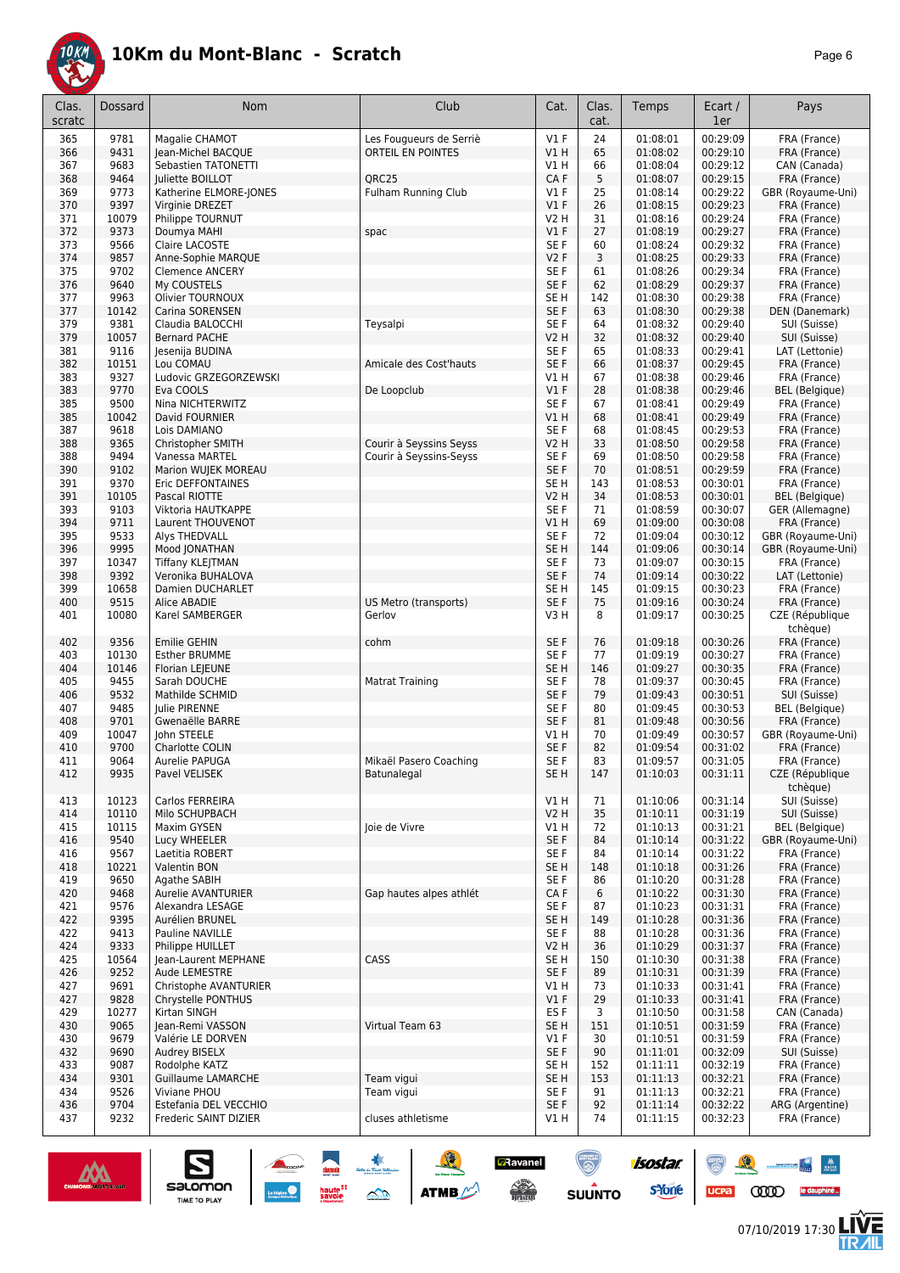

|--|--|

| Clas.<br>scratc | <b>Dossard</b> | Nom                                       | Club                    | Cat.                    | Clas.<br>cat. | Temps                | Ecart /<br>1er       | Pays                                   |
|-----------------|----------------|-------------------------------------------|-------------------------|-------------------------|---------------|----------------------|----------------------|----------------------------------------|
| 365             | 9781           | Magalie CHAMOT                            | Les Fougueurs de Serriè | $VI$ F                  | 24            | 01:08:01             | 00:29:09             | FRA (France)                           |
| 366             | 9431           | Jean-Michel BACQUE                        | ORTEIL EN POINTES       | V1H                     | 65            | 01:08:02             | 00:29:10             | FRA (France)                           |
| 367             | 9683           | Sebastien TATONETTI                       |                         | V1 H                    | 66            | 01:08:04             | 00:29:12             | CAN (Canada)                           |
| 368             | 9464           | Juliette BOILLOT                          | ORC <sub>25</sub>       | CA F                    | 5             | 01:08:07             | 00:29:15             | FRA (France)                           |
| 369<br>370      | 9773<br>9397   | Katherine ELMORE-JONES<br>Virginie DREZET | Fulham Running Club     | $VI$ F<br>V1F           | 25<br>26      | 01:08:14<br>01:08:15 | 00:29:22<br>00:29:23 | GBR (Royaume-Uni)<br>FRA (France)      |
| 371             | 10079          | Philippe TOURNUT                          |                         | V2 H                    | 31            | 01:08:16             | 00:29:24             | FRA (France)                           |
| 372             | 9373           | Doumya MAHI                               | spac                    | V1F                     | 27            | 01:08:19             | 00:29:27             | FRA (France)                           |
| 373             | 9566           | Claire LACOSTE                            |                         | SE <sub>F</sub>         | 60            | 01:08:24             | 00:29:32             | FRA (France)                           |
| 374             | 9857           | Anne-Sophie MARQUE                        |                         | V2F                     | 3             | 01:08:25             | 00:29:33             | FRA (France)                           |
| 375             | 9702           | <b>Clemence ANCERY</b>                    |                         | SE F                    | 61            | 01:08:26             | 00:29:34             | FRA (France)                           |
| 376             | 9640           | My COUSTELS                               |                         | SE F                    | 62            | 01:08:29             | 00:29:37             | FRA (France)                           |
| 377             | 9963           | Olivier TOURNOUX                          |                         | SE <sub>H</sub>         | 142           | 01:08:30             | 00:29:38             | FRA (France)                           |
| 377<br>379      | 10142<br>9381  | Carina SORENSEN<br>Claudia BALOCCHI       | Teysalpi                | SE F<br>SE F            | 63<br>64      | 01:08:30<br>01:08:32 | 00:29:38<br>00:29:40 | DEN (Danemark)<br>SUI (Suisse)         |
| 379             | 10057          | <b>Bernard PACHE</b>                      |                         | <b>V2 H</b>             | 32            | 01:08:32             | 00:29:40             | SUI (Suisse)                           |
| 381             | 9116           | Jesenija BUDINA                           |                         | SE F                    | 65            | 01:08:33             | 00:29:41             | LAT (Lettonie)                         |
| 382             | 10151          | Lou COMAU                                 | Amicale des Cost'hauts  | SE F                    | 66            | 01:08:37             | 00:29:45             | FRA (France)                           |
| 383             | 9327           | Ludovic GRZEGORZEWSKI                     |                         | V1 H                    | 67            | 01:08:38             | 00:29:46             | FRA (France)                           |
| 383             | 9770           | Eva COOLS                                 | De Loopclub             | $VI$ F                  | 28            | 01:08:38             | 00:29:46             | <b>BEL</b> (Belgique)                  |
| 385             | 9500           | Nina NICHTERWITZ                          |                         | SE F                    | 67            | 01:08:41             | 00:29:49             | FRA (France)                           |
| 385             | 10042<br>9618  | David FOURNIER<br>Lois DAMIANO            |                         | VIH                     | 68<br>68      | 01:08:41             | 00:29:49<br>00:29:53 | FRA (France)                           |
| 387<br>388      | 9365           | Christopher SMITH                         | Courir à Seyssins Seyss | SE F<br>V2 H            | 33            | 01:08:45<br>01:08:50 | 00:29:58             | FRA (France)<br>FRA (France)           |
| 388             | 9494           | Vanessa MARTEL                            | Courir à Seyssins-Seyss | SE F                    | 69            | 01:08:50             | 00:29:58             | FRA (France)                           |
| 390             | 9102           | Marion WUJEK MOREAU                       |                         | SE F                    | 70            | 01:08:51             | 00:29:59             | FRA (France)                           |
| 391             | 9370           | Eric DEFFONTAINES                         |                         | SE <sub>H</sub>         | 143           | 01:08:53             | 00:30:01             | FRA (France)                           |
| 391             | 10105          | Pascal RIOTTE                             |                         | <b>V2 H</b>             | 34            | 01:08:53             | 00:30:01             | <b>BEL</b> (Belgique)                  |
| 393             | 9103           | Viktoria HAUTKAPPE                        |                         | SE F                    | 71            | 01:08:59             | 00:30:07             | GER (Allemagne)                        |
| 394             | 9711           | <b>Laurent THOUVENOT</b>                  |                         | V1H                     | 69            | 01:09:00             | 00:30:08             | FRA (France)                           |
| 395             | 9533<br>9995   | Alys THEDVALL                             |                         | SE F<br>SE <sub>H</sub> | 72<br>144     | 01:09:04<br>01:09:06 | 00:30:12<br>00:30:14 | GBR (Royaume-Uni)<br>GBR (Royaume-Uni) |
| 396<br>397      | 10347          | Mood JONATHAN<br><b>Tiffany KLEJTMAN</b>  |                         | SE F                    | 73            | 01:09:07             | 00:30:15             | FRA (France)                           |
| 398             | 9392           | Veronika BUHALOVA                         |                         | SE F                    | 74            | 01:09:14             | 00:30:22             | LAT (Lettonie)                         |
| 399             | 10658          | Damien DUCHARLET                          |                         | SE <sub>H</sub>         | 145           | 01:09:15             | 00:30:23             | FRA (France)                           |
| 400             | 9515           | Alice ABADIE                              | US Metro (transports)   | SE F                    | 75            | 01:09:16             | 00:30:24             | FRA (France)                           |
| 401             | 10080          | Karel SAMBERGER                           | Gerlov                  | V3H                     | 8             | 01:09:17             | 00:30:25             | CZE (République                        |
|                 |                |                                           |                         |                         |               |                      |                      | tchèque)                               |
| 402             | 9356           | <b>Emilie GEHIN</b>                       | cohm                    | SE F                    | 76            | 01:09:18             | 00:30:26             | FRA (France)                           |
| 403<br>404      | 10130<br>10146 | <b>Esther BRUMME</b><br>Florian LEJEUNE   |                         | SE F<br>SE <sub>H</sub> | 77<br>146     | 01:09:19<br>01:09:27 | 00:30:27<br>00:30:35 | FRA (France)<br>FRA (France)           |
| 405             | 9455           | Sarah DOUCHE                              | <b>Matrat Training</b>  | SE <sub>F</sub>         | 78            | 01:09:37             | 00:30:45             | FRA (France)                           |
| 406             | 9532           | Mathilde SCHMID                           |                         | SE <sub>F</sub>         | 79            | 01:09:43             | 00:30:51             | SUI (Suisse)                           |
| 407             | 9485           | Julie PIRENNE                             |                         | SE <sub>F</sub>         | 80            | 01:09:45             | 00:30:53             | <b>BEL</b> (Belgique)                  |
| 408             | 9701           | Gwenaëlle BARRE                           |                         | SE F                    | 81            | 01:09:48             | 00:30:56             | FRA (France)                           |
| 409             | 10047          | John STEELE                               |                         | V1 H                    | 70            | 01:09:49             | 00:30:57             | GBR (Royaume-Uni)                      |
| 410             | 9700           | Charlotte COLIN                           |                         | SE F                    | 82            | 01:09:54             | 00:31:02             | FRA (France)                           |
| 411             | 9064           | Aurelie PAPUGA                            | Mikaël Pasero Coaching  | SE F                    | 83            | 01:09:57             | 00:31:05             | FRA (France)                           |
| 412             | 9935           | Pavel VELISEK                             | <b>Batunalegal</b>      | SE H                    | 147           | 01:10:03             | 00:31:11             | CZE (République<br>tchèque)            |
| 413             | 10123          | Carlos FERREIRA                           |                         | V1 H                    | 71            | 01:10:06             | 00:31:14             | SUI (Suisse)                           |
| 414             | 10110          | Milo SCHUPBACH                            |                         | <b>V2 H</b>             | 35            | 01:10:11             | 00:31:19             | SUI (Suisse)                           |
| 415             | 10115          | Maxim GYSEN                               | Joie de Vivre           | V1 H                    | 72            | 01:10:13             | 00:31:21             | <b>BEL</b> (Belgique)                  |
| 416             | 9540           | Lucy WHEELER                              |                         | SE F                    | 84            | 01:10:14             | 00:31:22             | GBR (Royaume-Uni)                      |
| 416             | 9567           | Laetitia ROBERT                           |                         | SE F                    | 84            | 01:10:14             | 00:31:22             | FRA (France)                           |
| 418<br>419      | 10221<br>9650  | Valentin BON<br>Agathe SABIH              |                         | SE <sub>H</sub><br>SE F | 148<br>86     | 01:10:18<br>01:10:20 | 00:31:26<br>00:31:28 | FRA (France)<br>FRA (France)           |
| 420             | 9468           | <b>Aurelie AVANTURIER</b>                 | Gap hautes alpes athlét | CA F                    | 6             | 01:10:22             | 00:31:30             | FRA (France)                           |
| 421             | 9576           | Alexandra LESAGE                          |                         | SE F                    | 87            | 01:10:23             | 00:31:31             | FRA (France)                           |
| 422             | 9395           | Aurélien BRUNEL                           |                         | SE H                    | 149           | 01:10:28             | 00:31:36             | FRA (France)                           |
| 422             | 9413           | Pauline NAVILLE                           |                         | SE F                    | 88            | 01:10:28             | 00:31:36             | FRA (France)                           |
| 424             | 9333           | Philippe HUILLET                          |                         | <b>V2 H</b>             | 36            | 01:10:29             | 00:31:37             | FRA (France)                           |
| 425             | 10564          | Jean-Laurent MEPHANE                      | CASS                    | SE H                    | 150           | 01:10:30             | 00:31:38             | FRA (France)                           |
| 426<br>427      | 9252<br>9691   | Aude LEMESTRE<br>Christophe AVANTURIER    |                         | SE F<br>V1 H            | 89<br>73      | 01:10:31<br>01:10:33 | 00:31:39<br>00:31:41 | FRA (France)<br>FRA (France)           |
| 427             | 9828           | Chrystelle PONTHUS                        |                         | $VI$ F                  | 29            | 01:10:33             | 00:31:41             | FRA (France)                           |
| 429             | 10277          | Kirtan SINGH                              |                         | ES F                    | 3             | 01:10:50             | 00:31:58             | CAN (Canada)                           |
| 430             | 9065           | Jean-Remi VASSON                          | Virtual Team 63         | SE <sub>H</sub>         | 151           | 01:10:51             | 00:31:59             | FRA (France)                           |
| 430             | 9679           | Valérie LE DORVEN                         |                         | $VI$ F                  | 30            | 01:10:51             | 00:31:59             | FRA (France)                           |
| 432             | 9690           | Audrey BISELX                             |                         | SE F                    | 90            | 01:11:01             | 00:32:09             | SUI (Suisse)                           |
| 433             | 9087           | Rodolphe KATZ                             |                         | SE H                    | 152           | 01:11:11             | 00:32:19             | FRA (France)                           |
| 434             | 9301           | Guillaume LAMARCHE                        | Team vigui              | SE H                    | 153           | 01:11:13             | 00:32:21             | FRA (France)                           |
| 434<br>436      | 9526<br>9704   | Viviane PHOU<br>Estefania DEL VECCHIO     | Team vigui              | SE F<br>SE F            | 91<br>92      | 01:11:13<br>01:11:14 | 00:32:21<br>00:32:22 | FRA (France)<br>ARG (Argentine)        |
| 437             | 9232           | Frederic SAINT DIZIER                     | cluses athletisme       | V1 H                    | 74            | 01:11:15             | 00:32:23             | FRA (France)                           |
|                 |                |                                           |                         |                         |               |                      |                      |                                        |

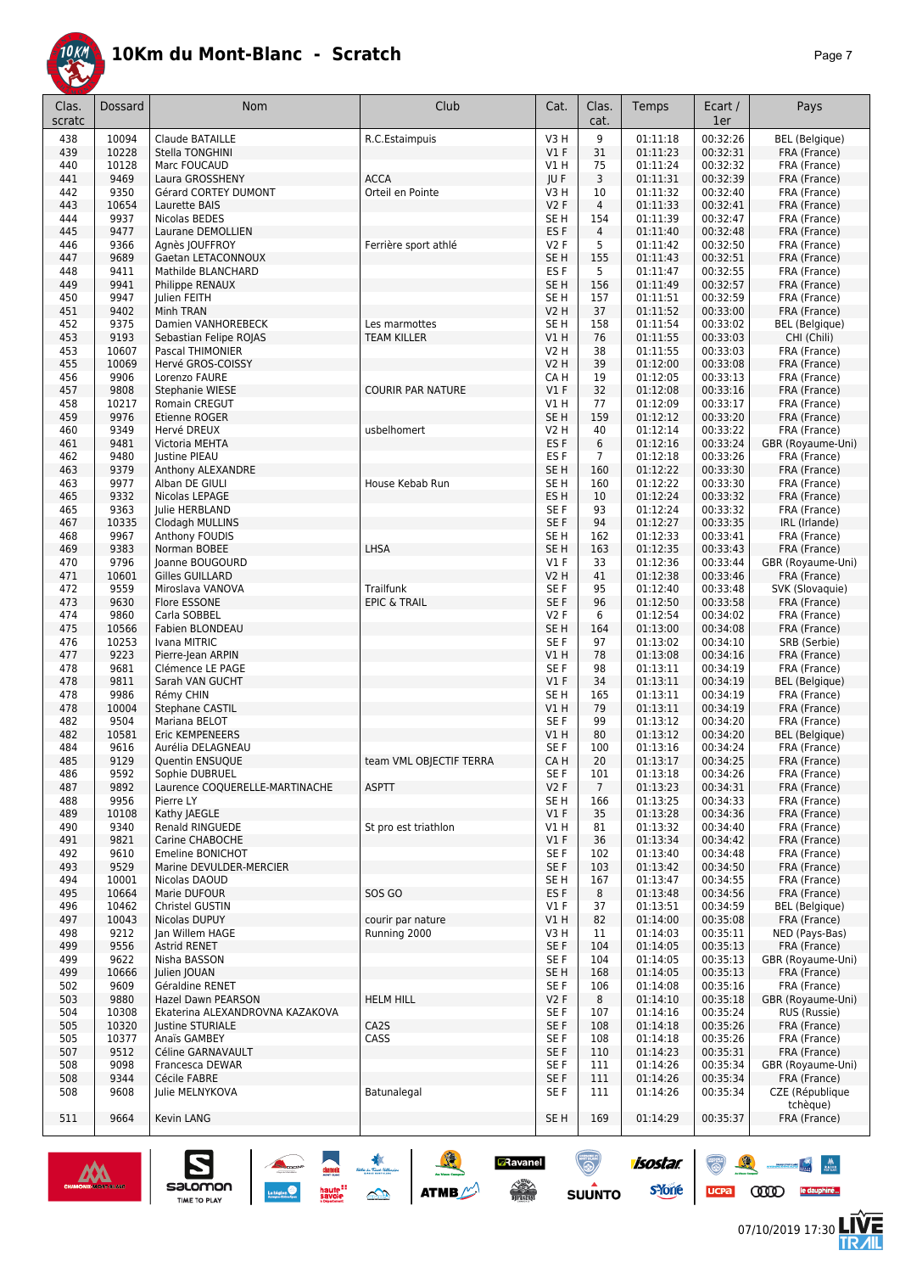

|--|--|

| Clas.<br>scratc | Dossard              | Nom                                                  | Club                                               | Cat.                    | Clas.<br>cat.       | Temps                | Ecart /<br>1er       | Pays                                 |
|-----------------|----------------------|------------------------------------------------------|----------------------------------------------------|-------------------------|---------------------|----------------------|----------------------|--------------------------------------|
| 438             | 10094                | <b>Claude BATAILLE</b>                               | R.C.Estaimpuis                                     | V3H                     | 9                   | 01:11:18             | 00:32:26             | <b>BEL</b> (Belgique)                |
| 439             | 10228                | Stella TONGHINI                                      |                                                    | V1F                     | 31                  | 01:11:23             | 00:32:31             | FRA (France)                         |
| 440             | 10128                | Marc FOUCAUD                                         |                                                    | VIH                     | 75                  | 01:11:24             | 00:32:32             | FRA (France)                         |
| 441             | 9469                 | Laura GROSSHENY                                      | <b>ACCA</b>                                        | JU F                    | 3                   | 01:11:31             | 00:32:39             | FRA (France)                         |
| 442             | 9350                 | Gérard CORTEY DUMONT                                 | Orteil en Pointe                                   | V3H                     | 10                  | 01:11:32             | 00:32:40             | FRA (France)                         |
| 443<br>444      | 10654<br>9937        | Laurette BAIS<br>Nicolas BEDES                       |                                                    | V2F<br>SE <sub>H</sub>  | 4<br>154            | 01:11:33<br>01:11:39 | 00:32:41<br>00:32:47 | FRA (France)<br>FRA (France)         |
| 445             | 9477                 | Laurane DEMOLLIEN                                    |                                                    | ES <sub>F</sub>         | $\overline{4}$      | 01:11:40             | 00:32:48             | FRA (France)                         |
| 446             | 9366                 | Agnès JOUFFROY                                       | Ferrière sport athlé                               | <b>V2F</b>              | 5                   | 01:11:42             | 00:32:50             | FRA (France)                         |
| 447             | 9689                 | Gaetan LETACONNOUX                                   |                                                    | SE <sub>H</sub>         | 155                 | 01:11:43             | 00:32:51             | FRA (France)                         |
| 448             | 9411                 | Mathilde BLANCHARD                                   |                                                    | ES <sub>F</sub>         | 5                   | 01:11:47             | 00:32:55             | FRA (France)                         |
| 449             | 9941                 | Philippe RENAUX                                      |                                                    | SE <sub>H</sub>         | 156                 | 01:11:49             | 00:32:57             | FRA (France)                         |
| 450             | 9947                 | Julien FEITH                                         |                                                    | SE <sub>H</sub>         | 157                 | 01:11:51             | 00:32:59             | FRA (France)                         |
| 451             | 9402                 | Minh TRAN                                            |                                                    | <b>V2 H</b>             | 37                  | 01:11:52             | 00:33:00             | FRA (France)                         |
| 452<br>453      | 9375<br>9193         | Damien VANHOREBECK<br>Sebastian Felipe ROJAS         | Les marmottes<br><b>TEAM KILLER</b>                | SE H<br>V1 H            | 158<br>76           | 01:11:54<br>01:11:55 | 00:33:02<br>00:33:03 | <b>BEL</b> (Belgique)<br>CHI (Chili) |
| 453             | 10607                | Pascal THIMONIER                                     |                                                    | <b>V2 H</b>             | 38                  | 01:11:55             | 00:33:03             | FRA (France)                         |
| 455             | 10069                | Hervé GROS-COISSY                                    |                                                    | <b>V2 H</b>             | 39                  | 01:12:00             | 00:33:08             | FRA (France)                         |
| 456             | 9906                 | Lorenzo FAURE                                        |                                                    | CA H                    | 19                  | 01:12:05             | 00:33:13             | FRA (France)                         |
| 457             | 9808                 | Stephanie WIESE                                      | <b>COURIR PAR NATURE</b>                           | V1F                     | 32                  | 01:12:08             | 00:33:16             | FRA (France)                         |
| 458             | 10217                | Romain CREGUT                                        |                                                    | V1H                     | 77                  | 01:12:09             | 00:33:17             | FRA (France)                         |
| 459             | 9976                 | Etienne ROGER                                        |                                                    | SE <sub>H</sub>         | 159                 | 01:12:12             | 00:33:20             | FRA (France)                         |
| 460             | 9349                 | Hervé DREUX                                          | usbelhomert                                        | V2 H                    | 40                  | 01:12:14             | 00:33:22             | FRA (France)                         |
| 461             | 9481<br>9480         | Victoria MEHTA                                       |                                                    | ES <sub>F</sub><br>ES F | 6<br>$\overline{7}$ | 01:12:16<br>01:12:18 | 00:33:24<br>00:33:26 | GBR (Royaume-Uni)                    |
| 462<br>463      | 9379                 | Justine PIEAU<br>Anthony ALEXANDRE                   |                                                    | SE <sub>H</sub>         | 160                 | 01:12:22             | 00:33:30             | FRA (France)<br>FRA (France)         |
| 463             | 9977                 | Alban DE GIULI                                       | House Kebab Run                                    | SE H                    | 160                 | 01:12:22             | 00:33:30             | FRA (France)                         |
| 465             | 9332                 | Nicolas LEPAGE                                       |                                                    | ES <sub>H</sub>         | 10                  | 01:12:24             | 00:33:32             | FRA (France)                         |
| 465             | 9363                 | Julie HERBLAND                                       |                                                    | SE F                    | 93                  | 01:12:24             | 00:33:32             | FRA (France)                         |
| 467             | 10335                | Clodagh MULLINS                                      |                                                    | SE F                    | 94                  | 01:12:27             | 00:33:35             | IRL (Irlande)                        |
| 468             | 9967                 | Anthony FOUDIS                                       |                                                    | SE <sub>H</sub>         | 162                 | 01:12:33             | 00:33:41             | FRA (France)                         |
| 469             | 9383                 | Norman BOBEE                                         | LHSA                                               | SE <sub>H</sub>         | 163                 | 01:12:35             | 00:33:43             | FRA (France)                         |
| 470             | 9796                 | Joanne BOUGOURD                                      |                                                    | $VI$ F                  | 33                  | 01:12:36             | 00:33:44             | GBR (Royaume-Uni)                    |
| 471             | 10601<br>9559        | <b>Gilles GUILLARD</b>                               | Trailfunk                                          | V2 H<br>SE <sub>F</sub> | 41<br>95            | 01:12:38<br>01:12:40 | 00:33:46<br>00:33:48 | FRA (France)<br>SVK (Slovaquie)      |
| 472<br>473      | 9630                 | Miroslava VANOVA<br>Flore ESSONE                     | <b>EPIC &amp; TRAIL</b>                            | SE F                    | 96                  | 01:12:50             | 00:33:58             | FRA (France)                         |
| 474             | 9860                 | Carla SOBBEL                                         |                                                    | <b>V2F</b>              | 6                   | 01:12:54             | 00:34:02             | FRA (France)                         |
| 475             | 10566                | Fabien BLONDEAU                                      |                                                    | SE <sub>H</sub>         | 164                 | 01:13:00             | 00:34:08             | FRA (France)                         |
| 476             | 10253                | Ivana MITRIC                                         |                                                    | SE F                    | 97                  | 01:13:02             | 00:34:10             | SRB (Serbie)                         |
| 477             | 9223                 | Pierre-Jean ARPIN                                    |                                                    | V1 H                    | 78                  | 01:13:08             | 00:34:16             | FRA (France)                         |
| 478             | 9681                 | Clémence LE PAGE                                     |                                                    | SE F                    | 98                  | 01:13:11             | 00:34:19             | FRA (France)                         |
| 478             | 9811                 | Sarah VAN GUCHT                                      |                                                    | $VI$ F                  | 34                  | 01:13:11             | 00:34:19             | <b>BEL</b> (Belgique)                |
| 478             | 9986<br>10004        | Rémy CHIN<br>Stephane CASTIL                         |                                                    | SE <sub>H</sub><br>V1 H | 165<br>79           | 01:13:11             | 00:34:19             | FRA (France)                         |
| 478<br>482      | 9504                 | Mariana BELOT                                        |                                                    | SE F                    | 99                  | 01:13:11<br>01:13:12 | 00:34:19<br>00:34:20 | FRA (France)<br>FRA (France)         |
| 482             | 10581                | Eric KEMPENEERS                                      |                                                    | V1H                     | 80                  | 01:13:12             | 00:34:20             | <b>BEL</b> (Belgique)                |
| 484             | 9616                 | Aurélia DELAGNEAU                                    |                                                    | SE F                    | 100                 | 01:13:16             | 00:34:24             | FRA (France)                         |
| 485             | 9129                 | Quentin ENSUQUE                                      | team VML OBJECTIF TERRA                            | CA H                    | 20                  | 01:13:17             | 00:34:25             | FRA (France)                         |
| 486             | 9592                 | Sophie DUBRUEL                                       |                                                    | SE <sub>F</sub>         | 101                 | 01:13:18             | 00:34:26             | FRA (France)                         |
| 487             | 9892                 | Laurence COQUERELLE-MARTINACHE                       | <b>ASPTT</b>                                       | V2F                     | $7\overline{ }$     | 01:13:23             | 00:34:31             | FRA (France)                         |
| 488             | 9956                 | Pierre LY                                            |                                                    | SE <sub>H</sub>         | 166                 | 01:13:25             | 00:34:33             | FRA (France)                         |
| 489             | 10108                | Kathy JAEGLE                                         | St pro est triathlon                               | $VI$ F                  | 35                  | 01:13:28             | 00:34:36             | FRA (France)                         |
| 490<br>491      | 9340<br>9821         | Renald RINGUEDE<br>Carine CHABOCHE                   |                                                    | V1 H<br>V1F             | 81<br>36            | 01:13:32<br>01:13:34 | 00:34:40<br>00:34:42 | FRA (France)<br>FRA (France)         |
| 492             | 9610                 | Emeline BONICHOT                                     |                                                    | SE F                    | 102                 | 01:13:40             | 00:34:48             | FRA (France)                         |
| 493             | 9529                 | Marine DEVULDER-MERCIER                              |                                                    | SE F                    | 103                 | 01:13:42             | 00:34:50             | FRA (France)                         |
| 494             | 10001                | Nicolas DAOUD                                        |                                                    | SE <sub>H</sub>         | 167                 | 01:13:47             | 00:34:55             | FRA (France)                         |
| 495             | 10664                | Marie DUFOUR                                         | SOS GO                                             | ES <sub>F</sub>         | 8                   | 01:13:48             | 00:34:56             | FRA (France)                         |
| 496             | 10462                | Christel GUSTIN                                      |                                                    | V1F                     | 37                  | 01:13:51             | 00:34:59             | <b>BEL</b> (Belgique)                |
| 497             | 10043                | Nicolas DUPUY                                        | courir par nature                                  | V1H                     | 82                  | 01:14:00             | 00:35:08             | FRA (France)                         |
| 498             | 9212                 | Jan Willem HAGE                                      | Running 2000                                       | V3 H                    | 11                  | 01:14:03<br>01:14:05 | 00:35:11             | NED (Pays-Bas)                       |
| 499<br>499      | 9556<br>9622         | <b>Astrid RENET</b><br>Nisha BASSON                  |                                                    | SE F<br>SE F            | 104<br>104          | 01:14:05             | 00:35:13<br>00:35:13 | FRA (France)<br>GBR (Royaume-Uni)    |
| 499             | 10666                | Julien JOUAN                                         |                                                    | SE H                    | 168                 | 01:14:05             | 00:35:13             | FRA (France)                         |
| 502             | 9609                 | Géraldine RENET                                      |                                                    | SE F                    | 106                 | 01:14:08             | 00:35:16             | FRA (France)                         |
| 503             | 9880                 | Hazel Dawn PEARSON                                   | <b>HELM HILL</b>                                   | V <sub>2</sub> F        | 8                   | 01:14:10             | 00:35:18             | GBR (Royaume-Uni)                    |
| 504             | 10308                | Ekaterina ALEXANDROVNA KAZAKOVA                      |                                                    | SE F                    | 107                 | 01:14:16             | 00:35:24             | RUS (Russie)                         |
| 505             | 10320                | <b>Justine STURIALE</b>                              | CA2S                                               | SE F                    | 108                 | 01:14:18             | 00:35:26             | FRA (France)                         |
| 505             | 10377                | Anaïs GAMBEY                                         | CASS                                               | SE F                    | 108                 | 01:14:18             | 00:35:26             | FRA (France)                         |
| 507             | 9512                 | Céline GARNAVAULT                                    |                                                    | SE F                    | 110                 | 01:14:23             | 00:35:31             | FRA (France)                         |
| 508<br>508      | 9098<br>9344         | Francesca DEWAR<br>Cécile FABRE                      |                                                    | SE F<br>SE F            | 111                 | 01:14:26<br>01:14:26 | 00:35:34<br>00:35:34 | GBR (Royaume-Uni)                    |
| 508             | 9608                 | Julie MELNYKOVA                                      | Batunalegal                                        | SE F                    | 111<br>111          | 01:14:26             | 00:35:34             | FRA (France)<br>CZE (République      |
|                 |                      |                                                      |                                                    |                         |                     |                      |                      | tchèque)                             |
| 511             | 9664                 | Kevin LANG                                           |                                                    | SE <sub>H</sub>         | 169                 | 01:14:29             | 00:35:37             | FRA (France)                         |
|                 |                      |                                                      |                                                    |                         |                     |                      |                      |                                      |
|                 | CHAMONIX-INCHT-BLANC | demok<br>salomon                                     | <b>A</b> Ravanel                                   |                         |                     | isostar.             |                      |                                      |
|                 |                      | haute <sup>11</sup><br>savoie<br><b>TIME TO PLAY</b> | $\frac{1}{\sqrt{2}}$<br><b>ATMB</b><br>$\triangle$ |                         | <b>SUUNTO</b>       | <b>s</b> Yone        | <b>UCPa</b>          | ooo                                  |



**ME<br>RAIL**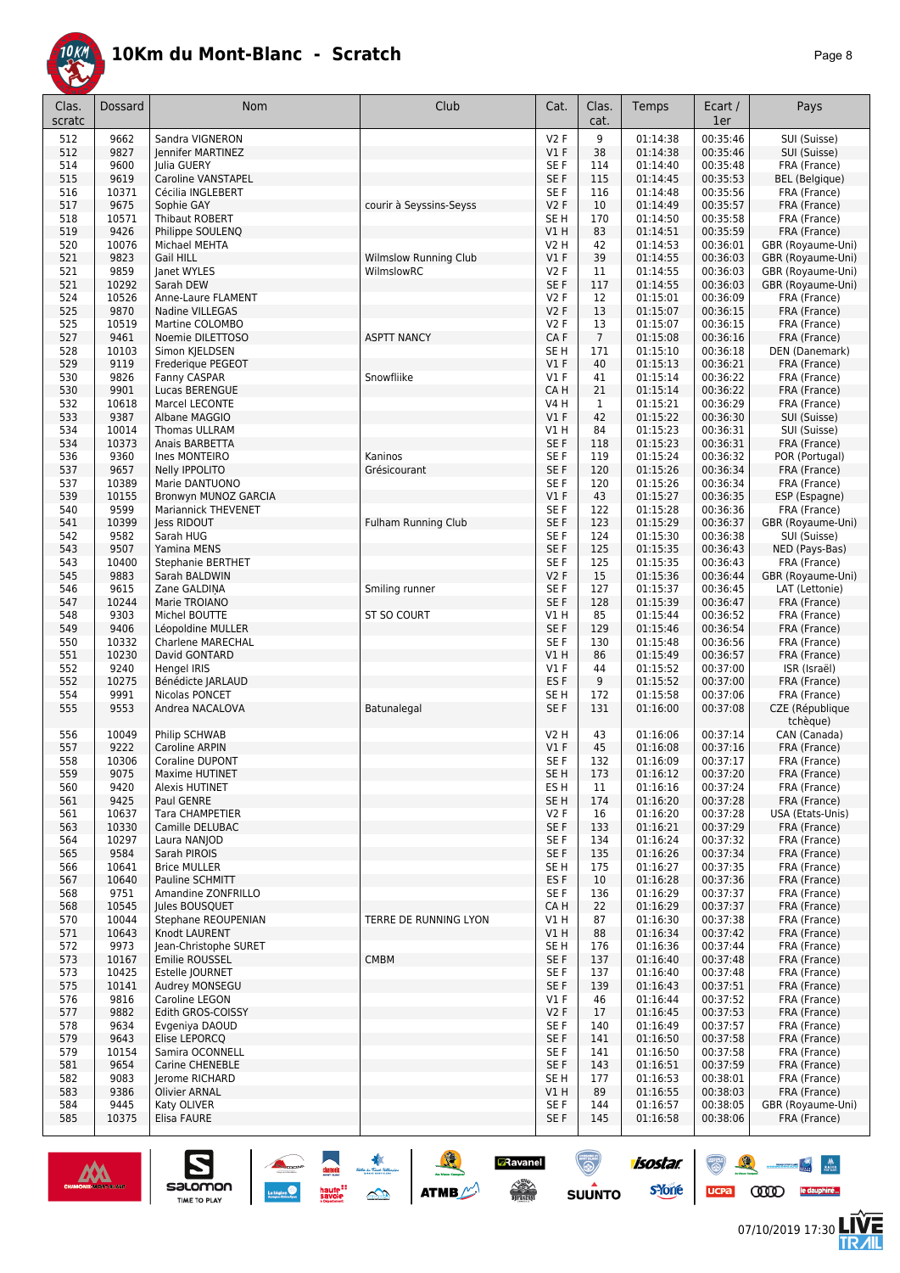

|--|--|

| Clas.<br>scratc | <b>Dossard</b> | Nom                                      | Club                       | Cat.                          | Clas.<br>cat.  | Temps                | Ecart /<br>1er       | Pays                              |
|-----------------|----------------|------------------------------------------|----------------------------|-------------------------------|----------------|----------------------|----------------------|-----------------------------------|
| 512             | 9662           | Sandra VIGNERON                          |                            | V2F                           | 9              | 01:14:38             | 00:35:46             | SUI (Suisse)                      |
| 512             | 9827           | Jennifer MARTINEZ                        |                            | $VI$ F                        | 38             | 01:14:38             | 00:35:46             | SUI (Suisse)                      |
| 514             | 9600           | Julia GUERY                              |                            | SE F                          | 114            | 01:14:40             | 00:35:48             | FRA (France)                      |
| 515             | 9619           | <b>Caroline VANSTAPEL</b>                |                            | SE F                          | 115            | 01:14:45             | 00:35:53             | <b>BEL</b> (Belgique)             |
| 516             | 10371          | Cécilia INGLEBERT                        |                            | SE F                          | 116            | 01:14:48             | 00:35:56             | FRA (France)                      |
| 517<br>518      | 9675<br>10571  | Sophie GAY<br>Thibaut ROBERT             | courir à Seyssins-Seyss    | <b>V2F</b><br>SE <sub>H</sub> | 10<br>170      | 01:14:49<br>01:14:50 | 00:35:57<br>00:35:58 | FRA (France)                      |
| 519             | 9426           | Philippe SOULENQ                         |                            | V1 H                          | 83             | 01:14:51             | 00:35:59             | FRA (France)<br>FRA (France)      |
| 520             | 10076          | Michael MEHTA                            |                            | V2 H                          | 42             | 01:14:53             | 00:36:01             | GBR (Royaume-Uni)                 |
| 521             | 9823           | Gail HILL                                | Wilmslow Running Club      | $VI$ F                        | 39             | 01:14:55             | 00:36:03             | GBR (Royaume-Uni)                 |
| 521             | 9859           | lanet WYLES                              | WilmslowRC                 | <b>V2F</b>                    | 11             | 01:14:55             | 00:36:03             | GBR (Royaume-Uni)                 |
| 521             | 10292          | Sarah DEW                                |                            | SE F                          | 117            | 01:14:55             | 00:36:03             | GBR (Royaume-Uni)                 |
| 524             | 10526          | Anne-Laure FLAMENT                       |                            | V2F                           | 12             | 01:15:01             | 00:36:09             | FRA (France)                      |
| 525             | 9870           | Nadine VILLEGAS                          |                            | <b>V2F</b>                    | 13             | 01:15:07             | 00:36:15             | FRA (France)                      |
| 525             | 10519          | Martine COLOMBO                          |                            | <b>V2F</b>                    | 13             | 01:15:07             | 00:36:15             | FRA (France)                      |
| 527             | 9461           | Noemie DILETTOSO                         | <b>ASPTT NANCY</b>         | CA F                          | $\overline{7}$ | 01:15:08             | 00:36:16             | FRA (France)                      |
| 528             | 10103          | Simon KJELDSEN                           |                            | SE <sub>H</sub>               | 171            | 01:15:10             | 00:36:18             | DEN (Danemark)                    |
| 529             | 9119           | Frederique PEGEOT                        |                            | $VI$ F                        | 40             | 01:15:13             | 00:36:21             | FRA (France)                      |
| 530<br>530      | 9826<br>9901   | Fanny CASPAR<br>Lucas BERENGUE           | Snowfliike                 | $VI$ F<br>CA H                | 41<br>21       | 01:15:14<br>01:15:14 | 00:36:22<br>00:36:22 | FRA (France)<br>FRA (France)      |
| 532             | 10618          | Marcel LECONTE                           |                            | V4 H                          | $\mathbf{1}$   | 01:15:21             | 00:36:29             | FRA (France)                      |
| 533             | 9387           | Albane MAGGIO                            |                            | $VI$ F                        | 42             | 01:15:22             | 00:36:30             | SUI (Suisse)                      |
| 534             | 10014          | <b>Thomas ULLRAM</b>                     |                            | V1 H                          | 84             | 01:15:23             | 00:36:31             | SUI (Suisse)                      |
| 534             | 10373          | Anais BARBETTA                           |                            | SE F                          | 118            | 01:15:23             | 00:36:31             | FRA (France)                      |
| 536             | 9360           | Ines MONTEIRO                            | Kaninos                    | SE F                          | 119            | 01:15:24             | 00:36:32             | POR (Portugal)                    |
| 537             | 9657           | <b>Nelly IPPOLITO</b>                    | Grésicourant               | SE F                          | 120            | 01:15:26             | 00:36:34             | FRA (France)                      |
| 537             | 10389          | Marie DANTUONO                           |                            | SE <sub>F</sub>               | 120            | 01:15:26             | 00:36:34             | FRA (France)                      |
| 539             | 10155          | Bronwyn MUNOZ GARCIA                     |                            | $VI$ F                        | 43             | 01:15:27             | 00:36:35             | ESP (Espagne)                     |
| 540             | 9599           | Mariannick THEVENET                      |                            | SE F                          | 122            | 01:15:28             | 00:36:36             | FRA (France)                      |
| 541             | 10399          | less RIDOUT                              | <b>Fulham Running Club</b> | SE F                          | 123            | 01:15:29             | 00:36:37             | GBR (Royaume-Uni)                 |
| 542             | 9582           | Sarah HUG                                |                            | SE F                          | 124            | 01:15:30             | 00:36:38             | SUI (Suisse)                      |
| 543<br>543      | 9507<br>10400  | Yamina MENS                              |                            | SE F<br>SE F                  | 125<br>125     | 01:15:35<br>01:15:35 | 00:36:43<br>00:36:43 | NED (Pays-Bas)<br>FRA (France)    |
| 545             | 9883           | Stephanie BERTHET<br>Sarah BALDWIN       |                            | V2 F                          | 15             | 01:15:36             | 00:36:44             | GBR (Royaume-Uni)                 |
| 546             | 9615           | Zane GALDINA                             | Smiling runner             | SE <sub>F</sub>               | 127            | 01:15:37             | 00:36:45             | LAT (Lettonie)                    |
| 547             | 10244          | Marie TROIANO                            |                            | SE F                          | 128            | 01:15:39             | 00:36:47             | FRA (France)                      |
| 548             | 9303           | Michel BOUTTE                            | ST SO COURT                | V1 H                          | 85             | 01:15:44             | 00:36:52             | FRA (France)                      |
| 549             | 9406           | Léopoldine MULLER                        |                            | SE F                          | 129            | 01:15:46             | 00:36:54             | FRA (France)                      |
| 550             | 10332          | Charlene MARECHAL                        |                            | SE F                          | 130            | 01:15:48             | 00:36:56             | FRA (France)                      |
| 551             | 10230          | David GONTARD                            |                            | V1 H                          | 86             | 01:15:49             | 00:36:57             | FRA (France)                      |
| 552             | 9240           | Hengel IRIS                              |                            | $VI$ F                        | 44             | 01:15:52             | 00:37:00             | ISR (Israël)                      |
| 552             | 10275          | Bénédicte JARLAUD                        |                            | ES F                          | 9              | 01:15:52             | 00:37:00             | FRA (France)                      |
| 554             | 9991           | Nicolas PONCET                           |                            | SE <sub>H</sub>               | 172            | 01:15:58             | 00:37:06             | FRA (France)                      |
| 555             | 9553           | Andrea NACALOVA                          | Batunalegal                | SE F                          | 131            | 01:16:00             | 00:37:08             | CZE (République<br>tchèque)       |
| 556<br>557      | 10049          | Philip SCHWAB                            |                            | V2 H                          | 43<br>45       | 01:16:06<br>01:16:08 | 00:37:14             | CAN (Canada)                      |
| 558             | 9222<br>10306  | Caroline ARPIN<br><b>Coraline DUPONT</b> |                            | $VI$ F<br>SE F                | 132            | 01:16:09             | 00:37:16<br>00:37:17 | FRA (France)<br>FRA (France)      |
| 559             | 9075           | Maxime HUTINET                           |                            | SE H                          | 173            | 01:16:12             | 00:37:20             | FRA (France)                      |
| 560             | 9420           | <b>Alexis HUTINET</b>                    |                            | ES H                          | 11             | 01:16:16             | 00:37:24             | FRA (France)                      |
| 561             | 9425           | Paul GENRE                               |                            | SE <sub>H</sub>               | 174            | 01:16:20             | 00:37:28             | FRA (France)                      |
| 561             | 10637          | <b>Tara CHAMPETIER</b>                   |                            | V2F                           | 16             | 01:16:20             | 00:37:28             | USA (Etats-Unis)                  |
| 563             | 10330          | Camille DELUBAC                          |                            | SE F                          | 133            | 01:16:21             | 00:37:29             | FRA (France)                      |
| 564             | 10297          | Laura NANJOD                             |                            | SE F                          | 134            | 01:16:24             | 00:37:32             | FRA (France)                      |
| 565             | 9584           | Sarah PIROIS                             |                            | SE F                          | 135            | 01:16:26             | 00:37:34             | FRA (France)                      |
| 566             | 10641          | <b>Brice MULLER</b>                      |                            | SE H                          | 175            | 01:16:27             | 00:37:35             | FRA (France)                      |
| 567             | 10640          | Pauline SCHMITT                          |                            | ES <sub>F</sub>               | 10             | 01:16:28             | 00:37:36             | FRA (France)                      |
| 568             | 9751           | Amandine ZONFRILLO                       |                            | SE F                          | 136            | 01:16:29<br>01:16:29 | 00:37:37             | FRA (France)                      |
| 568<br>570      | 10545<br>10044 | Jules BOUSQUET<br>Stephane REOUPENIAN    | TERRE DE RUNNING LYON      | CA H<br>V1 H                  | 22<br>87       | 01:16:30             | 00:37:37<br>00:37:38 | FRA (France)<br>FRA (France)      |
| 571             | 10643          | Knodt LAURENT                            |                            | V1H                           | 88             | 01:16:34             | 00:37:42             | FRA (France)                      |
| 572             | 9973           | Jean-Christophe SURET                    |                            | SE H                          | 176            | 01:16:36             | 00:37:44             | FRA (France)                      |
| 573             | 10167          | Emilie ROUSSEL                           | <b>CMBM</b>                | SE F                          | 137            | 01:16:40             | 00:37:48             | FRA (France)                      |
| 573             | 10425          | Estelle JOURNET                          |                            | SE F                          | 137            | 01:16:40             | 00:37:48             | FRA (France)                      |
| 575             | 10141          | Audrey MONSEGU                           |                            | SE F                          | 139            | 01:16:43             | 00:37:51             | FRA (France)                      |
| 576             | 9816           | Caroline LEGON                           |                            | $VI$ F                        | 46             | 01:16:44             | 00:37:52             | FRA (France)                      |
| 577             | 9882           | Edith GROS-COISSY                        |                            | V2F                           | 17             | 01:16:45             | 00:37:53             | FRA (France)                      |
| 578             | 9634           | Evgeniya DAOUD                           |                            | SE F                          | 140            | 01:16:49             | 00:37:57             | FRA (France)                      |
| 579             | 9643           | Elise LEPORCQ                            |                            | SE F                          | 141            | 01:16:50             | 00:37:58             | FRA (France)                      |
| 579             | 10154          | Samira OCONNELL                          |                            | SE F                          | 141            | 01:16:50             | 00:37:58             | FRA (France)                      |
| 581             | 9654           | <b>Carine CHENEBLE</b>                   |                            | SE F                          | 143            | 01:16:51             | 00:37:59             | FRA (France)                      |
| 582             | 9083           | Jerome RICHARD                           |                            | SE H                          | 177<br>89      | 01:16:53             | 00:38:01             | FRA (France)                      |
| 583<br>584      | 9386<br>9445   | Olivier ARNAL<br>Katy OLIVER             |                            | V1H<br>SE F                   | 144            | 01:16:55<br>01:16:57 | 00:38:03<br>00:38:05 | FRA (France)<br>GBR (Royaume-Uni) |
| 585             | 10375          | Elisa FAURE                              |                            | SE F                          | 145            | 01:16:58             | 00:38:06             | FRA (France)                      |
|                 |                |                                          |                            |                               |                |                      |                      |                                   |

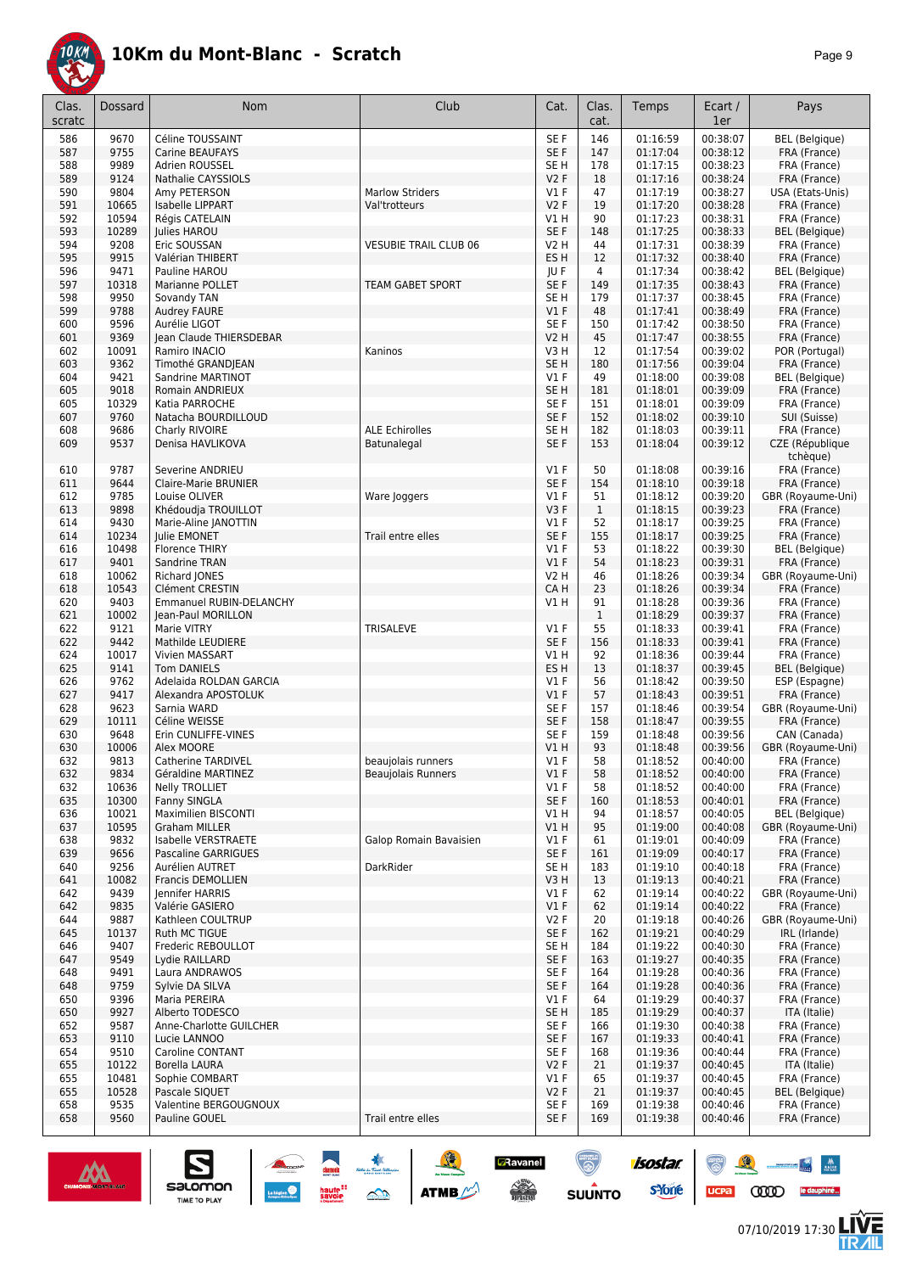

| Clas.      | <b>Dossard</b> | Nom                                    | Club                         | Cat.               | Clas.<br>cat. | Temps                | Ecart /<br>1er       | Pays                                  |
|------------|----------------|----------------------------------------|------------------------------|--------------------|---------------|----------------------|----------------------|---------------------------------------|
| scratc     |                |                                        |                              |                    |               |                      |                      |                                       |
| 586        | 9670           | Céline TOUSSAINT                       |                              | SE <sub>F</sub>    | 146           | 01:16:59             | 00:38:07             | <b>BEL</b> (Belgique)                 |
| 587        | 9755           | Carine BEAUFAYS                        |                              | SE F               | 147           | 01:17:04             | 00:38:12             | FRA (France)                          |
| 588        | 9989           | Adrien ROUSSEL                         |                              | SE <sub>H</sub>    | 178           | 01:17:15             | 00:38:23             | FRA (France)                          |
| 589        | 9124<br>9804   | Nathalie CAYSSIOLS                     | <b>Marlow Striders</b>       | V2F                | 18            | 01:17:16<br>01:17:19 | 00:38:24<br>00:38:27 | FRA (France)<br>USA (Etats-Unis)      |
| 590<br>591 | 10665          | Amy PETERSON<br>Isabelle LIPPART       | Val'trotteurs                | <b>V1 F</b><br>V2F | 47<br>19      | 01:17:20             | 00:38:28             | FRA (France)                          |
| 592        | 10594          | Régis CATELAIN                         |                              | V1 H               | 90            | 01:17:23             | 00:38:31             | FRA (France)                          |
| 593        | 10289          | Julies HAROU                           |                              | SE F               | 148           | 01:17:25             | 00:38:33             | <b>BEL</b> (Belgique)                 |
| 594        | 9208           | Eric SOUSSAN                           | <b>VESUBIE TRAIL CLUB 06</b> | V2 H               | 44            | 01:17:31             | 00:38:39             | FRA (France)                          |
| 595        | 9915           | Valérian THIBERT                       |                              | ES <sub>H</sub>    | 12            | 01:17:32             | 00:38:40             | FRA (France)                          |
| 596        | 9471           | Pauline HAROU                          |                              | JU F               | 4             | 01:17:34             | 00:38:42             | <b>BEL</b> (Belgique)                 |
| 597        | 10318          | Marianne POLLET                        | <b>TEAM GABET SPORT</b>      | SE F               | 149           | 01:17:35             | 00:38:43             | FRA (France)                          |
| 598        | 9950           | Sovandy TAN                            |                              | SE H               | 179           | 01:17:37             | 00:38:45             | FRA (France)                          |
| 599        | 9788           | <b>Audrey FAURE</b>                    |                              | V1F                | 48            | 01:17:41             | 00:38:49             | FRA (France)                          |
| 600        | 9596           | Aurélie LIGOT                          |                              | SE F               | 150           | 01:17:42             | 00:38:50             | FRA (France)                          |
| 601        | 9369           | Jean Claude THIERSDEBAR                |                              | <b>V2 H</b>        | 45            | 01:17:47             | 00:38:55             | FRA (France)                          |
| 602        | 10091          | Ramiro INACIO                          | Kaninos                      | V3 H               | 12            | 01:17:54             | 00:39:02             | POR (Portugal)                        |
| 603        | 9362           | Timothé GRANDJEAN                      |                              | SE <sub>H</sub>    | 180           | 01:17:56             | 00:39:04             | FRA (France)                          |
| 604        | 9421           | Sandrine MARTINOT                      |                              | $VI$ F             | 49            | 01:18:00             | 00:39:08             | BEL (Belgique)                        |
| 605        | 9018           | Romain ANDRIEUX                        |                              | SE <sub>H</sub>    | 181           | 01:18:01             | 00:39:09             | FRA (France)                          |
| 605        | 10329          | Katia PARROCHE                         |                              | SE F               | 151           | 01:18:01             | 00:39:09             | FRA (France)                          |
| 607        | 9760           | Natacha BOURDILLOUD                    |                              | SE F               | 152           | 01:18:02             | 00:39:10             | SUI (Suisse)                          |
| 608        | 9686           | Charly RIVOIRE                         | <b>ALE Echirolles</b>        | SE H               | 182           | 01:18:03             | 00:39:11             | FRA (France)                          |
| 609        | 9537           | Denisa HAVLIKOVA                       | Batunalegal                  | SE <sub>F</sub>    | 153           | 01:18:04             | 00:39:12             | CZE (République                       |
|            |                |                                        |                              |                    |               |                      |                      | tchèque)                              |
| 610        | 9787           | Severine ANDRIEU                       |                              | <b>V1 F</b>        | 50            | 01:18:08             | 00:39:16             | FRA (France)                          |
| 611        | 9644           | Claire-Marie BRUNIER                   |                              | SE F               | 154           | 01:18:10             | 00:39:18             | FRA (France)                          |
| 612        | 9785           | Louise OLIVER                          | Ware Joggers                 | $VI$ F             | 51            | 01:18:12             | 00:39:20             | GBR (Royaume-Uni)                     |
| 613        | 9898           | Khédoudja TROUILLOT                    |                              | V3F                | $\mathbf{1}$  | 01:18:15             | 00:39:23             | FRA (France)                          |
| 614        | 9430           | Marie-Aline JANOTTIN                   |                              | $VI$ F             | 52            | 01:18:17             | 00:39:25             | FRA (France)                          |
| 614        | 10234<br>10498 | Julie EMONET                           | Trail entre elles            | SE F<br>$VI$ F     | 155<br>53     | 01:18:17<br>01:18:22 | 00:39:25<br>00:39:30 | FRA (France)<br><b>BEL</b> (Belgique) |
| 616<br>617 | 9401           | Florence THIRY                         |                              | $VI$ F             | 54            |                      |                      |                                       |
| 618        | 10062          | Sandrine TRAN<br>Richard JONES         |                              | V2 H               | 46            | 01:18:23<br>01:18:26 | 00:39:31<br>00:39:34 | FRA (France)<br>GBR (Royaume-Uni)     |
| 618        | 10543          | Clément CRESTIN                        |                              | CA H               | 23            | 01:18:26             | 00:39:34             | FRA (France)                          |
| 620        | 9403           | Emmanuel RUBIN-DELANCHY                |                              | V1 H               | 91            | 01:18:28             | 00:39:36             | FRA (France)                          |
| 621        | 10002          | Jean-Paul MORILLON                     |                              |                    | $\mathbf{1}$  | 01:18:29             | 00:39:37             | FRA (France)                          |
| 622        | 9121           | Marie VITRY                            | <b>TRISALEVE</b>             | $VI$ F             | 55            | 01:18:33             | 00:39:41             | FRA (France)                          |
| 622        | 9442           | Mathilde LEUDIERE                      |                              | SE F               | 156           | 01:18:33             | 00:39:41             | FRA (France)                          |
| 624        | 10017          | Vivien MASSART                         |                              | V1 H               | 92            | 01:18:36             | 00:39:44             | FRA (France)                          |
| 625        | 9141           | <b>Tom DANIELS</b>                     |                              | ES <sub>H</sub>    | 13            | 01:18:37             | 00:39:45             | <b>BEL</b> (Belgique)                 |
| 626        | 9762           | Adelaida ROLDAN GARCIA                 |                              | <b>V1 F</b>        | 56            | 01:18:42             | 00:39:50             | ESP (Espagne)                         |
| 627        | 9417           | Alexandra APOSTOLUK                    |                              | V1F                | 57            | 01:18:43             | 00:39:51             | FRA (France)                          |
| 628        | 9623           | Sarnia WARD                            |                              | SE F               | 157           | 01:18:46             | 00:39:54             | GBR (Royaume-Uni)                     |
| 629        | 10111          | Céline WEISSE                          |                              | SE F               | 158           | 01:18:47             | 00:39:55             | FRA (France)                          |
| 630        | 9648           | Erin CUNLIFFE-VINES                    |                              | SE F               | 159           | 01:18:48             | 00:39:56             | CAN (Canada)                          |
| 630        | 10006          | Alex MOORE                             |                              | V1 H               | 93            | 01:18:48             | 00:39:56             | GBR (Royaume-Uni)                     |
| 632        | 9813           | <b>Catherine TARDIVEL</b>              | beaujolais runners           | <b>V1 F</b>        | 58            | 01:18:52             | 00:40:00             | FRA (France)                          |
| 632        | 9834           | Géraldine MARTINEZ                     | <b>Beaujolais Runners</b>    | $VI$ F             | 58            | 01:18:52             | 00:40:00             | FRA (France)                          |
| 632        | 10636          | <b>Nelly TROLLIET</b>                  |                              | $VI$ F             | 58            | 01:18:52             | 00:40:00             | FRA (France)                          |
| 635        | 10300          | Fanny SINGLA                           |                              | SE F               | 160           | 01:18:53             | 00:40:01             | FRA (France)                          |
| 636        | 10021          | Maximilien BISCONTI                    |                              | V1 H               | 94            | 01:18:57             | 00:40:05             | BEL (Belgique)                        |
| 637        | 10595          | <b>Graham MILLER</b>                   |                              | V1H                | 95            | 01:19:00             | 00:40:08             | GBR (Royaume-Uni)                     |
| 638        | 9832           | Isabelle VERSTRAETE                    | Galop Romain Bavaisien       | $VI$ F<br>SE F     | 61            | 01:19:01             | 00:40:09             | FRA (France)<br>FRA (France)          |
| 639<br>640 | 9656<br>9256   | Pascaline GARRIGUES<br>Aurélien AUTRET | DarkRider                    | SE H               | 161<br>183    | 01:19:09<br>01:19:10 | 00:40:17<br>00:40:18 | FRA (France)                          |
| 641        | 10082          | Francis DEMOLLIEN                      |                              | V3H                | 13            | 01:19:13             | 00:40:21             | FRA (France)                          |
| 642        | 9439           | Jennifer HARRIS                        |                              | $VI$ F             | 62            | 01:19:14             | 00:40:22             | GBR (Royaume-Uni)                     |
| 642        | 9835           | Valérie GASIERO                        |                              | $VI$ F             | 62            | 01:19:14             | 00:40:22             | FRA (France)                          |
| 644        | 9887           | Kathleen COULTRUP                      |                              | V2F                | 20            | 01:19:18             | 00:40:26             | GBR (Royaume-Uni)                     |
| 645        | 10137          | Ruth MC TIGUE                          |                              | SE F               | 162           | 01:19:21             | 00:40:29             | IRL (Irlande)                         |
| 646        | 9407           | Frederic REBOULLOT                     |                              | SE H               | 184           | 01:19:22             | 00:40:30             | FRA (France)                          |
| 647        | 9549           | Lydie RAILLARD                         |                              | SE F               | 163           | 01:19:27             | 00:40:35             | FRA (France)                          |
| 648        | 9491           | Laura ANDRAWOS                         |                              | SE F               | 164           | 01:19:28             | 00:40:36             | FRA (France)                          |
| 648        | 9759           | Sylvie DA SILVA                        |                              | SE F               | 164           | 01:19:28             | 00:40:36             | FRA (France)                          |
| 650        | 9396           | Maria PEREIRA                          |                              | $VI$ F             | 64            | 01:19:29             | 00:40:37             | FRA (France)                          |
| 650        | 9927           | Alberto TODESCO                        |                              | SE <sub>H</sub>    | 185           | 01:19:29             | 00:40:37             | ITA (Italie)                          |
| 652        | 9587           | Anne-Charlotte GUILCHER                |                              | SE F               | 166           | 01:19:30             | 00:40:38             | FRA (France)                          |
| 653        | 9110           | Lucie LANNOO                           |                              | SE F               | 167           | 01:19:33             | 00:40:41             | FRA (France)                          |
| 654        | 9510           | Caroline CONTANT                       |                              | SE F               | 168           | 01:19:36             | 00:40:44             | FRA (France)                          |
| 655        | 10122          | Borella LAURA                          |                              | V2F                | 21            | 01:19:37             | 00:40:45             | ITA (Italie)                          |
| 655        | 10481          | Sophie COMBART                         |                              | $VI$ F             | 65            | 01:19:37             | 00:40:45             | FRA (France)                          |
| 655        | 10528          | Pascale SIQUET                         |                              | V2F                | 21            | 01:19:37             | 00:40:45             | BEL (Belgique)                        |
| 658        | 9535           | Valentine BERGOUGNOUX                  |                              | SE F               | 169           | 01:19:38             | 00:40:46             | FRA (France)                          |
| 658        | 9560           | Pauline GOUEL                          | Trail entre elles            | SE F               | 169           | 01:19:38             | 00:40:46             | FRA (France)                          |



 $\sum_{\text{SALOMOM}}$ 

**A A A ATTACK** 

**D**Ravanel

 $\begin{picture}(180,10) \put(0,0){\line(1,0){15}} \put(10,0){\line(1,0){15}} \put(10,0){\line(1,0){15}} \put(10,0){\line(1,0){15}} \put(10,0){\line(1,0){15}} \put(10,0){\line(1,0){15}} \put(10,0){\line(1,0){15}} \put(10,0){\line(1,0){15}} \put(10,0){\line(1,0){15}} \put(10,0){\line(1,0){15}} \put(10,0){\line(1,0){15}} \put(10,0){\line($ 

 $\odot$ 

**SUUNTO** 

isostar.

**s**Yone

UCPa **COD** le dauphiné...

 $\begin{array}{c|c} \textbf{M} & \textbf{M} \\ \textbf{M} & \textbf{M} \end{array}$ 

怎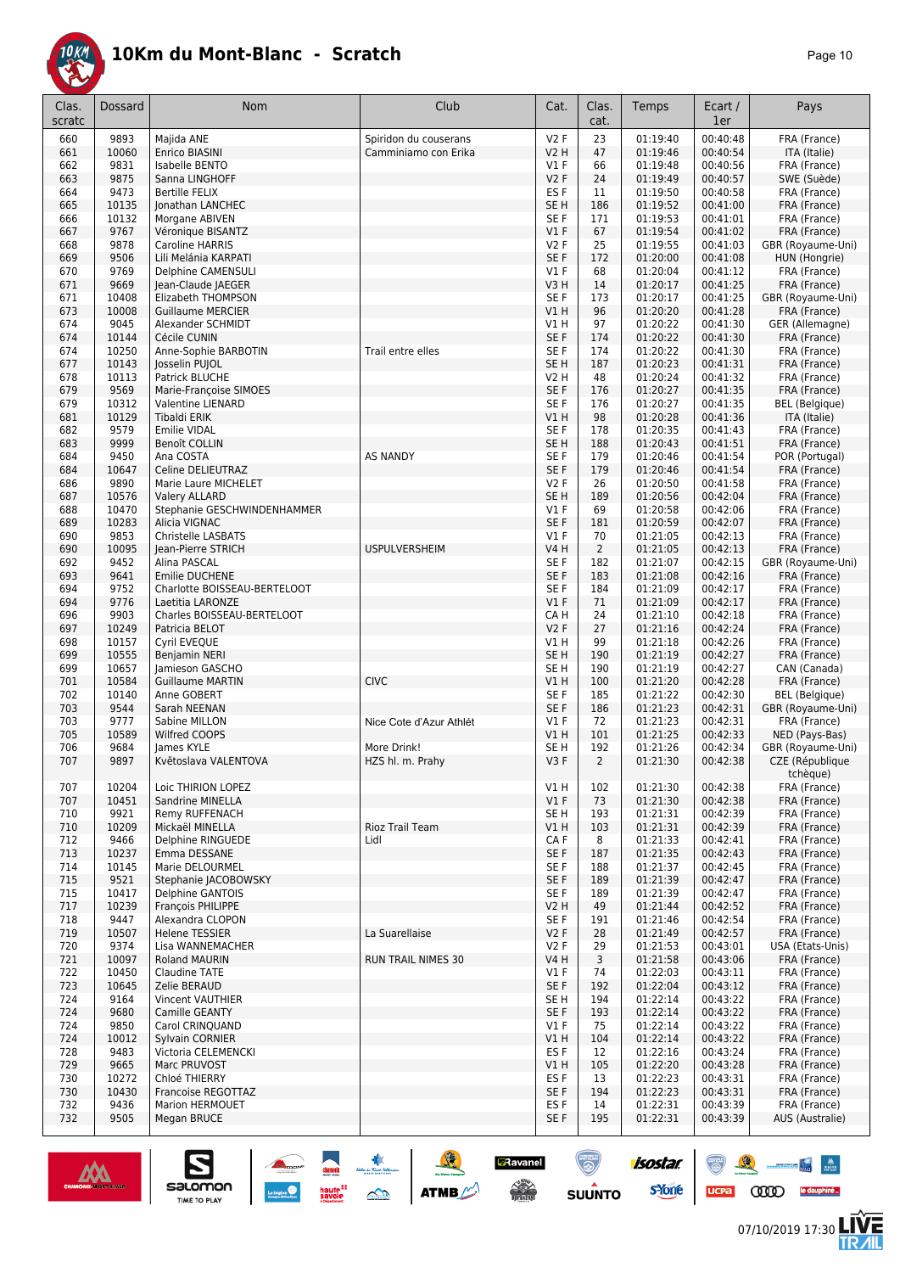

| Clas.<br>scratc | Dossard        | Nom                                            | Club                      | Cat.                 | Clas.<br>cat.  | Temps                | Ecart /<br>1er       | Pays                              |
|-----------------|----------------|------------------------------------------------|---------------------------|----------------------|----------------|----------------------|----------------------|-----------------------------------|
| 660             | 9893           | Majida ANE                                     | Spiridon du couserans     | V2F                  | 23             | 01:19:40             | 00:40:48             | FRA (France)                      |
| 661             | 10060          | Enrico BIASINI                                 | Camminiamo con Erika      | V2 H                 | 47             | 01:19:46             | 00:40:54             | ITA (Italie)                      |
| 662             | 9831           | Isabelle BENTO                                 |                           | $VI$ F               | 66             | 01:19:48             | 00:40:56             | FRA (France)                      |
| 663             | 9875           | Sanna LINGHOFF                                 |                           | <b>V2F</b>           | 24             | 01:19:49             | 00:40:57             | SWE (Suède)                       |
| 664             | 9473           | <b>Bertille FELIX</b>                          |                           | ES <sub>F</sub>      | 11             | 01:19:50             | 00:40:58             | FRA (France)                      |
| 665             | 10135          | Jonathan LANCHEC                               |                           | SE <sub>H</sub>      | 186            | 01:19:52             | 00:41:00             | FRA (France)                      |
| 666             | 10132<br>9767  | Morgane ABIVEN                                 |                           | SE <sub>F</sub>      | 171<br>67      | 01:19:53             | 00:41:01             | FRA (France)                      |
| 667<br>668      | 9878           | Véronique BISANTZ<br><b>Caroline HARRIS</b>    |                           | $VI$ F<br><b>V2F</b> | 25             | 01:19:54<br>01:19:55 | 00:41:02<br>00:41:03 | FRA (France)<br>GBR (Royaume-Uni) |
| 669             | 9506           | Lili Melánia KARPATI                           |                           | SE F                 | 172            | 01:20:00             | 00:41:08             | HUN (Hongrie)                     |
| 670             | 9769           | Delphine CAMENSULI                             |                           | $VI$ F               | 68             | 01:20:04             | 00:41:12             | FRA (France)                      |
| 671             | 9669           | Jean-Claude JAEGER                             |                           | V3H                  | 14             | 01:20:17             | 00:41:25             | FRA (France)                      |
| 671             | 10408          | Elizabeth THOMPSON                             |                           | SE F                 | 173            | 01:20:17             | 00:41:25             | GBR (Royaume-Uni)                 |
| 673             | 10008          | <b>Guillaume MERCIER</b>                       |                           | V1 H                 | 96             | 01:20:20             | 00:41:28             | FRA (France)                      |
| 674             | 9045           | Alexander SCHMIDT                              |                           | V1 H                 | 97             | 01:20:22             | 00:41:30             | GER (Allemagne)                   |
| 674             | 10144<br>10250 | Cécile CUNIN                                   |                           | SE F<br>SE F         | 174<br>174     | 01:20:22             | 00:41:30<br>00:41:30 | FRA (France)                      |
| 674<br>677      | 10143          | Anne-Sophie BARBOTIN<br>Josselin PUJOL         | Trail entre elles         | SE <sub>H</sub>      | 187            | 01:20:22<br>01:20:23 | 00:41:31             | FRA (France)<br>FRA (France)      |
| 678             | 10113          | Patrick BLUCHE                                 |                           | V2 H                 | 48             | 01:20:24             | 00:41:32             | FRA (France)                      |
| 679             | 9569           | Marie-Françoise SIMOES                         |                           | SE <sub>F</sub>      | 176            | 01:20:27             | 00:41:35             | FRA (France)                      |
| 679             | 10312          | <b>Valentine LIENARD</b>                       |                           | SE F                 | 176            | 01:20:27             | 00:41:35             | <b>BEL</b> (Belgique)             |
| 681             | 10129          | Tibaldi ERIK                                   |                           | V1 H                 | 98             | 01:20:28             | 00:41:36             | ITA (Italie)                      |
| 682             | 9579           | <b>Emilie VIDAL</b>                            |                           | SE F                 | 178            | 01:20:35             | 00:41:43             | FRA (France)                      |
| 683             | 9999           | Benoît COLLIN                                  |                           | SE H                 | 188            | 01:20:43             | 00:41:51             | FRA (France)                      |
| 684             | 9450           | Ana COSTA                                      | <b>AS NANDY</b>           | SE F                 | 179            | 01:20:46             | 00:41:54             | POR (Portugal)                    |
| 684<br>686      | 10647<br>9890  | Celine DELIEUTRAZ                              |                           | SE F<br>V2F          | 179<br>26      | 01:20:46             | 00:41:54<br>00:41:58 | FRA (France)                      |
| 687             | 10576          | Marie Laure MICHELET<br><b>Valery ALLARD</b>   |                           | SE <sub>H</sub>      | 189            | 01:20:50<br>01:20:56 | 00:42:04             | FRA (France)<br>FRA (France)      |
| 688             | 10470          | Stephanie GESCHWINDENHAMMER                    |                           | $VI$ F               | 69             | 01:20:58             | 00:42:06             | FRA (France)                      |
| 689             | 10283          | Alicia VIGNAC                                  |                           | SE F                 | 181            | 01:20:59             | 00:42:07             | FRA (France)                      |
| 690             | 9853           | Christelle LASBATS                             |                           | $VI$ F               | 70             | 01:21:05             | 00:42:13             | FRA (France)                      |
| 690             | 10095          | Jean-Pierre STRICH                             | <b>USPULVERSHEIM</b>      | V4 H                 | $\overline{2}$ | 01:21:05             | 00:42:13             | FRA (France)                      |
| 692             | 9452           | Alina PASCAL                                   |                           | SE F                 | 182            | 01:21:07             | 00:42:15             | GBR (Royaume-Uni)                 |
| 693             | 9641           | <b>Emilie DUCHENE</b>                          |                           | SE F                 | 183            | 01:21:08             | 00:42:16             | FRA (France)                      |
| 694             | 9752           | Charlotte BOISSEAU-BERTELOOT                   |                           | SE F                 | 184            | 01:21:09             | 00:42:17             | FRA (France)                      |
| 694<br>696      | 9776<br>9903   | Laetitia LARONZE<br>Charles BOISSEAU-BERTELOOT |                           | $VI$ F<br>CA H       | 71<br>24       | 01:21:09<br>01:21:10 | 00:42:17<br>00:42:18 | FRA (France)<br>FRA (France)      |
| 697             | 10249          | Patricia BELOT                                 |                           | V2 F                 | 27             | 01:21:16             | 00:42:24             | FRA (France)                      |
| 698             | 10157          | Cyril EVEQUE                                   |                           | V1 H                 | 99             | 01:21:18             | 00:42:26             | FRA (France)                      |
| 699             | 10555          | Benjamin NERI                                  |                           | SE H                 | 190            | 01:21:19             | 00:42:27             | FRA (France)                      |
| 699             | 10657          | Jamieson GASCHO                                |                           | SE H                 | 190            | 01:21:19             | 00:42:27             | CAN (Canada)                      |
| 701             | 10584          | <b>Guillaume MARTIN</b>                        | <b>CIVC</b>               | VIH                  | 100            | 01:21:20             | 00:42:28             | FRA (France)                      |
| 702             | 10140          | Anne GOBERT                                    |                           | SE F                 | 185            | 01:21:22             | 00:42:30             | <b>BEL</b> (Belgique)             |
| 703             | 9544           | Sarah NEENAN                                   |                           | SE F                 | 186            | 01:21:23             | 00:42:31<br>00:42:31 | GBR (Royaume-Uni)                 |
| 703<br>705      | 9777<br>10589  | Sabine MILLON<br>Wilfred COOPS                 | Nice Cote d'Azur Athlét   | $VI$ F<br>VIH        | 72<br>101      | 01:21:23<br>01:21:25 | 00:42:33             | FRA (France)<br>NED (Pays-Bas)    |
| 706             | 9684           | James KYLE                                     | More Drink!               | SE H                 | 192            | 01:21:26             | 00:42:34             | GBR (Royaume-Uni)                 |
| 707             | 9897           | Květoslava VALENTOVA                           | HZS hl. m. Prahy          | V3F                  | $\overline{2}$ | 01:21:30             | 00:42:38             | CZE (République                   |
|                 |                |                                                |                           |                      |                |                      |                      | tchèque)                          |
| 707             | 10204          | Loic THIRION LOPEZ                             |                           | V1 H                 | 102            | 01:21:30             | 00:42:38             | FRA (France)                      |
| 707             | 10451          | Sandrine MINELLA                               |                           | $VI$ F               | 73             | 01:21:30             | 00:42:38             | FRA (France)                      |
| 710             | 9921           | Remy RUFFENACH                                 |                           | SE H                 | 193            | 01:21:31             | 00:42:39             | FRA (France)                      |
| 710             | 10209          | Mickaël MINELLA                                | Rioz Trail Team           | V1 H                 | 103            | 01:21:31             | 00:42:39             | FRA (France)                      |
| 712<br>713      | 9466<br>10237  | Delphine RINGUEDE<br>Emma DESSANE              | Lidl                      | CA F<br>SE F         | 8<br>187       | 01:21:33<br>01:21:35 | 00:42:41<br>00:42:43 | FRA (France)<br>FRA (France)      |
| 714             | 10145          | Marie DELOURMEL                                |                           | SE F                 | 188            | 01:21:37             | 00:42:45             | FRA (France)                      |
| 715             | 9521           | Stephanie JACOBOWSKY                           |                           | SE F                 | 189            | 01:21:39             | 00:42:47             | FRA (France)                      |
| 715             | 10417          | Delphine GANTOIS                               |                           | SE F                 | 189            | 01:21:39             | 00:42:47             | FRA (France)                      |
| 717             | 10239          | François PHILIPPE                              |                           | V2 H                 | 49             | 01:21:44             | 00:42:52             | FRA (France)                      |
| 718             | 9447           | Alexandra CLOPON                               |                           | SE F                 | 191            | 01:21:46             | 00:42:54             | FRA (France)                      |
| 719             | 10507          | Helene TESSIER                                 | La Suarellaise            | V2F                  | 28             | 01:21:49             | 00:42:57             | FRA (France)                      |
| 720             | 9374           | Lisa WANNEMACHER<br><b>Roland MAURIN</b>       | <b>RUN TRAIL NIMES 30</b> | V2F                  | 29             | 01:21:53             | 00:43:01             | USA (Etats-Unis)<br>FRA (France)  |
| 721<br>722      | 10097<br>10450 | Claudine TATE                                  |                           | V4 H<br>$VI$ F       | 3<br>74        | 01:21:58<br>01:22:03 | 00:43:06<br>00:43:11 | FRA (France)                      |
| 723             | 10645          | Zelie BERAUD                                   |                           | SE F                 | 192            | 01:22:04             | 00:43:12             | FRA (France)                      |
| 724             | 9164           | Vincent VAUTHIER                               |                           | SE H                 | 194            | 01:22:14             | 00:43:22             | FRA (France)                      |
| 724             | 9680           | Camille GEANTY                                 |                           | SE F                 | 193            | 01:22:14             | 00:43:22             | FRA (France)                      |
| 724             | 9850           | Carol CRINQUAND                                |                           | $VI$ F               | 75             | 01:22:14             | 00:43:22             | FRA (France)                      |
| 724             | 10012          | Sylvain CORNIER                                |                           | V1 H                 | 104            | 01:22:14             | 00:43:22             | FRA (France)                      |
| 728             | 9483           | Victoria CELEMENCKI                            |                           | ES F                 | 12             | 01:22:16             | 00:43:24             | FRA (France)                      |
| 729<br>730      | 9665<br>10272  | Marc PRUVOST<br>Chloé THIERRY                  |                           | V1 H<br>ES F         | 105<br>13      | 01:22:20<br>01:22:23 | 00:43:28<br>00:43:31 | FRA (France)<br>FRA (France)      |
| 730             | 10430          | Francoise REGOTTAZ                             |                           | SE F                 | 194            | 01:22:23             | 00:43:31             | FRA (France)                      |
| 732             | 9436           | Marion HERMOUET                                |                           | ES F                 | 14             | 01:22:31             | 00:43:39             | FRA (France)                      |
| 732             | 9505           | Megan BRUCE                                    |                           | SE F                 | 195            | 01:22:31             | 00:43:39             | AUS (Australie)                   |
|                 |                |                                                |                           |                      |                |                      |                      |                                   |

**A MERICAN ATME** 



 $\sum_{\text{SALOMOM}}$ 



UCPa **COD** le dauphiné...

 $\begin{array}{c|c} M & M \\ \hline \end{array}$ 

 $\odot$ 

**SUUNTO** 

isostar.

**s**Yone

**D**Ravanel

 $\begin{picture}(180,10) \put(0,0){\line(1,0){15}} \put(10,0){\line(1,0){15}} \put(10,0){\line(1,0){15}} \put(10,0){\line(1,0){15}} \put(10,0){\line(1,0){15}} \put(10,0){\line(1,0){15}} \put(10,0){\line(1,0){15}} \put(10,0){\line(1,0){15}} \put(10,0){\line(1,0){15}} \put(10,0){\line(1,0){15}} \put(10,0){\line(1,0){15}} \put(10,0){\line($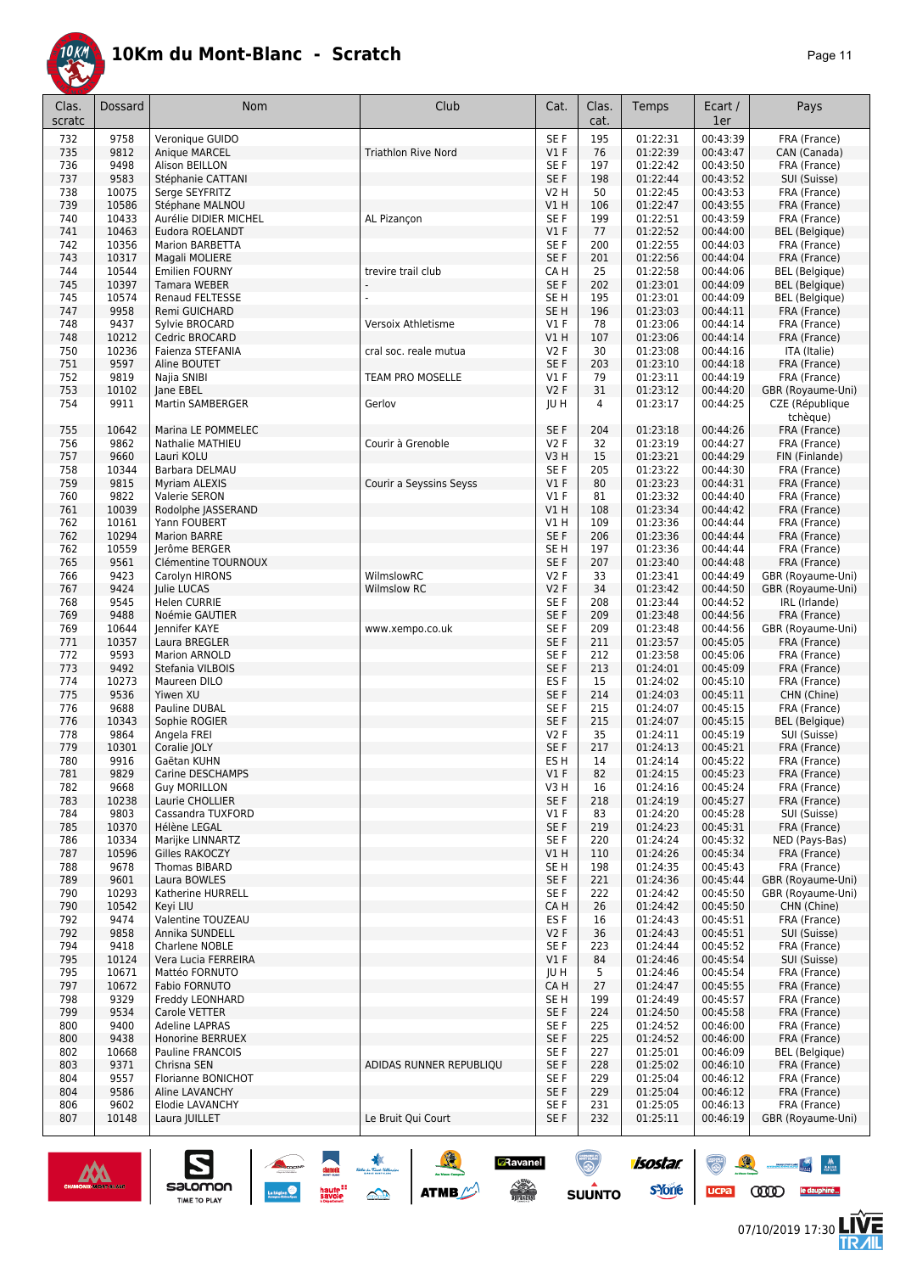

| Clas.      | Dossard        | Nom                                      | Club                       | Cat.            | Clas.      | Temps                | Ecart /              | Pays                                   |
|------------|----------------|------------------------------------------|----------------------------|-----------------|------------|----------------------|----------------------|----------------------------------------|
| scratc     |                |                                          |                            |                 | cat.       |                      | 1er                  |                                        |
| 732        | 9758           | Veronique GUIDO                          |                            | SE F            | 195        | 01:22:31             | 00:43:39             | FRA (France)                           |
| 735        | 9812           | Anique MARCEL                            | <b>Triathlon Rive Nord</b> | V1F             | 76         | 01:22:39             | 00:43:47             | CAN (Canada)                           |
| 736        | 9498           | Alison BEILLON                           |                            | SE F            | 197        | 01:22:42             | 00:43:50             | FRA (France)                           |
| 737        | 9583           | Stéphanie CATTANI                        |                            | SE F            | 198        | 01:22:44             | 00:43:52             | SUI (Suisse)                           |
| 738        | 10075          | Serge SEYFRITZ                           |                            | V2 H            | 50         | 01:22:45             | 00:43:53             | FRA (France)                           |
| 739        | 10586          | Stéphane MALNOU                          |                            | V1 H            | 106        | 01:22:47             | 00:43:55             | FRA (France)                           |
| 740<br>741 | 10433<br>10463 | Aurélie DIDIER MICHEL<br>Eudora ROELANDT | AL Pizancon                | SE F<br>$VI$ F  | 199<br>77  | 01:22:51<br>01:22:52 | 00:43:59<br>00:44:00 | FRA (France)<br><b>BEL</b> (Belgique)  |
| 742        | 10356          | Marion BARBETTA                          |                            | SE F            | 200        | 01:22:55             | 00:44:03             | FRA (France)                           |
| 743        | 10317          | Magali MOLIERE                           |                            | SE F            | 201        | 01:22:56             | 00:44:04             | FRA (France)                           |
| 744        | 10544          | <b>Emilien FOURNY</b>                    | trevire trail club         | CA H            | 25         | 01:22:58             | 00:44:06             | <b>BEL</b> (Belgique)                  |
| 745        | 10397          | <b>Tamara WEBER</b>                      |                            | SE F            | 202        | 01:23:01             | 00:44:09             | <b>BEL</b> (Belgique)                  |
| 745        | 10574          | <b>Renaud FELTESSE</b>                   |                            | SE <sub>H</sub> | 195        | 01:23:01             | 00:44:09             | <b>BEL</b> (Belgique)                  |
| 747        | 9958           | Remi GUICHARD                            |                            | SE <sub>H</sub> | 196        | 01:23:03             | 00:44:11             | FRA (France)                           |
| 748        | 9437           | Sylvie BROCARD                           | Versoix Athletisme         | $VI$ F          | 78         | 01:23:06             | 00:44:14             | FRA (France)                           |
| 748        | 10212          | Cedric BROCARD                           |                            | V1H             | 107        | 01:23:06             | 00:44:14             | FRA (France)                           |
| 750        | 10236          | Faienza STEFANIA                         | cral soc. reale mutua      | V2F             | 30         | 01:23:08             | 00:44:16             | ITA (Italie)                           |
| 751        | 9597<br>9819   | Aline BOUTET                             |                            | SE F<br>$VI$ F  | 203<br>79  | 01:23:10<br>01:23:11 | 00:44:18<br>00:44:19 | FRA (France)                           |
| 752<br>753 | 10102          | Najia SNIBI<br>Jane EBEL                 | TEAM PRO MOSELLE           | V2F             | 31         | 01:23:12             | 00:44:20             | FRA (France)<br>GBR (Royaume-Uni)      |
| 754        | 9911           | Martin SAMBERGER                         | Gerlov                     | JU H            | 4          | 01:23:17             | 00:44:25             | CZE (République                        |
|            |                |                                          |                            |                 |            |                      |                      | tchèque)                               |
| 755        | 10642          | Marina LE POMMELEC                       |                            | SE F            | 204        | 01:23:18             | 00:44:26             | FRA (France)                           |
| 756        | 9862           | <b>Nathalie MATHIEU</b>                  | Courir à Grenoble          | V2F             | 32         | 01:23:19             | 00:44:27             | FRA (France)                           |
| 757        | 9660           | Lauri KOLU                               |                            | V3H             | 15         | 01:23:21             | 00:44:29             | FIN (Finlande)                         |
| 758        | 10344          | Barbara DELMAU                           |                            | SE F            | 205        | 01:23:22             | 00:44:30             | FRA (France)                           |
| 759        | 9815           | <b>Myriam ALEXIS</b>                     | Courir a Seyssins Seyss    | V1F             | 80         | 01:23:23             | 00:44:31             | FRA (France)                           |
| 760        | 9822           | <b>Valerie SERON</b>                     |                            | $VI$ F          | 81         | 01:23:32             | 00:44:40             | FRA (France)                           |
| 761        | 10039          | Rodolphe JASSERAND                       |                            | V1H             | 108        | 01:23:34             | 00:44:42             | FRA (France)                           |
| 762        | 10161          | Yann FOUBERT                             |                            | V1H             | 109        | 01:23:36             | 00:44:44             | FRA (France)                           |
| 762        | 10294          | <b>Marion BARRE</b>                      |                            | SE F            | 206        | 01:23:36             | 00:44:44             | FRA (France)                           |
| 762        | 10559          | Jerôme BERGER                            |                            | SE H            | 197        | 01:23:36             | 00:44:44             | FRA (France)                           |
| 765<br>766 | 9561<br>9423   | Clémentine TOURNOUX<br>Carolyn HIRONS    | WilmslowRC                 | SE F<br>V2F     | 207<br>33  | 01:23:40<br>01:23:41 | 00:44:48<br>00:44:49 | FRA (France)<br>GBR (Royaume-Uni)      |
| 767        | 9424           | Julie LUCAS                              | <b>Wilmslow RC</b>         | V2F             | 34         | 01:23:42             | 00:44:50             | GBR (Royaume-Uni)                      |
| 768        | 9545           | <b>Helen CURRIE</b>                      |                            | SE F            | 208        | 01:23:44             | 00:44:52             | IRL (Irlande)                          |
| 769        | 9488           | Noémie GAUTIER                           |                            | SE F            | 209        | 01:23:48             | 00:44:56             | FRA (France)                           |
| 769        | 10644          | Jennifer KAYE                            | www.xempo.co.uk            | SE F            | 209        | 01:23:48             | 00:44:56             | GBR (Royaume-Uni)                      |
| 771        | 10357          | Laura BREGLER                            |                            | SE F            | 211        | 01:23:57             | 00:45:05             | FRA (France)                           |
| 772        | 9593           | Marion ARNOLD                            |                            | SE F            | 212        | 01:23:58             | 00:45:06             | FRA (France)                           |
| 773        | 9492           | Stefania VILBOIS                         |                            | SE F            | 213        | 01:24:01             | 00:45:09             | FRA (France)                           |
| 774        | 10273          | Maureen DILO                             |                            | ES <sub>F</sub> | 15         | 01:24:02             | 00:45:10             | FRA (France)                           |
| 775        | 9536           | Yiwen XU                                 |                            | SE F            | 214        | 01:24:03             | 00:45:11             | CHN (Chine)                            |
| 776<br>776 | 9688<br>10343  | Pauline DUBAL<br>Sophie ROGIER           |                            | SE F<br>SE F    | 215<br>215 | 01:24:07<br>01:24:07 | 00:45:15<br>00:45:15 | FRA (France)<br><b>BEL</b> (Belgique)  |
| 778        | 9864           | Angela FREI                              |                            | V2F             | 35         | 01:24:11             | 00:45:19             | SUI (Suisse)                           |
| 779        | 10301          | Coralie JOLY                             |                            | SE F            | 217        | 01:24:13             | 00:45:21             | FRA (France)                           |
| 780        | 9916           | Gaëtan KUHN                              |                            | ES <sub>H</sub> | 14         | 01:24:14             | 00:45:22             | FRA (France)                           |
| 781        | 9829           | Carine DESCHAMPS                         |                            | V1F             | 82         | 01:24:15             | 00:45:23             | FRA (France)                           |
| 782        | 9668           | <b>Guy MORILLON</b>                      |                            | V3H             | 16         | 01:24:16             | 00:45:24             | FRA (France)                           |
| 783        | 10238          | Laurie CHOLLIER                          |                            | SE F            | 218        | 01:24:19             | 00:45:27             | FRA (France)                           |
| 784        | 9803           | Cassandra TUXFORD                        |                            | V1F             | 83         | 01:24:20             | 00:45:28             | SUI (Suisse)                           |
| 785        | 10370          | Hélène LEGAL                             |                            | SE F            | 219        | 01:24:23             | 00:45:31             | FRA (France)                           |
| 786        | 10334          | Marijke LINNARTZ                         |                            | SE F            | 220        | 01:24:24             | 00:45:32             | NED (Pays-Bas)                         |
| 787<br>788 | 10596          | Gilles RAKOCZY<br>Thomas BIBARD          |                            | V1H             | 110        | 01:24:26             | 00:45:34             | FRA (France)                           |
|            | 9678           |                                          |                            | SE H            | 198        | 01:24:35             | 00:45:43             | FRA (France)                           |
| 789<br>790 | 9601<br>10293  | Laura BOWLES<br>Katherine HURRELL        |                            | SE F<br>SE F    | 221<br>222 | 01:24:36<br>01:24:42 | 00:45:44<br>00:45:50 | GBR (Royaume-Uni)<br>GBR (Royaume-Uni) |
| 790        | 10542          | Keyi LIU                                 |                            | CA H            | 26         | 01:24:42             | 00:45:50             | CHN (Chine)                            |
| 792        | 9474           | Valentine TOUZEAU                        |                            | ES <sub>F</sub> | 16         | 01:24:43             | 00:45:51             | FRA (France)                           |
| 792        | 9858           | Annika SUNDELL                           |                            | V2F             | 36         | 01:24:43             | 00:45:51             | SUI (Suisse)                           |
| 794        | 9418           | Charlene NOBLE                           |                            | SE F            | 223        | 01:24:44             | 00:45:52             | FRA (France)                           |
| 795        | 10124          | Vera Lucia FERREIRA                      |                            | V1F             | 84         | 01:24:46             | 00:45:54             | SUI (Suisse)                           |
| 795        | 10671          | Mattéo FORNUTO                           |                            | JU H            | 5          | 01:24:46             | 00:45:54             | FRA (France)                           |
| 797        | 10672          | Fabio FORNUTO                            |                            | CA H            | 27         | 01:24:47             | 00:45:55             | FRA (France)                           |
| 798        | 9329           | Freddy LEONHARD                          |                            | SE <sub>H</sub> | 199        | 01:24:49             | 00:45:57             | FRA (France)                           |
| 799        | 9534           | Carole VETTER                            |                            | SE F            | 224        | 01:24:50             | 00:45:58             | FRA (France)                           |
| 800        | 9400<br>9438   | Adeline LAPRAS                           |                            | SE F            | 225        | 01:24:52             | 00:46:00             | FRA (France)                           |
| 800<br>802 | 10668          | Honorine BERRUEX<br>Pauline FRANCOIS     |                            | SE F<br>SE F    | 225<br>227 | 01:24:52<br>01:25:01 | 00:46:00<br>00:46:09 | FRA (France)<br><b>BEL</b> (Belgique)  |
| 803        | 9371           | Chrisna SEN                              | ADIDAS RUNNER REPUBLIQU    | SE F            | 228        | 01:25:02             | 00:46:10             | FRA (France)                           |
| 804        | 9557           | Florianne BONICHOT                       |                            | SE F            | 229        | 01:25:04             | 00:46:12             | FRA (France)                           |
| 804        | 9586           | Aline LAVANCHY                           |                            | SE F            | 229        | 01:25:04             | 00:46:12             | FRA (France)                           |
| 806        | 9602           | Elodie LAVANCHY                          |                            | SE F            | 231        | 01:25:05             | 00:46:13             | FRA (France)                           |
| 807        | 10148          | Laura JUILLET                            | Le Bruit Qui Court         | SE F            | 232        | 01:25:11             | 00:46:19             | GBR (Royaume-Uni)                      |
|            |                |                                          |                            |                 |            |                      |                      |                                        |



 $\sum_{\text{SALOMOM}}$ 

ucpa

 $\begin{array}{c|c} \mathbf{W} & \mathbf{W} \\ \hline \mathbf{W} & \mathbf{W} \end{array}$ 

人<br>加

**CODO** le dauphiné...

isostar.

**s**Yone

**D**Ravanel

 $\begin{picture}(180,10) \put(0,0){\line(1,0){15}} \put(10,0){\line(1,0){15}} \put(10,0){\line(1,0){15}} \put(10,0){\line(1,0){15}} \put(10,0){\line(1,0){15}} \put(10,0){\line(1,0){15}} \put(10,0){\line(1,0){15}} \put(10,0){\line(1,0){15}} \put(10,0){\line(1,0){15}} \put(10,0){\line(1,0){15}} \put(10,0){\line(1,0){15}} \put(10,0){\line($ 

 $\bigcirc$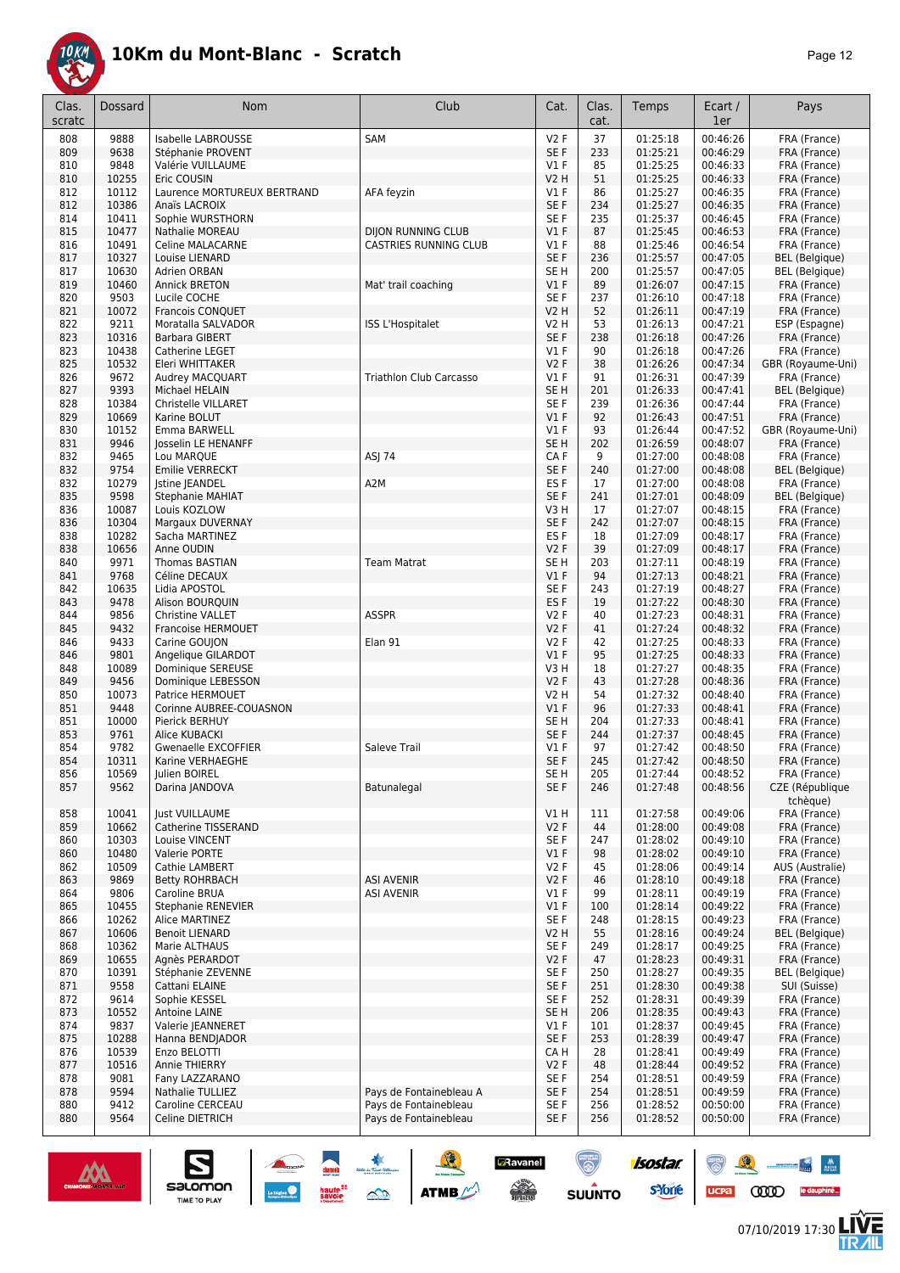

| Clas.<br>scratc | <b>Dossard</b> | <b>Nom</b>                                 | Club                           | Cat.                      | Clas.<br>cat. | Temps                | Ecart /<br>1er       | Pays                                  |
|-----------------|----------------|--------------------------------------------|--------------------------------|---------------------------|---------------|----------------------|----------------------|---------------------------------------|
| 808             | 9888           | Isabelle LABROUSSE                         | SAM                            | V2F                       | 37            | 01:25:18             | 00:46:26             | FRA (France)                          |
| 809             | 9638           | Stéphanie PROVENT                          |                                | SE F                      | 233           | 01:25:21             | 00:46:29             | FRA (France)                          |
| 810             | 9848           | Valérie VUILLAUME                          |                                | $VI$ F                    | 85            | 01:25:25             | 00:46:33             | FRA (France)                          |
| 810<br>812      | 10255<br>10112 | Eric COUSIN<br>Laurence MORTUREUX BERTRAND | AFA feyzin                     | <b>V2 H</b><br>$VI$ F     | 51<br>86      | 01:25:25<br>01:25:27 | 00:46:33<br>00:46:35 | FRA (France)<br>FRA (France)          |
| 812             | 10386          | Anaïs LACROIX                              |                                | SE F                      | 234           | 01:25:27             | 00:46:35             | FRA (France)                          |
| 814             | 10411          | Sophie WURSTHORN                           |                                | SE F                      | 235           | 01:25:37             | 00:46:45             | FRA (France)                          |
| 815             | 10477          | <b>Nathalie MOREAU</b>                     | <b>DIJON RUNNING CLUB</b>      | V1F                       | 87            | 01:25:45             | 00:46:53             | FRA (France)                          |
| 816             | 10491          | <b>Celine MALACARNE</b>                    | <b>CASTRIES RUNNING CLUB</b>   | $VI$ F                    | 88            | 01:25:46             | 00:46:54             | FRA (France)                          |
| 817             | 10327          | Louise LIENARD                             |                                | SE F                      | 236           | 01:25:57             | 00:47:05             | <b>BEL</b> (Belgique)                 |
| 817<br>819      | 10630<br>10460 | Adrien ORBAN<br><b>Annick BRETON</b>       | Mat' trail coaching            | SE H<br>$VI$ F            | 200<br>89     | 01:25:57<br>01:26:07 | 00:47:05<br>00:47:15 | <b>BEL</b> (Belgique)<br>FRA (France) |
| 820             | 9503           | Lucile COCHE                               |                                | SE F                      | 237           | 01:26:10             | 00:47:18             | FRA (France)                          |
| 821             | 10072          | Francois CONQUET                           |                                | <b>V2 H</b>               | 52            | 01:26:11             | 00:47:19             | FRA (France)                          |
| 822             | 9211           | Moratalla SALVADOR                         | ISS L'Hospitalet               | V2 H                      | 53            | 01:26:13             | 00:47:21             | ESP (Espagne)                         |
| 823             | 10316          | <b>Barbara GIBERT</b>                      |                                | SE F                      | 238           | 01:26:18             | 00:47:26             | FRA (France)                          |
| 823             | 10438          | Catherine LEGET                            |                                | $VI$ F                    | 90            | 01:26:18             | 00:47:26             | FRA (France)                          |
| 825             | 10532          | Eleri WHITTAKER                            |                                | V2F                       | 38            | 01:26:26             | 00:47:34             | GBR (Royaume-Uni)<br>FRA (France)     |
| 826<br>827      | 9672<br>9393   | Audrey MACQUART<br>Michael HELAIN          | <b>Triathlon Club Carcasso</b> | $VI$ F<br>SE <sub>H</sub> | 91<br>201     | 01:26:31<br>01:26:33 | 00:47:39<br>00:47:41 | <b>BEL</b> (Belgique)                 |
| 828             | 10384          | Christelle VILLARET                        |                                | SE F                      | 239           | 01:26:36             | 00:47:44             | FRA (France)                          |
| 829             | 10669          | Karine BOLUT                               |                                | $VI$ F                    | 92            | 01:26:43             | 00:47:51             | FRA (France)                          |
| 830             | 10152          | Emma BARWELL                               |                                | $VI$ F                    | 93            | 01:26:44             | 00:47:52             | GBR (Royaume-Uni)                     |
| 831             | 9946           | Josselin LE HENANFF                        |                                | SE <sub>H</sub>           | 202           | 01:26:59             | 00:48:07             | FRA (France)                          |
| 832             | 9465           | Lou MARQUE                                 | ASJ 74                         | CA F                      | 9             | 01:27:00             | 00:48:08             | FRA (France)                          |
| 832<br>832      | 9754<br>10279  | Emilie VERRECKT<br><b>Istine JEANDEL</b>   | A2M                            | SE F<br>ES <sub>F</sub>   | 240<br>17     | 01:27:00<br>01:27:00 | 00:48:08<br>00:48:08 | <b>BEL</b> (Belgique)<br>FRA (France) |
| 835             | 9598           | <b>Stephanie MAHIAT</b>                    |                                | SE F                      | 241           | 01:27:01             | 00:48:09             | <b>BEL</b> (Belgique)                 |
| 836             | 10087          | Louis KOZLOW                               |                                | V3 H                      | 17            | 01:27:07             | 00:48:15             | FRA (France)                          |
| 836             | 10304          | Margaux DUVERNAY                           |                                | SE F                      | 242           | 01:27:07             | 00:48:15             | FRA (France)                          |
| 838             | 10282          | Sacha MARTINEZ                             |                                | ES <sub>F</sub>           | 18            | 01:27:09             | 00:48:17             | FRA (France)                          |
| 838             | 10656          | Anne OUDIN                                 |                                | V2F                       | 39            | 01:27:09             | 00:48:17             | FRA (France)                          |
| 840<br>841      | 9971<br>9768   | Thomas BASTIAN<br>Céline DECAUX            | <b>Team Matrat</b>             | SE <sub>H</sub><br>$VI$ F | 203<br>94     | 01:27:11<br>01:27:13 | 00:48:19<br>00:48:21 | FRA (France)<br>FRA (France)          |
| 842             | 10635          | Lidia APOSTOL                              |                                | SE F                      | 243           | 01:27:19             | 00:48:27             | FRA (France)                          |
| 843             | 9478           | Alison BOURQUIN                            |                                | ES <sub>F</sub>           | 19            | 01:27:22             | 00:48:30             | FRA (France)                          |
| 844             | 9856           | Christine VALLET                           | <b>ASSPR</b>                   | V2F                       | 40            | 01:27:23             | 00:48:31             | FRA (France)                          |
| 845             | 9432           | Francoise HERMOUET                         |                                | V2F                       | 41            | 01:27:24             | 00:48:32             | FRA (France)                          |
| 846             | 9433           | Carine GOUJON                              | Elan 91                        | V2F                       | 42            | 01:27:25             | 00:48:33             | FRA (France)                          |
| 846             | 9801<br>10089  | Angelique GILARDOT                         |                                | V1F                       | 95            | 01:27:25<br>01:27:27 | 00:48:33<br>00:48:35 | FRA (France)<br>FRA (France)          |
| 848<br>849      | 9456           | Dominique SEREUSE<br>Dominique LEBESSON    |                                | V3 H<br>V2F               | 18<br>43      | 01:27:28             | 00:48:36             | FRA (France)                          |
| 850             | 10073          | Patrice HERMOUET                           |                                | V2 H                      | 54            | 01:27:32             | 00:48:40             | FRA (France)                          |
| 851             | 9448           | Corinne AUBREE-COUASNON                    |                                | V1F                       | 96            | 01:27:33             | 00:48:41             | FRA (France)                          |
| 851             | 10000          | Pierick BERHUY                             |                                | SE <sub>H</sub>           | 204           | 01:27:33             | 00:48:41             | FRA (France)                          |
| 853             | 9761           | Alice KUBACKI                              |                                | SE F                      | 244           | 01:27:37             | 00:48:45             | FRA (France)                          |
| 854             | 9782           | <b>Gwenaelle EXCOFFIER</b>                 | Saleve Trail                   | $VI$ F                    | 97            | 01:27:42             | 00:48:50             | FRA (France)                          |
| 854<br>856      | 10311<br>10569 | Karine VERHAEGHE<br>Julien BOIREL          |                                | SE F<br>SE H              | 245<br>205    | 01:27:42<br>01:27:44 | 00:48:50<br>00:48:52 | FRA (France)<br>FRA (France)          |
| 857             | 9562           | Darina JANDOVA                             | Batunalegal                    | SE F                      | 246           | 01:27:48             | 00:48:56             | CZE (République                       |
|                 |                |                                            |                                |                           |               |                      |                      | tchèque)                              |
| 858             | 10041          | <b>Just VUILLAUME</b>                      |                                | V1H                       | 111           | 01:27:58             | 00:49:06             | FRA (France)                          |
| 859             | 10662          | Catherine TISSERAND                        |                                | V2F                       | 44            | 01:28:00             | 00:49:08             | FRA (France)                          |
| 860             | 10303          | Louise VINCENT                             |                                | SE F                      | 247           | 01:28:02             | 00:49:10             | FRA (France)                          |
| 860<br>862      | 10480<br>10509 | Valerie PORTE<br>Cathie LAMBERT            |                                | V1F<br>V2F                | 98<br>45      | 01:28:02<br>01:28:06 | 00:49:10<br>00:49:14 | FRA (France)<br>AUS (Australie)       |
| 863             | 9869           | <b>Betty ROHRBACH</b>                      | <b>ASI AVENIR</b>              | V2F                       | 46            | 01:28:10             | 00:49:18             | FRA (France)                          |
| 864             | 9806           | <b>Caroline BRUA</b>                       | <b>ASI AVENIR</b>              | $VI$ F                    | 99            | 01:28:11             | 00:49:19             | FRA (France)                          |
| 865             | 10455          | Stephanie RENEVIER                         |                                | $VI$ F                    | 100           | 01:28:14             | 00:49:22             | FRA (France)                          |
| 866             | 10262          | Alice MARTINEZ                             |                                | SE F                      | 248           | 01:28:15             | 00:49:23             | FRA (France)                          |
| 867             | 10606          | <b>Benoit LIENARD</b>                      |                                | V2 H                      | 55            | 01:28:16             | 00:49:24             | <b>BEL</b> (Belgique)                 |
| 868             | 10362          | Marie ALTHAUS                              |                                | SE F                      | 249           | 01:28:17             | 00:49:25             | FRA (France)                          |
| 869<br>870      | 10655<br>10391 | Agnès PERARDOT<br>Stéphanie ZEVENNE        |                                | V2F<br>SE F               | 47<br>250     | 01:28:23<br>01:28:27 | 00:49:31<br>00:49:35 | FRA (France)<br><b>BEL</b> (Belgique) |
| 871             | 9558           | Cattani ELAINE                             |                                | SE F                      | 251           | 01:28:30             | 00:49:38             | SUI (Suisse)                          |
| 872             | 9614           | Sophie KESSEL                              |                                | SE F                      | 252           | 01:28:31             | 00:49:39             | FRA (France)                          |
| 873             | 10552          | Antoine LAINE                              |                                | SE <sub>H</sub>           | 206           | 01:28:35             | 00:49:43             | FRA (France)                          |
| 874             | 9837           | Valerie JEANNERET                          |                                | V1F                       | 101           | 01:28:37             | 00:49:45             | FRA (France)                          |
| 875             | 10288          | Hanna BENDJADOR                            |                                | SE F                      | 253           | 01:28:39             | 00:49:47             | FRA (France)                          |
| 876<br>877      | 10539<br>10516 | Enzo BELOTTI<br>Annie THIERRY              |                                | CA H<br>V2F               | 28<br>48      | 01:28:41<br>01:28:44 | 00:49:49<br>00:49:52 | FRA (France)<br>FRA (France)          |
| 878             | 9081           | Fany LAZZARANO                             |                                | SE F                      | 254           | 01:28:51             | 00:49:59             | FRA (France)                          |
| 878             | 9594           | Nathalie TULLIEZ                           | Pays de Fontainebleau A        | SE F                      | 254           | 01:28:51             | 00:49:59             | FRA (France)                          |
| 880             | 9412           | Caroline CERCEAU                           | Pays de Fontainebleau          | SE F                      | 256           | 01:28:52             | 00:50:00             | FRA (France)                          |
| 880             | 9564           | Celine DIETRICH                            | Pays de Fontainebleau          | SE F                      | 256           | 01:28:52             | 00:50:00             | FRA (France)                          |





怎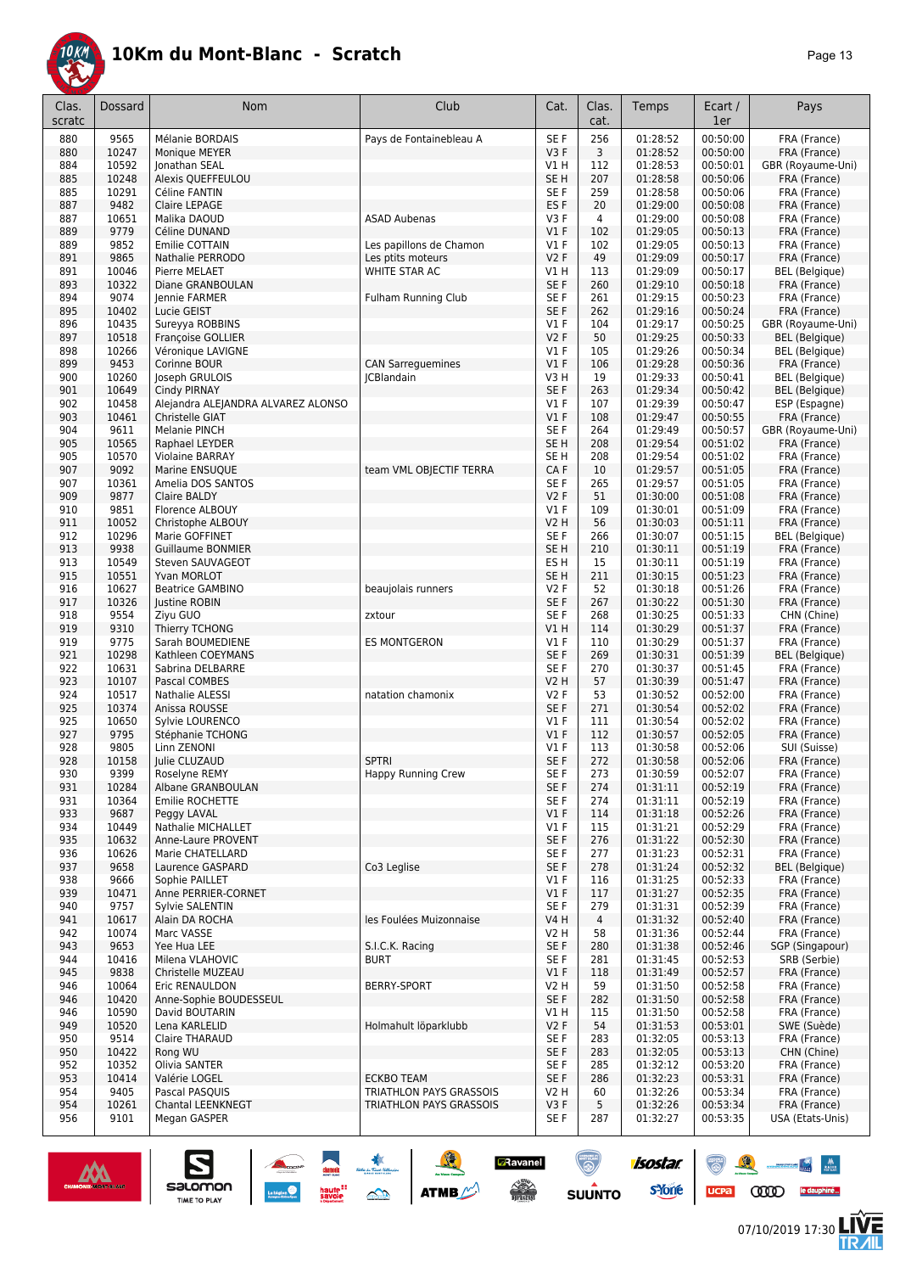

| Clas.<br>scratc | Dossard        | Nom                                    | Club                      | Cat.                     | Clas.<br>cat.  | Temps                | Ecart /<br>1er       | Pays                                           |
|-----------------|----------------|----------------------------------------|---------------------------|--------------------------|----------------|----------------------|----------------------|------------------------------------------------|
| 880             | 9565           | Mélanie BORDAIS                        | Pays de Fontainebleau A   | SE F                     | 256            | 01:28:52             | 00:50:00             | FRA (France)                                   |
| 880             | 10247          | Monique MEYER                          |                           | V3F                      | 3              | 01:28:52             | 00:50:00             | FRA (France)                                   |
| 884             | 10592          | Jonathan SEAL                          |                           | V1 H                     | 112            | 01:28:53             | 00:50:01             | GBR (Royaume-Uni)                              |
| 885             | 10248          | Alexis QUEFFEULOU                      |                           | SE <sub>H</sub>          | 207            | 01:28:58             | 00:50:06             | FRA (France)                                   |
| 885             | 10291<br>9482  | Céline FANTIN                          |                           | SE F<br>ES <sub>F</sub>  | 259            | 01:28:58             | 00:50:06             | FRA (France)<br>FRA (France)                   |
| 887<br>887      | 10651          | Claire LEPAGE<br>Malika DAOUD          | <b>ASAD Aubenas</b>       | V3F                      | 20<br>4        | 01:29:00<br>01:29:00 | 00:50:08<br>00:50:08 | FRA (France)                                   |
| 889             | 9779           | Céline DUNAND                          |                           | $VI$ F                   | 102            | 01:29:05             | 00:50:13             | FRA (France)                                   |
| 889             | 9852           | Emilie COTTAIN                         | Les papillons de Chamon   | $VI$ F                   | 102            | 01:29:05             | 00:50:13             | FRA (France)                                   |
| 891             | 9865           | Nathalie PERRODO                       | Les ptits moteurs         | V2F                      | 49             | 01:29:09             | 00:50:17             | FRA (France)                                   |
| 891             | 10046          | <b>Pierre MELAET</b>                   | WHITE STAR AC             | V1 H                     | 113            | 01:29:09             | 00:50:17             | <b>BEL</b> (Belgique)                          |
| 893             | 10322          | Diane GRANBOULAN                       |                           | SE F                     | 260            | 01:29:10             | 00:50:18             | FRA (France)                                   |
| 894             | 9074           | Jennie FARMER                          | Fulham Running Club       | SE F                     | 261            | 01:29:15             | 00:50:23             | FRA (France)                                   |
| 895             | 10402          | Lucie GEIST                            |                           | SE F                     | 262            | 01:29:16             | 00:50:24             | FRA (France)                                   |
| 896             | 10435          | Sureyya ROBBINS                        |                           | $VI$ F                   | 104            | 01:29:17             | 00:50:25             | GBR (Royaume-Uni)                              |
| 897<br>898      | 10518<br>10266 | Françoise GOLLIER<br>Véronique LAVIGNE |                           | V2F<br>$VI$ F            | 50<br>105      | 01:29:25<br>01:29:26 | 00:50:33<br>00:50:34 | <b>BEL</b> (Belgique)<br><b>BEL</b> (Belgique) |
| 899             | 9453           | Corinne BOUR                           | <b>CAN Sarreguemines</b>  | $VI$ F                   | 106            | 01:29:28             | 00:50:36             | FRA (France)                                   |
| 900             | 10260          | Joseph GRULOIS                         | <b>ICBlandain</b>         | V3 H                     | 19             | 01:29:33             | 00:50:41             | <b>BEL</b> (Belgique)                          |
| 901             | 10649          | Cindy PIRNAY                           |                           | SE F                     | 263            | 01:29:34             | 00:50:42             | <b>BEL</b> (Belgique)                          |
| 902             | 10458          | Alejandra ALEJANDRA ALVAREZ ALONSO     |                           | $VI$ F                   | 107            | 01:29:39             | 00:50:47             | ESP (Espagne)                                  |
| 903             | 10461          | Christelle GIAT                        |                           | V1F                      | 108            | 01:29:47             | 00:50:55             | FRA (France)                                   |
| 904             | 9611           | <b>Melanie PINCH</b>                   |                           | SE F                     | 264            | 01:29:49             | 00:50:57             | GBR (Royaume-Uni)                              |
| 905             | 10565          | Raphael LEYDER                         |                           | SE <sub>H</sub>          | 208            | 01:29:54             | 00:51:02             | FRA (France)                                   |
| 905             | 10570          | Violaine BARRAY                        |                           | SE <sub>H</sub>          | 208            | 01:29:54             | 00:51:02             | FRA (France)                                   |
| 907<br>907      | 9092<br>10361  | Marine ENSUQUE<br>Amelia DOS SANTOS    | team VML OBJECTIF TERRA   | CA F<br>SE F             | 10<br>265      | 01:29:57<br>01:29:57 | 00:51:05<br>00:51:05 | FRA (France)<br>FRA (France)                   |
| 909             | 9877           | Claire BALDY                           |                           | V2F                      | 51             | 01:30:00             | 00:51:08             | FRA (France)                                   |
| 910             | 9851           | Florence ALBOUY                        |                           | $VI$ F                   | 109            | 01:30:01             | 00:51:09             | FRA (France)                                   |
| 911             | 10052          | Christophe ALBOUY                      |                           | V2 H                     | 56             | 01:30:03             | 00:51:11             | FRA (France)                                   |
| 912             | 10296          | Marie GOFFINET                         |                           | SE F                     | 266            | 01:30:07             | 00:51:15             | <b>BEL</b> (Belgique)                          |
| 913             | 9938           | <b>Guillaume BONMIER</b>               |                           | SE <sub>H</sub>          | 210            | 01:30:11             | 00:51:19             | FRA (France)                                   |
| 913             | 10549          | Steven SAUVAGEOT                       |                           | ES <sub>H</sub>          | 15             | 01:30:11             | 00:51:19             | FRA (France)                                   |
| 915             | 10551          | Yvan MORLOT                            |                           | SE <sub>H</sub>          | 211            | 01:30:15             | 00:51:23             | FRA (France)                                   |
| 916             | 10627          | <b>Beatrice GAMBINO</b>                | beaujolais runners        | V2F                      | 52             | 01:30:18             | 00:51:26             | FRA (France)                                   |
| 917<br>918      | 10326<br>9554  | Justine ROBIN<br>Ziyu GUO              | zxtour                    | SE F<br>SE F             | 267<br>268     | 01:30:22<br>01:30:25 | 00:51:30<br>00:51:33 | FRA (France)<br>CHN (Chine)                    |
| 919             | 9310           | Thierry TCHONG                         |                           | V1 H                     | 114            | 01:30:29             | 00:51:37             | FRA (France)                                   |
| 919             | 9775           | Sarah BOUMEDIENE                       | <b>ES MONTGERON</b>       | $VI$ F                   | 110            | 01:30:29             | 00:51:37             | FRA (France)                                   |
| 921             | 10298          | Kathleen COEYMANS                      |                           | SE F                     | 269            | 01:30:31             | 00:51:39             | <b>BEL</b> (Belgique)                          |
| 922             | 10631          | Sabrina DELBARRE                       |                           | SE F                     | 270            | 01:30:37             | 00:51:45             | FRA (France)                                   |
| 923             | 10107          | Pascal COMBES                          |                           | V2 H                     | 57             | 01:30:39             | 00:51:47             | FRA (France)                                   |
| 924             | 10517          | Nathalie ALESSI                        | natation chamonix         | V2F                      | 53             | 01:30:52             | 00:52:00             | FRA (France)                                   |
| 925             | 10374          | Anissa ROUSSE                          |                           | SE F                     | 271            | 01:30:54             | 00:52:02             | FRA (France)                                   |
| 925<br>927      | 10650<br>9795  | Sylvie LOURENCO                        |                           | $VI$ F<br>V1F            | 111            | 01:30:54<br>01:30:57 | 00:52:02<br>00:52:05 | FRA (France)<br>FRA (France)                   |
| 928             | 9805           | Stéphanie TCHONG<br>Linn ZENONI        |                           | $VI$ F                   | 112<br>113     | 01:30:58             | 00:52:06             | SUI (Suisse)                                   |
| 928             | 10158          | Julie CLUZAUD                          | <b>SPTRI</b>              | SE F                     | 272            | 01:30:58             | 00:52:06             | FRA (France)                                   |
| 930             | 9399           | Roselyne REMY                          | <b>Happy Running Crew</b> | SE F                     | 273            | 01:30:59             | 00:52:07             | FRA (France)                                   |
| 931             | 10284          | Albane GRANBOULAN                      |                           | SE F                     | 274            | 01:31:11             | 00:52:19             | FRA (France)                                   |
| 931             | 10364          | <b>Emilie ROCHETTE</b>                 |                           | SE F                     | 274            | 01:31:11             | 00:52:19             | FRA (France)                                   |
| 933             | 9687           | Peggy LAVAL                            |                           | $VI$ F                   | 114            | 01:31:18             | 00:52:26             | FRA (France)                                   |
| 934             | 10449          | Nathalie MICHALLET                     |                           | $VI$ F                   | 115            | 01:31:21             | 00:52:29             | FRA (France)                                   |
| 935             | 10632          | Anne-Laure PROVENT                     |                           | SE F<br>SE F             | 276            | 01:31:22             | 00:52:30             | FRA (France)                                   |
| 936<br>937      | 10626<br>9658  | Marie CHATELLARD<br>Laurence GASPARD   | Co3 Leglise               | SE F                     | 277<br>278     | 01:31:23<br>01:31:24 | 00:52:31<br>00:52:32 | FRA (France)<br><b>BEL</b> (Belgique)          |
| 938             | 9666           | Sophie PAILLET                         |                           | $VI$ F                   | 116            | 01:31:25             | 00:52:33             | FRA (France)                                   |
| 939             | 10471          | Anne PERRIER-CORNET                    |                           | V1F                      | 117            | 01:31:27             | 00:52:35             | FRA (France)                                   |
| 940             | 9757           | Sylvie SALENTIN                        |                           | SE F                     | 279            | 01:31:31             | 00:52:39             | FRA (France)                                   |
| 941             | 10617          | Alain DA ROCHA                         | les Foulées Muizonnaise   | <b>V4 H</b>              | $\overline{4}$ | 01:31:32             | 00:52:40             | FRA (France)                                   |
| 942             | 10074          | Marc VASSE                             |                           | V2 H                     | 58             | 01:31:36             | 00:52:44             | FRA (France)                                   |
| 943             | 9653           | Yee Hua LEE                            | S.I.C.K. Racing           | SE F                     | 280            | 01:31:38             | 00:52:46             | SGP (Singapour)                                |
| 944             | 10416          | Milena VLAHOVIC                        | <b>BURT</b>               | SE F                     | 281            | 01:31:45             | 00:52:53             | SRB (Serbie)                                   |
| 945<br>946      | 9838<br>10064  | Christelle MUZEAU<br>Eric RENAULDON    | <b>BERRY-SPORT</b>        | $VI$ F<br>V2 H           | 118<br>59      | 01:31:49<br>01:31:50 | 00:52:57<br>00:52:58 | FRA (France)<br>FRA (France)                   |
| 946             | 10420          | Anne-Sophie BOUDESSEUL                 |                           | SE F                     | 282            | 01:31:50             | 00:52:58             | FRA (France)                                   |
| 946             | 10590          | David BOUTARIN                         |                           | V1 H                     | 115            | 01:31:50             | 00:52:58             | FRA (France)                                   |
| 949             | 10520          | Lena KARLELID                          | Holmahult löparklubb      | V2F                      | 54             | 01:31:53             | 00:53:01             | SWE (Suède)                                    |
| 950             | 9514           | Claire THARAUD                         |                           | SE F                     | 283            | 01:32:05             | 00:53:13             | FRA (France)                                   |
| 950             | 10422          | Rong WU                                |                           | SE F                     | 283            | 01:32:05             | 00:53:13             | CHN (Chine)                                    |
| 952             | 10352          | Olivia SANTER                          |                           | SE F                     | 285            | 01:32:12             | 00:53:20             | FRA (France)                                   |
| 953             | 10414          | Valérie LOGEL                          | <b>ECKBO TEAM</b>         | SE F                     | 286            | 01:32:23             | 00:53:31             | FRA (France)                                   |
| 954             | 9405           | Pascal PASQUIS                         | TRIATHLON PAYS GRASSOIS   | V2 H                     | 60             | 01:32:26             | 00:53:34             | FRA (France)                                   |
| 954<br>956      | 10261<br>9101  | Chantal LEENKNEGT<br>Megan GASPER      | TRIATHLON PAYS GRASSOIS   | V <sub>3</sub> F<br>SE F | 5<br>287       | 01:32:26<br>01:32:27 | 00:53:34<br>00:53:35 | FRA (France)<br>USA (Etats-Unis)               |
|                 |                |                                        |                           |                          |                |                      |                      |                                                |

**A MERICAN ATME** 



 $\sum_{\text{SALOMOM}}$ 

 $\mathcal{R}$ 

ucpa

 $\begin{array}{|c|c|c|c|}\hline \textbf{A} & \textbf{B} & \textbf{B} \\ \hline \textbf{A} & \textbf{B} & \textbf{B} \\ \hline \textbf{A} & \textbf{B} & \textbf{B} \\ \hline \end{array}$ 

怎

**CODO** le dauphiné...

isostar.

**s**Yone

**D**Ravanel

 $\begin{picture}(180,10) \put(0,0){\line(1,0){15}} \put(10,0){\line(1,0){15}} \put(10,0){\line(1,0){15}} \put(10,0){\line(1,0){15}} \put(10,0){\line(1,0){15}} \put(10,0){\line(1,0){15}} \put(10,0){\line(1,0){15}} \put(10,0){\line(1,0){15}} \put(10,0){\line(1,0){15}} \put(10,0){\line(1,0){15}} \put(10,0){\line(1,0){15}} \put(10,0){\line($ 

 $\bigcirc$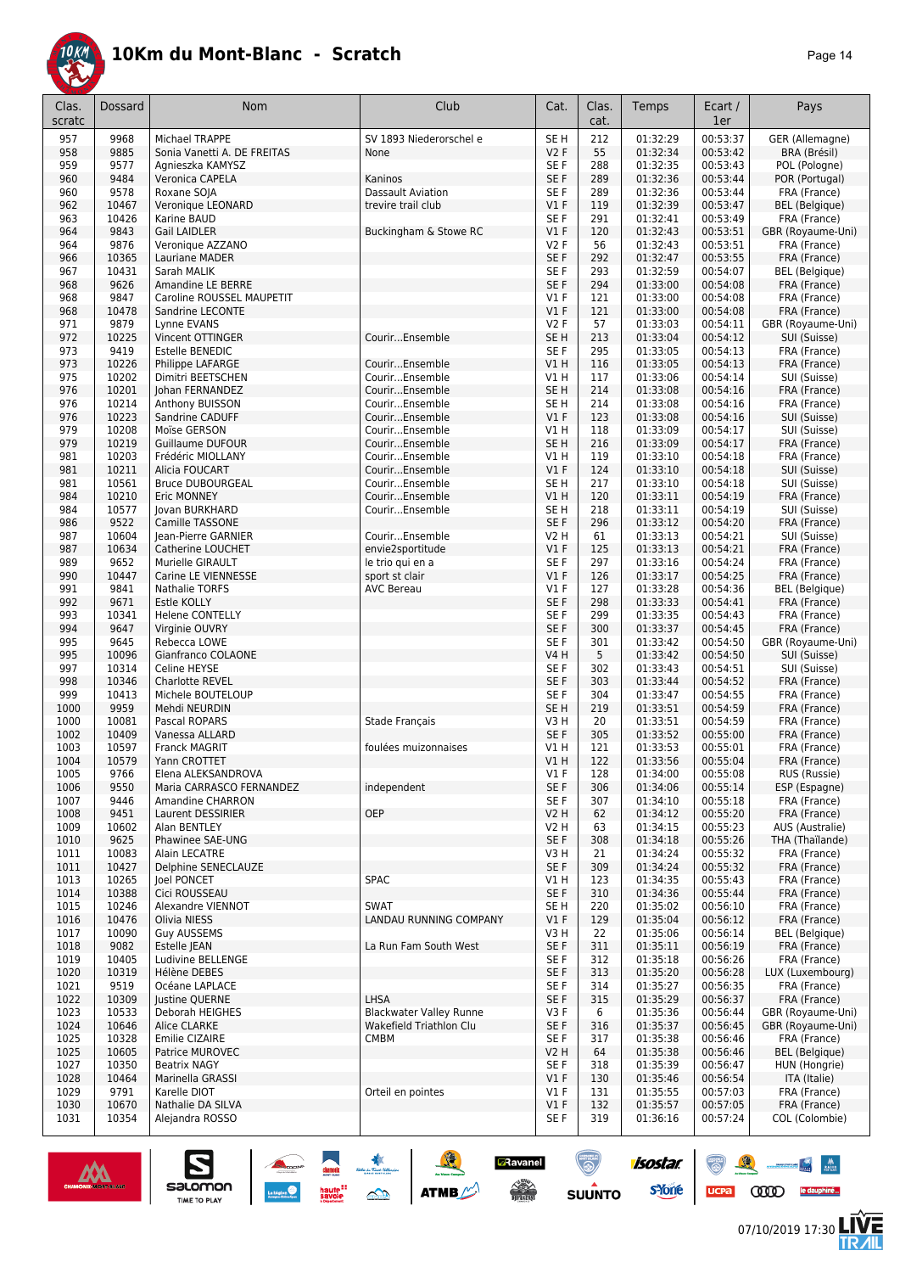

| Clas.<br>scratc | Dossard        | <b>Nom</b>                                     | Club                           | Cat.                    | Clas.<br>cat. | Temps                | Ecart /<br>1er       | Pays                         |
|-----------------|----------------|------------------------------------------------|--------------------------------|-------------------------|---------------|----------------------|----------------------|------------------------------|
| 957             | 9968           | Michael TRAPPE                                 | SV 1893 Niederorschel e        | SE <sub>H</sub>         | 212           | 01:32:29             | 00:53:37             | GER (Allemagne)              |
| 958             | 9885           | Sonia Vanetti A. DE FREITAS                    | None                           | <b>V2F</b>              | 55            | 01:32:34             | 00:53:42             | BRA (Brésil)                 |
| 959             | 9577           | Agnieszka KAMYSZ                               |                                | SE F                    | 288           | 01:32:35             | 00:53:43             | POL (Pologne)                |
| 960             | 9484           | Veronica CAPELA                                | Kaninos                        | SE F                    | 289           | 01:32:36             | 00:53:44             | POR (Portugal)               |
| 960             | 9578           | Roxane SOIA                                    | <b>Dassault Aviation</b>       | SE F                    | 289           | 01:32:36             | 00:53:44             | FRA (France)                 |
| 962             | 10467          | Veronique LEONARD                              | trevire trail club             | $VI$ F                  | 119           | 01:32:39             | 00:53:47             | <b>BEL</b> (Belgique)        |
| 963             | 10426          | Karine BAUD                                    |                                | SE <sub>F</sub>         | 291           | 01:32:41             | 00:53:49             | FRA (France)                 |
| 964             | 9843           | Gail LAIDLER                                   | Buckingham & Stowe RC          | $VI$ F                  | 120           | 01:32:43             | 00:53:51             | GBR (Royaume-Uni)            |
| 964             | 9876           | Veronique AZZANO                               |                                | V2F                     | 56            | 01:32:43             | 00:53:51             | FRA (France)                 |
| 966             | 10365          | Lauriane MADER                                 |                                | SE <sub>F</sub>         | 292           | 01:32:47             | 00:53:55             | FRA (France)                 |
| 967             | 10431<br>9626  | Sarah MALIK                                    |                                | SE <sub>F</sub><br>SE F | 293           | 01:32:59<br>01:33:00 | 00:54:07<br>00:54:08 | <b>BEL</b> (Belgique)        |
| 968<br>968      | 9847           | Amandine LE BERRE<br>Caroline ROUSSEL MAUPETIT |                                | $VI$ F                  | 294<br>121    | 01:33:00             | 00:54:08             | FRA (France)<br>FRA (France) |
| 968             | 10478          | Sandrine LECONTE                               |                                | $VI$ F                  | 121           | 01:33:00             | 00:54:08             | FRA (France)                 |
| 971             | 9879           | Lynne EVANS                                    |                                | V2F                     | 57            | 01:33:03             | 00:54:11             | GBR (Royaume-Uni)            |
| 972             | 10225          | Vincent OTTINGER                               | CourirEnsemble                 | SE <sub>H</sub>         | 213           | 01:33:04             | 00:54:12             | SUI (Suisse)                 |
| 973             | 9419           | Estelle BENEDIC                                |                                | SE F                    | 295           | 01:33:05             | 00:54:13             | FRA (France)                 |
| 973             | 10226          | Philippe LAFARGE                               | CourirEnsemble                 | V1H                     | 116           | 01:33:05             | 00:54:13             | FRA (France)                 |
| 975             | 10202          | Dimitri BEETSCHEN                              | CourirEnsemble                 | V1 H                    | 117           | 01:33:06             | 00:54:14             | SUI (Suisse)                 |
| 976             | 10201          | Johan FERNANDEZ                                | CourirEnsemble                 | SE H                    | 214           | 01:33:08             | 00:54:16             | FRA (France)                 |
| 976             | 10214          | Anthony BUISSON                                | CourirEnsemble                 | SE <sub>H</sub>         | 214           | 01:33:08             | 00:54:16             | FRA (France)                 |
| 976             | 10223          | Sandrine CADUFF                                | CourirEnsemble                 | $VI$ F                  | 123           | 01:33:08             | 00:54:16             | SUI (Suisse)                 |
| 979             | 10208          | Moïse GERSON                                   | CourirEnsemble                 | V1 H                    | 118           | 01:33:09             | 00:54:17             | SUI (Suisse)                 |
| 979             | 10219          | <b>Guillaume DUFOUR</b>                        | CourirEnsemble                 | SE <sub>H</sub>         | 216           | 01:33:09             | 00:54:17             | FRA (France)                 |
| 981             | 10203          | Frédéric MIOLLANY                              | CourirEnsemble                 | V1 H                    | 119           | 01:33:10             | 00:54:18             | FRA (France)                 |
| 981             | 10211          | Alicia FOUCART                                 | CourirEnsemble                 | V1F                     | 124           | 01:33:10             | 00:54:18             | SUI (Suisse)                 |
| 981             | 10561          | <b>Bruce DUBOURGEAL</b>                        | CourirEnsemble                 | SE H                    | 217           | 01:33:10             | 00:54:18             | SUI (Suisse)                 |
| 984<br>984      | 10210<br>10577 | Eric MONNEY                                    | CourirEnsemble                 | V1 H<br>SE H            | 120<br>218    | 01:33:11             | 00:54:19             | FRA (France)                 |
| 986             | 9522           | Jovan BURKHARD<br>Camille TASSONE              | CourirEnsemble                 | SE F                    | 296           | 01:33:11<br>01:33:12 | 00:54:19<br>00:54:20 | SUI (Suisse)<br>FRA (France) |
| 987             | 10604          | Jean-Pierre GARNIER                            | CourirEnsemble                 | <b>V2 H</b>             | 61            | 01:33:13             | 00:54:21             | SUI (Suisse)                 |
| 987             | 10634          | Catherine LOUCHET                              | envie2sportitude               | $VI$ F                  | 125           | 01:33:13             | 00:54:21             | FRA (France)                 |
| 989             | 9652           | Murielle GIRAULT                               | le trio qui en a               | SE F                    | 297           | 01:33:16             | 00:54:24             | FRA (France)                 |
| 990             | 10447          | Carine LE VIENNESSE                            | sport st clair                 | $VI$ F                  | 126           | 01:33:17             | 00:54:25             | FRA (France)                 |
| 991             | 9841           | Nathalie TORFS                                 | <b>AVC Bereau</b>              | $VI$ F                  | 127           | 01:33:28             | 00:54:36             | <b>BEL</b> (Belgique)        |
| 992             | 9671           | <b>Estle KOLLY</b>                             |                                | SE <sub>F</sub>         | 298           | 01:33:33             | 00:54:41             | FRA (France)                 |
| 993             | 10341          | <b>Helene CONTELLY</b>                         |                                | SE <sub>F</sub>         | 299           | 01:33:35             | 00:54:43             | FRA (France)                 |
| 994             | 9647           | Virginie OUVRY                                 |                                | SE F                    | 300           | 01:33:37             | 00:54:45             | FRA (France)                 |
| 995             | 9645           | Rebecca LOWE                                   |                                | SE F                    | 301           | 01:33:42             | 00:54:50             | GBR (Royaume-Uni)            |
| 995             | 10096          | Gianfranco COLAONE                             |                                | <b>V4 H</b>             | 5             | 01:33:42             | 00:54:50             | SUI (Suisse)                 |
| 997             | 10314          | Celine HEYSE                                   |                                | SE F                    | 302           | 01:33:43             | 00:54:51             | SUI (Suisse)                 |
| 998             | 10346          | <b>Charlotte REVEL</b>                         |                                | SE F                    | 303           | 01:33:44             | 00:54:52             | FRA (France)                 |
| 999             | 10413<br>9959  | Michele BOUTELOUP                              |                                | SE F                    | 304           | 01:33:47             | 00:54:55             | FRA (France)                 |
| 1000<br>1000    | 10081          | Mehdi NEURDIN<br>Pascal ROPARS                 | Stade Français                 | SE H<br>V3H             | 219<br>20     | 01:33:51<br>01:33:51 | 00:54:59<br>00:54:59 | FRA (France)<br>FRA (France) |
| 1002            | 10409          | Vanessa ALLARD                                 |                                | SE F                    | 305           | 01:33:52             | 00:55:00             | FRA (France)                 |
| 1003            | 10597          | <b>Franck MAGRIT</b>                           | foulées muizonnaises           | V1 H                    | 121           | 01:33:53             | 00:55:01             | FRA (France)                 |
| 1004            | 10579          | Yann CROTTET                                   |                                | VIH                     | 122           | 01:33:56             | 00:55:04             | FRA (France)                 |
| 1005            | 9766           | Elena ALEKSANDROVA                             |                                | V1F                     | 128           | 01:34:00             | 00:55:08             | RUS (Russie)                 |
| 1006            | 9550           | Maria CARRASCO FERNANDEZ                       | independent                    | SE F                    | 306           | 01:34:06             | 00:55:14             | ESP (Espagne)                |
| 1007            | 9446           | <b>Amandine CHARRON</b>                        |                                | SE F                    | 307           | 01:34:10             | 00:55:18             | FRA (France)                 |
| 1008            | 9451           | Laurent DESSIRIER                              | OEP                            | <b>V2 H</b>             | 62            | 01:34:12             | 00:55:20             | FRA (France)                 |
| 1009            | 10602          | Alan BENTLEY                                   |                                | V2 H                    | 63            | 01:34:15             | 00:55:23             | AUS (Australie)              |
| 1010            | 9625           | Phawinee SAE-UNG                               |                                | SE F                    | 308           | 01:34:18             | 00:55:26             | THA (Thaïlande)              |
| 1011            | 10083          | Alain LECATRE                                  |                                | V3H                     | 21            | 01:34:24             | 00:55:32             | FRA (France)                 |
| 1011            | 10427          | Delphine SENECLAUZE                            |                                | SE F                    | 309           | 01:34:24             | 00:55:32             | FRA (France)                 |
| 1013<br>1014    | 10265<br>10388 | loel PONCET                                    | SPAC                           | V1 H<br>SE F            | 123<br>310    | 01:34:35<br>01:34:36 | 00:55:43<br>00:55:44 | FRA (France)                 |
| 1015            | 10246          | Cici ROUSSEAU<br>Alexandre VIENNOT             | <b>SWAT</b>                    | SE H                    | 220           | 01:35:02             | 00:56:10             | FRA (France)<br>FRA (France) |
| 1016            | 10476          | Olivia NIESS                                   | <b>LANDAU RUNNING COMPANY</b>  | V1F                     | 129           | 01:35:04             | 00:56:12             | FRA (France)                 |
| 1017            | 10090          | <b>Guy AUSSEMS</b>                             |                                | V3H                     | 22            | 01:35:06             | 00:56:14             | <b>BEL</b> (Belgique)        |
| 1018            | 9082           | Estelle JEAN                                   | La Run Fam South West          | SE F                    | 311           | 01:35:11             | 00:56:19             | FRA (France)                 |
| 1019            | 10405          | Ludivine BELLENGE                              |                                | SE F                    | 312           | 01:35:18             | 00:56:26             | FRA (France)                 |
| 1020            | 10319          | Hélène DEBES                                   |                                | SE F                    | 313           | 01:35:20             | 00:56:28             | LUX (Luxembourg)             |
| 1021            | 9519           | Océane LAPLACE                                 |                                | SE F                    | 314           | 01:35:27             | 00:56:35             | FRA (France)                 |
| 1022            | 10309          | Justine QUERNE                                 | LHSA                           | SE F                    | 315           | 01:35:29             | 00:56:37             | FRA (France)                 |
| 1023            | 10533          | Deborah HEIGHES                                | <b>Blackwater Valley Runne</b> | V3 F                    | 6             | 01:35:36             | 00:56:44             | GBR (Royaume-Uni)            |
| 1024            | 10646          | Alice CLARKE                                   | Wakefield Triathlon Clu        | SE F                    | 316           | 01:35:37             | 00:56:45             | GBR (Royaume-Uni)            |
| 1025            | 10328          | Emilie CIZAIRE                                 | <b>CMBM</b>                    | SE F                    | 317           | 01:35:38             | 00:56:46             | FRA (France)                 |
| 1025            | 10605          | Patrice MUROVEC                                |                                | V2 H                    | 64            | 01:35:38             | 00:56:46             | <b>BEL</b> (Belgique)        |
| 1027            | 10350          | <b>Beatrix NAGY</b>                            |                                | SE F                    | 318           | 01:35:39             | 00:56:47             | HUN (Hongrie)                |
| 1028            | 10464          | Marinella GRASSI                               |                                | $VI$ F                  | 130           | 01:35:46             | 00:56:54             | ITA (Italie)                 |
| 1029            | 9791<br>10670  | Karelle DIOT<br>Nathalie DA SILVA              | Orteil en pointes              | V1 F<br>V1F             | 131           | 01:35:55             | 00:57:03<br>00:57:05 | FRA (France)<br>FRA (France) |
| 1030<br>1031    | 10354          | Alejandra ROSSO                                |                                | SE F                    | 132<br>319    | 01:35:57<br>01:36:16 | 00:57:24             | COL (Colombie)               |
|                 |                |                                                |                                |                         |               |                      |                      |                              |



 $\sum_{\text{SALOMOM}}$ 

SOLUTION



**CODO** le dauphiné...

 $\mathcal{R}$ 

 $ucpa$ 

 $\frac{1}{2} \frac{1}{2} \frac{1}{2} \frac{1}{2} \frac{1}{2} \frac{1}{2} \frac{1}{2} \frac{1}{2} \frac{1}{2} \frac{1}{2} \frac{1}{2} \frac{1}{2} \frac{1}{2} \frac{1}{2} \frac{1}{2} \frac{1}{2} \frac{1}{2} \frac{1}{2} \frac{1}{2} \frac{1}{2} \frac{1}{2} \frac{1}{2} \frac{1}{2} \frac{1}{2} \frac{1}{2} \frac{1}{2} \frac{1}{2} \frac{1}{2} \frac{1}{2} \frac{1}{2} \frac{1}{2} \frac{$ 

左<br>孤

isostar.

**s**Yone

**D**Ravanel

 $\begin{array}{c} \mathcal{N}^{\text{obs}} \\ \hline \text{Liplicity} \end{array}$ 

 $\bigcirc$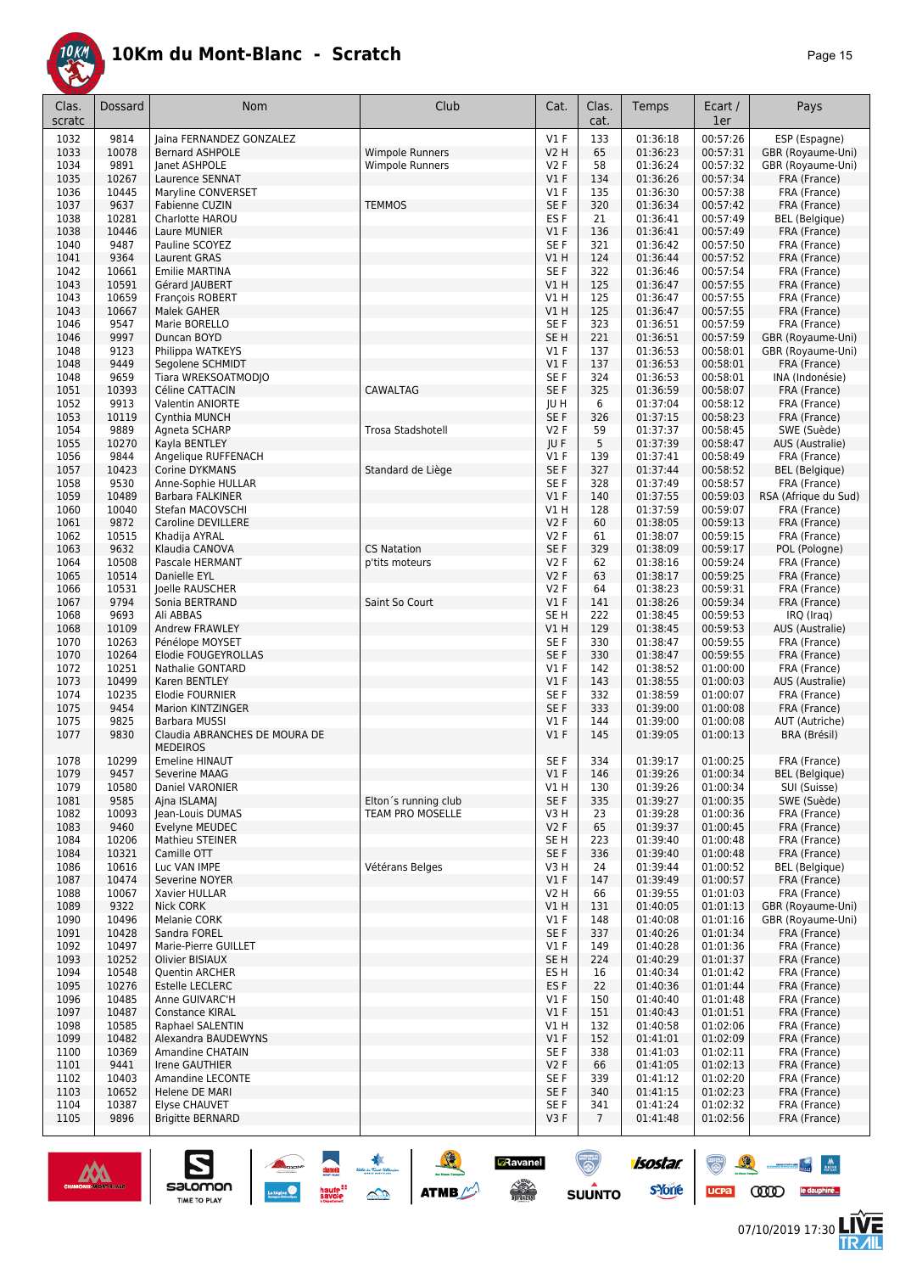

| 'age |  | 5 |
|------|--|---|
|------|--|---|

| Clas.<br>scratc | Dossard        | <b>Nom</b>                                       | Club                                 | Cat.                      | Clas.<br>cat.         | Temps                | Ecart /<br>1er       | Pays                                  |
|-----------------|----------------|--------------------------------------------------|--------------------------------------|---------------------------|-----------------------|----------------------|----------------------|---------------------------------------|
| 1032            | 9814           | Jaina FERNANDEZ GONZALEZ                         |                                      | V1F                       | 133                   | 01:36:18             | 00:57:26             | ESP (Espagne)                         |
| 1033            | 10078          | <b>Bernard ASHPOLE</b>                           | <b>Wimpole Runners</b>               | <b>V2 H</b>               | 65                    | 01:36:23             | 00:57:31             | GBR (Royaume-Uni)                     |
| 1034            | 9891           | Janet ASHPOLE                                    | <b>Wimpole Runners</b>               | V2F                       | 58                    | 01:36:24             | 00:57:32             | GBR (Royaume-Uni)                     |
| 1035            | 10267          | Laurence SENNAT                                  |                                      | V1F                       | 134                   | 01:36:26             | 00:57:34             | FRA (France)                          |
| 1036            | 10445<br>9637  | Maryline CONVERSET                               |                                      | $VI$ F<br>SE F            | 135                   | 01:36:30             | 00:57:38             | FRA (France)                          |
| 1037<br>1038    | 10281          | Fabienne CUZIN<br>Charlotte HAROU                | <b>TEMMOS</b>                        | ES F                      | 320<br>21             | 01:36:34<br>01:36:41 | 00:57:42<br>00:57:49 | FRA (France)<br><b>BEL</b> (Belgique) |
| 1038            | 10446          | Laure MUNIER                                     |                                      | $VI$ F                    | 136                   | 01:36:41             | 00:57:49             | FRA (France)                          |
| 1040            | 9487           | Pauline SCOYEZ                                   |                                      | SE F                      | 321                   | 01:36:42             | 00:57:50             | FRA (France)                          |
| 1041            | 9364           | <b>Laurent GRAS</b>                              |                                      | V1H                       | 124                   | 01:36:44             | 00:57:52             | FRA (France)                          |
| 1042            | 10661          | <b>Emilie MARTINA</b>                            |                                      | SE F                      | 322                   | 01:36:46             | 00:57:54             | FRA (France)                          |
| 1043            | 10591          | Gérard JAUBERT                                   |                                      | VIH                       | 125                   | 01:36:47             | 00:57:55             | FRA (France)                          |
| 1043            | 10659          | François ROBERT                                  |                                      | V1H                       | 125                   | 01:36:47             | 00:57:55             | FRA (France)                          |
| 1043<br>1046    | 10667<br>9547  | <b>Malek GAHER</b><br>Marie BORELLO              |                                      | V1H<br>SE F               | 125<br>323            | 01:36:47<br>01:36:51 | 00:57:55<br>00:57:59 | FRA (France)<br>FRA (France)          |
| 1046            | 9997           | Duncan BOYD                                      |                                      | SE <sub>H</sub>           | 221                   | 01:36:51             | 00:57:59             | GBR (Royaume-Uni)                     |
| 1048            | 9123           | Philippa WATKEYS                                 |                                      | $VI$ F                    | 137                   | 01:36:53             | 00:58:01             | GBR (Royaume-Uni)                     |
| 1048            | 9449           | Segolene SCHMIDT                                 |                                      | $VI$ F                    | 137                   | 01:36:53             | 00:58:01             | FRA (France)                          |
| 1048            | 9659           | Tiara WREKSOATMODJO                              |                                      | SE F                      | 324                   | 01:36:53             | 00:58:01             | INA (Indonésie)                       |
| 1051            | 10393          | Céline CATTACIN                                  | CAWALTAG                             | SE F                      | 325                   | 01:36:59             | 00:58:07             | FRA (France)                          |
| 1052            | 9913           | <b>Valentin ANIORTE</b>                          |                                      | JU H                      | 6                     | 01:37:04             | 00:58:12             | FRA (France)                          |
| 1053            | 10119          | Cynthia MUNCH                                    |                                      | SE F                      | 326                   | 01:37:15             | 00:58:23             | FRA (France)                          |
| 1054<br>1055    | 9889<br>10270  | Agneta SCHARP<br>Kayla BENTLEY                   | Trosa Stadshotell                    | V2F<br>JU F               | 59<br>5               | 01:37:37<br>01:37:39 | 00:58:45<br>00:58:47 | SWE (Suède)<br>AUS (Australie)        |
| 1056            | 9844           | Angelique RUFFENACH                              |                                      | $VI$ F                    | 139                   | 01:37:41             | 00:58:49             | FRA (France)                          |
| 1057            | 10423          | Corine DYKMANS                                   | Standard de Liège                    | SE F                      | 327                   | 01:37:44             | 00:58:52             | BEL (Belgique)                        |
| 1058            | 9530           | Anne-Sophie HULLAR                               |                                      | SE F                      | 328                   | 01:37:49             | 00:58:57             | FRA (France)                          |
| 1059            | 10489          | <b>Barbara FALKINER</b>                          |                                      | V1F                       | 140                   | 01:37:55             | 00:59:03             | RSA (Afrique du Sud)                  |
| 1060            | 10040          | Stefan MACOVSCHI                                 |                                      | V1 H                      | 128                   | 01:37:59             | 00:59:07             | FRA (France)                          |
| 1061            | 9872           | <b>Caroline DEVILLERE</b>                        |                                      | V2F                       | 60                    | 01:38:05             | 00:59:13             | FRA (France)                          |
| 1062            | 10515          | Khadija AYRAL                                    |                                      | V2F                       | 61                    | 01:38:07             | 00:59:15             | FRA (France)                          |
| 1063<br>1064    | 9632<br>10508  | Klaudia CANOVA<br>Pascale HERMANT                | <b>CS Natation</b><br>p'tits moteurs | SE F<br>V2F               | 329<br>62             | 01:38:09<br>01:38:16 | 00:59:17<br>00:59:24 | POL (Pologne)<br>FRA (France)         |
| 1065            | 10514          | Danielle EYL                                     |                                      | V2F                       | 63                    | 01:38:17             | 00:59:25             | FRA (France)                          |
| 1066            | 10531          | Joelle RAUSCHER                                  |                                      | V2F                       | 64                    | 01:38:23             | 00:59:31             | FRA (France)                          |
| 1067            | 9794           | Sonia BERTRAND                                   | Saint So Court                       | V1F                       | 141                   | 01:38:26             | 00:59:34             | FRA (France)                          |
| 1068            | 9693           | Ali ABBAS                                        |                                      | SE H                      | 222                   | 01:38:45             | 00:59:53             | IRQ (Iraq)                            |
| 1068            | 10109          | Andrew FRAWLEY                                   |                                      | VIH                       | 129                   | 01:38:45             | 00:59:53             | AUS (Australie)                       |
| 1070            | 10263          | Pénélope MOYSET                                  |                                      | SE F                      | 330                   | 01:38:47             | 00:59:55             | FRA (France)                          |
| 1070<br>1072    | 10264<br>10251 | Elodie FOUGEYROLLAS<br>Nathalie GONTARD          |                                      | SE F<br>$VI$ F            | 330<br>142            | 01:38:47<br>01:38:52 | 00:59:55<br>01:00:00 | FRA (France)<br>FRA (France)          |
| 1073            | 10499          | Karen BENTLEY                                    |                                      | V1F                       | 143                   | 01:38:55             | 01:00:03             | <b>AUS (Australie)</b>                |
| 1074            | 10235          | <b>Elodie FOURNIER</b>                           |                                      | SE F                      | 332                   | 01:38:59             | 01:00:07             | FRA (France)                          |
| 1075            | 9454           | Marion KINTZINGER                                |                                      | SE F                      | 333                   | 01:39:00             | 01:00:08             | FRA (France)                          |
| 1075            | 9825           | Barbara MUSSI                                    |                                      | $VI$ F                    | 144                   | 01:39:00             | 01:00:08             | AUT (Autriche)                        |
| 1077            | 9830           | Claudia ABRANCHES DE MOURA DE<br><b>MEDEIROS</b> |                                      | $VI$ F                    | 145                   | 01:39:05             | 01:00:13             | BRA (Brésil)                          |
| 1078            | 10299          | <b>Emeline HINAUT</b>                            |                                      | SE F                      | 334                   | 01:39:17             | 01:00:25             | FRA (France)                          |
| 1079<br>1079    | 9457<br>10580  | Severine MAAG<br>Daniel VARONIER                 |                                      | $VI$ F<br>V1 H            | 146<br>130            | 01:39:26<br>01:39:26 | 01:00:34<br>01:00:34 | BEL (Beigique)<br>SUI (Suisse)        |
| 1081            | 9585           | Ajna ISLAMAJ                                     | Elton's running club                 | SE F                      | 335                   | 01:39:27             | 01:00:35             | SWE (Suède)                           |
| 1082            | 10093          | Jean-Louis DUMAS                                 | TEAM PRO MOSELLE                     | V3 H                      | 23                    | 01:39:28             | 01:00:36             | FRA (France)                          |
| 1083            | 9460           | Evelyne MEUDEC                                   |                                      | V2F                       | 65                    | 01:39:37             | 01:00:45             | FRA (France)                          |
| 1084            | 10206          | Mathieu STEINER                                  |                                      | SE H                      | 223                   | 01:39:40             | 01:00:48             | FRA (France)                          |
| 1084            | 10321          | Camille OTT                                      |                                      | SE F                      | 336                   | 01:39:40             | 01:00:48             | FRA (France)                          |
| 1086            | 10616          | Luc VAN IMPE                                     | Vétérans Belges                      | V3 H                      | 24                    | 01:39:44             | 01:00:52             | <b>BEL</b> (Belgique)                 |
| 1087<br>1088    | 10474<br>10067 | Severine NOYER<br>Xavier HULLAR                  |                                      | $VI$ F<br>V2 H            | 147<br>66             | 01:39:49<br>01:39:55 | 01:00:57<br>01:01:03 | FRA (France)<br>FRA (France)          |
| 1089            | 9322           | <b>Nick CORK</b>                                 |                                      | V1 H                      | 131                   | 01:40:05             | 01:01:13             | GBR (Royaume-Uni)                     |
| 1090            | 10496          | Melanie CORK                                     |                                      | $VI$ F                    | 148                   | 01:40:08             | 01:01:16             | GBR (Royaume-Uni)                     |
| 1091            | 10428          | Sandra FOREL                                     |                                      | SE F                      | 337                   | 01:40:26             | 01:01:34             | FRA (France)                          |
| 1092            | 10497          | Marie-Pierre GUILLET                             |                                      | V1F                       | 149                   | 01:40:28             | 01:01:36             | FRA (France)                          |
| 1093            | 10252          | Olivier BISIAUX                                  |                                      | SE <sub>H</sub>           | 224                   | 01:40:29             | 01:01:37             | FRA (France)                          |
| 1094            | 10548          | Quentin ARCHER                                   |                                      | ES H                      | 16                    | 01:40:34             | 01:01:42             | FRA (France)                          |
| 1095<br>1096    | 10276<br>10485 | Estelle LECLERC<br>Anne GUIVARC'H                |                                      | ES <sub>F</sub><br>$VI$ F | 22<br>150             | 01:40:36<br>01:40:40 | 01:01:44<br>01:01:48 | FRA (France)<br>FRA (France)          |
| 1097            | 10487          | Constance KIRAL                                  |                                      | $VI$ F                    | 151                   | 01:40:43             | 01:01:51             | FRA (France)                          |
| 1098            | 10585          | Raphael SALENTIN                                 |                                      | V1 H                      | 132                   | 01:40:58             | 01:02:06             | FRA (France)                          |
| 1099            | 10482          | Alexandra BAUDEWYNS                              |                                      | $VI$ F                    | 152                   | 01:41:01             | 01:02:09             | FRA (France)                          |
| 1100            | 10369          | Amandine CHATAIN                                 |                                      | SE F                      | 338                   | 01:41:03             | 01:02:11             | FRA (France)                          |
| 1101            | 9441           | Irene GAUTHIER                                   |                                      | V2F                       | 66                    | 01:41:05             | 01:02:13             | FRA (France)                          |
| 1102            | 10403          | Amandine LECONTE                                 |                                      | SE F                      | 339                   | 01:41:12             | 01:02:20             | FRA (France)                          |
| 1103            | 10652          | Helene DE MARI                                   |                                      | SE F                      | 340                   | 01:41:15             | 01:02:23             | FRA (France)                          |
| 1104<br>1105    | 10387<br>9896  | Elyse CHAUVET<br><b>Brigitte BERNARD</b>         |                                      | SE F<br>V3F               | 341<br>$\overline{7}$ | 01:41:24<br>01:41:48 | 01:02:32<br>01:02:56 | FRA (France)<br>FRA (France)          |
|                 |                |                                                  |                                      |                           |                       |                      |                      |                                       |

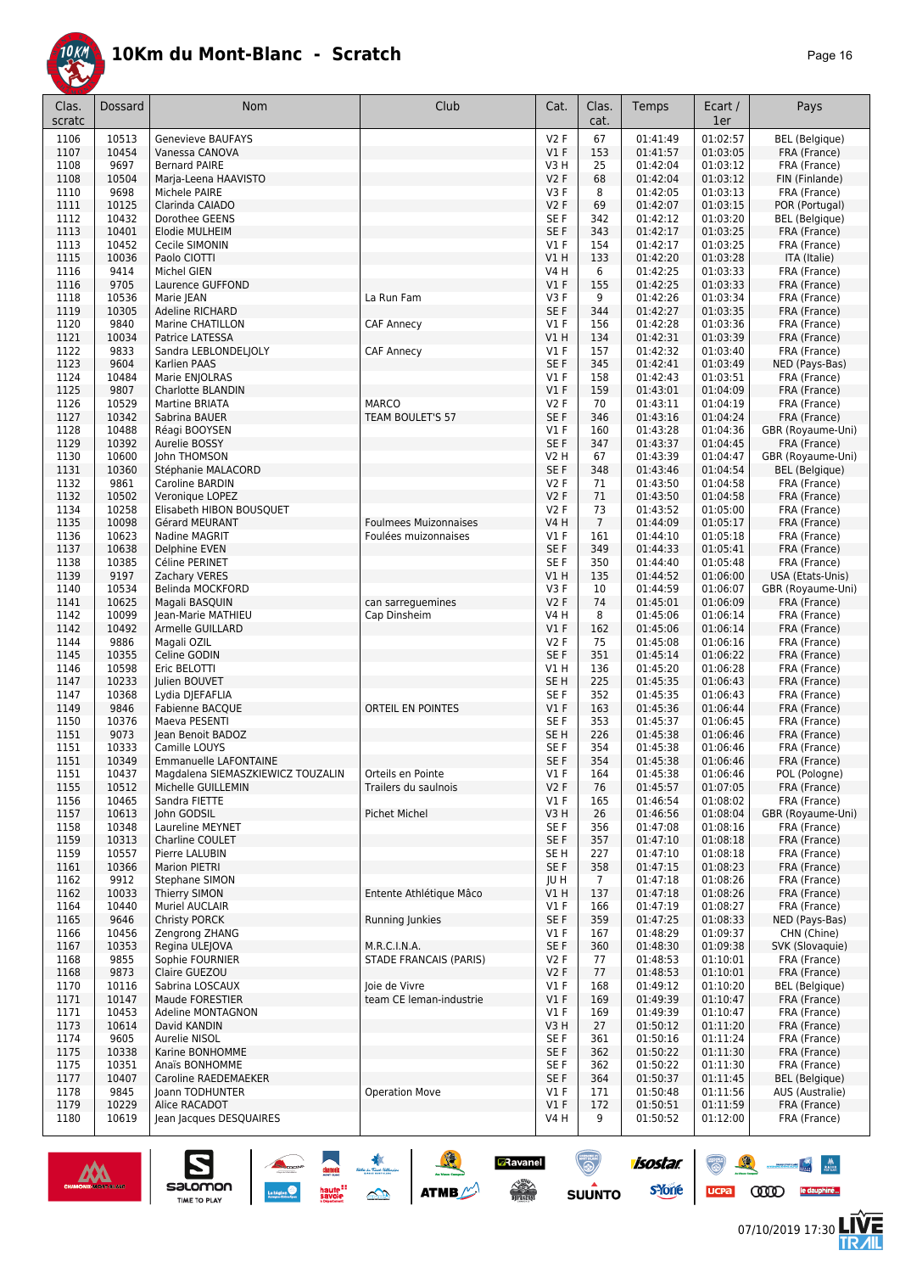

| Clas.        | Dossard        | Nom                                                     | Club                                      | Cat.                    | Clas.                  | Temps                | Ecart /              | Pays                                     |
|--------------|----------------|---------------------------------------------------------|-------------------------------------------|-------------------------|------------------------|----------------------|----------------------|------------------------------------------|
| scratc       |                |                                                         |                                           |                         | cat.                   |                      | 1er                  |                                          |
| 1106         | 10513          | <b>Genevieve BAUFAYS</b>                                |                                           | V2F                     | 67                     | 01:41:49             | 01:02:57             | <b>BEL</b> (Belgique)                    |
| 1107<br>1108 | 10454<br>9697  | Vanessa CANOVA<br><b>Bernard PAIRE</b>                  |                                           | V1F<br>V3H              | 153<br>25              | 01:41:57<br>01:42:04 | 01:03:05<br>01:03:12 | FRA (France)<br>FRA (France)             |
| 1108         | 10504          | Marja-Leena HAAVISTO                                    |                                           | V2F                     | 68                     | 01:42:04             | 01:03:12             | FIN (Finlande)                           |
| 1110         | 9698           | Michele PAIRE                                           |                                           | V3F                     | 8                      | 01:42:05             | 01:03:13             | FRA (France)                             |
| 1111         | 10125          | Clarinda CAIADO                                         |                                           | V2F                     | 69                     | 01:42:07             | 01:03:15             | POR (Portugal)                           |
| 1112         | 10432          | Dorothee GEENS                                          |                                           | SE F                    | 342                    | 01:42:12             | 01:03:20             | <b>BEL</b> (Belgique)                    |
| 1113         | 10401          | Elodie MULHEIM                                          |                                           | SE F                    | 343                    | 01:42:17             | 01:03:25             | FRA (France)                             |
| 1113         | 10452          | Cecile SIMONIN                                          |                                           | $VI$ F                  | 154                    | 01:42:17             | 01:03:25             | FRA (France)                             |
| 1115         | 10036          | Paolo CIOTTI                                            |                                           | V1 H                    | 133                    | 01:42:20             | 01:03:28             | ITA (Italie)                             |
| 1116<br>1116 | 9414<br>9705   | Michel GIEN<br>Laurence GUFFOND                         |                                           | V4 H<br>$VI$ F          | 6<br>155               | 01:42:25<br>01:42:25 | 01:03:33<br>01:03:33 | FRA (France)<br>FRA (France)             |
| 1118         | 10536          | Marie JEAN                                              | La Run Fam                                | V3F                     | 9                      | 01:42:26             | 01:03:34             | FRA (France)                             |
| 1119         | 10305          | <b>Adeline RICHARD</b>                                  |                                           | SE F                    | 344                    | 01:42:27             | 01:03:35             | FRA (France)                             |
| 1120         | 9840           | Marine CHATILLON                                        | <b>CAF Annecy</b>                         | $VI$ F                  | 156                    | 01:42:28             | 01:03:36             | FRA (France)                             |
| 1121         | 10034          | Patrice LATESSA                                         |                                           | VIH                     | 134                    | 01:42:31             | 01:03:39             | FRA (France)                             |
| 1122         | 9833           | Sandra LEBLONDELJOLY                                    | <b>CAF Annecy</b>                         | $VI$ F                  | 157                    | 01:42:32             | 01:03:40             | FRA (France)                             |
| 1123         | 9604           | Karlien PAAS                                            |                                           | SE F                    | 345                    | 01:42:41             | 01:03:49             | NED (Pays-Bas)                           |
| 1124<br>1125 | 10484<br>9807  | Marie ENJOLRAS<br>Charlotte BLANDIN                     |                                           | $VI$ F<br>V1F           | 158<br>159             | 01:42:43<br>01:43:01 | 01:03:51<br>01:04:09 | FRA (France)<br>FRA (France)             |
| 1126         | 10529          | Martine BRIATA                                          | <b>MARCO</b>                              | V2F                     | 70                     | 01:43:11             | 01:04:19             | FRA (France)                             |
| 1127         | 10342          | Sabrina BAUER                                           | TEAM BOULET'S 57                          | SE F                    | 346                    | 01:43:16             | 01:04:24             | FRA (France)                             |
| 1128         | 10488          | Réagi BOOYSEN                                           |                                           | $VI$ F                  | 160                    | 01:43:28             | 01:04:36             | GBR (Royaume-Uni)                        |
| 1129         | 10392          | Aurelie BOSSY                                           |                                           | SE F                    | 347                    | 01:43:37             | 01:04:45             | FRA (France)                             |
| 1130         | 10600          | John THOMSON                                            |                                           | V2 H                    | 67                     | 01:43:39             | 01:04:47             | GBR (Royaume-Uni)                        |
| 1131         | 10360<br>9861  | Stéphanie MALACORD                                      |                                           | SE F<br>V2F             | 348                    | 01:43:46             | 01:04:54             | <b>BEL</b> (Belgique)                    |
| 1132<br>1132 | 10502          | Caroline BARDIN<br>Veronique LOPEZ                      |                                           | V2F                     | 71<br>71               | 01:43:50<br>01:43:50 | 01:04:58<br>01:04:58 | FRA (France)<br>FRA (France)             |
| 1134         | 10258          | Elisabeth HIBON BOUSQUET                                |                                           | V2F                     | 73                     | 01:43:52             | 01:05:00             | FRA (France)                             |
| 1135         | 10098          | Gérard MEURANT                                          | <b>Foulmees Muizonnaises</b>              | V4 H                    | $\overline{7}$         | 01:44:09             | 01:05:17             | FRA (France)                             |
| 1136         | 10623          | Nadine MAGRIT                                           | Foulées muizonnaises                      | $VI$ F                  | 161                    | 01:44:10             | 01:05:18             | FRA (France)                             |
| 1137         | 10638          | Delphine EVEN                                           |                                           | SE F                    | 349                    | 01:44:33             | 01:05:41             | FRA (France)                             |
| 1138         | 10385          | Céline PERINET                                          |                                           | SE F                    | 350                    | 01:44:40             | 01:05:48             | FRA (France)                             |
| 1139         | 9197           | Zachary VERES                                           |                                           | V1 H                    | 135                    | 01:44:52             | 01:06:00             | USA (Etats-Unis)                         |
| 1140<br>1141 | 10534<br>10625 | Belinda MOCKFORD<br>Magali BASQUIN                      | can sarreguemines                         | V3F<br>V2F              | 10<br>74               | 01:44:59<br>01:45:01 | 01:06:07<br>01:06:09 | GBR (Royaume-Uni)<br>FRA (France)        |
| 1142         | 10099          | Jean-Marie MATHIEU                                      | Cap Dinsheim                              | V4 H                    | 8                      | 01:45:06             | 01:06:14             | FRA (France)                             |
| 1142         | 10492          | Armelle GUILLARD                                        |                                           | $VI$ F                  | 162                    | 01:45:06             | 01:06:14             | FRA (France)                             |
| 1144         | 9886           | Magali OZIL                                             |                                           | V2F                     | 75                     | 01:45:08             | 01:06:16             | FRA (France)                             |
| 1145         | 10355          | Celine GODIN                                            |                                           | SE F                    | 351                    | 01:45:14             | 01:06:22             | FRA (France)                             |
| 1146         | 10598          | Eric BELOTTI                                            |                                           | V1 H                    | 136                    | 01:45:20             | 01:06:28             | FRA (France)                             |
| 1147<br>1147 | 10233<br>10368 | <b>Iulien BOUVET</b><br>Lydia DJEFAFLIA                 |                                           | SE <sub>H</sub><br>SE F | 225<br>352             | 01:45:35<br>01:45:35 | 01:06:43<br>01:06:43 | FRA (France)<br>FRA (France)             |
| 1149         | 9846           | Fabienne BACQUE                                         | ORTEIL EN POINTES                         | V1F                     | 163                    | 01:45:36             | 01:06:44             | FRA (France)                             |
| 1150         | 10376          | Maeva PESENTI                                           |                                           | SE F                    | 353                    | 01:45:37             | 01:06:45             | FRA (France)                             |
| 1151         | 9073           | Jean Benoit BADOZ                                       |                                           | SE <sub>H</sub>         | 226                    | 01:45:38             | 01:06:46             | FRA (France)                             |
| 1151         | 10333          | Camille LOUYS                                           |                                           | SE F                    | 354                    | 01:45:38             | 01:06:46             | FRA (France)                             |
| 1151         | 10349          | <b>Emmanuelle LAFONTAINE</b>                            |                                           | SE F                    | 354                    | 01:45:38             | 01:06:46             | FRA (France)                             |
| 1151<br>1155 | 10437<br>10512 | Magdalena SIEMASZKIEWICZ TOUZALIN<br>Michelle GUILLEMIN | Orteils en Pointe<br>Trailers du saulnois | V1F<br>V2F              | 164<br>76              | 01:45:38<br>01:45:57 | 01:06:46<br>01:07:05 | POL (Pologne)<br>FRA (France)            |
| 1156         | 10465          | Sandra FIETTE                                           |                                           | $VI$ F                  | 165                    | 01:46:54             | 01:08:02             | FRA (France)                             |
| 1157         | 10613          | John GODSIL                                             | Pichet Michel                             | V3H                     | 26                     | 01:46:56             | 01:08:04             | GBR (Royaume-Uni)                        |
| 1158         | 10348          | Laureline MEYNET                                        |                                           | SE F                    | 356                    | 01:47:08             | 01:08:16             | FRA (France)                             |
| 1159         | 10313          | Charline COULET                                         |                                           | SE F                    | 357                    | 01:47:10             | 01:08:18             | FRA (France)                             |
| 1159         | 10557          | Pierre LALUBIN                                          |                                           | SE H                    | 227                    | 01:47:10             | 01:08:18             | FRA (France)                             |
| 1161         | 10366<br>9912  | <b>Marion PIETRI</b>                                    |                                           | SE F                    | 358                    | 01:47:15             | 01:08:23<br>01:08:26 | FRA (France)                             |
| 1162<br>1162 | 10033          | Stephane SIMON<br>Thierry SIMON                         | Entente Athlétique Mâco                   | JU H<br>V1 H            | $7\overline{ }$<br>137 | 01:47:18<br>01:47:18 | 01:08:26             | FRA (France)<br>FRA (France)             |
| 1164         | 10440          | Muriel AUCLAIR                                          |                                           | $VI$ F                  | 166                    | 01:47:19             | 01:08:27             | FRA (France)                             |
| 1165         | 9646           | <b>Christy PORCK</b>                                    | Running Junkies                           | SE F                    | 359                    | 01:47:25             | 01:08:33             | NED (Pays-Bas)                           |
| 1166         | 10456          | Zengrong ZHANG                                          |                                           | V1 F                    | 167                    | 01:48:29             | 01:09:37             | CHN (Chine)                              |
| 1167         | 10353          | Regina ULEJOVA                                          | M.R.C.I.N.A.                              | SE F                    | 360                    | 01:48:30             | 01:09:38             | SVK (Slovaquie)                          |
| 1168         | 9855           | Sophie FOURNIER                                         | STADE FRANCAIS (PARIS)                    | V2 F                    | 77                     | 01:48:53             | 01:10:01             | FRA (France)                             |
| 1168<br>1170 | 9873<br>10116  | Claire GUEZOU<br>Sabrina LOSCAUX                        | Joie de Vivre                             | V2F<br>$VI$ F           | 77<br>168              | 01:48:53<br>01:49:12 | 01:10:01<br>01:10:20 | FRA (France)<br><b>BEL</b> (Belgique)    |
| 1171         | 10147          | Maude FORESTIER                                         | team CE leman-industrie                   | $VI$ F                  | 169                    | 01:49:39             | 01:10:47             | FRA (France)                             |
| 1171         | 10453          | Adeline MONTAGNON                                       |                                           | $VI$ F                  | 169                    | 01:49:39             | 01:10:47             | FRA (France)                             |
| 1173         | 10614          | David KANDIN                                            |                                           | V3H                     | 27                     | 01:50:12             | 01:11:20             | FRA (France)                             |
| 1174         | 9605           | Aurelie NISOL                                           |                                           | SE F                    | 361                    | 01:50:16             | 01:11:24             | FRA (France)                             |
| 1175         | 10338          | Karine BONHOMME                                         |                                           | SE F                    | 362                    | 01:50:22             | 01:11:30             | FRA (France)                             |
| 1175         | 10351          | Anaïs BONHOMME                                          |                                           | SE F                    | 362                    | 01:50:22             | 01:11:30             | FRA (France)                             |
| 1177<br>1178 | 10407<br>9845  | Caroline RAEDEMAEKER<br>Joann TODHUNTER                 | <b>Operation Move</b>                     | SE F<br>$VI$ F          | 364<br>171             | 01:50:37<br>01:50:48 | 01:11:45<br>01:11:56 | <b>BEL</b> (Belgique)<br>AUS (Australie) |
| 1179         | 10229          | Alice RACADOT                                           |                                           | $VI$ F                  | 172                    | 01:50:51             | 01:11:59             | FRA (France)                             |
| 1180         | 10619          | Jean Jacques DESQUAIRES                                 |                                           | V4 H                    | 9                      | 01:50:52             | 01:12:00             | FRA (France)                             |
|              |                |                                                         |                                           |                         |                        |                      |                      |                                          |





UCPa **COOD** le dauphiné...

 $\mathbb{R}$